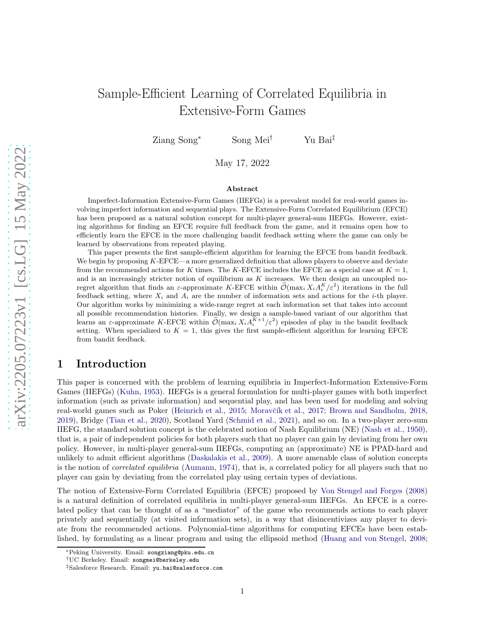## Sample-Efficient Learning of Correlated Equilibria in Extensive-Form Games

Ziang Song<sup>∗</sup> Song Mei† Yu Bai‡

May 17, 2022

#### Abstract

Imperfect-Information Extensive-Form Games (IIEFGs) is a prevalent model for real-world games involving imperfect information and sequential plays. The Extensive-Form Correlated Equilibrium (EFCE) has been proposed as a natural solution concept for multi-player general-sum IIEFGs. However, existing algorithms for finding an EFCE require full feedback from the game, and it remains open how to efficiently learn the EFCE in the more challenging bandit feedback setting where the game can only be learned by observations from repeated playing.

This paper presents the first sample-efficient algorithm for learning the EFCE from bandit feedback. We begin by proposing K-EFCE—a more generalized definition that allows players to observe and deviate from the recommended actions for K times. The K-EFCE includes the EFCE as a special case at  $K = 1$ , and is an increasingly stricter notion of equilibrium as  $K$  increases. We then design an uncoupled noregret algorithm that finds an  $\varepsilon$ -approximate K-EFCE within  $\tilde{\mathcal{O}}(\max_i X_i A_i^K / \varepsilon^2)$  iterations in the full feedback setting, where  $X_i$  and  $A_i$  are the number of information sets and actions for the *i*-th player. Our algorithm works by minimizing a wide-range regret at each information set that takes into account all possible recommendation histories. Finally, we design a sample-based variant of our algorithm that learns an  $\varepsilon$ -approximate K-EFCE within  $\tilde{\mathcal{O}}(\max_i X_i A_i^{K+1}/\varepsilon^2)$  episodes of play in the bandit feedback setting. When specialized to  $K = 1$ , this gives the first sample-efficient algorithm for learning EFCE from bandit feedback.

## 1 Introduction

This paper is concerned with the problem of learning equilibria in Imperfect-Information Extensive-Form Games (IIEFGs) [\(Kuhn,](#page-12-0) [1953\)](#page-12-0). IIEFGs is a general formulation for multi-player games with both imperfect information (such as private information) and sequential play, and has been used for modeling and solving real-world games such as Poker [\(Heinrich et al.](#page-12-1), [2015](#page-12-1); Moravčík et al., [2017;](#page-12-2) [Brown and Sandholm](#page-11-0), [2018](#page-11-0), [2019\)](#page-11-1), Bridge [\(Tian et al.,](#page-13-0) [2020\)](#page-13-0), Scotland Yard [\(Schmid et al.](#page-13-1), [2021\)](#page-13-1), and so on. In a two-player zero-sum IIEFG, the standard solution concept is the celebrated notion of Nash Equilibrium (NE) [\(Nash et al.,](#page-13-2) [1950\)](#page-13-2), that is, a pair of independent policies for both players such that no player can gain by deviating from her own policy. However, in multi-player general-sum IIEFGs, computing an (approximate) NE is PPAD-hard and unlikely to admit efficient algorithms [\(Daskalakis et al.](#page-11-2), [2009\)](#page-11-2). A more amenable class of solution concepts is the notion of *correlated equilibria* [\(Aumann](#page-11-3), [1974\)](#page-11-3), that is, a correlated policy for all players such that no player can gain by deviating from the correlated play using certain types of deviations.

The notion of Extensive-Form Correlated Equilibria (EFCE) proposed by [Von Stengel and Forges](#page-13-3) [\(2008](#page-13-3)) is a natural definition of correlated equilibria in multi-player general-sum IIEFGs. An EFCE is a correlated policy that can be thought of as a "mediator" of the game who recommends actions to each player privately and sequentially (at visited information sets), in a way that disincentivizes any player to deviate from the recommended actions. Polynomial-time algorithms for computing EFCEs have been established, by formulating as a linear program and using the ellipsoid method [\(Huang and von Stengel](#page-12-3), [2008](#page-12-3);

<sup>∗</sup>Peking University. Email: songziang@pku.edu.cn

<sup>†</sup>UC Berkeley. Email: songmei@berkeley.edu

<sup>‡</sup>Salesforce Research. Email: yu.bai@salesforce.com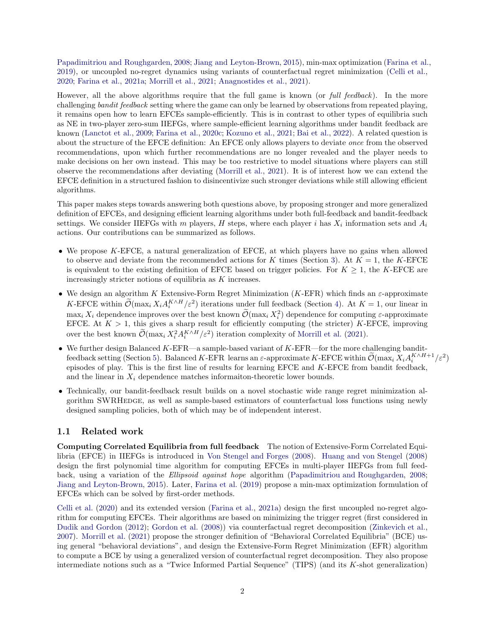[Papadimitriou and Roughgarden,](#page-13-4) [2008;](#page-13-4) [Jiang and Leyton-Brown,](#page-12-4) [2015\)](#page-12-4), min-max optimization [\(Farina et al.,](#page-12-5) [2019\)](#page-12-5), or uncoupled no-regret dynamics using variants of counterfactual regret minimization [\(Celli et al.](#page-11-4), [2020;](#page-11-4) [Farina et al.](#page-12-6), [2021a;](#page-12-6) [Morrill et al.](#page-13-5), [2021](#page-13-5); [Anagnostides et al.,](#page-11-5) [2021\)](#page-11-5).

However, all the above algorithms require that the full game is known (or full feedback). In the more challenging bandit feedback setting where the game can only be learned by observations from repeated playing, it remains open how to learn EFCEs sample-efficiently. This is in contrast to other types of equilibria such as NE in two-player zero-sum IIEFGs, where sample-efficient learning algorithms under bandit feedback are known [\(Lanctot et al.](#page-12-7), [2009;](#page-12-7) [Farina et al.](#page-12-8), [2020c](#page-12-8); [Kozuno et al.](#page-12-9), [2021;](#page-12-9) [Bai et al.](#page-11-6), [2022\)](#page-11-6). A related question is about the structure of the EFCE definition: An EFCE only allows players to deviate once from the observed recommendations, upon which further recommendations are no longer revealed and the player needs to make decisions on her own instead. This may be too restrictive to model situations where players can still observe the recommendations after deviating [\(Morrill et al.,](#page-13-5) [2021](#page-13-5)). It is of interest how we can extend the EFCE definition in a structured fashion to disincentivize such stronger deviations while still allowing efficient algorithms.

This paper makes steps towards answering both questions above, by proposing stronger and more generalized definition of EFCEs, and designing efficient learning algorithms under both full-feedback and bandit-feedback settings. We consider IIEFGs with m players, H steps, where each player i has  $X_i$  information sets and  $A_i$ actions. Our contributions can be summarized as follows.

- We propose K-EFCE, a natural generalization of EFCE, at which players have no gains when allowed to observe and deviate from the recommended actions for K times (Section [3\)](#page-4-0). At  $K = 1$ , the K-EFCE is equivalent to the existing definition of EFCE based on trigger policies. For  $K \geq 1$ , the K-EFCE are increasingly stricter notions of equilibria as K increases.
- We design an algorithm K Extensive-Form Regret Minimization (K-EFR) which finds an  $\varepsilon$ -approximate K-EFCE within  $\mathcal{O}(\max_i X_i A_i^{K \wedge H}/\varepsilon^2)$  iterations under full feedback (Section [4\)](#page-6-0). At  $K = 1$ , our linear in  $\max_i X_i$  dependence improves over the best known  $\mathcal{O}(\max_i X_i^2)$  dependence for computing  $\varepsilon$ -approximate EFCE. At  $K > 1$ , this gives a sharp result for efficiently computing (the stricter) K-EFCE, improving over the best known  $\mathcal{O}(\max_i X_i^2 A_i^{K \wedge H} / \varepsilon^2)$  iteration complexity of [Morrill et al.](#page-13-5) [\(2021\)](#page-13-5).
- $\bullet$  We further design Balanced K-EFR—a sample-based variant of K-EFR—for the more challenging bandit-feedback setting (Section [5\)](#page-8-0). Balanced K-EFR learns an  $\varepsilon$ -approximate K-EFCE within  $\widetilde{\mathcal{O}}(\max_i X_i A_i^{K \wedge H+1}/\varepsilon^2)$ episodes of play. This is the first line of results for learning EFCE and K-EFCE from bandit feedback, and the linear in  $X_i$  dependence matches informaiton-theoretic lower bounds.
- Technically, our bandit-feedback result builds on a novel stochastic wide range regret minimization algorithm SWRHEDGE, as well as sample-based estimators of counterfactual loss functions using newly designed sampling policies, both of which may be of independent interest.

#### 1.1 Related work

Computing Correlated Equilibria from full feedback The notion of Extensive-Form Correlated Equilibria (EFCE) in IIEFGs is introduced in [Von Stengel and Forges](#page-13-3) [\(2008\)](#page-13-3). [Huang and von Stengel](#page-12-3) [\(2008](#page-12-3)) design the first polynomial time algorithm for computing EFCEs in multi-player IIEFGs from full feedback, using a variation of the Ellipsoid against hope algorithm [\(Papadimitriou and Roughgarden,](#page-13-4) [2008](#page-13-4); [Jiang and Leyton-Brown](#page-12-4), [2015](#page-12-4)). Later, [Farina et al.](#page-12-5) [\(2019\)](#page-12-5) propose a min-max optimization formulation of EFCEs which can be solved by first-order methods.

[Celli et al.](#page-11-4) [\(2020\)](#page-11-4) and its extended version [\(Farina et al.](#page-12-6), [2021a\)](#page-12-6) design the first uncoupled no-regret algorithm for computing EFCEs. Their algorithms are based on minimizing the trigger regret (first considered in [Dudik and Gordon](#page-11-7) [\(2012\)](#page-11-7); [Gordon et al.](#page-12-10) [\(2008\)](#page-12-10)) via counterfactual regret decomposition [\(Zinkevich et al.](#page-13-6), [2007\)](#page-13-6). [Morrill et al.](#page-13-5) [\(2021\)](#page-13-5) propose the stronger definition of "Behavioral Correlated Equilibria" (BCE) using general "behavioral deviations", and design the Extensive-Form Regret Minimization (EFR) algorithm to compute a BCE by using a generalized version of counterfactual regret decomposition. They also propose intermediate notions such as a "Twice Informed Partial Sequence" (TIPS) (and its K-shot generalization)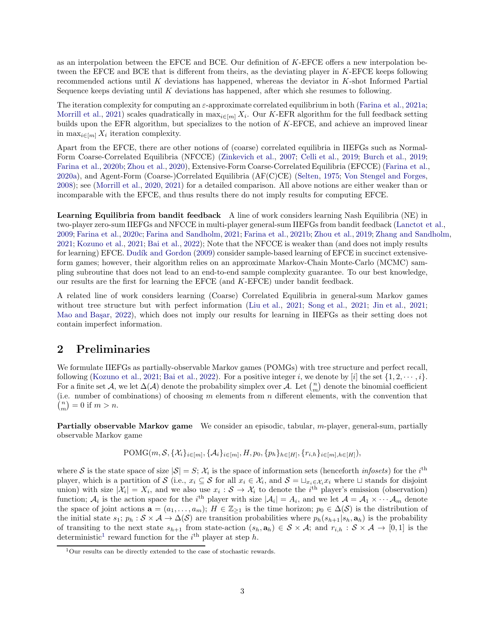as an interpolation between the EFCE and BCE. Our definition of K-EFCE offers a new interpolation between the EFCE and BCE that is different from theirs, as the deviating player in K-EFCE keeps following recommended actions until K deviations has happened, whereas the deviator in K-shot Informed Partial Sequence keeps deviating until  $K$  deviations has happened, after which she resumes to following.

The iteration complexity for computing an  $\varepsilon$ -approximate correlated equilibrium in both [\(Farina et al.](#page-12-6), [2021a](#page-12-6); [Morrill et al.,](#page-13-5) [2021\)](#page-13-5) scales quadratically in  $\max_{i \in [m]} X_i$ . Our K-EFR algorithm for the full feedback setting builds upon the EFR algorithm, but specializes to the notion of K-EFCE, and achieve an improved linear in  $\max_{i \in [m]} X_i$  iteration complexity.

Apart from the EFCE, there are other notions of (coarse) correlated equilibria in IIEFGs such as Normal-Form Coarse-Correlated Equilibria (NFCCE) [\(Zinkevich et al.](#page-13-6), [2007](#page-13-6); [Celli et al.](#page-11-8), [2019](#page-11-8); [Burch et al.](#page-11-9), [2019](#page-11-9); [Farina et al.](#page-12-11), [2020b;](#page-12-11) [Zhou et al.](#page-13-7), [2020\)](#page-13-7), Extensive-Form Coarse-Correlated Equilibria (EFCCE) [\(Farina et al.](#page-12-12), [2020a\)](#page-12-12), and Agent-Form (Coarse-)Correlated Equilibria (AF(C)CE) [\(Selten](#page-13-8), [1975;](#page-13-8) [Von Stengel and Forges](#page-13-3), [2008\)](#page-13-3); see [\(Morrill et al.](#page-13-9), [2020,](#page-13-9) [2021\)](#page-13-5) for a detailed comparison. All above notions are either weaker than or incomparable with the EFCE, and thus results there do not imply results for computing EFCE.

Learning Equilibria from bandit feedback A line of work considers learning Nash Equilibria (NE) in two-player zero-sum IIEFGs and NFCCE in multi-player general-sum IIEFGs from bandit feedback [\(Lanctot et al.,](#page-12-7) [2009;](#page-12-7) [Farina et al.](#page-12-8), [2020c;](#page-12-8) [Farina and Sandholm](#page-12-13), [2021](#page-12-13); [Farina et al.](#page-12-14), [2021b;](#page-12-14) [Zhou et al.](#page-13-10), [2019;](#page-13-10) [Zhang and Sandholm](#page-13-11), [2021;](#page-13-11) [Kozuno et al.,](#page-12-9) [2021](#page-12-9); [Bai et al.,](#page-11-6) [2022](#page-11-6)); Note that the NFCCE is weaker than (and does not imply results for learning) EFCE. Dudík and Gordon [\(2009\)](#page-12-15) consider sample-based learning of EFCE in succinct extensiveform games; however, their algorithm relies on an approximate Markov-Chain Monte-Carlo (MCMC) sampling subroutine that does not lead to an end-to-end sample complexity guarantee. To our best knowledge, our results are the first for learning the EFCE (and K-EFCE) under bandit feedback.

A related line of work considers learning (Coarse) Correlated Equilibria in general-sum Markov games without tree structure but with perfect information [\(Liu et al.](#page-12-16), [2021;](#page-13-12) [Song et al.,](#page-13-12) 2021; [Jin et al.,](#page-12-17) [2021](#page-12-17); Mao and Basar, [2022\)](#page-12-18), which does not imply our results for learning in IIEFGs as their setting does not contain imperfect information.

## <span id="page-2-1"></span>2 Preliminaries

We formulate IIEFGs as partially-observable Markov games (POMGs) with tree structure and perfect recall, following [\(Kozuno et al.,](#page-12-9) [2021](#page-12-9); [Bai et al.,](#page-11-6) [2022\)](#page-11-6). For a positive integer i, we denote by [i] the set  $\{1, 2, \dots, i\}$ . For a finite set  $\mathcal{A}$ , we let  $\Delta(\mathcal{A})$  denote the probability simplex over  $\mathcal{A}$ . Let  $\binom{n}{m}$  denote the binomial coefficient (i.e. number of combinations) of choosing  $m$  elements from  $n$  different elements, with the convention that  $\binom{n}{m} = 0$  if  $m > n$ .

Partially observable Markov game We consider an episodic, tabular, m-player, general-sum, partially observable Markov game

$$
\text{POMG}(m, \mathcal{S}, \{X_i\}_{i \in [m]}, \{A_i\}_{i \in [m]}, H, p_0, \{p_h\}_{h \in [H]}, \{r_{i,h}\}_{i \in [m], h \in [H]})
$$

where S is the state space of size  $|S| = S$ ;  $\mathcal{X}_i$  is the space of information sets (henceforth *infosets*) for the *i*<sup>th</sup> player, which is a partition of S (i.e.,  $x_i \subseteq S$  for all  $x_i \in \mathcal{X}_i$ , and  $S = \sqcup_{x_i \in \mathcal{X}_i} x_i$  where  $\sqcup$  stands for disjoint union) with size  $|\mathcal{X}_i| = X_i$ , and we also use  $x_i : \mathcal{S} \to \mathcal{X}_i$  to denote the *i*<sup>th</sup> player's emission (observation) function;  $A_i$  is the action space for the i<sup>th</sup> player with size  $|A_i| = A_i$ , and we let  $A = A_1 \times \cdots \times A_m$  denote the space of joint actions  $\mathbf{a} = (a_1, \ldots, a_m); H \in \mathbb{Z}_{\geq 1}$  is the time horizon;  $p_0 \in \Delta(\mathcal{S})$  is the distribution of the initial state  $s_1; p_h : \mathcal{S} \times \mathcal{A} \to \Delta(\mathcal{S})$  are transition probabilities where  $p_h(s_{h+1}|s_h, \mathbf{a}_h)$  is the probability of transiting to the next state  $s_{h+1}$  from state-action  $(s_h, \mathbf{a}_h) \in \mathcal{S} \times \mathcal{A}$ ; and  $r_{i,h} : \mathcal{S} \times \mathcal{A} \to [0,1]$  is the deterministic<sup>[1](#page-2-0)</sup> reward function for the  $i<sup>th</sup>$  player at step h.

<span id="page-2-0"></span><sup>&</sup>lt;sup>1</sup>Our results can be directly extended to the case of stochastic rewards.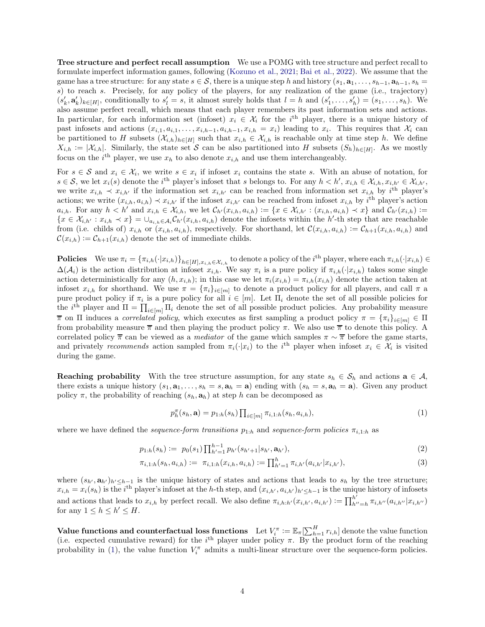Tree structure and perfect recall assumption We use a POMG with tree structure and perfect recall to formulate imperfect information games, following [\(Kozuno et al.,](#page-12-9) [2021;](#page-12-9) [Bai et al.](#page-11-6), [2022\)](#page-11-6). We assume that the game has a tree structure: for any state  $s \in \mathcal{S}$ , there is a unique step h and history  $(s_1, \mathbf{a}_1, \ldots, s_{h-1}, \mathbf{a}_{h-1}, s_h =$ s) to reach s. Precisely, for any policy of the players, for any realization of the game (i.e., trajectory)  $(s'_k, \mathbf{a}'_k)_{k \in [H]}$ , conditionally to  $s'_l = s$ , it almost surely holds that  $l = h$  and  $(s'_1, \ldots, s'_h) = (s_1, \ldots, s_h)$ . We also assume perfect recall, which means that each player remembers its past information sets and actions. In particular, for each information set (infoset)  $x_i \in \mathcal{X}_i$  for the i<sup>th</sup> player, there is a unique history of past infosets and actions  $(x_{i,1}, a_{i,1}, \ldots, x_{i,h-1}, a_{i,h-1}, x_{i,h} = x_i)$  leading to  $x_i$ . This requires that  $\mathcal{X}_i$  can be partitioned to H subsets  $(\mathcal{X}_{i,h})_{h\in[H]}$  such that  $x_{i,h}\in\mathcal{X}_{i,h}$  is reachable only at time step h. We define  $X_{i,h} := |\mathcal{X}_{i,h}|$ . Similarly, the state set S can be also partitioned into H subsets  $(S_h)_{h \in [H]}$ . As we mostly focus on the *i*<sup>th</sup> player, we use  $x_h$  to also denote  $x_{i,h}$  and use them interchangeably.

For  $s \in \mathcal{S}$  and  $x_i \in \mathcal{X}_i$ , we write  $s \in x_i$  if infoset  $x_i$  contains the state s. With an abuse of notation, for  $s \in \mathcal{S}$ , we let  $x_i(s)$  denote the i<sup>th</sup> player's infoset that s belongs to. For any  $h < h'$ ,  $x_{i,h} \in \mathcal{X}_{i,h}$ ,  $x_{i,h'} \in \mathcal{X}_{i,h'}$ , we write  $x_{i,h} \prec x_{i,h'}$  if the information set  $x_{i,h'}$  can be reached from information set  $x_{i,h}$  by i<sup>th</sup> player's actions; we write  $(x_{i,h}, a_{i,h}) \prec x_{i,h'}$  if the infoset  $x_{i,h'}$  can be reached from infoset  $x_{i,h}$  by  $i^{\text{th}}$  player's action  $a_{i,h}$ . For any  $h < h'$  and  $x_{i,h} \in \mathcal{X}_{i,h}$ , we let  $\mathcal{C}_{h'}(x_{i,h}, a_{i,h}) := \{x \in \mathcal{X}_{i,h'} : (x_{i,h}, a_{i,h}) \prec x\}$  and  $\mathcal{C}_{h'}(x_{i,h}) :=$  ${x \in \mathcal{X}_{i,h'} : x_{i,h} \prec x} = \bigcup_{a_{i,h} \in \mathcal{A}_i} C_{h'}(x_{i,h}, a_{i,h})$  denote the infosets within the h'-th step that are reachable from (i.e. childs of)  $x_{i,h}$  or  $(x_{i,h}, a_{i,h})$ , respectively. For shorthand, let  $\mathcal{C}(x_{i,h}, a_{i,h}) := \mathcal{C}_{h+1}(x_{i,h}, a_{i,h})$  and  $\mathcal{C}(x_{i,h}) := \mathcal{C}_{h+1}(x_{i,h})$  denote the set of immediate childs.

**Policies** We use  $\pi_i = \{\pi_{i,h}(\cdot|x_{i,h})\}_{h\in[H],x_{i,h}\in\mathcal{X}_{i,h}}$  to denote a policy of the *i*<sup>th</sup> player, where each  $\pi_{i,h}(\cdot|x_{i,h}) \in$  $\Delta(\mathcal{A}_i)$  is the action distribution at infoset  $x_{i,h}$ . We say  $\pi_i$  is a pure policy if  $\pi_{i,h}(\cdot|x_{i,h})$  takes some single action deterministically for any  $(h, x_{i,h})$ ; in this case we let  $\pi_i(x_{i,h}) = \pi_{i,h}(x_{i,h})$  denote the action taken at infoset  $x_{i,h}$  for shorthand. We use  $\pi = {\pi_i}_{i\in[m]}$  to denote a product policy for all players, and call  $\pi$  a pure product policy if  $\pi_i$  is a pure policy for all  $i \in [m]$ . Let  $\Pi_i$  denote the set of all possible policies for the i<sup>th</sup> player and  $\Pi = \prod_{i \in [m]} \Pi_i$  denote the set of all possible product policies. Any probability measure  $\overline{\pi}$  on  $\Pi$  induces a *correlated policy*, which executes as first sampling a product policy  $\pi = {\pi_i}_{i \in [m]} \in \Pi$ from probability measure  $\bar{\pi}$  and then playing the product policy  $\pi$ . We also use  $\bar{\pi}$  to denote this policy. A correlated policy  $\bar{\pi}$  can be viewed as a *mediator* of the game which samples  $\pi \sim \bar{\pi}$  before the game starts, and privately recommends action sampled from  $\pi_i(\cdot|x_i)$  to the i<sup>th</sup> player when infoset  $x_i \in \mathcal{X}_i$  is visited during the game.

**Reaching probability** With the tree structure assumption, for any state  $s_h \in S_h$  and actions  $\mathbf{a} \in \mathcal{A}$ , there exists a unique history  $(s_1, \mathbf{a}_1, \ldots, s_h = s, \mathbf{a}_h = \mathbf{a})$  ending with  $(s_h = s, \mathbf{a}_h = \mathbf{a})$ . Given any product policy  $\pi$ , the probability of reaching  $(s_h, \mathbf{a}_h)$  at step h can be decomposed as

<span id="page-3-2"></span><span id="page-3-1"></span><span id="page-3-0"></span>
$$
p_h^{\pi}(s_h, \mathbf{a}) = p_{1:h}(s_h) \prod_{i \in [m]} \pi_{i,1:h}(s_h, a_{i,h}), \tag{1}
$$

where we have defined the *sequence-form transitions*  $p_{1:h}$  and *sequence-form policies*  $\pi_{i,1:h}$  as

$$
p_{1:h}(s_h) := p_0(s_1) \prod_{h'=1}^{h-1} p_{h'}(s_{h'+1}|s_{h'}, \mathbf{a}_{h'}),
$$
\n(2)

$$
\pi_{i,1:h}(s_h, a_{i,h}) := \pi_{i,1:h}(x_{i,h}, a_{i,h}) := \prod_{h'=1}^h \pi_{i,h'}(a_{i,h'}|x_{i,h'}),
$$
\n(3)

where  $(s_{h'}, \mathbf{a}_{h'})_{h' \leq h-1}$  is the unique history of states and actions that leads to  $s_h$  by the tree structure;  $x_{i,h} = x_i(s_h)$  is the i<sup>th</sup> player's infoset at the h-th step, and  $(x_{i,h'}, a_{i,h'})_{h' \leq h-1}$  is the unique history of infosets and actions that leads to  $x_{i,h}$  by perfect recall. We also define  $\pi_{i,h:h'}(x_{i,h'}, a_{i,h'}) := \prod_{h'}^{h'}$  $\sum_{h''=h}^{h} \pi_{i,h''}(a_{i,h''}|x_{i,h''})$ for any  $1 \leq h \leq h' \leq H$ .

Value functions and counterfactual loss functions Let  $V_i^{\pi} := \mathbb{E}_{\pi}[\sum_{h=1}^H r_{i,h}]$  denote the value function (i.e. expected cumulative reward) for the  $i<sup>th</sup>$  player under policy  $\pi$ . By the product form of the reaching probability in [\(1\)](#page-3-0), the value function  $V_i^{\pi}$  admits a multi-linear structure over the sequence-form policies.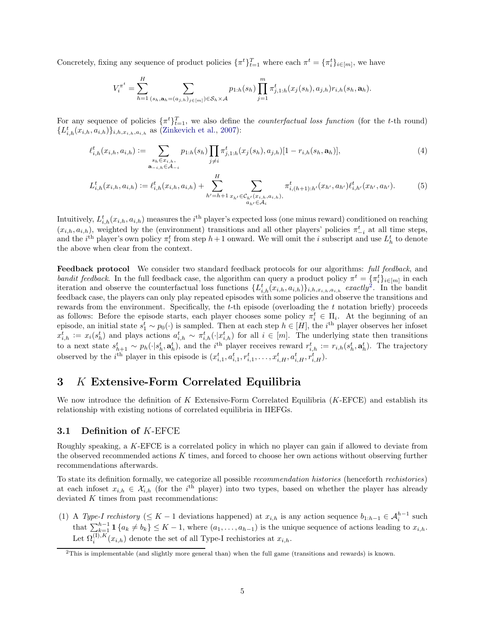Concretely, fixing any sequence of product policies  $\{\pi^t\}_{t=1}^T$  where each  $\pi^t = \{\pi_i^t\}_{i \in [m]}$ , we have

<span id="page-4-3"></span><span id="page-4-2"></span>
$$
V_i^{\pi^t} = \sum_{h=1}^H \sum_{(s_h, \mathbf{a}_h = (a_{j,h})_{j \in [m]}) \in \mathcal{S}_h \times \mathcal{A}} p_{1:h}(s_h) \prod_{j=1}^m \pi_{j,1:h}^t(x_j(s_h), a_{j,h}) r_{i,h}(s_h, \mathbf{a}_h).
$$

For any sequence of policies  $\{\pi^t\}_{t=1}^T$ , we also define the *counterfactual loss function* (for the t-th round)  $\{L_{i,h}^t(x_{i,h}, a_{i,h})\}_{i,h,x_{i,h},a_{i,h}}$  as [\(Zinkevich et al.](#page-13-6), [2007\)](#page-13-6):

$$
\ell_{i,h}^t(x_{i,h}, a_{i,h}) := \sum_{\substack{s_h \in x_{i,h},\\ \mathbf{a}_{-i,h} \in \mathcal{A}_{-i}}} p_{1:h}(s_h) \prod_{j \neq i} \pi_{j,1:h}^t(x_j(s_h), a_{j,h}) [1 - r_{i,h}(s_h, \mathbf{a}_h)],
$$
\n<sup>(4)</sup>

$$
L_{i,h}^{t}(x_{i,h}, a_{i,h}) := \ell_{i,h}^{t}(x_{i,h}, a_{i,h}) + \sum_{h'=h+1}^{H} \sum_{\substack{x_{h'} \in \mathcal{C}_{h'}(x_{i,h}, a_{i,h}), \\ a_{h'} \in \mathcal{A}_i}} \pi_{i,(h+1):h'}^{t}(x_{h'}, a_{h'}) \ell_{i,h'}^{t}(x_{h'}, a_{h'}). \tag{5}
$$

Intuitively,  $L_{i,h}^t(x_{i,h}, a_{i,h})$  measures the  $i^{\text{th}}$  player's expected loss (one minus reward) conditioned on reaching  $(x_{i,h}, a_{i,h})$ , weighted by the (environment) transitions and all other players' policies  $\pi_{-i}^t$  at all time steps, and the  $i^{\text{th}}$  player's own policy  $\pi_i^t$  from step  $h+1$  onward. We will omit the i subscript and use  $L_h^t$  to denote the above when clear from the context.

Feedback protocol We consider two standard feedback protocols for our algorithms: full feedback, and bandit feedback. In the full feedback case, the algorithm can query a product policy  $\pi^t = \{\pi_i^t\}_{i \in [m]}$  in each iteration and observe the counterfactual loss functions  $\{L_{i,h}^t(x_{i,h}, a_{i,h})\}_{i,h,x_{i,h},a_{i,h}}$  exactly<sup>[2](#page-4-1)</sup>. In the bandit feedback case, the players can only play repeated episodes with some policies and observe the transitions and rewards from the environment. Specifically, the t-th episode (overloading the t notation briefly) proceeds as follows: Before the episode starts, each player chooses some policy  $\pi_i^t \in \Pi_i$ . At the beginning of an episode, an initial state  $s_1^t \sim p_0(\cdot)$  is sampled. Then at each step  $h \in [H]$ , the i<sup>th</sup> player observes her infoset  $x_{i,h}^t := x_i(s_h^t)$  and plays actions  $a_{i,h}^t \sim \pi_{i,h}^t(\cdot | x_{i,h}^t)$  for all  $i \in [m]$ . The underlying state then transitions to a next state  $s_{h+1}^t \sim p_h(\cdot | s_h^t, \mathbf{a}_h^t)$ , and the *i*<sup>th</sup> player receives reward  $r_{i,h}^t := r_{i,h}(s_h^t, \mathbf{a}_h^t)$ . The trajectory observed by the *i*<sup>th</sup> player in this episode is  $(x_{i,1}^t, a_{i,1}^t, r_{i,1}^t, \ldots, x_{i,H}^t, a_{i,H}^t, r_{i,H}^t)$ .

## <span id="page-4-0"></span>3 K Extensive-Form Correlated Equilibria

We now introduce the definition of  $K$  Extensive-Form Correlated Equilibria  $(K$ -EFCE) and establish its relationship with existing notions of correlated equilibria in IIEFGs.

#### 3.1 Definition of K-EFCE

Roughly speaking, a K-EFCE is a correlated policy in which no player can gain if allowed to deviate from the observed recommended actions  $K$  times, and forced to choose her own actions without observing further recommendations afterwards.

To state its definition formally, we categorize all possible recommendation histories (henceforth rechistories) at each infoset  $x_{i,h} \in \mathcal{X}_{i,h}$  (for the i<sup>th</sup> player) into two types, based on whether the player has already deviated  $K$  times from past recommendations:

(1) A Type-I rechistory ( $\leq K - 1$  deviations happened) at  $x_{i,h}$  is any action sequence  $b_{1:h-1} \in \mathcal{A}_i^{h-1}$  such that  $\sum_{k=1}^{h-1} \mathbf{1} \{a_k \neq b_k\} \leq K-1$ , where  $(a_1, \ldots, a_{h-1})$  is the unique sequence of actions leading to  $x_{i,h}$ . Let  $\Omega_i^{(1), K}(x_{i,h})$  denote the set of all Type-I rechistories at  $x_{i,h}$ .

<span id="page-4-1"></span><sup>2</sup>This is implementable (and slightly more general than) when the full game (transitions and rewards) is known.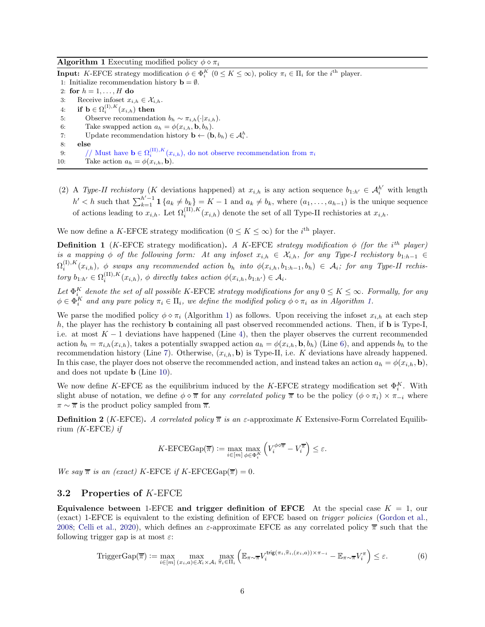#### **Algorithm 1** Executing modified policy  $\phi \diamond \pi_i$

<span id="page-5-1"></span><span id="page-5-0"></span>**Input:** K-EFCE strategy modification  $\phi \in \Phi_i^K$   $(0 \le K \le \infty)$ , policy  $\pi_i \in \Pi_i$  for the  $i^{\text{th}}$  player. 1: Initialize recommendation history  $\mathbf{b} = \emptyset$ . 2: for  $h = 1, \ldots, H$  do 3: Receive infoset  $x_{i,h} \in \mathcal{X}_{i,h}$ . 4: if  $\mathbf{b} \in \Omega_i^{(1),K}(x_{i,h})$  then 5: Observe recommendation  $b_h \sim \pi_{i,h}(\cdot|x_{i,h}).$ 6: Take swapped action  $a_h = \phi(x_{i,h}, \mathbf{b}, b_h)$ . 7: Update recommendation history  $\mathbf{b} \leftarrow (\mathbf{b}, b_h) \in \mathcal{A}_i^h$ . 8: else 9: // Must have  $\mathbf{b} \in \Omega_i^{(\text{II}),K}(x_{i,h})$ , do not observe recommendation from  $\pi_i$ 

- <span id="page-5-4"></span><span id="page-5-3"></span><span id="page-5-2"></span>10: Take action  $a_h = \phi(x_{i,h}, \mathbf{b}).$
- (2) A Type-II rechistory (K deviations happened) at  $x_{i,h}$  is any action sequence  $b_{1:h'} \in \mathcal{A}_i^{h'}$  with length  $h' < h$  such that  $\sum_{k=1}^{h'-1} \mathbf{1}_{\{a_k \neq b_k\}} = K - 1$  and  $a_k \neq b_k$ , where  $(a_1, \ldots, a_{h-1})$  is the unique sequence of actions leading to  $x_{i,h}$ . Let  $\Omega_i^{(II),K}(x_{i,h})$  denote the set of all Type-II rechistories at  $x_{i,h}$ .

We now define a K-EFCE strategy modification ( $0 \leq K \leq \infty$ ) for the *i*<sup>th</sup> player.

<span id="page-5-7"></span>**Definition 1** (K-EFCE strategy modification). A K-EFCE strategy modification  $\phi$  (for the i<sup>th</sup> player) is a mapping  $\phi$  of the following form: At any infoset  $x_{i,h} \in \mathcal{X}_{i,h}$ , for any Type-I rechistory  $b_{1:h-1} \in$  $\Omega_i^{(1),K}(x_{i,h}),$   $\phi$  swaps any recommended action  $b_h$  into  $\phi(x_{i,h},b_{1:h-1},b_h) \in \mathcal{A}_i$ ; for any Type-II rechistory  $b_{1:h'} \in \Omega_i^{(II),K}(x_{i,h}), \phi$  directly takes action  $\phi(x_{i,h}, b_{1:h'}) \in \mathcal{A}_i$ .

Let  $\Phi_{i_{K}}^{K}$  denote the set of all possible K-EFCE strategy modifications for any  $0 \leq K \leq \infty$ . Formally, for any  $\phi \in \Phi_i^K$  and any pure policy  $\pi_i \in \Pi_i$ , we define the modified policy  $\phi \diamond \pi_i$  as in Algorithm [1.](#page-5-0)

We parse the modified policy  $\phi \circ \pi_i$  (Algorithm [1\)](#page-5-0) as follows. Upon receiving the infoset  $x_{i,h}$  at each step  $h$ , the player has the rechistory **b** containing all past observed recommended actions. Then, if **b** is Type-I, i.e. at most  $K-1$  deviations have happened (Line [4\)](#page-5-1), then the player observes the current recommended action  $b_h = \pi_{i,h}(x_{i,h})$ , takes a potentially swapped action  $a_h = \phi(x_{i,h}, \mathbf{b}, b_h)$  (Line [6\)](#page-5-2), and appends  $b_h$  to the recommendation history (Line [7\)](#page-5-3). Otherwise,  $(x_{i,h}, \mathbf{b})$  is Type-II, i.e. K deviations have already happened. In this case, the player does not observe the recommended action, and instead takes an action  $a_h = \phi(x_{i,h}, \mathbf{b})$ , and does not update b (Line [10\)](#page-5-4).

We now define K-EFCE as the equilibrium induced by the K-EFCE strategy modification set  $\Phi_i^K$ . With slight abuse of notation, we define  $\phi \circ \overline{\pi}$  for any *correlated policy*  $\overline{\pi}$  to be the policy  $(\phi \circ \pi_i) \times \pi_{-i}$  where  $\pi \sim \overline{\pi}$  is the product policy sampled from  $\overline{\pi}$ .

<span id="page-5-5"></span>**Definition 2** (K-EFCE). A correlated policy  $\overline{\pi}$  is an  $\varepsilon$ -approximate K Extensive-Form Correlated Equilibrium  $(K$ -EFCE) if

<span id="page-5-6"></span>
$$
K\text{-EFCEGap}(\overline{\pi}) := \max_{i \in [m]} \max_{\phi \in \Phi_i^K} \left( V_i^{\phi \circ \overline{\pi}} - V_i^{\overline{\pi}} \right) \le \varepsilon.
$$

We say  $\bar{\pi}$  is an (exact) K-EFCE if K-EFCEGap( $\bar{\pi}$ ) = 0.

#### 3.2 Properties of K-EFCE

Equivalence between 1-EFCE and trigger definition of EFCE At the special case  $K = 1$ , our (exact) 1-EFCE is equivalent to the existing definition of EFCE based on trigger policies [\(Gordon et al.](#page-12-10), [2008;](#page-12-10) [Celli et al.](#page-11-4), [2020\)](#page-11-4), which defines an  $\varepsilon$ -approximate EFCE as any correlated policy  $\overline{\pi}$  such that the following trigger gap is at most  $\varepsilon$ :

$$
\text{TriggerGap}(\overline{\pi}) := \max_{i \in [m]} \max_{(x_i, a) \in \mathcal{X}_i \times \mathcal{A}_i} \max_{\widehat{\pi}_i \in \Pi_i} \left( \mathbb{E}_{\pi \sim \overline{\pi}} V_i^{\text{trig}(\pi_i, \widehat{\pi}_i, (x_i, a)) \times \pi_{-i}} - \mathbb{E}_{\pi \sim \overline{\pi}} V_i^{\pi} \right) \le \varepsilon.
$$
 (6)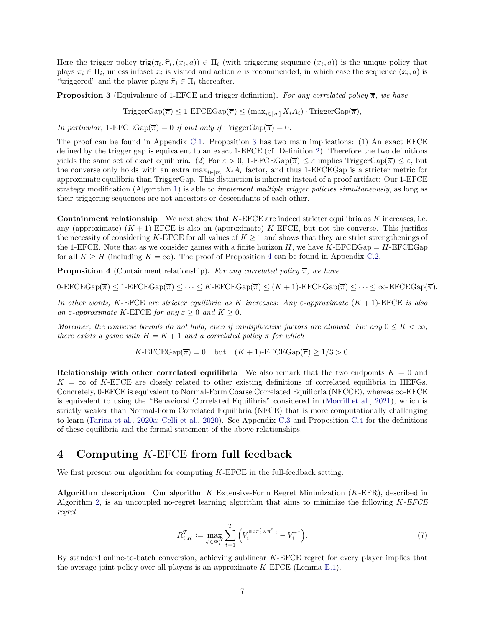Here the trigger policy  $\text{trig}(\pi_i, \hat{\pi}_i, (x_i, a)) \in \Pi_i$  (with triggering sequence  $(x_i, a)$ ) is the unique policy that plays  $\pi_i \in \Pi_i$ , unless infoset  $x_i$  is visited and action a is recommended, in which case the sequence  $(x_i, a)$  is "triggered" and the player plays  $\hat{\pi}_i \in \Pi_i$  thereafter.

<span id="page-6-1"></span>**Proposition 3** (Equivalence of 1-EFCE and trigger definition). For any correlated policy  $\overline{\pi}$ , we have

 $\text{TriggerGap}(\overline{\pi}) \leq 1\text{-EFCEGap}(\overline{\pi}) \leq (\max_{i \in [m]} X_i A_i) \cdot \text{TriggerGap}(\overline{\pi}),$ 

In particular, 1-EFCEGap( $\overline{\pi}$ ) = 0 if and only if TriggerGap( $\overline{\pi}$ ) = 0.

The proof can be found in Appendix [C.1.](#page-22-0) Proposition [3](#page-6-1) has two main implications: (1) An exact EFCE defined by the trigger gap is equivalent to an exact 1-EFCE (cf. Definition [2\)](#page-5-5). Therefore the two definitions yields the same set of exact equilibria. (2) For  $\varepsilon > 0$ , 1-EFCEGap( $\overline{\pi}$ )  $\leq \varepsilon$  implies TriggerGap( $\overline{\pi}$ )  $\leq \varepsilon$ , but the converse only holds with an extra  $\max_{i \in [m]} X_i A_i$  factor, and thus 1-EFCEGap is a stricter metric for approximate equilibria than TriggerGap. This distinction is inherent instead of a proof artifact: Our 1-EFCE strategy modification (Algorithm [1\)](#page-5-0) is able to *implement multiple trigger policies simultaneously*, as long as their triggering sequences are not ancestors or descendants of each other.

**Containment relationship** We next show that  $K$ -EFCE are indeed stricter equilibria as K increases, i.e. any (approximate)  $(K + 1)$ -EFCE is also an (approximate) K-EFCE, but not the converse. This justifies the necessity of considering K-EFCE for all values of  $K \geq 1$  and shows that they are strict strengthenings of the 1-EFCE. Note that as we consider games with a finite horizon  $H$ , we have K-EFCEGap =  $H$ -EFCEGap for all  $K \geq H$  (including  $K = \infty$ ). The proof of Proposition [4](#page-6-2) can be found in Appendix [C.2.](#page-24-0)

<span id="page-6-2"></span>**Proposition 4** (Containment relationship). For any correlated policy  $\overline{\pi}$ , we have

 $0-\text{EFCEGap}(\overline{\pi}) \leq 1-\text{EFCEGap}(\overline{\pi}) \leq \cdots \leq K-\text{EFCEGap}(\overline{\pi}) \leq (K+1)-\text{EFCEGap}(\overline{\pi}) \leq \cdots \leq \infty-\text{EFCEGap}(\overline{\pi}).$ 

In other words, K-EFCE are stricter equilibria as K increases: Any  $\varepsilon$ -approximate  $(K + 1)$ -EFCE is also an  $\varepsilon$ -approximate K-EFCE for any  $\varepsilon \geq 0$  and  $K \geq 0$ .

Moreover, the converse bounds do not hold, even if multiplicative factors are allowed: For any  $0 \leq K < \infty$ , there exists a game with  $H = K + 1$  and a correlated policy  $\bar{\pi}$  for which

 $K\text{-EFCEGap}(\overline{\pi}) = 0$  but  $(K+1)\text{-EFCEGap}(\overline{\pi}) \ge 1/3 > 0.$ 

**Relationship with other correlated equilibria** We also remark that the two endpoints  $K = 0$  and  $K = \infty$  of K-EFCE are closely related to other existing definitions of correlated equilibria in IIEFGs. Concretely, 0-EFCE is equivalent to Normal-Form Coarse Correlated Equilibria (NFCCE), whereas  $\infty$ -EFCE is equivalent to using the "Behavioral Correlated Equilibria" considered in [\(Morrill et al.,](#page-13-5) [2021\)](#page-13-5), which is strictly weaker than Normal-Form Correlated Equilibria (NFCE) that is more computationally challenging to learn [\(Farina et al.,](#page-12-12) [2020a](#page-12-12); [Celli et al.,](#page-11-4) [2020](#page-11-4)). See Appendix [C.3](#page-25-0) and Proposition [C.4](#page-25-1) for the definitions of these equilibria and the formal statement of the above relationships.

## <span id="page-6-0"></span>4 Computing K-EFCE from full feedback

We first present our algorithm for computing K-EFCE in the full-feedback setting.

Algorithm description Our algorithm K Extensive-Form Regret Minimization (K-EFR), described in Algorithm [2,](#page-7-0) is an uncoupled no-regret learning algorithm that aims to minimize the following  $K$ -EFCE regret

$$
R_{i,K}^T := \max_{\phi \in \Phi_i^K} \sum_{t=1}^T \left( V_i^{\phi \circ \pi_i^t \times \pi_{-i}^t} - V_i^{\pi^t} \right). \tag{7}
$$

By standard online-to-batch conversion, achieving sublinear K-EFCE regret for every player implies that the average joint policy over all players is an approximate  $K$ -EFCE (Lemma [E.1\)](#page-29-0).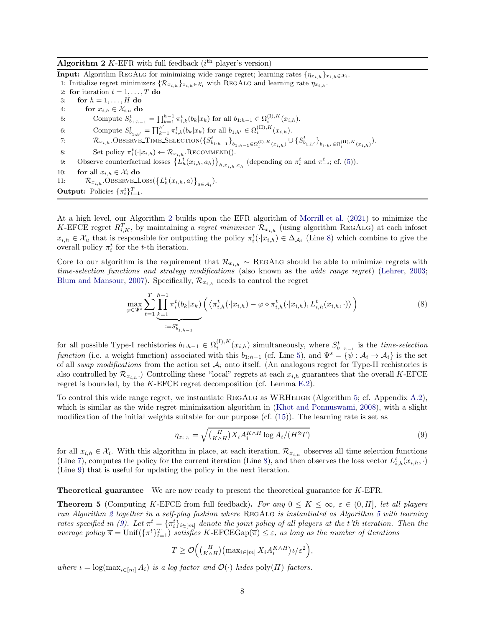<span id="page-7-0"></span>Algorithm 2 K-EFR with full feedback  $(i<sup>th</sup>$  player's version)

<span id="page-7-2"></span>**Input:** Algorithm REGALG for minimizing wide range regret; learning rates  $\{\eta_{x_{i,h}}\}_{x_{i,h}} \in \mathcal{X}_i$ . 1: Initialize regret minimizers  $\{\mathcal{R}_{x_{i,h}}\}_{x_{i,h}\in\mathcal{X}_i}$  with REGALG and learning rate  $\eta_{x_{i,h}}$ . 2: for iteration  $t = 1, \ldots, T$  do 3: for  $h = 1, \ldots, H$  do 4: for  $x_{i,h} \in \mathcal{X}_{i,h}$  do 5: Compute  $S_{b_{1:h-1}}^t = \prod_{k=1}^{h-1} \pi_{i,k}^t(b_k|x_k)$  for all  $b_{1:h-1} \in \Omega_i^{(I),K}(x_{i,h}).$ 6: Compute  $S_{b_{1:h'}}^t = \prod_{k=1}^{h'} \pi_{i,k}^t(b_k|x_k)$  for all  $b_{1:h'} \in \Omega_i^{(\text{II}),K}(x_{i,h}).$ 7:  $\mathcal{R}_{x_{i,h}}$ .Observe\_Time\_Selection( $\{S_{b_{1:h-1}}^t\}_{b_{1:h-1}\in\Omega_i^{(I),K}(x_{i,h})}\cup\{S_{b_{1:h'}}^t\}_{b_{1:h'}\in\Omega_i^{(II),K}(x_{i,h})}$ ). 8: Set policy  $\pi_i^t(\cdot|x_{i,h}) \leftarrow \mathcal{R}_{x_{i,h}}.\text{RECOMMEND}().$ 9: Observe counterfactual losses  $\left\{L_h^t(x_{i,h}, a_h)\right\}_{h,x_{i,h},a_h}$  (depending on  $\pi_i^t$  and  $\pi_{-i}^t$ ; cf. [\(5\)](#page-4-2)). 10: **for** all  $x_{i,h} \in \mathcal{X}_i$  do 11:  $\mathcal{R}_{x_{i,h}}$ . Observe Loss $\left\{L_h^t(x_{i,h}, a)\right\}_{a \in \mathcal{A}_i}$ . **Output:** Policies  $\{\pi_i^t\}_{t=1}^T$ .

<span id="page-7-8"></span><span id="page-7-4"></span>At a high level, our Algorithm [2](#page-7-0) builds upon the EFR algorithm of [Morrill et al.](#page-13-5) [\(2021](#page-13-5)) to minimize the K-EFCE regret  $R_{i,K}^T$ , by maintaining a *regret minimizer*  $\mathcal{R}_{x_{i,h}}$  (using algorithm REGALG) at each infoset  $x_{i,h} \in \mathcal{X}_u$  that is responsible for outputting the policy  $\pi_i^t(\cdot|x_{i,h}) \in \Delta_{\mathcal{A}_i}$  (Line [8\)](#page-7-1) which combine to give the overall policy  $\pi_i^t$  for the *t*-th iteration.

Core to our algorithm is the requirement that  $\mathcal{R}_{x_{i,h}} \sim \text{RegALG}$  should be able to minimize regrets with time-selection functions and strategy modifications (also known as the wide range regret) [\(Lehrer,](#page-12-19) [2003](#page-12-19); [Blum and Mansour](#page-11-10), [2007\)](#page-11-10). Specifically,  $\mathcal{R}_{x_{i,h}}$  needs to control the regret

<span id="page-7-7"></span><span id="page-7-3"></span><span id="page-7-1"></span>
$$
\max_{\varphi \in \Psi^s} \sum_{t=1}^T \prod_{k=1}^{h-1} \pi_i^t(b_k | x_k) \left( \langle \pi_{i,h}^t(\cdot | x_{i,h}) - \varphi \diamond \pi_{i,h}^t(\cdot | x_{i,h}), L_{i,h}^t(x_{i,h}, \cdot) \rangle \right) \tag{8}
$$

for all possible Type-I rechistories  $b_{1:h-1} \in \Omega_i^{(1),K}(x_{i,h})$  simultaneously, where  $S_{b_{1:h-1}}^t$  is the *time-selection* function (i.e. a weight function) associated with this  $b_{1:h-1}$  (cf. Line [5\)](#page-7-2), and  $\Psi^s = \{\psi : A_i \to A_i\}$  is the set of all swap modifications from the action set  $A_i$  onto itself. (An analogous regret for Type-II rechistories is also controlled by  $\mathcal{R}_{x_{i,h}}$ .) Controlling these "local" regrets at each  $x_{i,h}$  guarantees that the overall K-EFCE regret is bounded, by the  $K$ -EFCE regret decomposition (cf. Lemma [E.2\)](#page-30-0).

To control this wide range regret, we instantiate REGALG as WRHEDGE (Algorithm [5;](#page-15-0) cf. Appendix [A.2\)](#page-15-1), which is similar as the wide regret minimization algorithm in [\(Khot and Ponnuswami,](#page-12-20) [2008\)](#page-12-20), with a slight modification of the initial weights suitable for our purpose (cf. [\(15\)](#page-15-2)). The learning rate is set as

<span id="page-7-9"></span><span id="page-7-5"></span>
$$
\eta_{x_{i,h}} = \sqrt{\binom{H}{K \wedge H} X_i A_i^{K \wedge H} \log A_i / (H^2 T)}
$$
\n(9)

for all  $x_{i,h} \in \mathcal{X}_i$ . With this algorithm in place, at each iteration,  $\mathcal{R}_{x_{i,h}}$  observes all time selection functions (Line [7\)](#page-7-3), computes the policy for the current iteration (Line [8\)](#page-7-1), and then observes the loss vector  $L_{i,h}^t(x_{i,h},\cdot)$ (Line [9\)](#page-7-4) that is useful for updating the policy in the next iteration.

Theoretical guarantee We are now ready to present the theoretical guarantee for K-EFR.

<span id="page-7-6"></span>**Theorem 5** (Computing K-EFCE from full feedback). For any  $0 \le K \le \infty$ ,  $\varepsilon \in (0, H]$ , let all players run Algorithm [2](#page-7-0) together in a self-play fashion where REGALG is instantiated as Algorithm [5](#page-15-0) with learning rates specified in [\(9\)](#page-7-5). Let  $\pi^t = {\pi^t_i}_{i \in [m]}$  denote the joint policy of all players at the t'th iteration. Then the average policy  $\overline{\pi} = \text{Unif}(\{\pi^t\}_{t=1}^T)$  satisfies K-EFCEGap( $\overline{\pi}$ )  $\leq \varepsilon$ , as long as the number of iterations

$$
T \geq \mathcal{O}\Big(\binom{H}{K \wedge H}\left(\max_{i \in [m]} X_i A_i^{K \wedge H}\right) \iota/\varepsilon^2\Big),\,
$$

where  $\iota = \log(\max_{i \in [m]} A_i)$  is a log factor and  $\mathcal{O}(\cdot)$  hides  $\text{poly}(H)$  factors.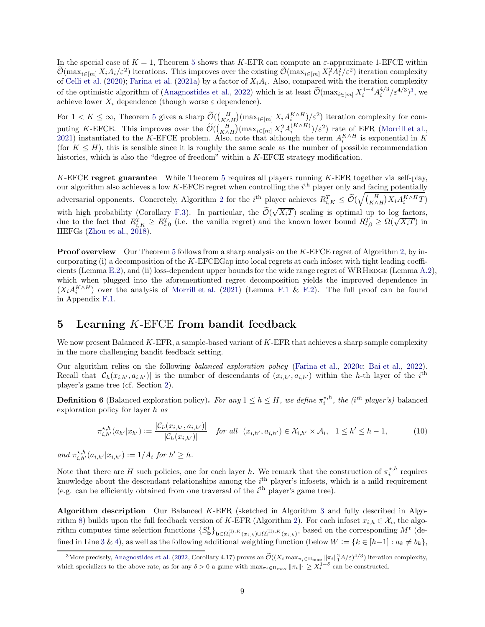In the special case of  $K = 1$ , Theorem [5](#page-7-6) shows that K-EFR can compute an  $\varepsilon$ -approximate 1-EFCE within  $\mathcal{O}(\max_{i \in [m]} X_i A_i / \varepsilon^2)$  iterations. This improves over the existing  $\mathcal{O}(\max_{i \in [m]} X_i^2 A_i^2 / \varepsilon^2)$  iteration complexity of [Celli et al.](#page-11-4) [\(2020\)](#page-11-4); [Farina et al.](#page-12-6) [\(2021a\)](#page-12-6) by a factor of  $X_iA_i$ . Also, compared with the iteration complexity of the optimistic algorithm of [\(Anagnostides et al.](#page-11-11), [2022\)](#page-11-11) which is at least  $\widetilde{\mathcal{O}}(\max_{i \in [m]} X_i^{4-\delta} A_i^{4/3} / \varepsilon^{4/3})^3$  $\widetilde{\mathcal{O}}(\max_{i \in [m]} X_i^{4-\delta} A_i^{4/3} / \varepsilon^{4/3})^3$  $\widetilde{\mathcal{O}}(\max_{i \in [m]} X_i^{4-\delta} A_i^{4/3} / \varepsilon^{4/3})^3$ , we achieve lower  $X_i$  dependence (though worse  $\varepsilon$  dependence).

For  $1 < K \leq \infty$ , Theorem [5](#page-7-6) gives a sharp  $\widetilde{\mathcal{O}}((\frac{H}{K \wedge H})(\max_{i \in [m]} X_i A_i^{K \wedge H})/\varepsilon^2)$  iteration complexity for computing K-EFCE. This improves over the  $\widetilde{\mathcal{O}}((\frac{H}{K\wedge H})(\max_{i\in[m]} X_i^2 A_i^{(K\wedge H)})/\varepsilon^2)$  rate of EFR [\(Morrill et al.](#page-13-5), [2021\)](#page-13-5) instantiated to the K-EFCE problem. Also, note that although the term  $A_i^{K \wedge H}$  is exponential in K (for  $K \leq H$ ), this is sensible since it is roughly the same scale as the number of possible recommendation histories, which is also the "degree of freedom" within a K-EFCE strategy modification.

K-EFCE regret guarantee While Theorem [5](#page-7-6) requires all players running K-EFR together via self-play, our algorithm also achieves a low K-EFCE regret when controlling the  $i<sup>th</sup>$  player only and facing potentially adversarial opponents. Concretely, Algorithm [2](#page-7-0) for the *i*<sup>th</sup> player achieves  $R_{i,K}^T \leq \tilde{\mathcal{O}}(\sqrt{\binom{H}{K \wedge H} X_i A_i^{K \wedge H} T})$ with high probability (Corollary [F.3\)](#page-34-0). In particular, the  $\tilde{\mathcal{O}}(\sqrt{X_iT})$  scaling is optimal up to log factors, due to the fact that  $R_{i,K}^T \geq R_{i,0}^T$  (i.e. the vanilla regret) and the known lower bound  $R_{i,0}^T \geq \Omega(\sqrt{X_iT})$  in IIEFGs [\(Zhou et al.](#page-13-13), [2018](#page-13-13)).

**Proof overview** Our Theorem [5](#page-7-6) follows from a sharp analysis on the K-EFCE regret of Algorithm [2,](#page-7-0) by incorporating (i) a decomposition of the K-EFCEGap into local regrets at each infoset with tight leading coeffi-cients (Lemma [E.2\)](#page-30-0), and (ii) loss-dependent upper bounds for the wide range regret of WRHEDGE (Lemma [A.2\)](#page-15-3), which when plugged into the aforementionted regret decomposition yields the improved dependence in  $(X_i A_i^{K \wedge H})$  over the analysis of [Morrill et al.](#page-13-5) [\(2021](#page-13-5)) (Lemma [F.1](#page-33-0) & [F.2\)](#page-33-1). The full proof can be found in Appendix [F.1.](#page-33-2)

## <span id="page-8-0"></span>5 Learning  $K$ -EFCE from bandit feedback

We now present Balanced K-EFR, a sample-based variant of  $K$ -EFR that achieves a sharp sample complexity in the more challenging bandit feedback setting.

Our algorithm relies on the following balanced exploration policy [\(Farina et al.](#page-12-8), [2020c](#page-12-8); [Bai et al.,](#page-11-6) [2022\)](#page-11-6). Recall that  $|\mathcal{C}_h(x_{i,h'}, a_{i,h'})|$  is the number of descendants of  $(x_{i,h'}, a_{i,h'})$  within the h-th layer of the i<sup>th</sup> player's game tree (cf. Section [2\)](#page-2-1).

<span id="page-8-2"></span>**Definition 6** (Balanced exploration policy). For any  $1 \leq h \leq H$ , we define  $\pi_i^{*,h}$ , the (i<sup>th</sup> player's) balanced exploration policy for layer h as

<span id="page-8-3"></span>
$$
\pi_{i,h'}^{\star,h}(a_{h'}|x_{h'}) := \frac{|\mathcal{C}_h(x_{i,h'}, a_{i,h'})|}{|\mathcal{C}_h(x_{i,h'})|} \quad \text{for all } (x_{i,h'}, a_{i,h'}) \in \mathcal{X}_{i,h'} \times \mathcal{A}_i, \quad 1 \le h' \le h-1,\tag{10}
$$

and  $\pi^{*,h}_{i,h'}(a_{i,h'}|x_{i,h'}) := 1/A_i$  for  $h' \geq h$ .

Note that there are H such policies, one for each layer h. We remark that the construction of  $\pi_i^{\star,h}$  requires knowledge about the descendant relationships among the  $i<sup>th</sup>$  player's infosets, which is a mild requirement (e.g. can be efficiently obtained from one traversal of the  $i<sup>th</sup>$  player's game tree).

Algorithm description Our Balanced K-EFR (sketched in Algorithm [3](#page-9-0) and fully described in Algo-rithm [8\)](#page-40-0) builds upon the full feedback version of K-EFR (Algorithm [2\)](#page-7-0). For each infoset  $x_{i,h} \in \mathcal{X}_i$ , the algorithm computes time selection functions  $\{S_{\mathbf{b}}^{t}\}_{\mathbf{b}\in\Omega_{i}^{(I),K}(x_{i,h})\cup\Omega_{i}^{(II),K}(x_{i,h})}$ , based on the corresponding  $M^{t}$  (de-fined in Line [3](#page-9-1) & [4\)](#page-9-2), as well as the following additional weighting function (below  $W := \{k \in [h-1] : a_k \neq b_k\},\$ 

<span id="page-8-1"></span><sup>&</sup>lt;sup>3</sup>More precisely, [Anagnostides et al.](#page-11-11) [\(2022](#page-11-11), Corollary 4.17) proves an  $\mathcal{O}((X_i \max_{\pi_i \in \Pi_{\text{max}} ||\pi_i||_1^2 A/\varepsilon)^{4/3})$  iteration complexity, which specializes to the above rate, as for any  $\delta > 0$  a game with  $\max_{\pi_i \in \Pi_{\text{max}}} ||\pi_i||_1 \geq X_i^{1-\delta}$  can be constructed.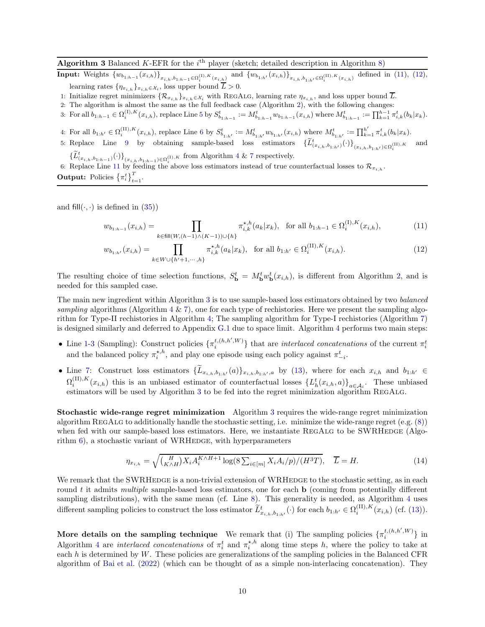#### <span id="page-9-0"></span>Algorithm 3 Balanced K-EFR for the  $i<sup>th</sup>$  player (sketch; detailed description in Algorithm [8\)](#page-40-0)

**Input:** Weights  ${w_{b_{1:h-1}}(x_{i,h})}_{x_{i,h},b_{1:h-1} \in \Omega_i^{(1),K}(x_{i,h})}$  and  ${w_{b_{1:h'}}(x_{i,h})}_{x_{i,h},b_{1:h'} \in \Omega_i^{(II),K}(x_{i,h})}$  defined in [\(11\)](#page-9-3), [\(12\)](#page-9-4), learning rates  $\{\eta_{x_{i,h}}\}_{x_{i,h}\in\mathcal{X}_i}$ , loss upper bound  $L>0$ .

- 1: Initialize regret minimizers  $\{\mathcal{R}_{x_{i,h}}\}_{x_{i,h}\in\mathcal{X}_i}$  with REGALG, learning rate  $\eta_{x_{i,h}}$ , and loss upper bound  $\overline{L}$ .
- 2: The algorithm is almost the same as the full feedback case (Algorithm [2\)](#page-7-0), with the following changes:
- <span id="page-9-2"></span>3: For all  $b_{1:h-1} \in \Omega_i^{(1),K}(x_{i,h})$ , replace Line [5](#page-7-2) by  $S^t_{b_{1:h-1}} := M^t_{b_{1:h-1}} w_{b_{1:h-1}}(x_{i,h})$  where  $M^t_{b_{1:h-1}} := \prod_{k=1}^{h-1} \pi^t_{i,k}(b_k|x_k)$ .
- 4: For all  $b_{1:h'} \in \Omega_i^{(II),K}(x_{i,h}),$  replace Line [6](#page-7-7) by  $S_{b_{1:h'}}^t := M_{b_{1:h'}}^t w_{b_{1:h'}}(x_{i,h})$  where  $M_{b_{1:h'}}^t := \prod_{k=1}^{h'} \pi_{i,k}^t (b_k | x_k)$ .
- 5: Replace Line [9](#page-7-4) by obtaining sample-based loss estimators  $\{\widetilde{L}_{(x_{i,h},b_{1:h'})}^t(\cdot)\}_{(x_{i,h},b_{1:h'})\in\Omega_i^{(II),K}}$ and  $\{\tilde{L}_{(x_{i,h},b_{1:h-1})}^t(\cdot)\}_{(x_{i,h},b_{1:h-1})\in\Omega_i^{(1),K}}$  from Algorithm [4](#page-10-0) & [7](#page-38-0) respectively.

6: Replace Line [11](#page-7-8) by feeding the above loss estimators instead of true counterfactual losses to  $\mathcal{R}_{x_{i,h}}$ . **Output:** Policies  $\{\pi_i^t\}_{t=1}^T$ .

and fill( $\cdot$ ,  $\cdot$ ) is defined in [\(35\)](#page-38-1))

<span id="page-9-3"></span><span id="page-9-1"></span>
$$
w_{b_{1:h-1}}(x_{i,h}) = \prod_{k \in fill(W,(h-1)\wedge (K-1))\cup \{h\}} \pi_{i,k}^{\star,h}(a_k|x_k), \text{ for all } b_{1:h-1} \in \Omega_i^{(I),K}(x_{i,h}),
$$
 (11)

<span id="page-9-4"></span>
$$
w_{b_{1:h'}}(x_{i,h}) = \prod_{k \in W \cup \{h'+1, \dots, h\}} \pi_{i,k}^{\star, h}(a_k | x_k), \text{ for all } b_{1:h'} \in \Omega_i^{(\text{II}), K}(x_{i,h}).
$$
 (12)

The resulting choice of time selection functions,  $S_{\bf b}^t = M_{\bf b}^t w_{\bf b}^t(x_{i,h})$ , is different from Algorithm [2,](#page-7-0) and is needed for this sampled case.

The main new ingredient within Algorithm [3](#page-9-0) is to use sample-based loss estimators obtained by two balanced sampling algorithms (Algorithm  $4 \& 7$  $4 \& 7$ ), one for each type of rechistories. Here we present the sampling algorithm for Type-II rechistories in Algorithm [4;](#page-10-0) The sampling algorithm for Type-I rechistories (Algorithm [7\)](#page-38-0) is designed similarly and deferred to Appendix [G.1](#page-38-2) due to space limit. Algorithm [4](#page-10-0) performs two main steps:

- Line [1](#page-38-3)[-3](#page-10-1) (Sampling): Construct policies  $\{\pi_i^{t,(h,h',W)}\}$  $\{t, (h, h^r, W)\}$  that are *interlaced concatenations* of the current  $\pi_i^t$ and the balanced policy  $\pi_i^{\star, h}$ , and play one episode using each policy against  $\pi_{-i}^t$ .
- Line [7:](#page-10-2) Construct loss estimators  $\{\widetilde{L}_{x_{i,h},b_{1:h'}}(a)\}_{x_{i,h},b_{1:h'},a}$  by [\(13\)](#page-10-2), where for each  $x_{i,h}$  and  $b_{1:h'} \in$  $\Omega_i^{(II),K}(x_{i,h})$  this is an unbiased estimator of counterfactual losses  $\{L_h^t(x_{i,h},a)\}_{a\in\mathcal{A}_i}$ . These unbiased estimators will be used by Algorithm [3](#page-9-0) to be fed into the regret minimization algorithm REGALG.

Stochastic wide-range regret minimization Algorithm [3](#page-9-0) requires the wide-range regret minimization algorithm RegAlg to additionally handle the stochastic setting, i.e. minimize the wide-range regret (e.g. [\(8\)](#page-7-9)) when fed with our sample-based loss estimators. Here, we instantiate REGALG to be SWRHEDGE (Algorithm  $6$ ), a stochastic variant of WRHEDGE, with hyperparameters

<span id="page-9-5"></span>
$$
\eta_{x_{i,h}} = \sqrt{\binom{H}{K \wedge H} X_i A_i^{K \wedge H+1} \log(8 \sum_{i \in [m]} X_i A_i / p) / (H^3 T)}, \quad \overline{L} = H. \tag{14}
$$

We remark that the SWRHEDGE is a non-trivial extension of WRHEDGE to the stochastic setting, as in each round t it admits multiple sample-based loss estimators, one for each  $\bf{b}$  (coming from potentially different sampling distributions), with the same mean (cf. Line [8\)](#page-18-1). This generality is needed, as Algorithm [4](#page-10-0) uses different sampling policies to construct the loss estimator  $\tilde{L}^t_{x_{i,h},b_{1,h'}}(\cdot)$  for each  $b_{1:h'} \in \Omega_i^{(\text{II}),K}(x_{i,h})$  (cf. [\(13\)](#page-10-2)).

More details on the sampling technique We remark that (i) The sampling policies  $\{\pi_i^{t,(h,h',W)}\}$  in Algorithm [4](#page-10-0) are *interlaced concatenations* of  $\pi_i^t$  and  $\pi_i^{\star,h}$  along time steps h, where the policy to take at each  $h$  is determined by W. These policies are generalizations of the sampling policies in the Balanced CFR algorithm of [Bai et al.](#page-11-6) [\(2022](#page-11-6)) (which can be thought of as a simple non-interlacing concatenation). They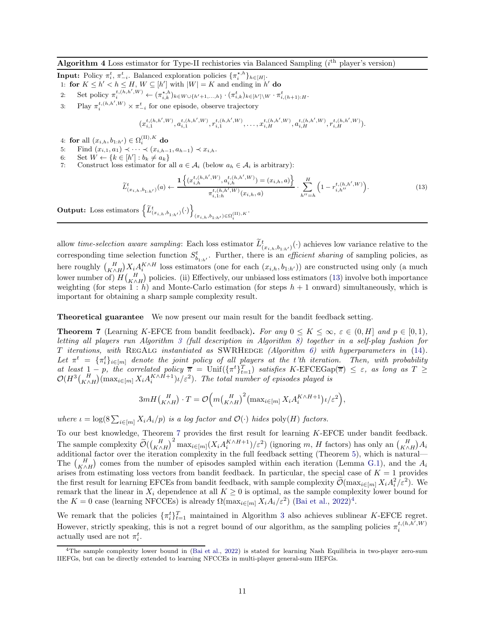#### <span id="page-10-0"></span>Algorithm 4 Loss estimator for Type-II rechistories via Balanced Sampling  $(i<sup>th</sup>$  player's version)

**Input:** Policy  $\pi_i^t$ ,  $\pi_{-i}^t$ . Balanced exploration policies  $\{\pi_i^{*,h}\}_{h\in[H]}$ .

- 1: for  $K \leq h' < h \leq H$ ,  $W \subseteq [h']$  with  $|W| = K$  and ending in  $h'$  do
- 2: Set policy  $\pi_i^{t,(h,h',W)} \leftarrow (\pi_{i,k}^{\star,h})_{k \in W \cup \{h'+1,\ldots,h\}} \cdot (\pi_{i,k}^t)_{k \in [h'] \setminus W} \cdot \pi_{i,(h+1):H}^t$ .
- 3: Play  $\pi_i^{t,(h,h',W)} \times \pi_{-i}^t$  for one episode, observe trajectory

<span id="page-10-5"></span><span id="page-10-2"></span><span id="page-10-1"></span>
$$
(x_{i,1}^{t,(h,h',W)},a_{i,1}^{t,(h,h',W)},r_{i,1}^{t,(h,h',W)},\ldots,x_{i,H}^{t,(h,h',W)},a_{i,H}^{t,(h,h',W)},r_{i,H}^{t,(h,h',W)}).
$$

- 4: for all  $(x_{i,h}, b_{1:h'}) \in \Omega_i^{(II),K}$  do
- 5: Find  $(x_{i,1}, a_1) \prec \cdots \prec (x_{i,h-1}, a_{h-1}) \prec x_{i,h}$ .
- 6: Set  $W \leftarrow \{k \in [h'] : b_k \neq a_k\}$
- 7: Construct loss estimator for all  $a \in A_i$  (below  $a_h \in A_i$  is arbitrary):

$$
\widetilde{L}_{(x_{i,h},b_{1:h'})}^{t}(a) \leftarrow \frac{\mathbf{1}\left\{(x_{i,h}^{t,(h,h',W)}, a_{i,h}^{t,(h,h',W)}) = (x_{i,h},a)\right\}}{\pi_{i,1:h}^{t,(h,h',W)}(x_{i,h},a)} \cdot \sum_{h''=h}^{H} \left(1 - r_{i,h''}^{t,(h,h',W)}\right). \tag{13}
$$

Output: Loss estimators  $\left\{ \widetilde{L}^t_{(x_{i,h},b_{1:h'})}(\cdot) \right\}$  $(x_{i,h}, b_{1:h'}) \in \Omega_i^{\mathrm{(II)},K}$  .

allow *time-selection aware sampling*: Each loss estimator  $\tilde{L}^t_{(x_{i,h},b_{1:h'})}(\cdot)$  achieves low variance relative to the corresponding time selection function  $S_{b_{1:h'}}^t$ . Further, there is an *efficient sharing* of sampling policies, as here roughly  $\binom{H}{K \wedge H} X_i A_i^{K \wedge H}$  loss estimators (one for each  $(x_{i,h}, b_{1:h'})$ ) are constructed using only (a much lower number of)  $H\begin{pmatrix} H & H \\ K \wedge H \end{pmatrix}$  policies. (ii) Effectively, our unbiased loss estimators [\(13\)](#page-10-2) involve both importance weighting (for steps  $1 : h$ ) and Monte-Carlo estimation (for steps  $h + 1$  onward) simultaneously, which is important for obtaining a sharp sample complexity result.

Theoretical guarantee We now present our main result for the bandit feedback setting.

<span id="page-10-3"></span>**Theorem 7** (Learning K-EFCE from bandit feedback). For any  $0 \le K \le \infty$ ,  $\varepsilon \in (0, H]$  and  $p \in [0, 1)$ , letting all players run Algorithm [3](#page-9-0) (full description in Algorithm [8\)](#page-40-0) together in a self-play fashion for T iterations, with REGALG instantiated as SWRHEDGE (Algorithm  $6$ ) with hyperparameters in [\(14\)](#page-9-5). Let  $\pi^t = {\{\pi^t_i\}}_{i \in [m]}$  denote the joint policy of all players at the t'th iteration. Then, with probability at least  $1-p$ , the correlated policy  $\overline{\pi} = \text{Unif}(\{\pi^t\}_{t=1}^T)$  satisfies K-EFCEGap( $\overline{\pi}$ )  $\leq \varepsilon$ , as long as  $T \geq$  $\mathcal{O}(H^3\binom{H}{K\wedge H}(\max_{i\in[m]}X_iA_i^{K\wedge H+1})\iota/\varepsilon^2)$ . The total number of episodes played is

$$
3mH\left(\begin{matrix}H\\K\wedge H\end{matrix}\right)\cdot T=\mathcal{O}\Big(m\left(\begin{matrix}H\\K\wedge H\end{matrix}\right)^2\left(\max_{i\in[m]}X_iA_i^{K\wedge H+1}\right)\iota/\varepsilon^2\Big),\,
$$

where  $\iota = \log(8 \sum_{i \in [m]} X_i A_i/p)$  is a log factor and  $\mathcal{O}(\cdot)$  hides  $\text{poly}(H)$  factors.

To our best knowledge, Theorem [7](#page-10-3) provides the first result for learning K-EFCE under bandit feedback. The sample complexity  $\widetilde{\mathcal{O}}(\binom{H}{K \wedge H}^2 \max_{i \in [m]} (X_i A_i^{K \wedge H+1})/\varepsilon^2)$  (ignoring m, H factors) has only an  $\binom{H}{K \wedge H} A_i$ additional factor over the iteration complexity in the full feedback setting (Theorem [5\)](#page-7-6), which is natural— The  $\binom{H}{K \wedge H}$  comes from the number of episodes sampled within each iteration (Lemma [G.1\)](#page-38-4), and the  $A_i$ arises from estimating loss vectors from bandit feedback. In particular, the special case of  $K = 1$  provides the first result for learning EFCEs from bandit feedback, with sample complexity  $\tilde{\mathcal{O}}(\max_{i \in [m]} X_i A_i^2/\varepsilon^2)$ . We remark that the linear in  $X_i$  dependence at all  $K \geq 0$  is optimal, as the sample complexity lower bound for the  $K = 0$  case (learning NFCCEs) is already  $\Omega(\max_{i \in [m]} X_i A_i / \varepsilon^2)$  [\(Bai et al.,](#page-11-6) [2022\)](#page-11-6)<sup>[4](#page-10-4)</sup>.

We remark that the policies  $\{\pi_i^t\}_{t=1}^T$  maintained in Algorithm [3](#page-9-0) also achieves sublinear K-EFCE regret. However, strictly speaking, this is not a regret bound of our algorithm, as the sampling policies  $\pi_i^{t,(h,h',W)}$ i actually used are not  $\pi_i^t$ .

<span id="page-10-4"></span><sup>4</sup>The sample complexity lower bound in [\(Bai et al.,](#page-11-6) [2022](#page-11-6)) is stated for learning Nash Equilibria in two-player zero-sum IIEFGs, but can be directly extended to learning NFCCEs in multi-player general-sum IIEFGs.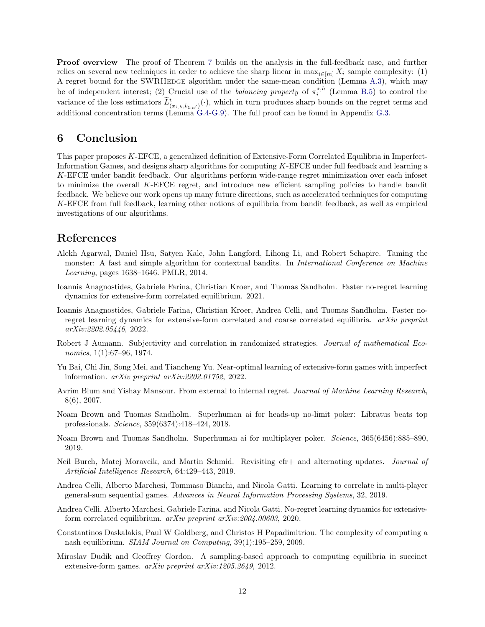Proof overview The proof of Theorem [7](#page-10-3) builds on the analysis in the full-feedback case, and further relies on several new techniques in order to achieve the sharp linear in  $\max_{i\in[m]} X_i$  sample complexity: (1) A regret bound for the SWRHEDGE algorithm under the same-mean condition (Lemma [A.3\)](#page-17-0), which may be of independent interest; (2) Crucial use of the *balancing property* of  $\pi_i^{*,h}$  (Lemma [B.5\)](#page-22-1) to control the variance of the loss estimators  $\tilde{L}^t_{(x_{i,h},b_{1:h'})}(\cdot)$ , which in turn produces sharp bounds on the regret terms and additional concentration terms (Lemma [G.4](#page-42-0)[-G.9\)](#page-52-0). The full proof can be found in Appendix [G.3.](#page-39-0)

### 6 Conclusion

This paper proposes K-EFCE, a generalized definition of Extensive-Form Correlated Equilibria in Imperfect-Information Games, and designs sharp algorithms for computing K-EFCE under full feedback and learning a K-EFCE under bandit feedback. Our algorithms perform wide-range regret minimization over each infoset to minimize the overall K-EFCE regret, and introduce new efficient sampling policies to handle bandit feedback. We believe our work opens up many future directions, such as accelerated techniques for computing K-EFCE from full feedback, learning other notions of equilibria from bandit feedback, as well as empirical investigations of our algorithms.

## References

- <span id="page-11-12"></span>Alekh Agarwal, Daniel Hsu, Satyen Kale, John Langford, Lihong Li, and Robert Schapire. Taming the monster: A fast and simple algorithm for contextual bandits. In *International Conference on Machine* Learning, pages 1638–1646. PMLR, 2014.
- <span id="page-11-5"></span>Ioannis Anagnostides, Gabriele Farina, Christian Kroer, and Tuomas Sandholm. Faster no-regret learning dynamics for extensive-form correlated equilibrium. 2021.
- <span id="page-11-11"></span>Ioannis Anagnostides, Gabriele Farina, Christian Kroer, Andrea Celli, and Tuomas Sandholm. Faster noregret learning dynamics for extensive-form correlated and coarse correlated equilibria. arXiv preprint arXiv:2202.05446, 2022.
- <span id="page-11-3"></span>Robert J Aumann. Subjectivity and correlation in randomized strategies. Journal of mathematical Economics, 1(1):67–96, 1974.
- <span id="page-11-6"></span>Yu Bai, Chi Jin, Song Mei, and Tiancheng Yu. Near-optimal learning of extensive-form games with imperfect information. arXiv preprint arXiv:2202.01752, 2022.
- <span id="page-11-10"></span>Avrim Blum and Yishay Mansour. From external to internal regret. Journal of Machine Learning Research, 8(6), 2007.
- <span id="page-11-0"></span>Noam Brown and Tuomas Sandholm. Superhuman ai for heads-up no-limit poker: Libratus beats top professionals. Science, 359(6374):418–424, 2018.
- <span id="page-11-1"></span>Noam Brown and Tuomas Sandholm. Superhuman ai for multiplayer poker. Science, 365(6456):885–890, 2019.
- <span id="page-11-9"></span>Neil Burch, Matej Moravcik, and Martin Schmid. Revisiting cfr+ and alternating updates. Journal of Artificial Intelligence Research, 64:429–443, 2019.
- <span id="page-11-8"></span>Andrea Celli, Alberto Marchesi, Tommaso Bianchi, and Nicola Gatti. Learning to correlate in multi-player general-sum sequential games. Advances in Neural Information Processing Systems, 32, 2019.
- <span id="page-11-4"></span>Andrea Celli, Alberto Marchesi, Gabriele Farina, and Nicola Gatti. No-regret learning dynamics for extensiveform correlated equilibrium. arXiv preprint arXiv:2004.00603, 2020.
- <span id="page-11-2"></span>Constantinos Daskalakis, Paul W Goldberg, and Christos H Papadimitriou. The complexity of computing a nash equilibrium. SIAM Journal on Computing, 39(1):195–259, 2009.
- <span id="page-11-7"></span>Miroslav Dudik and Geoffrey Gordon. A sampling-based approach to computing equilibria in succinct extensive-form games. arXiv preprint arXiv:1205.2649, 2012.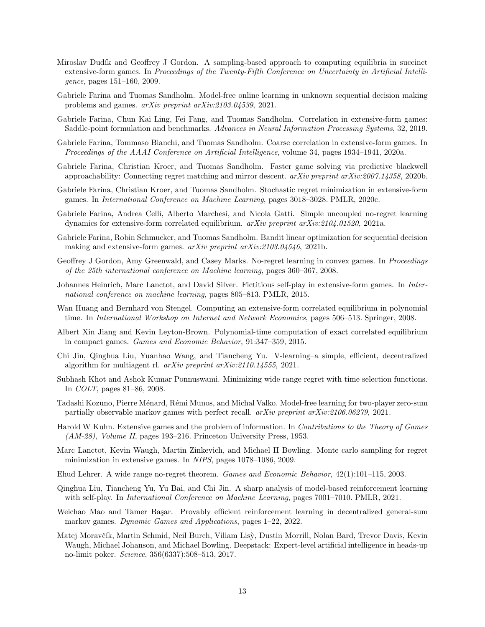- <span id="page-12-15"></span>Miroslav Dudík and Geoffrey J Gordon. A sampling-based approach to computing equilibria in succinct extensive-form games. In Proceedings of the Twenty-Fifth Conference on Uncertainty in Artificial Intelligence, pages 151–160, 2009.
- <span id="page-12-13"></span>Gabriele Farina and Tuomas Sandholm. Model-free online learning in unknown sequential decision making problems and games. arXiv preprint arXiv:2103.04539, 2021.
- <span id="page-12-5"></span>Gabriele Farina, Chun Kai Ling, Fei Fang, and Tuomas Sandholm. Correlation in extensive-form games: Saddle-point formulation and benchmarks. Advances in Neural Information Processing Systems, 32, 2019.
- <span id="page-12-12"></span>Gabriele Farina, Tommaso Bianchi, and Tuomas Sandholm. Coarse correlation in extensive-form games. In Proceedings of the AAAI Conference on Artificial Intelligence, volume 34, pages 1934–1941, 2020a.
- <span id="page-12-11"></span>Gabriele Farina, Christian Kroer, and Tuomas Sandholm. Faster game solving via predictive blackwell approachability: Connecting regret matching and mirror descent.  $arXiv$  preprint  $arXiv:2007.14358$ , 2020b.
- <span id="page-12-8"></span>Gabriele Farina, Christian Kroer, and Tuomas Sandholm. Stochastic regret minimization in extensive-form games. In International Conference on Machine Learning, pages 3018–3028. PMLR, 2020c.
- <span id="page-12-6"></span>Gabriele Farina, Andrea Celli, Alberto Marchesi, and Nicola Gatti. Simple uncoupled no-regret learning dynamics for extensive-form correlated equilibrium.  $arXiv$  preprint  $arXiv:2104.01520$ , 2021a.
- <span id="page-12-14"></span>Gabriele Farina, Robin Schmucker, and Tuomas Sandholm. Bandit linear optimization for sequential decision making and extensive-form games. arXiv preprint arXiv:2103.04546, 2021b.
- <span id="page-12-10"></span>Geoffrey J Gordon, Amy Greenwald, and Casey Marks. No-regret learning in convex games. In Proceedings of the 25th international conference on Machine learning, pages 360–367, 2008.
- <span id="page-12-1"></span>Johannes Heinrich, Marc Lanctot, and David Silver. Fictitious self-play in extensive-form games. In International conference on machine learning, pages 805–813. PMLR, 2015.
- <span id="page-12-3"></span>Wan Huang and Bernhard von Stengel. Computing an extensive-form correlated equilibrium in polynomial time. In International Workshop on Internet and Network Economics, pages 506–513. Springer, 2008.
- <span id="page-12-4"></span>Albert Xin Jiang and Kevin Leyton-Brown. Polynomial-time computation of exact correlated equilibrium in compact games. Games and Economic Behavior, 91:347–359, 2015.
- <span id="page-12-17"></span>Chi Jin, Qinghua Liu, Yuanhao Wang, and Tiancheng Yu. V-learning–a simple, efficient, decentralized algorithm for multiagent rl.  $arXiv$  preprint  $arXiv:2110.14555$ , 2021.
- <span id="page-12-20"></span>Subhash Khot and Ashok Kumar Ponnuswami. Minimizing wide range regret with time selection functions. In COLT, pages 81–86, 2008.
- <span id="page-12-9"></span>Tadashi Kozuno, Pierre M´enard, R´emi Munos, and Michal Valko. Model-free learning for two-player zero-sum partially observable markov games with perfect recall.  $arXiv$  preprint  $arXiv:2106.06279$ , 2021.
- <span id="page-12-0"></span>Harold W Kuhn. Extensive games and the problem of information. In Contributions to the Theory of Games (AM-28), Volume II, pages 193–216. Princeton University Press, 1953.
- <span id="page-12-7"></span>Marc Lanctot, Kevin Waugh, Martin Zinkevich, and Michael H Bowling. Monte carlo sampling for regret minimization in extensive games. In NIPS, pages 1078–1086, 2009.
- <span id="page-12-19"></span>Ehud Lehrer. A wide range no-regret theorem. Games and Economic Behavior, 42(1):101–115, 2003.
- <span id="page-12-16"></span>Qinghua Liu, Tiancheng Yu, Yu Bai, and Chi Jin. A sharp analysis of model-based reinforcement learning with self-play. In *International Conference on Machine Learning*, pages 7001–7010. PMLR, 2021.
- <span id="page-12-18"></span>Weichao Mao and Tamer Basar. Provably efficient reinforcement learning in decentralized general-sum markov games. Dynamic Games and Applications, pages 1–22, 2022.
- <span id="page-12-2"></span>Matej Moravčík, Martin Schmid, Neil Burch, Viliam Lisỳ, Dustin Morrill, Nolan Bard, Trevor Davis, Kevin Waugh, Michael Johanson, and Michael Bowling. Deepstack: Expert-level artificial intelligence in heads-up no-limit poker. Science, 356(6337):508–513, 2017.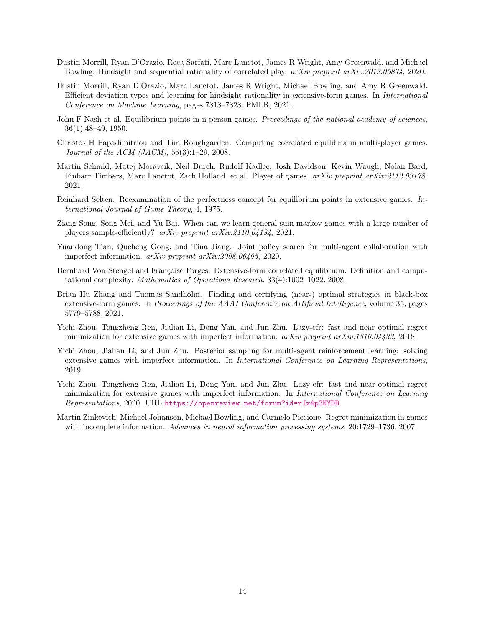- <span id="page-13-9"></span>Dustin Morrill, Ryan D'Orazio, Reca Sarfati, Marc Lanctot, James R Wright, Amy Greenwald, and Michael Bowling. Hindsight and sequential rationality of correlated play. arXiv preprint arXiv:2012.05874, 2020.
- <span id="page-13-5"></span>Dustin Morrill, Ryan D'Orazio, Marc Lanctot, James R Wright, Michael Bowling, and Amy R Greenwald. Efficient deviation types and learning for hindsight rationality in extensive-form games. In International Conference on Machine Learning, pages 7818–7828. PMLR, 2021.
- <span id="page-13-2"></span>John F Nash et al. Equilibrium points in n-person games. Proceedings of the national academy of sciences, 36(1):48–49, 1950.
- <span id="page-13-4"></span>Christos H Papadimitriou and Tim Roughgarden. Computing correlated equilibria in multi-player games. Journal of the ACM (JACM), 55(3):1–29, 2008.
- <span id="page-13-1"></span>Martin Schmid, Matej Moravcik, Neil Burch, Rudolf Kadlec, Josh Davidson, Kevin Waugh, Nolan Bard, Finbarr Timbers, Marc Lanctot, Zach Holland, et al. Player of games. arXiv preprint arXiv:2112.03178, 2021.
- <span id="page-13-8"></span>Reinhard Selten. Reexamination of the perfectness concept for equilibrium points in extensive games. International Journal of Game Theory, 4, 1975.
- <span id="page-13-12"></span>Ziang Song, Song Mei, and Yu Bai. When can we learn general-sum markov games with a large number of players sample-efficiently? arXiv preprint arXiv:2110.04184, 2021.
- <span id="page-13-0"></span>Yuandong Tian, Qucheng Gong, and Tina Jiang. Joint policy search for multi-agent collaboration with imperfect information. arXiv preprint arXiv:2008.06495, 2020.
- <span id="page-13-3"></span>Bernhard Von Stengel and Françoise Forges. Extensive-form correlated equilibrium: Definition and computational complexity. Mathematics of Operations Research, 33(4):1002–1022, 2008.
- <span id="page-13-11"></span>Brian Hu Zhang and Tuomas Sandholm. Finding and certifying (near-) optimal strategies in black-box extensive-form games. In *Proceedings of the AAAI Conference on Artificial Intelligence*, volume 35, pages 5779–5788, 2021.
- <span id="page-13-13"></span>Yichi Zhou, Tongzheng Ren, Jialian Li, Dong Yan, and Jun Zhu. Lazy-cfr: fast and near optimal regret minimization for extensive games with imperfect information.  $arXiv$  preprint  $arXiv:1810.04433$ , 2018.
- <span id="page-13-10"></span>Yichi Zhou, Jialian Li, and Jun Zhu. Posterior sampling for multi-agent reinforcement learning: solving extensive games with imperfect information. In International Conference on Learning Representations, 2019.
- <span id="page-13-7"></span>Yichi Zhou, Tongzheng Ren, Jialian Li, Dong Yan, and Jun Zhu. Lazy-cfr: fast and near-optimal regret minimization for extensive games with imperfect information. In International Conference on Learning Representations, 2020. URL <https://openreview.net/forum?id=rJx4p3NYDB>.
- <span id="page-13-6"></span>Martin Zinkevich, Michael Johanson, Michael Bowling, and Carmelo Piccione. Regret minimization in games with incomplete information. Advances in neural information processing systems, 20:1729–1736, 2007.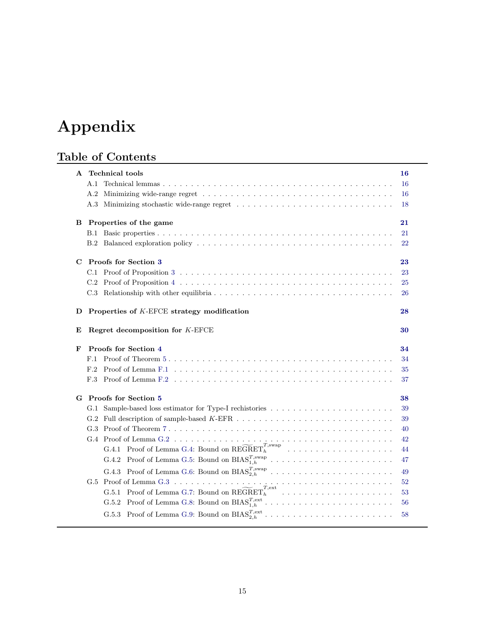# Appendix

## Table of Contents

| A | <b>Technical tools</b>                                                                                                                  | 16 |
|---|-----------------------------------------------------------------------------------------------------------------------------------------|----|
|   | A.1                                                                                                                                     | 16 |
|   | A.2                                                                                                                                     | 16 |
|   | A.3 Minimizing stochastic wide-range regret                                                                                             | 18 |
| B | Properties of the game                                                                                                                  | 21 |
|   | B.1                                                                                                                                     | 21 |
|   | B.2                                                                                                                                     | 22 |
| C | Proofs for Section 3                                                                                                                    | 23 |
|   |                                                                                                                                         | 23 |
|   |                                                                                                                                         | 25 |
|   |                                                                                                                                         | 26 |
|   |                                                                                                                                         |    |
| D | Properties of K-EFCE strategy modification                                                                                              | 28 |
| E | Regret decomposition for K-EFCE                                                                                                         | 30 |
| F | Proofs for Section 4                                                                                                                    | 34 |
|   | F.1                                                                                                                                     | 34 |
|   | F.2                                                                                                                                     | 35 |
|   | Proof of Lemma F.2 $\dots \dots \dots \dots \dots \dots \dots \dots \dots \dots \dots \dots \dots \dots \dots \dots \dots \dots$<br>F.3 | 37 |
|   | G Proofs for Section 5                                                                                                                  | 38 |
|   |                                                                                                                                         | 39 |
|   | G.2                                                                                                                                     | 39 |
|   |                                                                                                                                         | 40 |
|   |                                                                                                                                         | 42 |
|   | G.4.1 Proof of Lemma G.4: Bound on $\widetilde{\mathrm{REGRET}}_h^{T,\mathrm{swap}}$                                                    | 44 |
|   |                                                                                                                                         | 47 |
|   | G.4.3                                                                                                                                   | 49 |
|   | Proof of Lemma G.3 $\ldots$ $\ldots$ $\ldots$ $\ldots$ $\ldots$ $\ldots$ $\ldots$ $\ldots$ $\ldots$ $\ldots$<br>G.5                     | 52 |
|   | G.5.1 Proof of Lemma G.7: Bound on $REGRETh1$                                                                                           | 53 |
|   | G.5.2 Proof of Lemma G.8: Bound on $\text{BIAS}_{1,h}^{T,\text{ext}}$                                                                   | 56 |
|   | G.5.3 Proof of Lemma G.9: Bound on $\text{BIAS}_{2,h}^{T,\text{ext}}$                                                                   | 58 |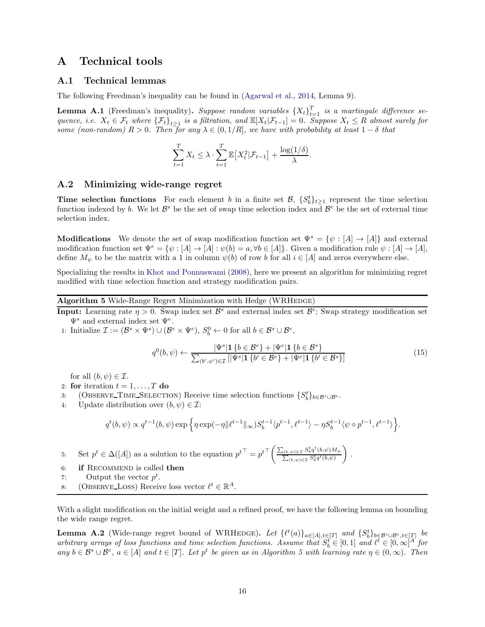## <span id="page-15-5"></span><span id="page-15-4"></span>A Technical tools

#### A.1 Technical lemmas

The following Freedman's inequality can be found in [\(Agarwal et al.](#page-11-12), [2014,](#page-11-12) Lemma 9).

**Lemma A.1** (Freedman's inequality). Suppose random variables  $\{X_t\}_{t=1}^T$  is a martingale difference sequence, i.e.  $X_t \in \mathcal{F}_t$  where  $\{\mathcal{F}_t\}_{t\geq 1}$  is a filtration, and  $\mathbb{E}[X_t | \mathcal{F}_{t-1}] = 0$ . Suppose  $X_t \leq R$  almost surely for some (non-random)  $R > 0$ . Then for any  $\lambda \in (0, 1/R]$ , we have with probability at least  $1 - \delta$  that

$$
\sum_{t=1}^{T} X_t \leq \lambda \cdot \sum_{t=1}^{T} \mathbb{E}\big[X_t^2 | \mathcal{F}_{t-1}\big] + \frac{\log(1/\delta)}{\lambda}.
$$

#### <span id="page-15-1"></span>A.2 Minimizing wide-range regret

**Time selection functions** For each element b in a finite set  $\mathcal{B}$ ,  $\{S_b^t\}_{t\geq 1}$  represent the time selection function indexed by b. We let  $\mathcal{B}^s$  be the set of swap time selection index and  $\mathcal{B}^e$  be the set of external time selection index.

**Modifications** We denote the set of swap modification function set  $\Psi^s = {\psi : [A] \rightarrow [A]}$  and external modification function set  $\Psi^e = {\psi : [A] \to [A] : \psi(b) = a, \forall b \in [A]}$ . Given a modification rule  $\psi : [A] \to [A]$ , define  $M_{\psi}$  to be the matrix with a 1 in column  $\psi(b)$  of row b for all  $i \in [A]$  and zeros everywhere else.

Specializing the results in [Khot and Ponnuswami](#page-12-20) [\(2008\)](#page-12-20), here we present an algorithm for minimizing regret modified with time selection function and strategy modification pairs.

#### <span id="page-15-0"></span>Algorithm 5 Wide-Range Regret Minimization with Hedge (WRHEDGE)

- **Input:** Learning rate  $\eta > 0$ . Swap index set  $\mathcal{B}^s$  and external index set  $\mathcal{B}^e$ ; Swap strategy modification set  $\Psi^s$  and external index set  $\Psi^e$ .
- 1: Initialize  $\mathcal{I} := (\mathcal{B}^s \times \Psi^s) \cup (\mathcal{B}^e \times \Psi^e), S_b^0 \leftarrow 0$  for all  $b \in \mathcal{B}^s \cup \mathcal{B}^e$ ,

<span id="page-15-2"></span>
$$
q^{0}(b,\psi) \leftarrow \frac{|\Psi^{s}| \mathbf{1} \{b \in \mathcal{B}^{e}\} + |\Psi^{e}| \mathbf{1} \{b \in \mathcal{B}^{s}\}}{\sum_{(b',\psi') \in \mathcal{I}} [|\Psi^{s}| \mathbf{1} \{b' \in \mathcal{B}^{e}\} + |\Psi^{e}| \mathbf{1} \{b' \in \mathcal{B}^{s}\}]}
$$
(15)

for all  $(b, \psi) \in \mathcal{I}$ .

- 2: for iteration  $t = 1, \ldots, T$  do
- 3: (OBSERVE\_TIME\_SELECTION) Receive time selection functions  $\{S_b^t\}_{b\in \mathcal{B}^s\cup \mathcal{B}^e}$ .
- 4: Update distribution over  $(b, \psi) \in \mathcal{I}$ :

$$
q^t(b,\psi) \propto q^{t-1}(b,\psi) \exp\Big\{\eta \exp(-\eta \|\ell^{t-1}\|_\infty) S_b^{t-1}\langle p^{t-1},\ell^{t-1}\rangle - \eta S_b^{t-1}\langle \psi\diamond p^{t-1},\ell^{t-1}\rangle\Big\}.
$$

<span id="page-15-6"></span>5: Set  $p^t \in \Delta([A])$  as a solution to the equation  $p^{t\top} = p^{t\top} \left( \frac{\sum_{(b,\psi) \in \mathcal{I}} S_b^t q^t}{\sum_{(b,\psi) \in \mathcal{I}} S_b^t q^t} \right)$  $\sum_{(b,\psi)\in\mathcal{I}}\frac{S_b^t q^t(b,\psi)M_\psi}{S^t a^t(b,\psi)}$  $\sum_{(b,\psi)\in\mathcal{I}} S_b^t q^t(b,\psi)$  $\overline{ }$ .

- 6: if RECOMMEND is called then
- 7: Output the vector  $p^t$ .
- 8: (OBSERVE LOSS) Receive loss vector  $\ell^t \in \mathbb{R}^A$ .

With a slight modification on the initial weight and a refined proof, we have the following lemma on bounding the wide range regret.

<span id="page-15-3"></span>**Lemma A.2** (Wide-range regret bound of WRHEDGE). Let  $\{\ell^t(a)\}_{a\in[A],t\in[T]}$  and  $\{S_b^t\}_{b\in B^s\cup B^e,t\in[T]}$  be arbitrary arrays of loss functions and time selection functions. Assume that  $S_b^t \in [0,1]$  and  $\ell^t \in [0,\infty]^A$  for any  $b \in \mathcal{B}^s \cup \mathcal{B}^e$ ,  $a \in [A]$  and  $t \in [T]$ . Let  $p^t$  be given as in Algorithm [5](#page-15-0) with learning rate  $\eta \in (0, \infty)$ . Then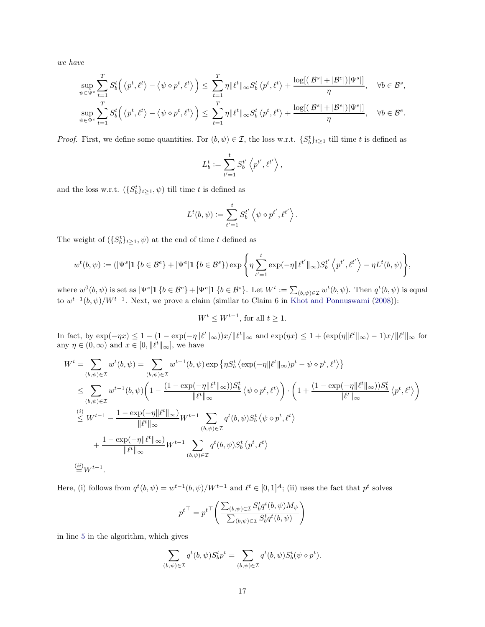we have

$$
\sup_{\psi \in \Psi^s} \sum_{t=1}^T S_b^t \Big( \langle p^t, \ell^t \rangle - \langle \psi \diamond p^t, \ell^t \rangle \Big) \le \sum_{t=1}^T \eta \|\ell^t\|_{\infty} S_b^t \langle p^t, \ell^t \rangle + \frac{\log[(|\mathcal{B}^s| + |\mathcal{B}^e|)|\Psi^s|]}{\eta}, \quad \forall b \in \mathcal{B}^s,
$$
  
\n
$$
\sup_{\psi \in \Psi^e} \sum_{t=1}^T S_b^t \Big( \langle p^t, \ell^t \rangle - \langle \psi \diamond p^t, \ell^t \rangle \Big) \le \sum_{t=1}^T \eta \|\ell^t\|_{\infty} S_b^t \langle p^t, \ell^t \rangle + \frac{\log[(|\mathcal{B}^s| + |\mathcal{B}^e|)]\Psi^e|]}{\eta}, \quad \forall b \in \mathcal{B}^e.
$$

*Proof.* First, we define some quantities. For  $(b, \psi) \in \mathcal{I}$ , the loss w.r.t.  $\{S_b^t\}_{t\geq 1}$  till time t is defined as

$$
L_b^t := \sum_{t'=1}^t S_b^{t'} \left\langle p^{t'}, \ell^{t'} \right\rangle,
$$

and the loss w.r.t.  $({S_b^t}_{t\geq 1}, \psi)$  till time t is defined as

$$
L^{t}(b, \psi) := \sum_{t'=1}^{t} S_{b}^{t'} \left\langle \psi \diamond p^{t'}, \ell^{t'} \right\rangle.
$$

The weight of  $(\{S_b^t\}_{t\geq 1}, \psi)$  at the end of time t defined as

$$
w^t(b,\psi) := (|\Psi^s| \mathbf{1} \{b \in \mathcal{B}^e\} + |\Psi^e| \mathbf{1} \{b \in \mathcal{B}^s\}) \exp\left\{\eta \sum_{t'=1}^t \exp(-\eta \|\ell^{t'}\|_{\infty}) S_b^{t'}\left\langle p^{t'}, \ell^{t'}\right\rangle - \eta L^t(b,\psi)\right\},\,
$$

where  $w^0(b, \psi)$  is set as  $|\Psi^s| \mathbf{1} \{b \in \mathcal{B}^e\} + |\Psi^e| \mathbf{1} \{b \in \mathcal{B}^s\}$ . Let  $W^t := \sum_{(b,\psi) \in \mathcal{I}} w^t(b, \psi)$ . Then  $q^t(b, \psi)$  is equal to  $w^{t-1}(b, \psi)/W^{t-1}$ . Next, we prove a claim (similar to Claim 6 in [Khot and Ponnuswami](#page-12-20) [\(2008\)](#page-12-20)):

$$
W^t \le W^{t-1}, \text{ for all } t \ge 1.
$$

In fact, by  $\exp(-\eta x) \leq 1 - (1 - \exp(-\eta \|\ell^t\|_{\infty}))x/\ell^t\|_{\infty}$  and  $\exp(\eta x) \leq 1 + (\exp(\eta \|\ell^t\|_{\infty}) - 1)x/\ell^t\|_{\infty}$  for any  $\eta \in (0, \infty)$  and  $x \in [0, ||\ell^t||_{\infty}]$ , we have

$$
W^{t} = \sum_{(b,\psi)\in\mathcal{I}} w^{t}(b,\psi) = \sum_{(b,\psi)\in\mathcal{I}} w^{t-1}(b,\psi) \exp\left\{\eta S_{b}^{t}\left\langle \exp(-\eta ||\ell^{t}||_{\infty})p^{t} - \psi \diamond p^{t},\ell^{t}\right\rangle\right\}
$$
  
\n
$$
\leq \sum_{(b,\psi)\in\mathcal{I}} w^{t-1}(b,\psi) \left(1 - \frac{(1 - \exp(-\eta ||\ell^{t}||_{\infty}))S_{b}^{t}}{||\ell^{t}||_{\infty}}\left\langle \psi \diamond p^{t},\ell^{t}\right\rangle\right) \cdot \left(1 + \frac{(1 - \exp(-\eta ||\ell^{t}||_{\infty}))S_{b}^{t}}{||\ell^{t}||_{\infty}}\left\langle p^{t},\ell^{t}\right\rangle\right)
$$
  
\n
$$
\leq W^{t-1} - \frac{1 - \exp(-\eta ||\ell^{t}||_{\infty})}{||\ell^{t}||_{\infty}} W^{t-1} \sum_{(b,\psi)\in\mathcal{I}} q^{t}(b,\psi) S_{b}^{t}\left\langle \psi \diamond p^{t},\ell^{t}\right\rangle
$$
  
\n
$$
+ \frac{1 - \exp(-\eta ||\ell^{t}||_{\infty})}{||\ell^{t}||_{\infty}} W^{t-1} \sum_{(b,\psi)\in\mathcal{I}} q^{t}(b,\psi) S_{b}^{t}\left\langle p^{t},\ell^{t}\right\rangle
$$
  
\n
$$
\stackrel{(ii)}{=} W^{t-1}.
$$

Here, (i) follows from  $q^t(b, \psi) = w^{t-1}(b, \psi)/W^{t-1}$  and  $\ell^t \in [0, 1]^A$ ; (ii) uses the fact that  $p^t$  solves

$$
{p^t}^\top = {p^t}^\top \Bigg(\frac{\sum_{(b,\psi)\in \mathcal{I}} S_b^t q^t(b,\psi) M_\psi}{\sum_{(b,\psi)\in \mathcal{I}} S_b^t q^t(b,\psi)}\Bigg)
$$

in line [5](#page-15-6) in the algorithm, which gives

$$
\sum_{(b,\psi)\in\mathcal{I}}q^t(b,\psi)S_b^tp^t=\sum_{(b,\psi)\in\mathcal{I}}q^t(b,\psi)S_b^t(\psi\diamond p^t).
$$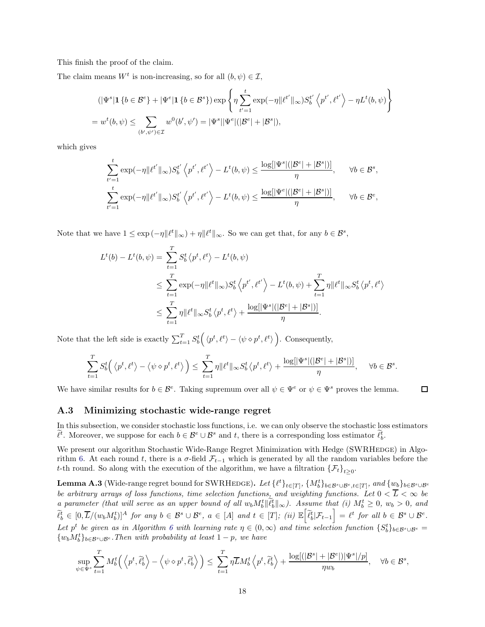This finish the proof of the claim.

The claim means  $W^t$  is non-increasing, so for all  $(b, \psi) \in \mathcal{I}$ ,

$$
(|\Psi^s| \mathbf{1} \{b \in \mathcal{B}^e\} + |\Psi^e| \mathbf{1} \{b \in \mathcal{B}^s\}) \exp\left\{\eta \sum_{t'=1}^t \exp(-\eta ||\ell^{t'}||_{\infty}) S_b^{t'} \left\langle p^{t'}, \ell^{t'} \right\rangle - \eta L^t(b, \psi)\right\}
$$
  
= 
$$
w^t(b, \psi) \le \sum_{(b', \psi') \in \mathcal{I}} w^0(b', \psi') = |\Psi^s| |\Psi^e| (|\mathcal{B}^e| + |\mathcal{B}^s|),
$$

which gives

$$
\sum_{t'=1}^t \exp(-\eta \|\ell^{t'}\|_{\infty}) S_b^{t'} \left\langle p^{t'}, \ell^{t'} \right\rangle - L^t(b, \psi) \le \frac{\log[|\Psi^s|(|\mathcal{B}^e| + |\mathcal{B}^s|)]}{\eta}, \quad \forall b \in \mathcal{B}^s,
$$
  

$$
\sum_{t'=1}^t \exp(-\eta \|\ell^{t'}\|_{\infty}) S_b^{t'} \left\langle p^{t'}, \ell^{t'} \right\rangle - L^t(b, \psi) \le \frac{\log[|\Psi^e|(|\mathcal{B}^e| + |\mathcal{B}^s|)]}{\eta}, \quad \forall b \in \mathcal{B}^e,
$$

Note that we have  $1 \le \exp(-\eta ||\ell^t||_{\infty}) + \eta ||\ell^t||_{\infty}$ . So we can get that, for any  $b \in \mathcal{B}^s$ ,

$$
L^{t}(b) - L^{t}(b, \psi) = \sum_{t=1}^{T} S_{b}^{t} \langle p^{t}, \ell^{t} \rangle - L^{t}(b, \psi)
$$
  
\n
$$
\leq \sum_{t=1}^{T} \exp(-\eta || \ell^{t} ||_{\infty}) S_{b}^{t} \langle p^{t'}, \ell^{t'} \rangle - L^{t}(b, \psi) + \sum_{t=1}^{T} \eta || \ell^{t} ||_{\infty} S_{b}^{t} \langle p^{t}, \ell^{t} \rangle
$$
  
\n
$$
\leq \sum_{t=1}^{T} \eta || \ell^{t} ||_{\infty} S_{b}^{t} \langle p^{t}, \ell^{t} \rangle + \frac{\log[|\Psi^{s}|(|\mathcal{B}^{e}| + |\mathcal{B}^{s}|)]}{\eta}.
$$

Note that the left side is exactly  $\sum_{t=1}^{T} S_b^t(\langle p^t, \ell^t \rangle - \langle \psi \diamond p^t, \ell^t \rangle)$ . Consequently,

$$
\sum_{t=1}^T S_b^t\Big(\left\langle p^t,\ell^t\right\rangle-\left\langle \psi\diamond p^t,\ell^t\right\rangle\Big)\leq\sum_{t=1}^T\eta\|\ell^t\|_\infty S_b^t\left\langle p^t,\ell^t\right\rangle+\frac{\log[|\Psi^s|(|\mathcal{B}^e|+|\mathcal{B}^s|)]}{\eta},\quad \ \forall b\in\mathcal{B}^s.
$$

 $\Box$ 

<span id="page-17-1"></span>We have similar results for  $b \in \mathcal{B}^e$ . Taking supremum over all  $\psi \in \Psi^e$  or  $\psi \in \Psi^s$  proves the lemma.

#### A.3 Minimizing stochastic wide-range regret

In this subsection, we consider stochastic loss functions, i.e. we can only observe the stochastic loss estimators  $\ell^t$ . Moreover, we suppose for each  $b \in \mathcal{B}^e \cup \mathcal{B}^s$  and t, there is a corresponding loss estimator  $\ell^t_b$ .

We present our algorithm Stochastic Wide-Range Regret Minimization with Hedge (SWRHEDGE) in Algo-rithm [6.](#page-18-0) At each round t, there is a  $\sigma$ -field  $\mathcal{F}_{t-1}$  which is generated by all the random variables before the t-th round. So along with the execution of the algorithm, we have a filtration  $\{\mathcal{F}_t\}_{t\geq 0}$ .

<span id="page-17-0"></span>**Lemma A.3** (Wide-range regret bound for SWRHEDGE). Let  $\{\ell^t\}_{t\in[T]}, \{M_b^t\}_{b\in\mathcal{B}^s\cup\mathcal{B}^e, t\in[T]},$  and  $\{w_b\}_{b\in\mathcal{B}^s\cup\mathcal{B}^e}$ be arbitrary arrays of loss functions, time selection functions, and weighting functions. Let  $0 < \overline{L} < \infty$  be a parameter (that will serve as an upper bound of all  $w_b M_b^t \parallel \tilde{\ell}_b^t \parallel_{\infty}$ ). Assume that (i)  $M_b^t \geq 0$ ,  $w_b > 0$ , and  $\widetilde{\ell}_b^t \in [0, \overline{L}/(w_b M_b^t)]^A$  for any  $b \in \mathcal{B}^s \cup \mathcal{B}^e$ ,  $a \in [A]$  and  $t \in [T]$ ; (ii)  $\mathbb{E} \left[ \widetilde{\ell}_b^t | \mathcal{F}_{t-1} \right]$  $\Big] = \ell^t$  for all  $b \in \mathcal{B}^s \cup \mathcal{B}^e$ . Let p<sup>t</sup> be given as in Algorithm [6](#page-18-0) with learning rate  $\eta \in (0,\infty)$  and time selection function  $\{S_b^t\}_{b\in \mathcal{B}^s\cup \mathcal{B}^e}$  $\{w_b M_b^t\}_{b \in \mathcal{B}^s \cup \mathcal{B}^e}$ . Then with probability at least  $1 - p$ , we have

$$
\sup_{\psi \in \Psi^s} \sum_{t=1}^T M_b^t \left( \left\langle p^t, \widetilde{\ell}_b^t \right\rangle - \left\langle \psi \diamond p^t, \widetilde{\ell}_b^t \right\rangle \right) \leq \sum_{t=1}^T \eta \overline{L} M_b^t \left\langle p^t, \widetilde{\ell}_b^t \right\rangle + \frac{\log[(|\mathcal{B}^s| + |\mathcal{B}^e|)|\Psi^s|/p]}{\eta w_b}, \quad \forall b \in \mathcal{B}^s,
$$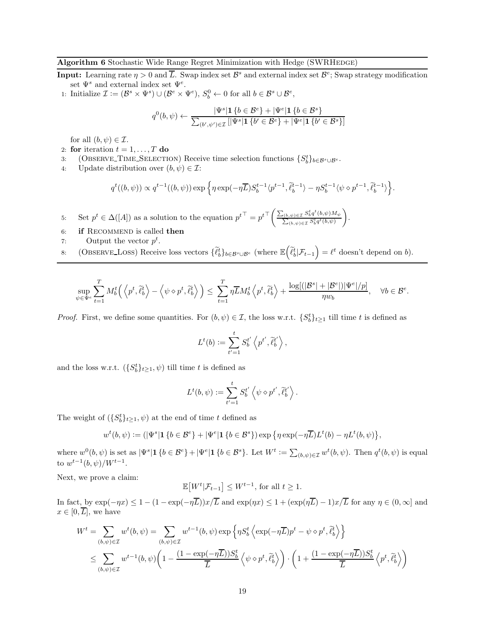#### <span id="page-18-0"></span>Algorithm 6 Stochastic Wide Range Regret Minimization with Hedge (SWRHEDGE)

- **Input:** Learning rate  $\eta > 0$  and  $\overline{L}$ . Swap index set  $\mathcal{B}^s$  and external index set  $\mathcal{B}^e$ ; Swap strategy modification set  $\Psi^s$  and external index set  $\Psi^e$ .
- 1: Initialize  $\mathcal{I} := (\mathcal{B}^s \times \Psi^s) \cup (\mathcal{B}^e \times \Psi^e), S_b^0 \leftarrow 0$  for all  $b \in \mathcal{B}^s \cup \mathcal{B}^e$ ,

$$
q^{0}(b,\psi) \leftarrow \frac{|\Psi^{s}| \mathbf{1} \{b \in \mathcal{B}^{e}\} + |\Psi^{e}| \mathbf{1} \{b \in \mathcal{B}^{s}\}}{\sum_{(b',\psi') \in \mathcal{I}} [|\Psi^{s}| \mathbf{1} \{b' \in \mathcal{B}^{e}\} + |\Psi^{e}| \mathbf{1} \{b' \in \mathcal{B}^{s}\}]}
$$

for all  $(b, \psi) \in \mathcal{I}$ .

- 2: for iteration  $t = 1, \ldots, T$  do
- 3: (OBSERVE TIME SELECTION) Receive time selection functions  $\{S_b^t\}_{b\in \mathcal{B}^s\cup \mathcal{B}^e}$ .
- 4: Update distribution over  $(b, \psi) \in \mathcal{I}$ :

$$
q^t((b,\psi)) \propto q^{t-1}((b,\psi))\exp\Big\{\eta\exp(-\eta \overline{L})S_b^{t-1}\langle p^{t-1},\tilde{\ell}_b^{t-1}\rangle - \eta S_b^{t-1}\langle \psi\diamond p^{t-1},\tilde{\ell}_b^{t-1}\rangle\Big\}.
$$

- <span id="page-18-2"></span>5: Set  $p^t \in \Delta([A])$  as a solution to the equation  $p^{t\top} = p^{t\top} \left( \frac{\sum_{(b,\psi) \in \mathcal{I}} S_b^t q^t}{\sum_{(b,\psi) \in \mathcal{I}} S_b^t q^t} \right)$  $\sum_{(b,\psi)\in\mathcal{I}}\frac{S_b^t q^t(b,\psi)M_\psi}{S^t a^t(b,\psi)}$  $\sum_{(b,\psi)\in\mathcal{I}} S_b^t q^t(b,\psi)$  $\overline{ }$ .
- 6: if RECOMMEND is called then
- <span id="page-18-1"></span>7: Output the vector  $p^t$ .
- 8: (OBSERVE\_LOSS) Receive loss vectors  $\{\tilde{\ell}_b^t\}_{b \in \mathcal{B}^s \cup \mathcal{B}^e}$  (where  $\mathbb{E}\left(\tilde{\ell}_b^t | \mathcal{F}_{t-1}\right)$  $=$   $\ell^t$  doesn't depend on b).

$$
\sup_{\psi \in \Psi^e} \sum_{t=1}^T M_b^t \left( \left\langle p^t, \tilde{\ell}_b^t \right\rangle - \left\langle \psi \diamond p^t, \tilde{\ell}_b^t \right\rangle \right) \leq \sum_{t=1}^T \eta \overline{L} M_b^t \left\langle p^t, \tilde{\ell}_b^t \right\rangle + \frac{\log[(|\mathcal{B}^s| + |\mathcal{B}^e|)|\Psi^e|/p]}{\eta w_b}, \quad \forall b \in \mathcal{B}^e.
$$

*Proof.* First, we define some quantities. For  $(b, \psi) \in \mathcal{I}$ , the loss w.r.t.  $\{S_b^t\}_{t\geq 1}$  till time t is defined as

$$
L^{t}(b) := \sum_{t'=1}^{t} S_{b}^{t'} \left\langle p^{t'}, \tilde{\ell}_{b}^{t'} \right\rangle,
$$

and the loss w.r.t.  $({S_b^t}_{t\geq 1}, \psi)$  till time t is defined as

$$
L^{t}(b, \psi) := \sum_{t'=1}^{t} S_{b}^{t'} \left\langle \psi \diamond p^{t'}, \widetilde{\ell}_{b}^{t'} \right\rangle.
$$

The weight of  $(\{S_b^t\}_{t\geq 1}, \psi)$  at the end of time t defined as

$$
w^t(b,\psi) := (|\Psi^s| \mathbf{1} \{b \in \mathcal{B}^e\} + |\Psi^e| \mathbf{1} \{b \in \mathcal{B}^s\}) \exp \big\{\eta \exp(-\eta \overline{L}) L^t(b) - \eta L^t(b,\psi) \big\},\
$$

where  $w^0(b, \psi)$  is set as  $|\Psi^s| \mathbf{1} \{b \in \mathcal{B}^e\} + |\Psi^e| \mathbf{1} \{b \in \mathcal{B}^s\}$ . Let  $W^t := \sum_{(b,\psi) \in \mathcal{I}} w^t(b, \psi)$ . Then  $q^t(b, \psi)$  is equal to  $w^{t-1}(b, \psi)/W^{t-1}$ .

Next, we prove a claim:

$$
\mathbb{E}[W^t|\mathcal{F}_{t-1}] \leq W^{t-1}, \text{ for all } t \geq 1.
$$

In fact, by  $\exp(-\eta x) \leq 1 - (1 - \exp(-\eta \overline{L}))x/\overline{L}$  and  $\exp(\eta x) \leq 1 + (\exp(\eta \overline{L}) - 1)x/\overline{L}$  for any  $\eta \in (0, \infty]$  and  $x \in [0, \overline{L}],$  we have

$$
W^{t} = \sum_{(b,\psi)\in\mathcal{I}} w^{t}(b,\psi) = \sum_{(b,\psi)\in\mathcal{I}} w^{t-1}(b,\psi) \exp\left\{\eta S_{b}^{t}\left\langle \exp(-\eta \overline{L})p^{t} - \psi \diamond p^{t}, \tilde{\ell}_{b}^{t}\right\rangle\right\}
$$
  

$$
\leq \sum_{(b,\psi)\in\mathcal{I}} w^{t-1}(b,\psi)\left(1 - \frac{(1 - \exp(-\eta \overline{L}))S_{b}^{t}}{\overline{L}}\left\langle \psi \diamond p^{t}, \tilde{\ell}_{b}^{t}\right\rangle\right) \cdot \left(1 + \frac{(1 - \exp(-\eta \overline{L}))S_{b}^{t}}{\overline{L}}\left\langle p^{t}, \tilde{\ell}_{b}^{t}\right\rangle\right)
$$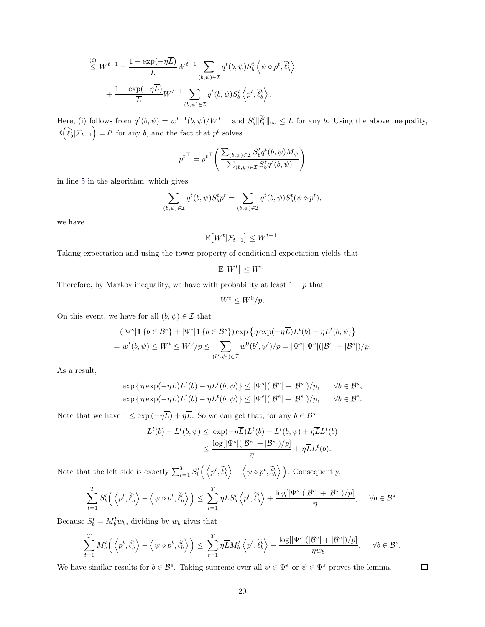$$
\leq W^{t-1} - \frac{1 - \exp(-\eta \overline{L})}{\overline{L}} W^{t-1} \sum_{(b,\psi) \in \mathcal{I}} q^t(b,\psi) S_b^t \langle \psi \diamond p^t, \tilde{\ell}_b^t \rangle + \frac{1 - \exp(-\eta \overline{L})}{\overline{L}} W^{t-1} \sum_{(b,\psi) \in \mathcal{I}} q^t(b,\psi) S_b^t \langle p^t, \tilde{\ell}_b^t \rangle.
$$

Here, (i) follows from  $q^t(b, \psi) = w^{t-1}(b, \psi)/W^{t-1}$  and  $S_b^t \|\tilde{\ell}_b^t\|_{\infty} \leq \overline{L}$  for any b. Using the above inequality,  $\mathbb{E}\Big(\widetilde{\ell}_b^t|\mathcal{F}_{t-1}$  $=\ell^t$  for any b, and the fact that  $p^t$  solves

$$
{p^t}^\top = {p^t}^\top \Bigg(\frac{\sum_{(b,\psi)\in \mathcal{I}} S_b^t q^t(b,\psi) M_\psi}{\sum_{(b,\psi)\in \mathcal{I}} S_b^t q^t(b,\psi)}\Bigg)
$$

in line [5](#page-18-2) in the algorithm, which gives

$$
\sum_{(b,\psi)\in\mathcal{I}} q^t(b,\psi)S_b^t p^t = \sum_{(b,\psi)\in\mathcal{I}} q^t(b,\psi)S_b^t(\psi \diamond p^t),
$$

we have

$$
\mathbb{E}[W^t|\mathcal{F}_{t-1}] \leq W^{t-1}.
$$

Taking expectation and using the tower property of conditional expectation yields that

$$
\mathbb{E}\big[W^t\big] \leq W^0
$$

.

Therefore, by Markov inequality, we have with probability at least  $1 - p$  that

$$
W^t \le W^0/p.
$$

On this event, we have for all  $(b, \psi) \in \mathcal{I}$  that

$$
(|\Psi^s| \mathbf{1} \{b \in \mathcal{B}^e\} + |\Psi^e| \mathbf{1} \{b \in \mathcal{B}^s\}) \exp \left\{\eta \exp(-\eta \overline{L}) L^t(b) - \eta L^t(b, \psi)\right\}
$$
  
=  $w^t(b, \psi) \le W^t \le W^0/p \le \sum_{(b', \psi') \in \mathcal{I}} w^0(b', \psi')/p = |\Psi^s| |\Psi^e| (|\mathcal{B}^e| + |\mathcal{B}^s|)/p.$ 

As a result,

$$
\exp \left\{\eta \exp(-\eta \overline{L})L^t(b) - \eta L^t(b,\psi)\right\} \leq |\Psi^s|(|\mathcal{B}^e| + |\mathcal{B}^s|)/p, \quad \forall b \in \mathcal{B}^s,
$$
  

$$
\exp \left\{\eta \exp(-\eta \overline{L})L^t(b) - \eta L^t(b,\psi)\right\} \leq |\Psi^e|(|\mathcal{B}^e| + |\mathcal{B}^s|)/p, \quad \forall b \in \mathcal{B}^e.
$$

Note that we have  $1 \le \exp(-\eta \overline{L}) + \eta \overline{L}$ . So we can get that, for any  $b \in \mathcal{B}^s$ ,

$$
L^{t}(b) - L^{t}(b, \psi) \le \exp(-\eta \overline{L})L^{t}(b) - L^{t}(b, \psi) + \eta \overline{L}L^{t}(b)
$$
  

$$
\le \frac{\log[|\Psi^{s}|(|\mathcal{B}^{e}| + |\mathcal{B}^{s}|)/p]}{\eta} + \eta \overline{L}L^{t}(b).
$$

Note that the left side is exactly  $\sum_{t=1}^{T} S_b^t \left( \left\langle p^t, \tilde{\ell}_b^t \right\rangle \right)$ −  $\left\langle \psi \diamond p^t, \tilde{\ell}_b^t \right\rangle$ ). Consequently,

$$
\sum_{t=1}^T S_b^t \left( \left\langle p^t, \tilde{\ell}_b^t \right\rangle - \left\langle \psi \diamond p^t, \tilde{\ell}_b^t \right\rangle \right) \leq \sum_{t=1}^T \eta \overline{L} S_b^t \left\langle p^t, \tilde{\ell}_b^t \right\rangle + \frac{\log[|\Psi^s|(|\mathcal{B}^e|+|\mathcal{B}^s|)/p]}{\eta}, \quad \forall b \in \mathcal{B}^s.
$$

Because  $S_b^t = M_b^t w_b$ , dividing by  $w_b$  gives that

L

$$
\sum_{t=1}^T M_b^t \left( \left\langle p^t, \widetilde{\ell}_b^t \right\rangle - \left\langle \psi \diamond p^t, \widetilde{\ell}_b^t \right\rangle \right) \leq \sum_{t=1}^T \eta \overline{L} M_b^t \left\langle p^t, \widetilde{\ell}_b^t \right\rangle + \frac{\log[|\Psi^s|(|\mathcal{B}^e|+|\mathcal{B}^s|)/p]}{\eta w_b}, \quad \forall b \in \mathcal{B}^s.
$$

We have similar results for  $b \in \mathcal{B}^e$ . Taking supreme over all  $\psi \in \Psi^e$  or  $\psi \in \Psi^s$  proves the lemma.

 $\Box$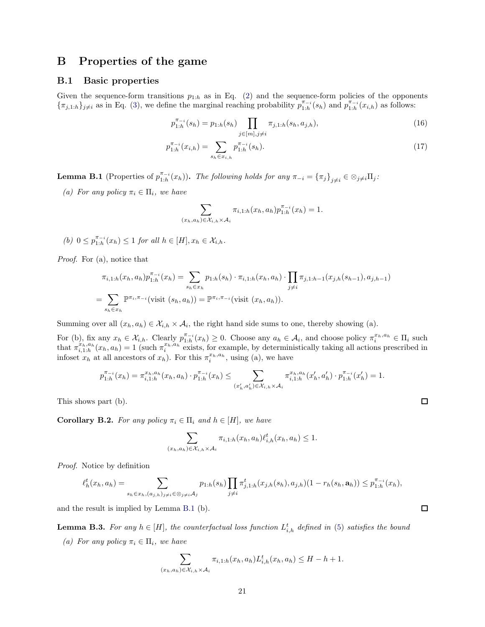## <span id="page-20-1"></span><span id="page-20-0"></span>B Properties of the game

#### B.1 Basic properties

Given the sequence-form transitions  $p_{1:h}$  as in Eq. [\(2\)](#page-3-1) and the sequence-form policies of the opponents  $\{\pi_{j,1:h}\}_{j\neq i}$  as in Eq. [\(3\)](#page-3-2), we define the marginal reaching probability  $p_{1:h}^{\pi_{-i}}(s_h)$  and  $p_{1:h}^{\pi_{-i}}(x_{i,h})$  as follows:

<span id="page-20-3"></span>
$$
p_{1:h}^{\pi_{-i}}(s_h) = p_{1:h}(s_h) \prod_{j \in [m], j \neq i} \pi_{j,1:h}(s_h, a_{j,h}),
$$
\n(16)

$$
p_{1:h}^{\pi_{-i}}(x_{i,h}) = \sum_{s_h \in x_{i,h}} p_{1:h}^{\pi_{-i}}(s_h). \tag{17}
$$

<span id="page-20-2"></span>**Lemma B.1** (Properties of  $p_{1:h}^{\pi_{-i}}(x_h)$ ). The following holds for any  $\pi_{-i} = {\pi_j}_{j \neq i} \in \otimes_{j \neq i} \Pi_j$ :

(a) For any policy  $\pi_i \in \Pi_i$ , we have

$$
\sum_{(x_h, a_h) \in \mathcal{X}_{i,h} \times \mathcal{A}_i} \pi_{i,1:h}(x_h, a_h) p_{1:h}^{\pi_{-i}}(x_h) = 1.
$$

(b)  $0 \le p_{1:h}^{\pi_{-i}}(x_h) \le 1$  for all  $h \in [H], x_h \in \mathcal{X}_{i,h}$ .

Proof. For (a), notice that

$$
\pi_{i,1:h}(x_h, a_h) p_{1:h}^{\pi_{-i}}(x_h) = \sum_{s_h \in x_h} p_{1:h}(s_h) \cdot \pi_{i,1:h}(x_h, a_h) \cdot \prod_{j \neq i} \pi_{j,1:h-1}(x_{j,h}(s_{h-1}), a_{j,h-1})
$$
  
= 
$$
\sum_{s_h \in x_h} \mathbb{P}^{\pi_i, \pi_{-i}}(\text{visit } (s_h, a_h)) = \mathbb{P}^{\pi_i, \pi_{-i}}(\text{visit } (x_h, a_h)).
$$

Summing over all  $(x_h, a_h) \in \mathcal{X}_{i,h} \times \mathcal{A}_i$ , the right hand side sums to one, thereby showing (a).

For (b), fix any  $x_h \in \mathcal{X}_{i,h}$ . Clearly  $p_{1:h}^{\pi_{-i}}(x_h) \geq 0$ . Choose any  $a_h \in \mathcal{A}_i$ , and choose policy  $\pi_i^{x_h,a_h} \in \Pi_i$  such that  $\pi_{i,1:h}^{x_h,a_h}(x_h,a_h) = 1$  (such  $\pi_i^{x_h,a_h}$  exists, for example, by deterministically taking all actions prescribed in infoset  $x_h$  at all ancestors of  $x_h$ ). For this  $\pi_i^{x_h,a_h}$ , using (a), we have

$$
p_{1:h}^{\pi_{-i}}(x_h) = \pi_{i,1:h}^{\pi_{h},a_{h}}(x_h,a_{h}) \cdot p_{1:h}^{\pi_{-i}}(x_h) \leq \sum_{(x_h',a_h') \in \mathcal{X}_{i,h} \times \mathcal{A}_{i}} \pi_{i,1:h}^{\pi_{h},a_{h}}(x_h',a_h') \cdot p_{1:h}^{\pi_{-i}}(x_h') = 1.
$$

This shows part (b).

**Corollary B.2.** For any policy  $\pi_i \in \Pi_i$  and  $h \in [H]$ , we have

$$
\sum_{(x_h, a_h) \in \mathcal{X}_{i,h} \times \mathcal{A}_i} \pi_{i,1:h}(x_h, a_h) \ell_{i,h}^t(x_h, a_h) \le 1.
$$

Proof. Notice by definition

$$
\ell_h^t(x_h, a_h) = \sum_{s_h \in x_h, (a_{j,h})_{j \neq i} \in \otimes_{j \neq i} A_j} p_{1:h}(s_h) \prod_{j \neq i} \pi_{j,1:h}^t(x_{j,h}(s_h), a_{j,h})(1 - r_h(s_h, \mathbf{a}_h)) \leq p_{1:h}^{\pi_{-i}}(x_h),
$$

and the result is implied by Lemma [B.1](#page-20-2) (b).

**Lemma B.3.** For any  $h \in [H]$ , the counterfactual loss function  $L_{i,h}^t$  defined in [\(5\)](#page-4-2) satisfies the bound

(a) For any policy  $\pi_i \in \Pi_i$ , we have

$$
\sum_{(x_h, a_h) \in \mathcal{X}_{i,h} \times \mathcal{A}_i} \pi_{i,1:h}(x_h, a_h) L_{i,h}^t(x_h, a_h) \leq H - h + 1.
$$

 $\Box$ 

 $\Box$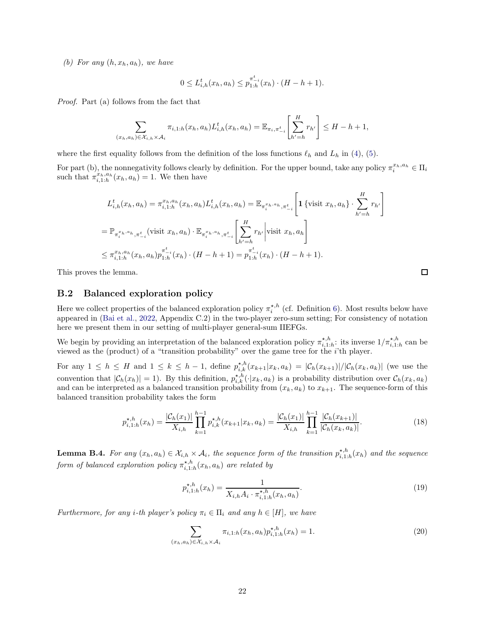(b) For any  $(h, x_h, a_h)$ , we have

$$
0 \le L_{i,h}^t(x_h, a_h) \le p_{1:h}^{\pi_{-i}^t}(x_h) \cdot (H - h + 1).
$$

Proof. Part (a) follows from the fact that

$$
\sum_{(x_h, a_h) \in \mathcal{X}_{i,h} \times \mathcal{A}_i} \pi_{i,1:h}(x_h, a_h) L_{i,h}^t(x_h, a_h) = \mathbb{E}_{\pi_i, \pi_{-i}^t} \left[ \sum_{h'=h}^H r_{h'} \right] \leq H - h + 1,
$$

where the first equality follows from the definition of the loss functions  $\ell_h$  and  $L_h$  in [\(4\)](#page-4-3), [\(5\)](#page-4-2).

For part (b), the nonnegativity follows clearly by definition. For the upper bound, take any policy  $\pi_i^{x_h,a_h} \in \Pi_i$ such that  $\pi_{i,1:h}^{x_h,a_h}(x_h,a_h) = 1$ . We then have

$$
L_{i,h}^{t}(x_h, a_h) = \pi_{i,1:h}^{x_h, a_h}(x_h, a_h) L_{i,h}^{t}(x_h, a_h) = \mathbb{E}_{\pi_i^{x_h, a_h}, \pi_{-i}^{t}} \left[ \mathbf{1} \left\{ \text{visit } x_h, a_h \right\} \cdot \sum_{h'=h}^{H} r_{h'} \right]
$$
  
\n
$$
= \mathbb{P}_{\pi_i^{x_h, a_h}, \pi_{-i}^{t}} \left( \text{visit } x_h, a_h \right) \cdot \mathbb{E}_{\pi_i^{x_h, a_h}, \pi_{-i}^{t}} \left[ \sum_{h'=h}^{H} r_{h'} \right] \text{visit } x_h, a_h \right]
$$
  
\n
$$
\leq \pi_{i,1:h}^{x_h, a_h}(x_h, a_h) p_{1:h}^{\pi_{-i}^{t}}(x_h) \cdot (H - h + 1) = p_{1:h}^{\pi_{-i}^{t}}(x_h) \cdot (H - h + 1).
$$

<span id="page-21-0"></span>This proves the lemma.

#### B.2 Balanced exploration policy

Here we collect properties of the balanced exploration policy  $\pi_i^{\star,h}$  (cf. Definition [6\)](#page-8-2). Most results below have appeared in [\(Bai et al.](#page-11-6), [2022,](#page-11-6) Appendix C.2) in the two-player zero-sum setting; For consistency of notation here we present them in our setting of multi-player general-sum IIEFGs.

We begin by providing an interpretation of the balanced exploration policy  $\pi^{*,h}_{i,1:h}$ : its inverse  $1/\pi^{*,h}_{i,1:h}$  can be viewed as the (product) of a "transition probability" over the game tree for the i'th player.

For any  $1 \leq h \leq H$  and  $1 \leq k \leq h-1$ , define  $p_{i,k}^{*,h}(x_{k+1}|x_k,a_k) = |\mathcal{C}_h(x_{k+1})|/|\mathcal{C}_h(x_k,a_k)|$  (we use the convention that  $|\mathcal{C}_h(x_h)| = 1$ ). By this definition,  $p_{i,k}^{*,h}(\cdot|x_k, a_k)$  is a probability distribution over  $\mathcal{C}_h(x_k, a_k)$ and can be interpreted as a balanced transition probability from  $(x_k, a_k)$  to  $x_{k+1}$ . The sequence-form of this balanced transition probability takes the form

$$
p_{i,1:h}^{\star,h}(x_h) = \frac{|\mathcal{C}_h(x_1)|}{X_{i,h}} \prod_{k=1}^{h-1} p_{i,k}^{\star,h}(x_{k+1}|x_k, a_k) = \frac{|\mathcal{C}_h(x_1)|}{X_{i,h}} \prod_{k=1}^{h-1} \frac{|\mathcal{C}_h(x_{k+1})|}{|\mathcal{C}_h(x_k, a_k)|}.
$$
 (18)

<span id="page-21-4"></span>**Lemma B.4.** For any  $(x_h, a_h) \in \mathcal{X}_{i,h} \times \mathcal{A}_i$ , the sequence form of the transition  $p_{i,1:h}^{*,h}(x_h)$  and the sequence form of balanced exploration policy  $\pi^{*,h}_{i,1:h}(x_h, a_h)$  are related by

<span id="page-21-2"></span>
$$
p_{i,1:h}^{\star,h}(x_h) = \frac{1}{X_{i,h}A_i \cdot \pi_{i,1:h}^{\star,h}(x_h, a_h)}.\tag{19}
$$

Furthermore, for any i-th player's policy  $\pi_i \in \Pi_i$  and any  $h \in [H]$ , we have

<span id="page-21-3"></span>
$$
\sum_{(x_h, a_h) \in \mathcal{X}_{i,h} \times \mathcal{A}_i} \pi_{i,1:h}(x_h, a_h) p_{i,1:h}^{\star, h}(x_h) = 1.
$$
 (20)

<span id="page-21-1"></span>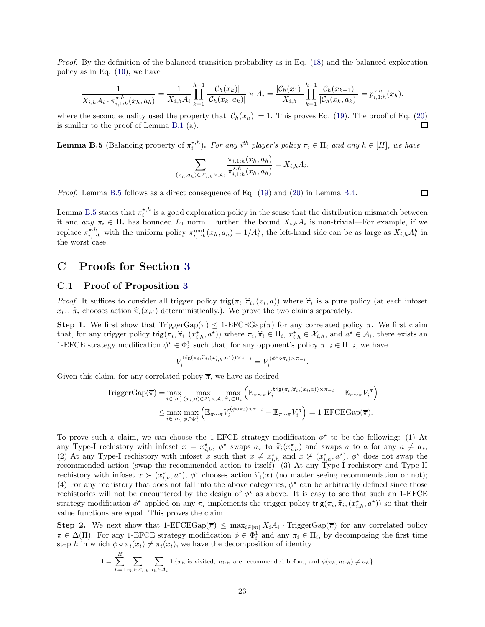Proof. By the definition of the balanced transition probability as in Eq. [\(18\)](#page-21-1) and the balanced exploration policy as in Eq. [\(10\)](#page-8-3), we have

$$
\frac{1}{X_{i,h}A_i \cdot \pi_{i,1:h}^{\star,h}(x_h, a_h)} = \frac{1}{X_{i,h}A_i} \prod_{k=1}^{h-1} \frac{|\mathcal{C}_h(x_k)|}{|\mathcal{C}_h(x_k, a_k)|} \times A_i = \frac{|\mathcal{C}_h(x_1)|}{X_{i,h}} \prod_{k=1}^{h-1} \frac{|\mathcal{C}_h(x_{k+1})|}{|\mathcal{C}_h(x_k, a_k)|} = p_{i,1:h}^{\star,h}(x_h).
$$

where the second equality used the property that  $|\mathcal{C}_h(x_h)| = 1$ . This proves Eq. [\(19\)](#page-21-2). The proof of Eq. [\(20\)](#page-21-3) is similar to the proof of Lemma B 1 (a) is similar to the proof of Lemma [B.1](#page-20-2) (a).

<span id="page-22-1"></span>**Lemma B.5** (Balancing property of  $\pi_i^{*,h}$ ). For any i<sup>th</sup> player's policy  $\pi_i \in \Pi_i$  and any  $h \in [H]$ , we have

$$
\sum_{(x_h, a_h) \in \mathcal{X}_{i,h} \times \mathcal{A}_i} \frac{\pi_{i,1:h}(x_h, a_h)}{\pi_{i,1:h}^{\star, h}(x_h, a_h)} = X_{i,h} A_i.
$$

Proof. Lemma [B.5](#page-22-1) follows as a direct consequence of Eq. [\(19\)](#page-21-2) and [\(20\)](#page-21-3) in Lemma [B.4.](#page-21-4)

 $\Box$ 

Lemma [B.5](#page-22-1) states that  $\pi_i^{\star,h}$  is a good exploration policy in the sense that the distribution mismatch between it and  $any \pi_i \in \Pi_i$  has bounded  $L_1$  norm. Further, the bound  $X_{i,h}A_i$  is non-trivial—For example, if we replace  $\pi_{i,1:h}^{*,h}$  with the uniform policy  $\pi_{i,1:h}^{\text{unif}}(x_h, a_h) = 1/A_i^h$ , the left-hand side can be as large as  $X_{i,h}A_i^h$  in the worst case.

## <span id="page-22-2"></span><span id="page-22-0"></span>C Proofs for Section [3](#page-4-0)

#### C.1 Proof of Proposition [3](#page-6-1)

*Proof.* It suffices to consider all trigger policy trig $(\pi_i, \hat{\pi}_i, (x_i, a))$  where  $\hat{\pi}_i$  is a pure policy (at each infoset  $x_{h'}$ ,  $\hat{\pi}_i$  chooses action  $\hat{\pi}_i(x_{h'})$  deterministically.). We prove the two claims separately.

**Step 1.** We first show that TriggerGap( $\overline{\pi}$ )  $\leq$  1-EFCEGap( $\overline{\pi}$ ) for any correlated policy  $\overline{\pi}$ . We first claim that, for any trigger policy  $\text{trig}(\pi_i, \hat{\pi}_i, (x_{i,h}^*, a^*))$  where  $\pi_i, \hat{\pi}_i \in \Pi_i$ ,  $x_{i,h}^* \in \mathcal{X}_{i,h}$ , and  $a^* \in \mathcal{A}_i$ , there exists an 1-EFCE strategy modification  $\phi^* \in \Phi_i^1$  such that, for any opponent's policy  $\pi_{-i} \in \Pi_{-i}$ , we have

$$
V^{\operatorname{trig}(\pi_i,\widehat\pi_i,(x_{i,h}^\star,a^\star))\times\pi_{-i}}_i=V^{(\phi^\star\diamond\pi_i)\times\pi_{-i}}_i.
$$

Given this claim, for any correlated policy  $\overline{\pi}$ , we have as desired

$$
\begin{split} \text{TriggerGap}(\overline{\pi}) &= \max_{i \in [m]} \max_{(x_i, a) \in \mathcal{X}_i \times \mathcal{A}_i} \max_{\widehat{\pi}_i \in \Pi_i} \left( \mathbb{E}_{\pi \sim \overline{\pi}} V_i^{\text{trig}(\pi_i, \widehat{\pi}_i, (x_i, a)) \times \pi_{-i}} - \mathbb{E}_{\pi \sim \overline{\pi}} V_i^{\pi} \right) \\ &\leq \max_{i \in [m]} \max_{\phi \in \Phi_i^1} \left( \mathbb{E}_{\pi \sim \overline{\pi}} V_i^{(\phi \circ \pi_i) \times \pi_{-i}} - \mathbb{E}_{\pi \sim \overline{\pi}} V_i^{\pi} \right) = 1 \text{-EFCEGap}(\overline{\pi}). \end{split}
$$

To prove such a claim, we can choose the 1-EFCE strategy modification  $\phi^*$  to be the following: (1) At any Type-I rechistory with infoset  $x = x_{i,h}^*$ ,  $\phi^*$  swaps  $a_*$  to  $\hat{\pi}_i(x_{i,h}^*)$  and swaps a to a for any  $a \neq a_*$ ; (2) At any Type-I rechistory with infoset x such that  $x \neq x^*_{i,h}$  and  $x \neq (x^*_{i,h}, a^*)$ ,  $\phi^*$  does not swap the recommended action (swap the recommended action to itself); (3) At any Type-I rechistory and Type-II rechistory with infoset  $x \succ (x_{i,h}^*, a^*)$ ,  $\phi^*$  chooses action  $\hat{\pi}_i(x)$  (no matter seeing recommendation or not);<br>(4) Figures are history that decrease full into the characteristics of a subsecutive illustration there (4) For any rechistory that does not fall into the above categories,  $\phi^*$  can be arbitrarily defined since those rechistories will not be encountered by the design of  $\phi^*$  as above. It is easy to see that such an 1-EFCE strategy modification  $\phi^*$  applied on any  $\pi_i$  implements the trigger policy trig $(\pi_i, \hat{\pi}_i, (x_{i,h}^*, a^*))$  so that their value functions are equal. This proves the claim.

**Step 2.** We next show that  $1$ -EFCEGap $(\overline{\pi}) \leq \max_{i \in [m]} X_i A_i$ . TriggerGap $(\overline{\pi})$  for any correlated policy  $\overline{\pi} \in \Delta(\Pi)$ . For any 1-EFCE strategy modification  $\phi \in \Phi_i^1$  and any  $\pi_i \in \Pi_i$ , by decomposing the first time step h in which  $\phi \circ \pi_i(x_i) \neq \pi_i(x_i)$ , we have the decomposition of identity

$$
1 = \sum_{h=1}^{H} \sum_{x_h \in \mathcal{X}_{i,h}} \sum_{a_h \in \mathcal{A}_i} \mathbf{1} \{x_h \text{ is visited, } a_{1:h} \text{ are recommended before, and } \phi(x_h, a_{1:h}) \neq a_h\}
$$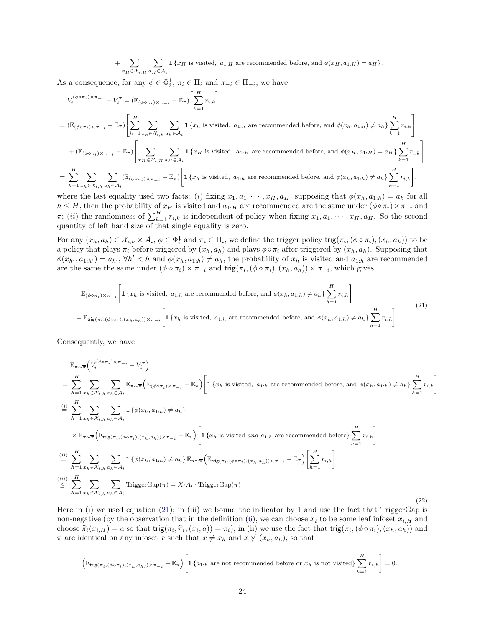+ X  $x_H \in \mathcal{X}_{i,H}$  $\sqrt{}$  $a_H \in A_i$ **1** { $x_H$  is visited,  $a_{1:H}$  are recommended before, and  $\phi(x_H, a_{1:H}) = a_H$  }.

As a consequence, for any  $\phi \in \Phi_i^1$ ,  $\pi_i \in \Pi_i$  and  $\pi_{-i} \in \Pi_{-i}$ , we have

$$
V_i^{(\phi \circ \pi_i) \times \pi_{-i}} - V_i^{\pi} = (\mathbb{E}_{(\phi \circ \pi_i) \times \pi_{-i}} - \mathbb{E}_{\pi}) \left[ \sum_{k=1}^H r_{i,k} \right]
$$
  
\n
$$
= (\mathbb{E}_{(\phi \circ \pi_i) \times \pi_{-i}} - \mathbb{E}_{\pi}) \left[ \sum_{h=1}^H \sum_{x_h \in \mathcal{X}_{i,h}} \sum_{a_h \in \mathcal{A}_i} \mathbf{1} \{x_h \text{ is visited, } a_{1:h} \text{ are recommended before, and } \phi(x_h, a_{1:h}) \neq a_h \} \sum_{k=1}^H r_{i,k} \right]
$$
  
\n
$$
+ (\mathbb{E}_{(\phi \circ \pi_i) \times \pi_{-i}} - \mathbb{E}_{\pi}) \left[ \sum_{x_H \in \mathcal{X}_{i,H}} \sum_{a_H \in \mathcal{A}_i} \mathbf{1} \{x_H \text{ is visited, } a_{1:H} \text{ are recommended before, and } \phi(x_H, a_{1:H}) = a_H \} \sum_{k=1}^H r_{i,k} \right]
$$
  
\n
$$
= \sum_{h=1}^H \sum_{x_h \in \mathcal{X}_{i,h}} \sum_{a_h \in \mathcal{A}_i} (\mathbb{E}_{(\phi \circ \pi_i) \times \pi_{-i}} - \mathbb{E}_{\pi}) \left[ \mathbf{1} \{x_h \text{ is visited, } a_{1:h} \text{ are recommended before, and } \phi(x_h, a_{1:h}) \neq a_h \} \sum_{k=1}^H r_{i,k} \right],
$$

where the last equality used two facts: (i) fixing  $x_1, a_1, \cdots, x_H, a_H$ , supposing that  $\phi(x_h, a_{1:h}) = a_h$  for all  $h \leq H$ , then the probability of  $x_H$  is visited and  $a_{1:H}$  are recommended are the same under  $(\phi \circ \pi_i) \times \pi_{-i}$  and  $\pi$ ; (ii) the randomness of  $\sum_{k=1}^{H} r_{i,k}$  is independent of policy when fixing  $x_1, a_1, \dots, x_H, a_H$ . So the second quantity of left hand size of that single equality is zero.

For any  $(x_h, a_h) \in \mathcal{X}_{i,h} \times \mathcal{A}_i, \phi \in \Phi_i^1$  and  $\pi_i \in \Pi_i$ , we define the trigger policy  $\text{trig}(\pi_i, (\phi \circ \pi_i), (x_h, a_h))$  to be a policy that plays  $\pi_i$  before triggered by  $(x_h, a_h)$  and plays  $\phi \diamond \pi_i$  after triggered by  $(x_h, a_h)$ . Supposing that  $\phi(x_{h'}, a_{1:h'}) = a_{h'}, \forall h' < h$  and  $\phi(x_h, a_{1:h}) \neq a_h$ , the probability of  $x_h$  is visited and  $a_{1:h}$  are recommended are the same the same under  $(\phi \circ \pi_i) \times \pi_{-i}$  and  $\text{trig}(\pi_i, (\phi \circ \pi_i), (x_h, a_h)) \times \pi_{-i}$ , which gives

<span id="page-23-0"></span>
$$
\mathbb{E}_{(\phi \diamond \pi_i) \times \pi_{-i}} \left[ \mathbf{1} \{ x_h \text{ is visited, } a_{1:h} \text{ are recommended before, and } \phi(x_h, a_{1:h}) \neq a_h \} \sum_{h=1}^H r_{i,h} \right]
$$
\n
$$
= \mathbb{E}_{\text{trig}(\pi_i, (\phi \diamond \pi_i), (x_h, a_h)) \times \pi_{-i}} \left[ \mathbf{1} \{ x_h \text{ is visited, } a_{1:h} \text{ are recommended before, and } \phi(x_h, a_{1:h}) \neq a_h \} \sum_{h=1}^H r_{i,h} \right].
$$
\n
$$
(21)
$$

Consequently, we have

$$
\mathbb{E}_{\pi \sim \overline{\pi}} \Big( V_i^{(\phi \circ \pi_i) \times \pi_{-i}} - V_i^{\pi} \Big)
$$
\n
$$
= \sum_{h=1}^{H} \sum_{x_h \in \mathcal{X}_{i,h}} \sum_{a_h \in \mathcal{A}_i} \mathbb{E}_{\pi \sim \overline{\pi}} \Big( \mathbb{E}_{(\phi \circ \pi_i) \times \pi_{-i}} - \mathbb{E}_{\pi} \Big) \Bigg[ \mathbf{1} \{ x_h \text{ is visited, } a_{1:h} \text{ are recommended before, and } \phi(x_h, a_{1:h}) \neq a_h \} \sum_{h=1}^{H} r_{i,h} \Bigg]
$$
\n
$$
\stackrel{\text{(i)}{\equiv}}{\equiv} \sum_{h=1}^{H} \sum_{x_h \in \mathcal{X}_{i,h}} \sum_{a_h \in \mathcal{A}_i} \mathbf{1} \{ \phi(x_h, a_{1:h}) \neq a_h \}
$$
\n
$$
\times \mathbb{E}_{\pi \sim \overline{\pi}} \Big( \mathbb{E}_{\text{trig}(\pi_i, (\phi \circ \pi_i), (x_h, a_h)) \times \pi_{-i}} - \mathbb{E}_{\pi} \Big) \Bigg[ \mathbf{1} \{ x_h \text{ is visited and } a_{1:h} \text{ are recommended before} \} \sum_{h=1}^{H} r_{i,h} \Bigg]
$$
\n
$$
\stackrel{\text{(ii)}{\equiv}}{\equiv} \sum_{h=1}^{H} \sum_{x_h \in \mathcal{X}_{i,h}} \sum_{a_h \in \mathcal{A}_i} \mathbf{1} \{ \phi(x_h, a_{1:h}) \neq a_h \} \mathbb{E}_{\pi \sim \overline{\pi}} \Big( \mathbb{E}_{\text{trig}(\pi_i, (\phi \circ \pi_i), (x_h, a_h)) \times \pi_{-i}} - \mathbb{E}_{\pi} \Big) \Bigg[ \sum_{h=1}^{H} r_{i,h} \Bigg]
$$
\n
$$
\stackrel{\text{(iii)}}{\leq} \sum_{h=1}^{H} \sum_{x_h \in \mathcal{X}_{i,h}} \sum_{a_h \in \mathcal{A}_i} \text{TriggerGap}(\overline{\pi}) = X_i A_i \cdot \text{TriggerGap}(\overline{\pi}) \tag{22}
$$

Here in (i) we used equation [\(21\)](#page-23-0); in (iii) we bound the indicator by 1 and use the fact that TriggerGap is non-negative (by the observation that in the definition [\(6\)](#page-5-6), we can choose  $x_i$  to be some leaf infoset  $x_{i,H}$  and choose  $\hat{\pi}_i(x_{i,H}) = a$  so that trig $(\pi_i, \hat{\pi}_i, (x_i, a)) = \pi_i$ ; in (ii) we use the fact that trig $(\pi_i, (\phi \circ \pi_i), (x_h, a_h))$  and  $\pi$  are identical on any infoset x such that  $x \neq x_h$  and  $x \neq (x_h, a_h)$ , so that

$$
\left(\mathbb{E}_{\textsf{trig}(\pi_i,(\phi\diamond\pi_i),(x_h,a_h))\times\pi_{-i}}-\mathbb{E}_\pi\right)\!\left[\mathbf{1}\left\{a_{1:h}\right.\text{are not recommended before or }x_h\text{ is not visited}\right\}\sum_{h=1}^H r_{i,h}\right]=0.
$$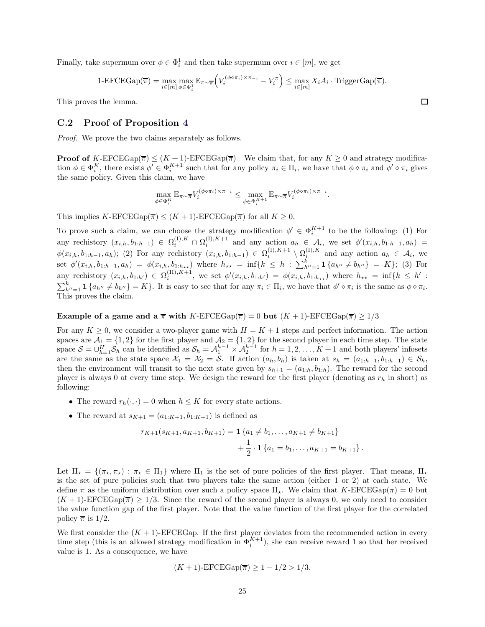Finally, take supermum over  $\phi \in \Phi_i^1$  and then take supermum over  $i \in [m]$ , we get

1-EFCEGap(
$$
\overline{\pi}
$$
) =  $\max_{i \in [m]} \max_{\phi \in \Phi_i^1} \mathbb{E}_{\pi \sim \overline{\pi}} \left( V_i^{(\phi \circ \pi_i) \times \pi_{-i}} - V_i^{\pi} \right) \le \max_{i \in [m]} X_i A_i$  · TriggerGap( $\overline{\pi}$ ).

<span id="page-24-0"></span>This proves the lemma.

#### C.2 Proof of Proposition [4](#page-6-2)

Proof. We prove the two claims separately as follows.

**Proof of** K-EFCEGap( $\overline{\pi}$ )  $\leq (K + 1)$ -EFCEGap( $\overline{\pi}$ ) We claim that, for any  $K \geq 0$  and strategy modification  $\phi \in \Phi_i^K$ , there exists  $\phi' \in \Phi_i^{K+1}$  such that for any policy  $\pi_i \in \Pi_i$ , we have that  $\phi \circ \pi_i$  and  $\phi' \circ \pi_i$  gives the same policy. Given this claim, we have

$$
\max_{\phi \in \Phi_i^K} \mathbb{E}_{\pi \sim \pi} V_i^{(\phi \circ \pi_i) \times \pi_{-i}} \leq \max_{\phi \in \Phi_i^{K+1}} \mathbb{E}_{\pi \sim \pi} V_i^{(\phi \circ \pi_i) \times \pi_{-i}}.
$$

This implies  $K$ -EFCEGap( $\overline{\pi}$ )  $\leq (K + 1)$ -EFCEGap( $\overline{\pi}$ ) for all  $K \geq 0$ .

To prove such a claim, we can choose the strategy modification  $\phi' \in \Phi_i^{K+1}$  to be the following: (1) For any rechistory  $(x_{i,h}, b_{1:h-1}) \in \Omega_i^{(1), K} \cap \Omega_i^{(1), K+1}$  and any action  $a_h \in \mathcal{A}_i$ , we set  $\phi'(x_{i,h}, b_{1:h-1}, a_h) =$  $\phi(x_{i,h}, b_{1:h-1}, a_h)$ ; (2) For any rechistory  $(x_{i,h}, b_{1:h-1}) \in \Omega_i^{(1), K+1} \setminus \Omega_i^{(1), K}$  and any action  $a_h \in \mathcal{A}_i$ , we set  $\phi'(x_{i,h}, b_{1:h-1}, a_h) = \phi(x_{i,h}, b_{1:h+1})$  where  $h_{**} = \inf\{k \leq h : \sum_{h''=1}^k \mathbf{1}\{a_{h''} \neq b_{h''}\} = K\};$  (3) For any rechistory  $(x_{i,h}, b_{1:h'}) \in \Omega_i^{(II), K+1}$ , we set  $\phi'(x_{i,h}, b_{1:h'}) = \phi(x_{i,h}, b_{1:h_{**}})$  where  $h_{**} = \inf\{k \leq h' :$  $\sum_{h''=1}^{k} \mathbf{1} \{ a_{h''} \neq b_{h''} \} = K \}.$  It is easy to see that for any  $\pi_i \in \Pi_i$ , we have that  $\phi' \diamond \pi_i$  is the same as  $\phi \diamond \pi_i$ . This proves the claim.

#### Example of a game and a  $\bar{\pi}$  with K-EFCEGap( $\bar{\pi}$ ) = 0 but (K + 1)-EFCEGap( $\bar{\pi}$ )  $\geq$  1/3

For any  $K \geq 0$ , we consider a two-player game with  $H = K + 1$  steps and perfect information. The action spaces are  $\mathcal{A}_1 = \{1, 2\}$  for the first player and  $\mathcal{A}_2 = \{1, 2\}$  for the second player in each time step. The state space  $S = \bigcup_{h=1}^{H} S_h$  can be identified as  $S_h = A_1^{h-1} \times A_2^{h-1}$  for  $h = 1, 2, ..., K+1$  and both players' infosets are the same as the state space  $\mathcal{X}_1 = \mathcal{X}_2 = \mathcal{S}$ . If action  $(a_h, b_h)$  is taken at  $s_h = (a_{1:h-1}, b_{1:h-1}) \in \mathcal{S}_h$ , then the environment will transit to the next state given by  $s_{h+1} = (a_{1:h}, b_{1:h})$ . The reward for the second player is always 0 at every time step. We design the reward for the first player (denoting as  $r_h$  in short) as following:

- The reward  $r_h(\cdot, \cdot) = 0$  when  $h \leq K$  for every state actions.
- The reward at  $s_{K+1} = (a_{1:K+1}, b_{1:K+1})$  is defined as

$$
r_{K+1}(s_{K+1}, a_{K+1}, b_{K+1}) = \mathbf{1}\left\{a_1 \neq b_1, \dots, a_{K+1} \neq b_{K+1}\right\} + \frac{1}{2} \cdot \mathbf{1}\left\{a_1 = b_1, \dots, a_{K+1} = b_{K+1}\right\}.
$$

Let  $\Pi_{\star} = \{(\pi_{\star}, \pi_{\star}) : \pi_{\star} \in \Pi_1\}$  where  $\Pi_1$  is the set of pure policies of the first player. That means,  $\Pi_{\star}$ is the set of pure policies such that two players take the same action (either 1 or 2) at each state. We define  $\bar{\pi}$  as the uniform distribution over such a policy space  $\Pi_{\star}$ . We claim that K-EFCEGap( $\bar{\pi}$ ) = 0 but  $(K+1)$ -EFCEGap $(\overline{\pi}) \geq 1/3$ . Since the reward of the second player is always 0, we only need to consider the value function gap of the first player. Note that the value function of the first player for the correlated policy  $\pi$  is  $1/2$ .

We first consider the  $(K + 1)$ -EFCEGap. If the first player deviates from the recommended action in every time step (this is an allowed strategy modification in  $\Phi_i^{K+1}$ ), she can receive reward 1 so that her received value is 1. As a consequence, we have

$$
(K + 1)
$$
-EFCEGap( $\overline{\pi}$ )  $\geq 1 - 1/2 > 1/3$ .

 $\Box$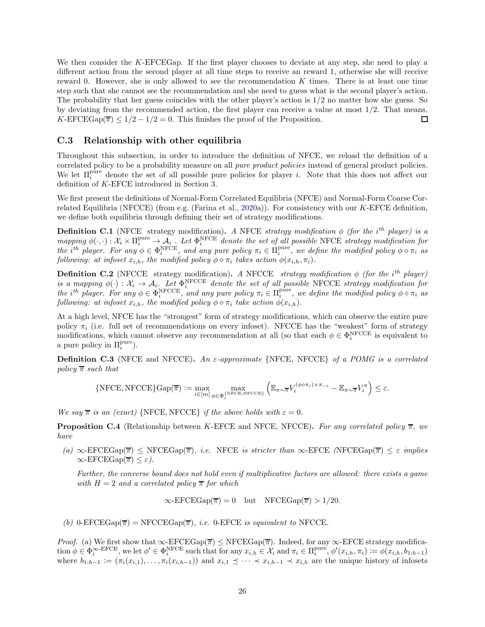We then consider the K-EFCEGap. If the first player chooses to deviate at any step, she need to play a different action from the second player at all time steps to receive an reward 1, otherwise she will receive reward 0. However, she is only allowed to see the recommendation K times. There is at least one time step such that she cannot see the recommendation and she need to guess what is the second player's action. The probability that her guess coincides with the other player's action is  $1/2$  no matter how she guess. So by deviating from the recommended action, the first player can receive a value at most 1/2. That means, K-EFCEGap( $\overline{\pi}$ )  $\leq 1/2 - 1/2 = 0$ . This finishes the proof of the Proposition. П

#### <span id="page-25-0"></span>C.3 Relationship with other equilibria

Throughout this subsection, in order to introduce the definition of NFCE, we reload the definition of a correlated policy to be a probability measure on all pure product policies instead of general product policies. We let  $\Pi_i^{\text{pure}}$  denote the set of all possible pure policies for player *i*. Note that this does not affect our definition of K-EFCE introduced in Section [3.](#page-4-0)

We first present the definitions of Normal-Form Correlated Equilibria (NFCE) and Normal-Form Coarse Correlated Equilibria (NFCCE) (from e.g. [\(Farina et al.,](#page-12-12) [2020a\)](#page-12-12)). For consistency with our K-EFCE definition, we define both equilibria through defining their set of strategy modifications.

<span id="page-25-2"></span>**Definition C.1** (NFCE strategy modification). A NFCE strategy modification  $\phi$  (for the i<sup>th</sup> player) is a  $mapping \phi(\cdot, \cdot): \mathcal{X}_i \times \Pi_i^{pure} \to \mathcal{A}_i$ . Let  $\Phi_i^{NFCE}$  denote the set of all possible NFCE strategy modification for the i<sup>th</sup> player. For any  $\phi \in \Phi_i^{\text{NFCE}}$ , and any pure policy  $\pi_i \in \Pi_i^{\text{pure}}$ , we define the modified policy  $\phi \diamond \pi_i$  as following: at infoset  $x_{i,h}$ , the modified policy  $\phi \diamond \pi_i$  takes action  $\phi(x_{i,h}, \pi_i)$ .

**Definition C.2** (NFCCE strategy modification). A NFCCE strategy modification  $\phi$  (for the i<sup>th</sup> player) is a mapping  $\phi(\cdot): \mathcal{X}_i \to \mathcal{A}_i$ . Let  $\Phi_i^{\text{NFCCE}}$  denote the set of all possible NFCCE strategy modification for the i<sup>th</sup> player. For any  $\phi \in \Phi_i^{\text{NFCCE}}$ , and any pure policy  $\pi_i \in \Pi_i^{\text{pure}}$ , we define the modified policy  $\phi \circ \pi_i$  as following: at infoset  $x_{i,h}$ , the modified policy  $\phi \diamond \pi_i$  take action  $\phi(x_{i,h})$ .

At a high level, NFCE has the "strongest" form of strategy modifications, which can observe the entire pure policy  $\pi_i$  (i.e. full set of recommendations on every infoset). NFCCE has the "weakest" form of strategy modifications, which cannot observe any recommendation at all (so that each  $\phi \in \Phi_i^{\text{NFCCE}}$  is equivalent to a pure policy in  $\Pi_i^{\text{pure}}$ ).

**Definition C.3** (NFCE and NFCCE). An  $\varepsilon$ -approximate {NFCE, NFCCE} of a POMG is a correlated policy  $\bar{\pi}$  such that

$$
\{{\rm NFCE}, {\rm NFCCE}\} {\rm Gap}(\overline{\pi}):=\max_{i\in[m]}\max_{\phi\in\Phi_i^{{\rm NFCE}, {\rm NFCCE}}}\left(\mathbb E_{\pi\sim\overline{\pi}} V_i^{(\phi\circ\pi_i)\times\pi_{-i}}-\mathbb E_{\pi\sim\overline{\pi}} V_i^\pi\right)\leq\varepsilon.
$$

We say  $\bar{\pi}$  is an (exact) {NFCE, NFCCE} if the above holds with  $\varepsilon = 0$ .

<span id="page-25-1"></span>**Proposition C.4** (Relationship between K-EFCE and NFCE, NFCCE). For any correlated policy  $\overline{\pi}$ , we have

(a)  $\infty$ -EFCEGap( $\overline{\pi}$ )  $\leq$  NFCEGap( $\overline{\pi}$ ), *i.e.* NFCE *is stricter than*  $\infty$ -EFCE (NFCEGap( $\overline{\pi}$ )  $\leq \varepsilon$  *implies*  $\infty$ -EFCEGap( $\overline{\pi}$ )  $\leq \varepsilon$ ).

Further, the converse bound does not hold even if multiplicative factors are allowed: there exists a game with  $H = 2$  and a correlated policy  $\overline{\pi}$  for which

$$
\infty
$$
-EFCEGap( $\overline{\pi}$ ) = 0 but  $NFCEGap(\overline{\pi}) > 1/20$ .

(b) 0-EFCEGap( $\overline{\pi}$ ) = NFCCEGap( $\overline{\pi}$ ), *i.e.* 0-EFCE *is equivalent to* NFCCE.

*Proof.* (a) We first show that  $\infty$ -EFCEGap( $\overline{\pi}$ )  $\leq$  NFCEGap( $\overline{\pi}$ ). Indeed, for any  $\infty$ -EFCE strategy modification  $\phi \in \Phi_i^{\infty-\text{EFCE}}$ , we let  $\phi' \in \Phi_i^{\text{NFCE}}$  such that for any  $x_{i,h} \in \mathcal{X}_i$  and  $\pi_i \in \Pi_i^{\text{pure}}, \phi'(x_{i,h}, \pi_i) := \phi(x_{i,h}, b_{1:h-1})$ where  $b_{1:h-1} := (\pi_i(x_{i,1}), \ldots, \pi_i(x_{i,h-1}))$  and  $x_{i,1} \preceq \cdots \preceq x_{i,h-1} \preceq x_{i,h}$  are the unique history of infosets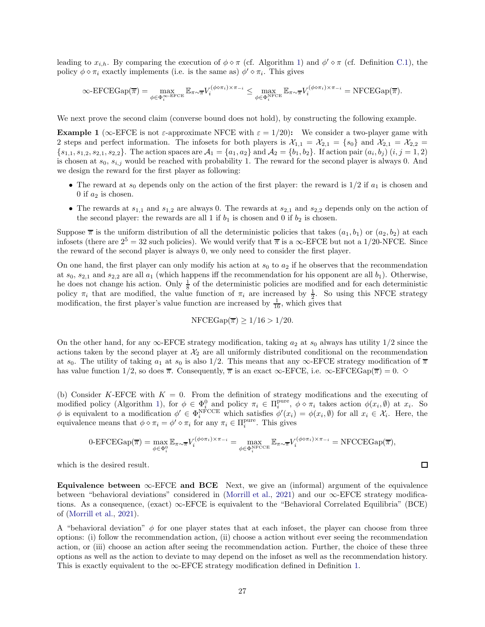leading to  $x_{i,h}$ . By comparing the execution of  $\phi \circ \pi$  (cf. Algorithm [1\)](#page-5-0) and  $\phi' \circ \pi$  (cf. Definition [C.1\)](#page-25-2), the policy  $\phi \diamond \pi_i$  exactly implements (i.e. is the same as)  $\phi' \diamond \pi_i$ . This gives

$$
\infty\text{-EFCEGap}(\overline{\pi}) = \max_{\phi \in \Phi_i^{\infty\text{-EFCE}}} \mathbb{E}_{\pi \sim \overline{\pi}} V_i^{(\phi \circ \pi_i) \times \pi_{-i}} \leq \max_{\phi \in \Phi_i^{\text{NFCE}}} \mathbb{E}_{\pi \sim \overline{\pi}} V_i^{(\phi \circ \pi_i) \times \pi_{-i}} = \text{NFCEGap}(\overline{\pi}).
$$

We next prove the second claim (converse bound does not hold), by constructing the following example.

**Example 1** ( $\infty$ -EFCE is not  $\varepsilon$ -approximate NFCE with  $\varepsilon = 1/20$ ): We consider a two-player game with 2 steps and perfect information. The infosets for both players is  $\mathcal{X}_{1,1} = \mathcal{X}_{2,1} = \{s_0\}$  and  $\mathcal{X}_{2,1} = \mathcal{X}_{2,2} =$  ${s_{1,1}, s_{1,2}, s_{2,1}, s_{2,2}}.$  The action spaces are  $A_1 = {a_1, a_2}$  and  $A_2 = {b_1, b_2}.$  If action pair  $(a_i, b_j)$   $(i, j = 1, 2)$ is chosen at  $s_0, s_{i,j}$  would be reached with probability 1. The reward for the second player is always 0. And we design the reward for the first player as following:

- The reward at  $s_0$  depends only on the action of the first player: the reward is  $1/2$  if  $a_1$  is chosen and 0 if  $a_2$  is chosen.
- The rewards at  $s_{1,1}$  and  $s_{1,2}$  are always 0. The rewards at  $s_{2,1}$  and  $s_{2,2}$  depends only on the action of the second player: the rewards are all 1 if  $b_1$  is chosen and 0 if  $b_2$  is chosen.

Suppose  $\overline{\pi}$  is the uniform distribution of all the deterministic policies that takes  $(a_1, b_1)$  or  $(a_2, b_2)$  at each infosets (there are  $2^5 = 32$  such policies). We would verify that  $\overline{\pi}$  is a  $\infty$ -EFCE but not a 1/20-NFCE. Since the reward of the second player is always 0, we only need to consider the first player.

On one hand, the first player can only modify his action at  $s_0$  to  $a_2$  if he observes that the recommendation at  $s_0$ ,  $s_{2,1}$  and  $s_{2,2}$  are all  $a_1$  (which happens iff the recommendation for his opponent are all  $b_1$ ). Otherwise, he does not change his action. Only  $\frac{1}{8}$  of the deterministic policies are modified and for each deterministic policy  $\pi_i$  that are modified, the value function of  $\pi_i$  are increased by  $\frac{1}{2}$ . So using this NFCE strategy modification, the first player's value function are increased by  $\frac{1}{16}$ , which gives that

$$
\text{NFCEGap}(\overline{\pi}) \ge 1/16 > 1/20.
$$

On the other hand, for any  $\infty$ -EFCE strategy modification, taking  $a_2$  at  $s_0$  always has utility  $1/2$  since the actions taken by the second player at  $\mathcal{X}_2$  are all uniformly distributed conditional on the recommendation at s<sub>0</sub>. The utility of taking  $a_1$  at s<sub>0</sub> is also 1/2. This means that any  $\infty$ -EFCE strategy modification of  $\overline{\pi}$ has value function 1/2, so does  $\bar{\pi}$ . Consequently,  $\bar{\pi}$  is an exact  $\infty$ -EFCE, i.e.  $\infty$ -EFCEGap( $\bar{\pi}$ ) = 0.  $\diamond$ 

(b) Consider K-EFCE with  $K = 0$ . From the definition of strategy modifications and the executing of modified policy (Algorithm [1\)](#page-5-0), for  $\phi \in \Phi_i^0$  and policy  $\pi_i \in \Pi_i^{\text{pure}}$ ,  $\phi \diamond \pi_i$  takes action  $\phi(x_i, \emptyset)$  at  $x_i$ . So  $\phi$  is equivalent to a modification  $\phi' \in \Phi_i^{\text{NFCCE}}$  which satisfies  $\phi'(x_i) = \phi(x_i, \emptyset)$  for all  $x_i \in \mathcal{X}_i$ . Here, the equivalence means that  $\phi \circ \pi_i = \phi' \circ \pi_i$  for any  $\pi_i \in \Pi_i^{\text{pure}}$ . This gives

$$
0\text{-EFCEGap}(\overline{\pi}) = \max_{\phi \in \Phi_i^0} \mathbb{E}_{\pi \sim \overline{\pi}} V_i^{(\phi \circ \pi_i) \times \pi_{-i}} = \max_{\phi \in \Phi_i^{\text{NFCCE}}} \mathbb{E}_{\pi \sim \overline{\pi}} V_i^{(\phi \circ \pi_i) \times \pi_{-i}} = \text{NFCCEGap}(\overline{\pi}),
$$

which is the desired result.

Equivalence between ∞-EFCE and BCE Next, we give an (informal) argument of the equivalence between "behavioral deviations" considered in [\(Morrill et al.](#page-13-5), [2021\)](#page-13-5) and our  $\infty$ -EFCE strategy modifications. As a consequence,  $(exact) \infty$ -EFCE is equivalent to the "Behavioral Correlated Equilibria" (BCE) of [\(Morrill et al.,](#page-13-5) [2021\)](#page-13-5).

A "behavioral deviation"  $\phi$  for one player states that at each infoset, the player can choose from three options: (i) follow the recommendation action, (ii) choose a action without ever seeing the recommendation action, or (iii) choose an action after seeing the recommendation action. Further, the choice of these three options as well as the action to deviate to may depend on the infoset as well as the recommendation history. This is exactly equivalent to the  $\infty$ -EFCE strategy modification defined in Definition [1.](#page-5-7)

 $\Box$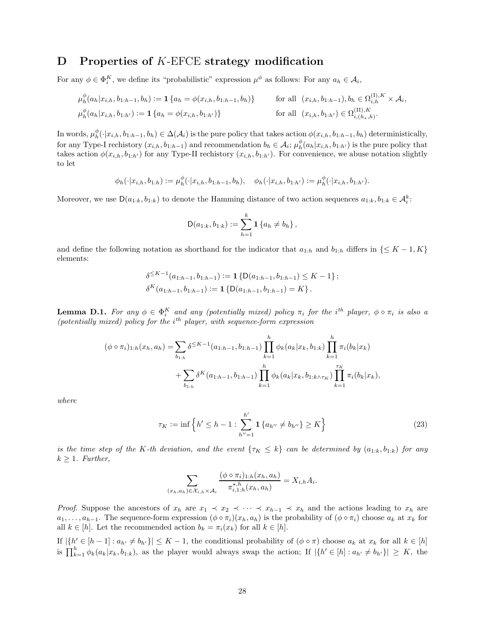## <span id="page-27-0"></span>D Properties of K-EFCE strategy modification

For any  $\phi \in \Phi_i^K$ , we define its "probabilistic" expression  $\mu^{\phi}$  as follows: For any  $a_h \in \mathcal{A}_i$ ,

$$
\mu_h^{\phi}(a_h|x_{i,h}, b_{1:h-1}, b_h) := \mathbf{1} \{ a_h = \phi(x_{i,h}, b_{1:h-1}, b_h) \} \quad \text{for all } (x_{i,h}, b_{1:h-1}), b_h \in \Omega_{i,h}^{(1), K} \times \mathcal{A}_i,
$$
  

$$
\mu_h^{\phi}(a_h|x_{i,h}, b_{1:h'}) := \mathbf{1} \{ a_h = \phi(x_{i,h}, b_{1:h'}) \} \quad \text{for all } (x_{i,h}, b_{1:h'}) \in \Omega_{i,(h_*,h)}^{(II), K}.
$$

In words,  $\mu_h^{\phi}(\cdot|x_{i,h}, b_{1:h-1}, b_h) \in \Delta(\mathcal{A}_i)$  is the pure policy that takes action  $\phi(x_{i,h}, b_{1:h-1}, b_h)$  deterministically, for any Type-I rechistory  $(x_{i,h}, b_{1:h-1})$  and recommendation  $b_h \in \mathcal{A}_i$ ;  $\mu_h^{\phi}(a_h | x_{i,h}, b_{1:h'})$  is the pure policy that takes action  $\phi(x_{i,h}, b_{1:h'})$  for any Type-II rechistory  $(x_{i,h}, b_{1:h'})$ . For convenience, we abuse notation slightly to let

$$
\phi_h(\cdot|x_{i,h},b_{1:h}):=\mu^{\phi}_h(\cdot|x_{i,h},b_{1:h-1},b_h), \quad \phi_h(\cdot|x_{i,h},b_{1:h'}) := \mu^{\phi}_h(\cdot|x_{i,h},b_{1:h'}).
$$

Moreover, we use  $D(a_{1:k}, b_{1:k})$  to denote the Hamming distance of two action sequences  $a_{1:k}, b_{1:k} \in \mathcal{A}_i^k$ :

$$
D(a_{1:k}, b_{1:k}) := \sum_{h=1}^k \mathbf{1} \{a_h \neq b_h\},\,
$$

and define the following notation as shorthand for the indicator that  $a_{1:h}$  and  $b_{1:h}$  differs in { $\leq K-1, K$ } elements:

$$
\delta^{\leq K-1}(a_{1:h-1}, b_{1:h-1}) := \mathbf{1} \left\{ D(a_{1:h-1}, b_{1:h-1}) \leq K - 1 \right\};
$$
  

$$
\delta^K(a_{1:h-1}, b_{1:h-1}) := \mathbf{1} \left\{ D(a_{1:h-1}, b_{1:h-1}) = K \right\}.
$$

<span id="page-27-1"></span>**Lemma D.1.** For any  $\phi \in \Phi_i^K$  and any (potentially mixed) policy  $\pi_i$  for the i<sup>th</sup> player,  $\phi \circ \pi_i$  is also a (potentially mixed) policy for the  $i^{th}$  player, with sequence-form expression

$$
(\phi \diamond \pi_i)_{1:h}(x_h, a_h) = \sum_{b_{1:h}} \delta^{\leq K-1}(a_{1:h-1}, b_{1:h-1}) \prod_{k=1}^h \phi_k(a_k | x_k, b_{1:k}) \prod_{k=1}^h \pi_i(b_k | x_k) + \sum_{b_{1:h}} \delta^K(a_{1:h-1}, b_{1:h-1}) \prod_{k=1}^h \phi_k(a_k | x_k, b_{1:k \wedge \tau_K}) \prod_{k=1}^r \pi_i(b_k | x_k),
$$

where

$$
\tau_K := \inf \left\{ h' \le h - 1 : \sum_{h''=1}^{h'} \mathbf{1} \left\{ a_{h''} \ne b_{h''} \right\} \ge K \right\} \tag{23}
$$

is the time step of the K-th deviation, and the event  $\{\tau_K \leq k\}$  can be determined by  $(a_{1:k}, b_{1:k})$  for any  $k \geq 1$ . Further,

<span id="page-27-2"></span>
$$
\sum_{(x_h, a_h) \in \mathcal{X}_{i,h} \times \mathcal{A}_i} \frac{(\phi \circ \pi_i)_{1:h}(x_h, a_h)}{\pi_{i,1:h}^{\star, h}(x_h, a_h)} = X_{i,h} A_i.
$$

*Proof.* Suppose the ancestors of  $x_h$  are  $x_1 \prec x_2 \prec \cdots \prec x_{h-1} \prec x_h$  and the actions leading to  $x_h$  are  $a_1, \ldots, a_{h-1}$ . The sequence-form expression  $(\phi \circ \pi_i)(x_h, a_h)$  is the probability of  $(\phi \circ \pi_i)$  choose  $a_k$  at  $x_k$  for all  $k \in [h]$ . Let the recommended action  $b_k = \pi_i(x_k)$  for all  $k \in [h]$ .

If  $|\{h' \in [h-1]: a_{h'} \neq b_{h'}\}| \leq K-1$ , the conditional probability of  $(\phi \circ \pi)$  choose  $a_k$  at  $x_k$  for all  $k \in [h]$ is  $\prod_{k=1}^{h} \phi_k(a_k|x_k, b_{1:k})$ , as the player would always swap the action; If  $|\{h' \in [h] : a_{h'} \neq b_{h'}\}| \geq K$ , the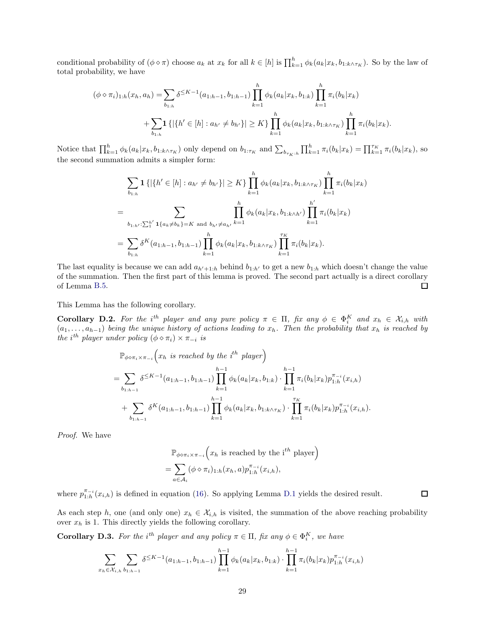conditional probability of  $(\phi \circ \pi)$  choose  $a_k$  at  $x_k$  for all  $k \in [h]$  is  $\prod_{k=1}^h \phi_k(a_k|x_k, b_{1:k \wedge \tau_K})$ . So by the law of total probability, we have

$$
(\phi \diamond \pi_i)_{1:h}(x_h, a_h) = \sum_{b_{1:h}} \delta^{\leq K-1}(a_{1:h-1}, b_{1:h-1}) \prod_{k=1}^h \phi_k(a_k | x_k, b_{1:k}) \prod_{k=1}^h \pi_i(b_k | x_k)
$$
  
+ 
$$
\sum_{b_{1:h}} \mathbf{1} \{ |\{h' \in [h] : a_{h'} \neq b_{h'}\}| \geq K \} \prod_{k=1}^h \phi_k(a_k | x_k, b_{1:k \wedge \tau_K}) \prod_{k=1}^h \pi_i(b_k | x_k).
$$

Notice that  $\prod_{k=1}^{h} \phi_k(a_k|x_k, b_{1:k \wedge \tau_K})$  only depend on  $b_{1:\tau_K}$  and  $\sum_{b_{\tau_K:h}} \prod_{k=1}^{h} \pi_i(b_k|x_k) = \prod_{k=1}^{\tau_K} \pi_i(b_k|x_k)$ , so the second summation admits a simpler form:

$$
\sum_{b_{1:h}} \mathbf{1} \left\{ \left| \{ h' \in [h] : a_{h'} \neq b_{h'} \} \right| \geq K \} \prod_{k=1}^{h} \phi_k(a_k | x_k, b_{1:k \wedge \tau_K}) \prod_{k=1}^{h} \pi_i(b_k | x_k)
$$
  
= 
$$
\sum_{b_{1:h'} : \sum_{1}^{h'} \mathbf{1} \{ a_k \neq b_k \} = K \text{ and } b_{h'} \neq a_{h'} } \prod_{k=1}^{h} \phi_k(a_k | x_k, b_{1:k \wedge h'}) \prod_{k=1}^{h'} \pi_i(b_k | x_k)
$$
  
= 
$$
\sum_{b_{1:h}} \delta^K(a_{1:h-1}, b_{1:h-1}) \prod_{k=1}^{h} \phi_k(a_k | x_k, b_{1:k \wedge \tau_K}) \prod_{k=1}^{\tau_K} \pi_i(b_k | x_k).
$$

The last equality is because we can add  $a_{h'+1:h}$  behind  $b_{1:h'}$  to get a new  $b_{1:h}$  which doesn't change the value of the summation. Then the first part of this lemma is proved. The second part actually is a direct corollary of Lemma [B.5.](#page-22-1)  $\Box$ 

This Lemma has the following corollary.

**Corollary D.2.** For the i<sup>th</sup> player and any pure policy  $\pi \in \Pi$ , fix any  $\phi \in \Phi_i^K$  and  $x_h \in \mathcal{X}_{i,h}$  with  $(a_1, \ldots, a_{h-1})$  being the unique history of actions leading to  $x_h$ . Then the probability that  $x_h$  is reached by the i<sup>th</sup> player under policy  $(\phi \diamond \pi_i) \times \pi_{-i}$  is

$$
\mathbb{P}_{\phi \circ \pi_i \times \pi_{-i}}(x_h \text{ is reached by the } i^{th} \text{ player})
$$
\n
$$
= \sum_{b_{1:h-1}} \delta^{\leq K-1}(a_{1:h-1}, b_{1:h-1}) \prod_{k=1}^{h-1} \phi_k(a_k|x_k, b_{1:k}) \cdot \prod_{k=1}^{h-1} \pi_i(b_k|x_k) p_{1:h}^{\pi_{-i}}(x_{i,h})
$$
\n
$$
+ \sum_{b_{1:h-1}} \delta^K(a_{1:h-1}, b_{1:h-1}) \prod_{k=1}^{h-1} \phi_k(a_k|x_k, b_{1:k \wedge \tau_K}) \cdot \prod_{k=1}^{\tau_K} \pi_i(b_k|x_k) p_{1:h}^{\pi_{-i}}(x_{i,h}).
$$

Proof. We have

$$
\mathbb{P}_{\phi \diamond \pi_i \times \pi_{-i}}(x_h \text{ is reached by the } i^{th} \text{ player})
$$
  
= 
$$
\sum_{a \in A_i} (\phi \diamond \pi_i)_{1:h}(x_h, a) p_{1:h}^{\pi_{-i}}(x_{i,h}),
$$

where  $p_{1:h}^{\pi_{-i}}(x_{i,h})$  is defined in equation [\(16\)](#page-20-3). So applying Lemma [D.1](#page-27-1) yields the desired result.

As each step h, one (and only one)  $x_h \in \mathcal{X}_{i,h}$  is visited, the summation of the above reaching probability over  $x_h$  is 1. This directly yields the following corollary.

 $\Box$ 

<span id="page-28-0"></span>**Corollary D.3.** For the i<sup>th</sup> player and any policy  $\pi \in \Pi$ , fix any  $\phi \in \Phi_i^K$ , we have

$$
\sum_{x_h \in \mathcal{X}_{i,h}} \sum_{b_1 h_1 h_2} \delta^{\leq K-1}(a_{1:h-1}, b_{1:h-1}) \prod_{k=1}^{h-1} \phi_k(a_k | x_k, b_{1:k}) \cdot \prod_{k=1}^{h-1} \pi_i(b_k | x_k) p_{1:h}^{\pi_{-i}}(x_{i,h})
$$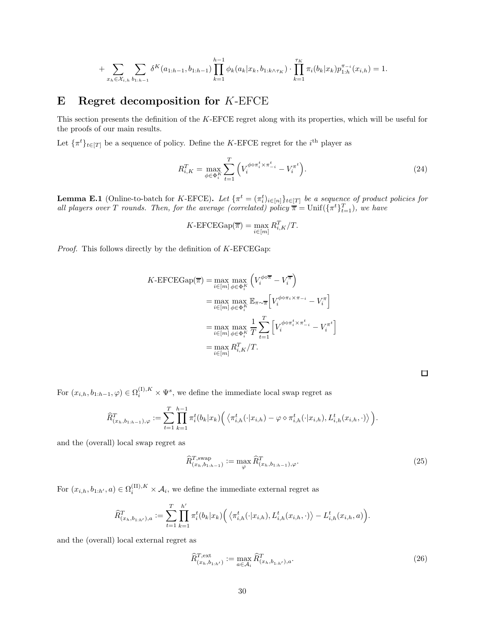$$
+\sum_{x_h \in \mathcal{X}_{i,h}} \sum_{b_{1:h-1}} \delta^K(a_{1:h-1}, b_{1:h-1}) \prod_{k=1}^{h-1} \phi_k(a_k | x_k, b_{1:k \wedge \tau_K}) \cdot \prod_{k=1}^{\tau_K} \pi_i(b_k | x_k) p_{1:h}^{\pi_{-i}}(x_{i,h}) = 1.
$$

## <span id="page-29-1"></span>E Regret decomposition for K-EFCE

This section presents the definition of the K-EFCE regret along with its properties, which will be useful for the proofs of our main results.

Let  $\{\pi^t\}_{t\in[T]}$  be a sequence of policy. Define the K-EFCE regret for the  $i^{\text{th}}$  player as

$$
R_{i,K}^T = \max_{\phi \in \Phi_i^K} \sum_{t=1}^T \left( V_i^{\phi \diamond \pi_i^t \times \pi_{-i}^t} - V_i^{\pi^t} \right).
$$
 (24)

<span id="page-29-0"></span>**Lemma E.1** (Online-to-batch for K-EFCE). Let  $\{\pi^t = (\pi_i^t)_{i \in [n]}\}_{t \in [T]}$  be a sequence of product policies for all players over T rounds. Then, for the average (correlated) policy  $\pi = \text{Unif}(\{\pi^t\}_{t=1}^T)$ , we have

$$
K\text{-EFCEGap}(\overline{\pi}) = \max_{i \in [m]} R_{i,K}^T / T.
$$

*Proof.* This follows directly by the definition of  $K$ -EFCEGap:

$$
K\text{-EFCEGap}(\overline{\pi}) = \max_{i \in [m]} \max_{\phi \in \Phi_i^K} \left( V_i^{\phi \circ \overline{\pi}} - V_i^{\overline{\pi}} \right)
$$
  

$$
= \max_{i \in [m]} \max_{\phi \in \Phi_i^K} \mathbb{E}_{\pi \sim \overline{\pi}} \left[ V_i^{\phi \circ \pi_i \times \pi_{-i}} - V_i^{\pi} \right]
$$
  

$$
= \max_{i \in [m]} \max_{\phi \in \Phi_i^K} \frac{1}{T} \sum_{t=1}^T \left[ V_i^{\phi \circ \pi_i^t \times \pi_{-i}^t} - V_i^{\pi^t} \right]
$$
  

$$
= \max_{i \in [m]} R_{i,K}^T / T.
$$

<span id="page-29-3"></span><span id="page-29-2"></span>

For  $(x_{i,h}, b_{1:h-1}, \varphi) \in \Omega_i^{(1), K} \times \Psi^s$ , we define the immediate local swap regret as

$$
\widehat{R}_{(x_h,b_{1:h-1}),\varphi}^T := \sum_{t=1}^T \prod_{k=1}^{h-1} \pi_i^t(b_k|x_k) \Big( \langle \pi_{i,h}^t(\cdot|x_{i,h}) - \varphi \diamond \pi_{i,h}^t(\cdot|x_{i,h}), L_{i,h}^t(x_{i,h},\cdot) \rangle \Big).
$$

and the (overall) local swap regret as

$$
\widehat{R}_{(x_h, b_{1:h-1})}^{T, \text{swap}} := \max_{\varphi} \widehat{R}_{(x_h, b_{1:h-1}), \varphi}^{T}.
$$
\n(25)

For  $(x_{i,h}, b_{1:h'}, a) \in \Omega_i^{(II), K} \times \mathcal{A}_i$ , we define the immediate external regret as

$$
\widehat{R}_{(x_h, b_{1:h'}) , a}^T := \sum_{t=1}^T \prod_{k=1}^{h'} \pi_i^t(b_k | x_k) \Big( \langle \pi_{i,h}^t(\cdot | x_{i,h}), L_{i,h}^t(x_{i,h}, \cdot) \rangle - L_{i,h}^t(x_{i,h}, a) \Big).
$$

and the (overall) local external regret as

$$
\widehat{R}_{(x_h, b_{1:h'})}^{T, \text{ext}} := \max_{a \in \mathcal{A}_i} \widehat{R}_{(x_h, b_{1:h'})}^T, \tag{26}
$$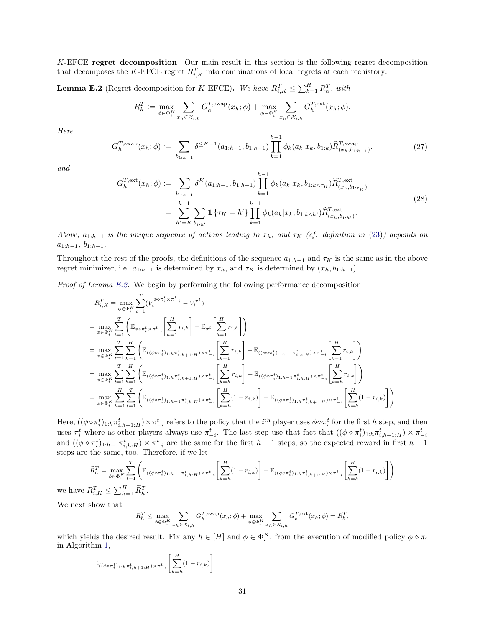K-EFCE regret decomposition Our main result in this section is the following regret decomposition that decomposes the K-EFCE regret  $R_{i,K}^T$  into combinations of local regrets at each rechistory.

<span id="page-30-0"></span>**Lemma E.2** (Regret decomposition for K-EFCE). We have  $R_{i,K}^T \leq \sum_{h=1}^H R_h^T$ , with

$$
R_h^T := \max_{\phi \in \Phi_i^K} \sum_{x_h \in \mathcal{X}_{i,h}} G_h^{T, \text{swap}}(x_h; \phi) + \max_{\phi \in \Phi_i^K} \sum_{x_h \in \mathcal{X}_{i,h}} G_h^{T, \text{ext}}(x_h; \phi).
$$

Here

$$
G_h^{T,\text{swap}}(x_h; \phi) := \sum_{b_{1:h-1}} \delta^{\leq K-1}(a_{1:h-1}, b_{1:h-1}) \prod_{k=1}^{h-1} \phi_k(a_k | x_k, b_{1:k}) \widehat{R}_{(x_h, b_{1:h-1})}^{T,\text{swap}},
$$
\n(27)

and

$$
G_{h}^{T,\text{ext}}(x_{h};\phi) := \sum_{b_{1:h-1}} \delta^{K}(a_{1:h-1}, b_{1:h-1}) \prod_{k=1}^{h-1} \phi_{k}(a_{k}|x_{k}, b_{1:k \wedge \tau_{K}}) \widehat{R}_{(x_{h}, b_{1:\tau_{K}})}^{T,\text{ext}}
$$
  

$$
= \sum_{h'=K}^{h-1} \sum_{b_{1:h'}} \mathbf{1} \left\{ \tau_{K} = h' \right\} \prod_{k=1}^{h-1} \phi_{k}(a_{k}|x_{k}, b_{1:k \wedge h'}) \widehat{R}_{(x_{h}, b_{1:h'})}^{T,\text{ext}}.
$$
 (28)

Above,  $a_{1:h-1}$  is the unique sequence of actions leading to  $x_h$ , and  $\tau_K$  (cf. definition in [\(23\)](#page-27-2)) depends on  $a_{1:h-1}, b_{1:h-1}.$ 

Throughout the rest of the proofs, the definitions of the sequence  $a_{1:h-1}$  and  $\tau_K$  is the same as in the above regret minimizer, i.e.  $a_{1:h-1}$  is determined by  $x_h$ , and  $\tau_K$  is determined by  $(x_h, b_{1:h-1})$ .

Proof of Lemma [E.2.](#page-30-0) We begin by performing the following performance decomposition

$$
R_{i,K}^{T} = \max_{\phi \in \Phi_{i}^{K}} \sum_{t=1}^{T} (V_{i}^{\phi \circ \pi_{i}^{t} \times \pi_{-i}^{t}} - V_{i}^{\pi^{t}})
$$
  
\n
$$
= \max_{\phi \in \Phi_{i}^{K}} \sum_{t=1}^{T} \left( \mathbb{E}_{\phi \circ \pi_{i}^{t} \times \pi_{-i}^{t}} \left[ \sum_{h=1}^{H} r_{i,h} \right] - \mathbb{E}_{\pi^{t}} \left[ \sum_{h=1}^{H} r_{i,h} \right] \right)
$$
  
\n
$$
= \max_{\phi \in \Phi_{i}^{K}} \sum_{t=1}^{T} \sum_{h=1}^{H} \left( \mathbb{E}_{((\phi \circ \pi_{i}^{t})_{1:h} \pi_{i,h+1:H}^{t}) \times \pi_{-i}^{t}} \left[ \sum_{k=1}^{H} r_{i,k} \right] - \mathbb{E}_{((\phi \circ \pi_{i}^{t})_{1:h-1} \pi_{i,h:H}^{t}) \times \pi_{-i}^{t}} \left[ \sum_{k=1}^{H} r_{i,k} \right] \right)
$$
  
\n
$$
= \max_{\phi \in \Phi_{i}^{K}} \sum_{t=1}^{T} \sum_{h=1}^{H} \left( \mathbb{E}_{((\phi \circ \pi_{i}^{t})_{1:h} \pi_{i,h+1:H}^{t}) \times \pi_{-i}^{t}} \left[ \sum_{k=h}^{H} r_{i,k} \right] - \mathbb{E}_{((\phi \circ \pi_{i}^{t})_{1:h-1} \pi_{i,h:H}^{t}) \times \pi_{-i}^{t}} \left[ \sum_{k=h}^{H} r_{i,k} \right] \right)
$$
  
\n
$$
= \max_{\phi \in \Phi_{i}^{K}} \sum_{h=1}^{H} \sum_{t=1}^{T} \left( \mathbb{E}_{((\phi \circ \pi_{i}^{t})_{1:h-1} \pi_{i,h:H}^{t}) \times \pi_{-i}^{t}} \left[ \sum_{k=h}^{H} (1-r_{i,k}) \right] - \mathbb{E}_{((\phi \circ \pi_{i}^{t})_{1:h} \pi_{i,h+1:H}^{t}) \times \pi_{-i}^{t}} \left[ \sum_{k=h}^{H} (1-r_{i,k})
$$

Here,  $((\phi \diamond \pi_i^t)_{1:h} \pi_{i,h+1:H}^t) \times \pi_{-i}^t$  refers to the policy that the  $i^{\text{th}}$  player uses  $\phi \diamond \pi_i^t$  for the first h step, and then uses  $\pi_i^t$  where as other players always use  $\pi_{-i}^t$ . The last step use that fact that  $((\phi \circ \pi_i^t)_{1:h} \pi_{i,h+1:H}^t) \times \pi_{-i}^t$ and  $((\phi \circ \pi_i^t)_{1:h-1} \pi_{i,h:H}^t) \times \pi_{-i}^t$  are the same for the first  $h-1$  steps, so the expected reward in first  $h-1$ steps are the same, too. Therefore, if we let

$$
\widetilde{R}_{h}^{T} = \max_{\phi \in \Phi_{i}^{K}} \sum_{t=1}^{T} \left( \mathbb{E}_{( (\phi \circ \pi_{i}^{t})_{1:h-1} \pi_{i,h:H}^{t}) \times \pi_{-i}^{t}} \left[ \sum_{k=h}^{H} (1-r_{i,k}) \right] - \mathbb{E}_{( (\phi \circ \pi_{i}^{t})_{1:h} \pi_{i,h+1:H}^{t}) \times \pi_{-i}^{t}} \left[ \sum_{k=h}^{H} (1-r_{i,k}) \right] \right)
$$
\n
$$
R_{i,K}^{T} \leq \sum_{h=1}^{H} \widetilde{R}_{h}^{T}.
$$

we have  $R_{i,K}^T \leq \sum_{h=1}^H \widetilde{R}_{h}^T$ 

We next show that

$$
\widetilde{R}_h^T \leq \max_{\phi \in \Phi_i^K} \sum_{x_h \in \mathcal{X}_{i,h}} G_h^{T,\text{swap}}(x_h; \phi) + \max_{\phi \in \Phi_i^K} \sum_{x_h \in \mathcal{X}_{i,h}} G_h^{T,\text{ext}}(x_h; \phi) = R_h^T,
$$

which yields the desired result. Fix any  $h \in [H]$  and  $\phi \in \Phi_i^K$ , from the execution of modified policy  $\phi \diamond \pi_i$ in Algorithm [1,](#page-5-0)

$$
\mathbb{E}_{\left((\phi \circ \pi_i^t)_{1:h} \pi_{i,h+1:H}^t\right) \times \pi_{-i}^t} \left[\sum_{k=h}^H (1 - r_{i,k})\right]
$$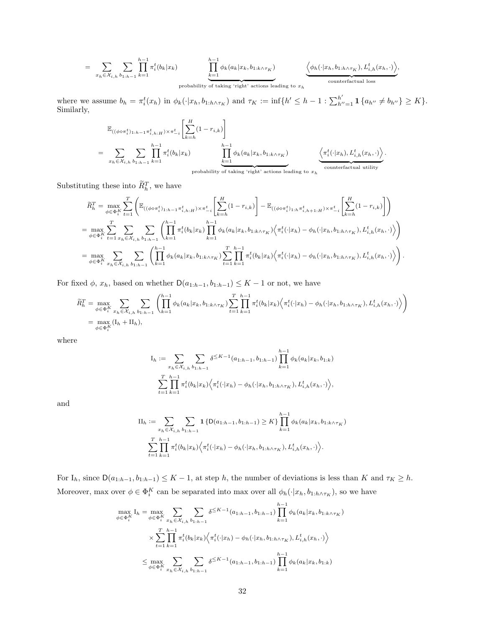$$
= \sum_{x_h \in \mathcal{X}_{i,h}} \sum_{b_{1:h-1}} \prod_{k=1}^{h-1} \pi_i^t(b_k|x_k) \prod_{\substack{k=1 \ \text{probability of taking 'right' actions leading to } x_h}}^{h-1} \underbrace{\phi_h(\cdot|x_h, b_{1:h \wedge \tau_K}), L_{i,h}^t(x_h, \cdot))}_{\text{counterfactual loss}},
$$

where we assume  $b_h = \pi_i^t(x_h)$  in  $\phi_k(\cdot|x_h, b_{1:h \wedge \tau_K})$  and  $\tau_K := \inf\{h' \leq h-1 : \sum_{h''=1}^{h'} \mathbf{1} \{a_{h''} \neq b_{h''}\} \geq K\}.$ Similarly,

$$
\mathbb{E}_{((\phi \circ \pi_i^t)_{1:h-1} \pi_{i,h:H}^t) \times \pi_{-i}^t} \left[ \sum_{k=h}^H (1-r_{i,k}) \right]
$$
\n
$$
= \sum_{x_h \in \mathcal{X}_{i,h}} \sum_{b_{1:h-1}} \prod_{k=1}^{h-1} \pi_i^t(b_k|x_k) \prod_{\substack{k=1 \ \text{probability} \ \text{probability} \ \text{of taking 'right' actions leading to } x_h}}^{h-1} \underbrace{\left\langle \pi_i^t(\cdot|x_h), L_{i,h}^t(x_h, \cdot) \right\rangle}_{\text{counterfactual utility}}
$$

.

.

Substituting these into  $\overline{R}_h^T$ , we have

$$
\begin{split} &\widetilde{R}_{h}^{T}=\max_{\phi\in\Phi_{i}^{K}}\sum_{t=1}^{T}\left(\mathbb{E}_{((\phi\circ\pi_{i}^{t})_{1:h-1}\pi_{i,h:H}^{t})\times\pi_{-i}^{t}}\left[\sum_{k=h}^{H}(1-r_{i,k})\right]-\mathbb{E}_{((\phi\circ\pi_{i}^{t})_{1:h}\pi_{i,h+1:H}^{t})\times\pi_{-i}^{t}}\left[\sum_{k=h}^{H}(1-r_{i,k})\right]\right) \\ &=\max_{\phi\in\Phi_{i}^{K}}\sum_{t=1}^{T}\sum_{x_{h}\in\mathcal{X}_{i,h}}\sum_{b_{1:h-1}}\left(\prod_{k=1}^{h-1}\pi_{i}^{t}(b_{k}|x_{k})\prod_{k=1}^{h-1}\phi_{k}(a_{k}|x_{k},b_{1:k\wedge\tau_{K}})\left\langle\pi_{i}^{t}(\cdot|x_{h})-\phi_{h}(\cdot|x_{h},b_{1:h\wedge\tau_{K}}),L_{i,h}^{t}(x_{h},\cdot)\right\rangle\right) \\ &=\max_{\phi\in\Phi_{i}^{K}}\sum_{x_{h}\in\mathcal{X}_{i,h}}\sum_{b_{1:h-1}}\left(\prod_{k=1}^{h-1}\phi_{k}(a_{k}|x_{k},b_{1:k\wedge\tau_{K}})\sum_{t=1}^{T}\prod_{k=1}^{h-1}\pi_{i}^{t}(b_{k}|x_{k})\left\langle\pi_{i}^{t}(\cdot|x_{h})-\phi_{h}(\cdot|x_{h},b_{1:h\wedge\tau_{K}}),L_{i,h}^{t}(x_{h},\cdot)\right\rangle\right) \end{split}
$$

For fixed  $\phi$ ,  $x_h$ , based on whether  $D(a_{1:h-1}, b_{1:h-1}) \leq K - 1$  or not, we have

$$
\widetilde{R}_{h}^{T} = \max_{\phi \in \Phi_{i}^{K}} \sum_{x_{h} \in \mathcal{X}_{i,h}} \sum_{b_{1:h-1}} \left( \prod_{k=1}^{h-1} \phi_{k}(a_{k}|x_{k}, b_{1:k \wedge \tau_{K}}) \sum_{t=1}^{T} \prod_{k=1}^{h-1} \pi_{i}^{t}(b_{k}|x_{k}) \left\langle \pi_{i}^{t}(\cdot|x_{h}) - \phi_{h}(\cdot|x_{h}, b_{1:h \wedge \tau_{K}}), L_{i,h}^{t}(x_{h}, \cdot) \right\rangle \right) \n= \max_{\phi \in \Phi_{i}^{K}} (I_{h} + II_{h}),
$$

where

$$
I_h := \sum_{x_h \in \mathcal{X}_{i,h}} \sum_{b_1: h-1} \delta^{\leq K-1}(a_{1:h-1}, b_{1:h-1}) \prod_{k=1}^{h-1} \phi_k(a_k | x_k, b_{1:k})
$$
  

$$
\sum_{t=1}^T \prod_{k=1}^{h-1} \pi_i^t(b_k | x_k) \Big\langle \pi_i^t(\cdot | x_h) - \phi_h(\cdot | x_h, b_{1:h \wedge \tau_K}), L_{i,h}^t(x_h, \cdot) \Big\rangle,
$$

and

$$
\Pi_h := \sum_{x_h \in \mathcal{X}_{i,h}} \sum_{b_{1:h-1}} \mathbf{1} \left\{ D(a_{1:h-1}, b_{1:h-1}) \ge K \right\} \prod_{k=1}^{h-1} \phi_k(a_k | x_k, b_{1:k \wedge \tau_K})
$$
  

$$
\sum_{t=1}^T \prod_{k=1}^{h-1} \pi_i^t(b_k | x_k) \Big\langle \pi_i^t(\cdot | x_h) - \phi_h(\cdot | x_h, b_{1:h \wedge \tau_K}), L_{i,h}^t(x_h, \cdot) \Big\rangle.
$$

For  $I_h$ , since  $D(a_{1:h-1}, b_{1:h-1}) \leq K - 1$ , at step h, the number of deviations is less than K and  $\tau_K \geq h$ . Moreover, max over  $\phi \in \Phi_i^K$  can be separated into max over all  $\phi_h(\cdot|x_h, b_{1:h \wedge \tau_K})$ , so we have

$$
\max_{\phi \in \Phi_i^K} I_h = \max_{\phi \in \Phi_i^K} \sum_{x_h \in \mathcal{X}_{i,h}} \sum_{b_{1:h-1}} \delta^{\leq K-1}(a_{1:h-1}, b_{1:h-1}) \prod_{k=1}^{h-1} \phi_k(a_k | x_k, b_{1:k \wedge \tau_K})
$$
  

$$
\times \sum_{t=1}^T \prod_{k=1}^{h-1} \pi_i^t(b_k | x_k) \Big\langle \pi_i^t(\cdot | x_h) - \phi_h(\cdot | x_h, b_{1:h \wedge \tau_K}), L_{i,h}^t(x_h, \cdot) \Big\rangle
$$
  

$$
\leq \max_{\phi \in \Phi_i^K} \sum_{x_h \in \mathcal{X}_{i,h}} \sum_{b_{1:h-1}} \delta^{\leq K-1}(a_{1:h-1}, b_{1:h-1}) \prod_{k=1}^{h-1} \phi_k(a_k | x_k, b_{1:k})
$$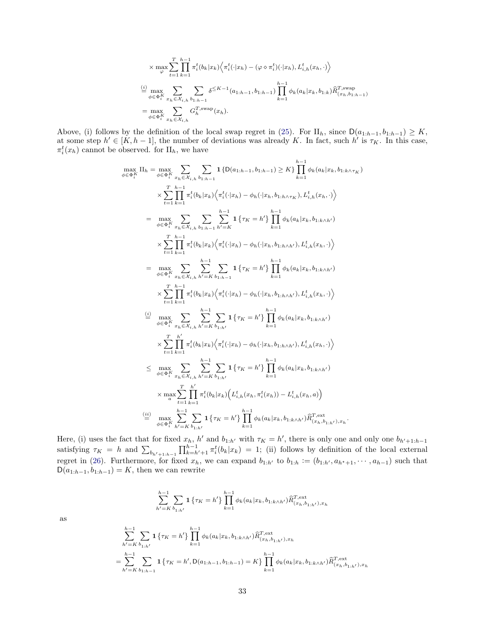$$
\times \max_{\varphi} \sum_{t=1}^{T} \prod_{k=1}^{h-1} \pi_{i}^{t}(b_{k}|x_{k}) \Big\langle \pi_{i}^{t}(\cdot|x_{h}) - (\varphi \diamond \pi_{i}^{t})(\cdot|x_{h}), L_{i,h}^{t}(x_{h}, \cdot) \Big\rangle
$$
  
\n
$$
\stackrel{(i)}{=} \max_{\phi \in \Phi_{i}^{K}} \sum_{x_{h} \in \mathcal{X}_{i,h}} \sum_{b_{1:h-1}} \delta^{\leq K-1}(a_{1:h-1}, b_{1:h-1}) \prod_{k=1}^{h-1} \phi_{k}(a_{k}|x_{k}, b_{1:k}) \widehat{R}_{(x_{h}, b_{1:h-1})}^{T, \text{swap}}
$$
  
\n
$$
= \max_{\phi \in \Phi_{i}^{K}} \sum_{x_{h} \in \mathcal{X}_{i,h}} G_{h}^{T, \text{swap}}(x_{h}).
$$

Above, (i) follows by the definition of the local swap regret in [\(25\)](#page-29-2). For  $\text{II}_h$ , since  $\text{D}(a_{1:h-1}, b_{1:h-1}) \geq K$ , at some step  $h' \in [K, h-1]$ , the number of deviations was already K. In fact, such  $h'$  is  $\tau_K$ . In this case,  $\pi_i^t(x_h)$  cannot be observed. for  $\text{II}_h$ , we have

$$
\max_{\phi \in \Phi_{i}^{K}} \Pi_{h} = \max_{\phi \in \Phi_{i}^{K}} \sum_{x_{h} \in \mathcal{X}_{i,h}} \sum_{b_{1:h-1}} 1 \{D(a_{1:h-1}, b_{1:h-1}) \geq K\} \prod_{k=1}^{h-1} \phi_{k}(a_{k}|x_{k}, b_{1:k \wedge \tau_{K}})
$$
\n
$$
\times \sum_{t=1}^{T} \sum_{k=1}^{h-1} \pi_{i}^{t}(b_{k}|x_{k}) \Big\langle \pi_{i}^{t}(\cdot|x_{h}) - \phi_{h}(\cdot|x_{h}, b_{1:h \wedge \tau_{K}}), L_{i,h}^{t}(x_{h}, \cdot) \Big\rangle
$$
\n
$$
= \max_{\phi \in \Phi_{i}^{K}} \sum_{x_{h} \in \mathcal{X}_{i,h}} \sum_{b_{1:h-1}} \sum_{h'=K}^{h-1} 1 \{ \tau_{K} = h' \} \prod_{k=1}^{h-1} \phi_{k}(a_{k}|x_{k}, b_{1:k \wedge h'})
$$
\n
$$
\times \sum_{t=1}^{T} \prod_{k=1}^{h-1} \pi_{i}^{t}(b_{k}|x_{k}) \Big\langle \pi_{i}^{t}(\cdot|x_{h}) - \phi_{h}(\cdot|x_{h}, b_{1:h \wedge h'}), L_{i,h}^{t}(x_{h}, \cdot) \Big\rangle
$$
\n
$$
= \max_{\phi \in \Phi_{i}^{K}} \sum_{x_{h} \in \mathcal{X}_{i,h}} \sum_{h'=K} \sum_{b_{1:h-1}} 1 \{ \tau_{K} = h' \} \prod_{k=1}^{h-1} \phi_{k}(a_{k}|x_{k}, b_{1:k \wedge h'})
$$
\n
$$
\times \sum_{t=1}^{T} \prod_{k=1}^{h-1} \pi_{i}^{t}(b_{k}|x_{k}) \Big\langle \pi_{i}^{t}(\cdot|x_{h}) - \phi_{h}(\cdot|x_{h}, b_{1:h \wedge h'}), L_{i,h}^{t}(x_{h}, \cdot) \Big\rangle
$$
\n
$$
\stackrel{\text{(i)}{\leq}}{\leq} \max_{\phi \in \Phi_{i}^{K}} \sum_{x_{h} \in \mathcal{X}_{i,h}} \sum_{h'=K} \sum_{b_{1:h'}} 1 \{ \tau_{K} = h
$$

Here, (i) uses the fact that for fixed  $x_h$ , h' and  $b_{1:h'}$  with  $\tau_K = h'$ , there is only one and only one  $b_{h'+1:h-1}$ satisfying  $\tau_K = h$  and  $\sum_{b_{h'+1:h-1}} \prod_{k=h'+1}^{h-1} \pi_i^t(b_k|x_k) = 1$ ; (ii) follows by definition of the local external regret in [\(26\)](#page-29-3). Furthermore, for fixed  $x_h$ , we can expand  $b_{1:h'}$  to  $b_{1:h} := (b_{1:h'}, a_{h^*+1}, \dots, a_{h-1})$  such that  $D(a_{1:h-1}, b_{1:h-1}) = K$ , then we can rewrite

$$
\sum_{h'=K}^{h-1} \sum_{b_{1:h'}} \mathbf{1}\left\{\tau_K = h'\right\} \prod_{k=1}^{h-1} \phi_k(a_k|x_k,b_{1:k\wedge h'}) \widehat{R}^{T,\text{ext}}_{(x_h,b_{1:h'}) , x_h}
$$

$$
\sum_{h'=K}^{h-1} \sum_{b_{1:h'}} \mathbf{1} \left\{ \tau_K = h' \right\} \prod_{k=1}^{h-1} \phi_k(a_k | x_k, b_{1:k \wedge h'}) \widehat{R}_{(x_h, b_{1:h'}), x_h}^{T, \text{ext}}
$$
  
= 
$$
\sum_{h'=K}^{h-1} \sum_{b_{1:h-1}} \mathbf{1} \left\{ \tau_K = h', \mathsf{D}(a_{1:h-1}, b_{1:h-1}) = K \right\} \prod_{k=1}^{h-1} \phi_k(a_k | x_k, b_{1:k \wedge h'}) \widehat{R}_{(x_h, b_{1:h'}), x_h}^{T, \text{ext}}
$$

as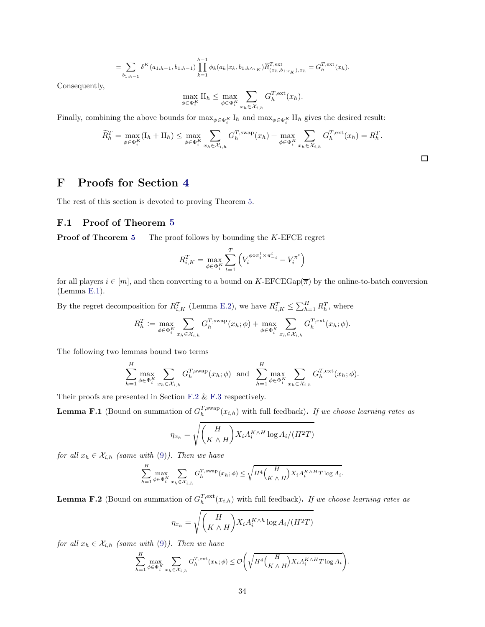$$
= \sum_{b_{1:h-1}} \delta^K(a_{1:h-1}, b_{1:h-1}) \prod_{k=1}^{h-1} \phi_k(a_k | x_k, b_{1:k \wedge \tau_K}) \widehat{R}_{(x_h, b_{1:\tau_K}), x_h}^{T, \text{ext}} = G_h^{T, \text{ext}}(x_h).
$$

Consequently,

$$
\max_{\phi \in \Phi_i^K} \Pi_h \leq \max_{\phi \in \Phi_i^K} \sum_{x_h \in \mathcal{X}_{i,h}} G_h^{T,\text{ext}}(x_h).
$$

Finally, combining the above bounds for  $\max_{\phi \in \Phi_i^K} I_h$  and  $\max_{\phi \in \Phi_i^K} II_h$  gives the desired result:

$$
\widetilde{R}_h^T = \max_{\phi \in \Phi_i^K} (\mathbf{I}_h + \mathbf{II}_h) \le \max_{\phi \in \Phi_i^K} \sum_{x_h \in \mathcal{X}_{i,h}} G_h^{T, \text{swap}}(x_h) + \max_{\phi \in \Phi_i^K} \sum_{x_h \in \mathcal{X}_{i,h}} G_h^{T, \text{ext}}(x_h) = R_h^T.
$$

 $\Box$ 

## <span id="page-33-3"></span>F Proofs for Section [4](#page-6-0)

<span id="page-33-2"></span>The rest of this section is devoted to proving Theorem [5.](#page-7-6)

#### F.1 Proof of Theorem [5](#page-7-6)

**Proof of Theorem [5](#page-7-6)** The proof follows by bounding the K-EFCE regret

$$
R_{i,K}^T = \max_{\phi \in \Phi_i^K} \sum_{t=1}^T \left( V_i^{\phi \diamond \pi_i^t \times \pi_{-i}^t} - V_i^{\pi^t} \right)
$$

for all players  $i \in [m]$ , and then converting to a bound on K-EFCEGap( $\overline{\pi}$ ) by the online-to-batch conversion (Lemma [E.1\)](#page-29-0).

By the regret decomposition for  $R_{i,K}^T$  (Lemma [E.2\)](#page-30-0), we have  $R_{i,K}^T \leq \sum_{h=1}^H R_h^T$ , where

$$
R_h^T := \max_{\phi \in \Phi_i^K} \sum_{x_h \in \mathcal{X}_{i,h}} G_h^{T,\text{swap}}(x_h;\phi) + \max_{\phi \in \Phi_i^K} \sum_{x_h \in \mathcal{X}_{i,h}} G_h^{T,\text{ext}}(x_h;\phi).
$$

The following two lemmas bound two terms

$$
\sum_{h=1}^{H} \max_{\phi \in \Phi_i^K} \sum_{x_h \in \mathcal{X}_{i,h}} G_h^{T, \text{swap}}(x_h; \phi) \text{ and } \sum_{h=1}^{H} \max_{\phi \in \Phi_i^K} \sum_{x_h \in \mathcal{X}_{i,h}} G_h^{T, \text{ext}}(x_h; \phi).
$$

Their proofs are presented in Section [F.2](#page-34-1) & [F.3](#page-36-0) respectively.

<span id="page-33-0"></span>**Lemma F.1** (Bound on summation of  $G_h^{T,\text{swap}}(x_{i,h})$  with full feedback). If we choose learning rates as

$$
\eta_{x_h} = \sqrt{\binom{H}{K \wedge H}} X_i A_i^{K \wedge H} \log A_i / (H^2 T)
$$

for all  $x_h \in \mathcal{X}_{i,h}$  (same with [\(9\)](#page-7-5)). Then we have

$$
\sum_{h=1}^H \max_{\phi \in \Phi_i^K} \sum_{x_h \in \mathcal{X}_{i,h}} G_h^{T, \text{swap}}(x_h; \phi) \le \sqrt{H^4 \binom{H}{K \wedge H} X_i A_i^{K \wedge H} T \log A_i}.
$$

<span id="page-33-1"></span>**Lemma F.2** (Bound on summation of  $G_h^{T,\text{ext}}(x_{i,h})$  with full feedback). If we choose learning rates as

$$
\eta_{x_h} = \sqrt{\binom{H}{K \wedge H} X_i A_i^{K \wedge h} \log A_i / (H^2 T)}
$$

for all  $x_h \in \mathcal{X}_{i,h}$  (same with [\(9\)](#page-7-5)). Then we have

$$
\sum_{h=1}^H \max_{\phi \in \Phi_i^K} \sum_{x_h \in \mathcal{X}_{i,h}} G_h^{T,\textnormal{ext}}(x_h;\phi) \leq \mathcal{O}\Bigg(\sqrt{H^4\binom{H}{K \wedge H} X_iA_i^{K \wedge H} T \log A_i}\Bigg).
$$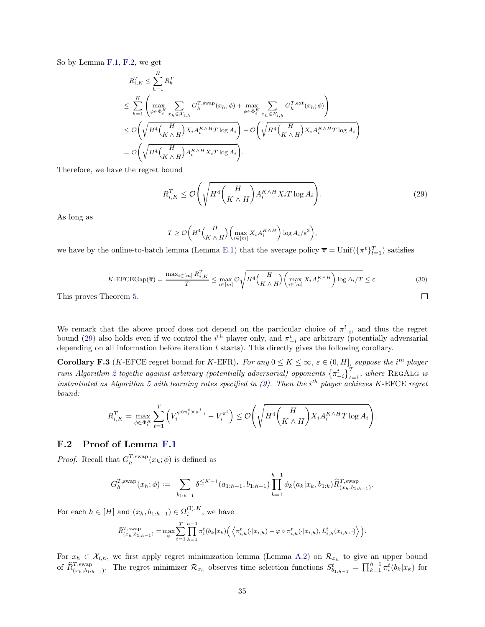So by Lemma [F.1,](#page-33-0) [F.2,](#page-33-1) we get

$$
R_{i,K}^T \leq \sum_{h=1}^H R_h^T
$$
  
\n
$$
\leq \sum_{h=1}^H \left( \max_{\phi \in \Phi_i^K} \sum_{x_h \in \mathcal{X}_{i,h}} G_h^{T,\text{swap}}(x_h; \phi) + \max_{\phi \in \Phi_i^K} \sum_{x_h \in \mathcal{X}_{i,h}} G_h^{T,\text{ext}}(x_h; \phi) \right)
$$
  
\n
$$
\leq \mathcal{O}\left(\sqrt{H^4 \left(\frac{H}{K \wedge H}\right) X_i A_i^{K \wedge H} T \log A_i}\right) + \mathcal{O}\left(\sqrt{H^4 \left(\frac{H}{K \wedge H}\right) X_i A_i^{K \wedge H} T \log A_i}\right)
$$
  
\n
$$
= \mathcal{O}\left(\sqrt{H^4 \left(\frac{H}{K \wedge H}\right) A_i^{K \wedge H} X_i T \log A_i}\right).
$$

Therefore, we have the regret bound

$$
R_{i,K}^T \le \mathcal{O}\left(\sqrt{H^4 \left(\frac{H}{K \wedge H}\right) A_i^{K \wedge H} X_i T \log A_i}\right). \tag{29}
$$

As long as

<span id="page-34-2"></span>
$$
T \geq \mathcal{O}\bigg(H^4\binom{H}{K\wedge H}\bigg(\max_{i\in[m]} X_iA_i^{K\wedge H}\bigg)\log A_i/\varepsilon^2\bigg),
$$

we have by the online-to-batch lemma (Lemma [E.1\)](#page-29-0) that the average policy  $\bar{\pi} = \text{Unif}(\{\pi^t\}_{t=1}^T)$  satisfies

$$
K\text{-EFCEGap}(\overline{\pi}) = \frac{\max_{i \in [m]} R_{i,K}^T}{T} \le \max_{i \in [m]} \mathcal{O}\sqrt{H^4\binom{H}{K \wedge H}\binom{\max_{i \in [m]} X_i A_i^{K \wedge H}}{\max_{i \in [m]} X_i A_i^{K \wedge H}} \log A_i / T} \le \varepsilon.
$$
\n(30)

This proves Theorem [5.](#page-7-6)

We remark that the above proof does not depend on the particular choice of  $\pi_{-i}^t$ , and thus the regret we remark that the above proof does not depend on the particular choice of  $\pi_{-i}$ , and thus the regret bound [\(29\)](#page-34-2) also holds even if we control the *i*<sup>th</sup> player only, and  $\pi_{-i}^t$  are arbitrary (potentially adversar depending on all information before iteration  $t$  starts). This directly gives the following corollary.

<span id="page-34-0"></span>**Corollary F.3** (K-EFCE regret bound for K-EFR). For any  $0 \le K \le \infty$ ,  $\varepsilon \in (0, H]$ , suppose the i<sup>th</sup> player runs Algorithm [2](#page-7-0) togethe against arbitrary (potentially adversarial) opponents  $\{\pi_{-i}^t\}_{t=1}^T$ , where REGALG is instantiated as Algorithm [5](#page-15-0) with learning rates specified in  $(9)$ . Then the i<sup>th</sup> player achieves K-EFCE regret bound:

$$
R_{i,K}^T = \max_{\phi \in \Phi_i^K} \sum_{t=1}^T \left( V_i^{\phi \diamond \pi_i^t \times \pi_{-i}^t} - V_i^{\pi^t} \right) \leq \mathcal{O}\left(\sqrt{H^4 \left( \frac{H}{K \wedge H} \right) X_i A_i^{K \wedge H} T \log A_i} \right).
$$

#### <span id="page-34-1"></span>F.2 Proof of Lemma [F.1](#page-33-0)

*Proof.* Recall that  $G_h^{T,\text{swap}}(x_h; \phi)$  is defined as

$$
G_h^{T,\text{swap}}(x_h;\phi) := \sum_{b_{1:h-1}} \delta^{\leq K-1}(a_{1:h-1}, b_{1:h-1}) \prod_{k=1}^{h-1} \phi_k(a_k|x_k, b_{1:k}) \widehat{R}_{(x_h, b_{1:h-1})}^{T,\text{swap}}.
$$

For each  $h \in [H]$  and  $(x_h, b_{1:h-1}) \in \Omega_i^{(I), K}$ , we have

$$
\widehat{R}_{(x_h,b_{1:h-1})}^{T,\text{swap}} = \max_{\varphi} \sum_{t=1}^T \prod_{k=1}^{h-1} \pi_i^t(b_k|x_k) \Big( \left\langle \pi_{i,h}^t(\cdot|x_{i,h}) - \varphi \diamond \pi_{i,h}^t(\cdot|x_{i,h}), L_{i,h}^t(x_{i,h}, \cdot) \right\rangle \Big).
$$

For  $x_h \in \mathcal{X}_{i,h}$ , we first apply regret minimization lemma (Lemma [A.2\)](#page-15-3) on  $\mathcal{R}_{x_h}$  to give an upper bound of  $\widehat{R}_{(x_h,b_1,h-1)}^{T,\text{swap}}$ . The regret minimizer  $\mathcal{R}_{x_h}$  observes time selection functions  $S_{b_1,h-1}^t = \prod_{k=1}^{h-1} \pi_i^t(b_k|x_k)$  for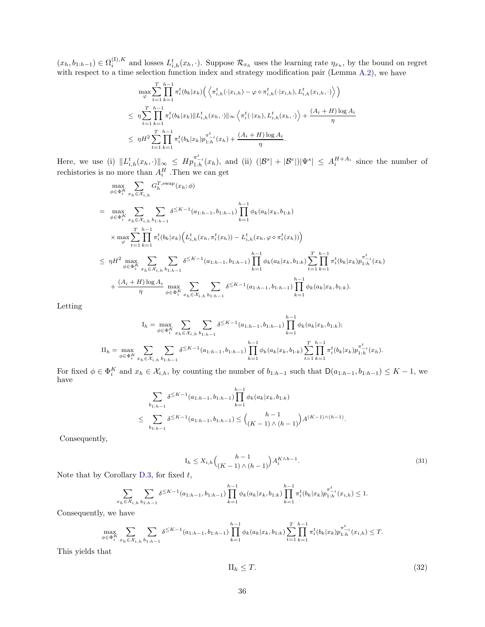$(x_h, b_{1:h-1}) \in \Omega_i^{(1), K}$  and losses  $L_{i,h}^t(x_h, \cdot)$ . Suppose  $\mathcal{R}_{x_h}$  uses the learning rate  $\eta_{x_h}$ , by the bound on regret with respect to a time selection function index and strategy modification pair (Lemma [A.2\)](#page-15-3), we have

$$
\max_{\varphi} \sum_{t=1}^{T} \prod_{k=1}^{h-1} \pi_{i}^{t}(b_{k}|x_{k}) \Big( \Big\langle \pi_{i,h}^{t}(\cdot|x_{i,h}) - \varphi \diamond \pi_{i,h}^{t}(\cdot|x_{i,h}), L_{i,h}^{t}(x_{i,h}, \cdot) \Big\rangle \Big) \n\leq \eta \sum_{t=1}^{T} \prod_{k=1}^{h-1} \pi_{i}^{t}(b_{k}|x_{k}) \|L_{i,h}^{t}(x_{h}, \cdot)\|_{\infty} \Big\langle \pi_{i}^{t}(\cdot|x_{h}), L_{i,h}^{t}(x_{h}, \cdot) \Big\rangle + \frac{(A_{i} + H) \log A_{i}}{\eta} \n\leq \eta H^{2} \sum_{t=1}^{T} \prod_{k=1}^{h-1} \pi_{i}^{t}(b_{k}|x_{k}) p_{1,h}^{\pi_{i}^{t}}(x_{h}) + \frac{(A_{i} + H) \log A_{i}}{\eta}.
$$

Here, we use (i)  $||L_{i,h}^t(x_h,\cdot)||_{\infty} \leq Hp_{1:h}^{\pi_{-i}^t}(x_h)$ , and (ii)  $(|\mathcal{B}^s| + |\mathcal{B}^e|)|\Psi^s| \leq A_i^{H+A_i}$  since the number of rechistories is no more than  $A_i^H$ . Then we can get

$$
\max_{\phi \in \Phi_{i}^{K}} \sum_{x_{h} \in \mathcal{X}_{i,h}} G_{h}^{T, \text{swap}}(x_{h}; \phi)
$$
\n
$$
= \max_{\phi \in \Phi_{i}^{K}} \sum_{x_{h} \in \mathcal{X}_{i,h}} \sum_{b_{1:h-1}} \delta^{\leq K-1}(a_{1:h-1}, b_{1:h-1}) \prod_{k=1}^{h-1} \phi_{k}(a_{k}|x_{k}, b_{1:k})
$$
\n
$$
\times \max_{\varphi} \sum_{t=1}^{T} \prod_{k=1}^{h-1} \pi_{i}^{t}(b_{k}|x_{k}) \Big( L_{i,h}^{t}(x_{h}, \pi_{i}^{t}(x_{h})) - L_{i,h}^{t}(x_{h}, \varphi \diamond \pi_{i}^{t}(x_{h})) \Big)
$$
\n
$$
\leq \eta H^{2} \max_{\phi \in \Phi_{i}^{K}} \sum_{x_{h} \in \mathcal{X}_{i,h}} \sum_{b_{1:h-1}} \delta^{\leq K-1}(a_{1:h-1}, b_{1:h-1}) \prod_{k=1}^{h-1} \phi_{k}(a_{k}|x_{k}, b_{1:k}) \sum_{t=1}^{T} \prod_{k=1}^{h-1} \pi_{i}^{t}(b_{k}|x_{k}) p_{1:h}^{\pi_{i}^{t}}(x_{h})
$$
\n
$$
+ \frac{(A_{i} + H) \log A_{i}}{\eta} \max_{\phi \in \Phi_{i}^{K}} \sum_{x_{h} \in \mathcal{X}_{i,h}} \sum_{b_{1:h-1}} \delta^{\leq K-1}(a_{1:h-1}, b_{1:h-1}) \prod_{k=1}^{h-1} \phi_{k}(a_{k}|x_{k}, b_{1:k}).
$$

Letting

$$
I_h = \max_{\phi \in \Phi_i^K} \sum_{x_h \in \mathcal{X}_{i,h}} \sum_{b_{1:h-1}} \delta^{\leq K-1}(a_{1:h-1}, b_{1:h-1}) \prod_{k=1}^{h-1} \phi_k(a_k | x_k, b_{1:k});
$$
  
\n
$$
II_h = \max_{\phi \in \Phi_i^K} \sum_{x_h \in \mathcal{X}_{i,h}} \sum_{b_{1:h-1}} \delta^{\leq K-1}(a_{1:h-1}, b_{1:h-1}) \prod_{k=1}^{h-1} \phi_k(a_k | x_k, b_{1:k}) \sum_{t=1}^T \prod_{k=1}^{h-1} \pi_i^t(b_k | x_k) p_{1:h}^{\pi_{-i}^t}(x_h).
$$

For fixed  $\phi \in \Phi_i^K$  and  $x_h \in \mathcal{X}_{i,h}$ , by counting the number of  $b_{1:h-1}$  such that  $\mathsf{D}(a_{1:h-1}, b_{1:h-1}) \leq K - 1$ , we have

$$
\sum_{b_{1:h-1}} \delta^{\leq K-1}(a_{1:h-1}, b_{1:h-1}) \prod_{k=1}^{h-1} \phi_k(a_k | x_k, b_{1:k})
$$
\n
$$
\leq \sum_{b_{1:h-1}} \delta^{\leq K-1}(a_{1:h-1}, b_{1:h-1}) \leq {h-1 \choose (K-1) \land (h-1)} A^{(K-1) \land (h-1)}.
$$

Consequently,

$$
I_h \le X_{i,h} \binom{h-1}{(K-1)\wedge(h-1)} A_i^{K\wedge h-1}.
$$
\n
$$
(31)
$$

Note that by Corollary [D.3,](#page-28-0) for fixed  $t$ ,

 $\boldsymbol{x}$ 

$$
\sum_{h \in \mathcal{X}_{i,h}} \sum_{b_1 h = 1} \delta^{\leq K-1}(a_{1:h-1}, b_{1:h-1}) \prod_{k=1}^{h-1} \phi_k(a_k | x_k, b_{1:k}) \prod_{k=1}^{h-1} \pi_i^t(b_k | x_k) p_{1:h}^{\pi_{i}^t}(x_{i,h}) \leq 1.
$$

Consequently, we have

$$
\max_{\phi \in \Phi_i^K} \sum_{x_h \in \mathcal{X}_{i,h}} \sum_{b_{1:h-1}} \delta^{\leq K-1}(a_{1:h-1}, b_{1:h-1}) \prod_{k=1}^{h-1} \phi_k(a_k | x_k, b_{1:k}) \sum_{t=1}^T \prod_{k=1}^{h-1} \pi_i^t(b_k | x_k) p_{1:h}^{\pi_{L_i}^t}(x_{i,h}) \leq T.
$$

This yields that

$$
\Pi_h \le T. \tag{32}
$$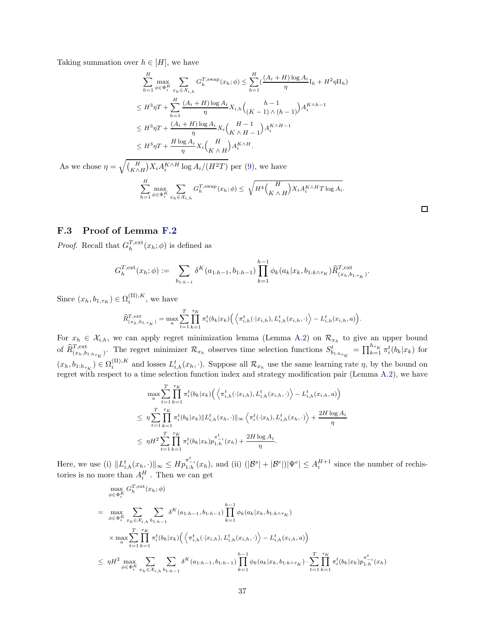Taking summation over  $h \in [H]$ , we have

$$
\sum_{h=1}^{H} \max_{\phi \in \Phi_i^K} \sum_{x_h \in \mathcal{X}_{i,h}} G_h^{T, \text{swap}}(x_h; \phi) \le \sum_{h=1}^{H} \left( \frac{(A_i + H) \log A_i}{\eta} I_h + H^2 \eta I I_h \right)
$$
\n
$$
\le H^3 \eta T + \sum_{h=1}^{H} \frac{(A_i + H) \log A_i}{\eta} X_{i,h} {h-1 \choose (K-1) \land (h-1)} A_i^{K \land h-1}
$$
\n
$$
\le H^3 \eta T + \frac{(A_i + H) \log A_i}{\eta} X_i {H-1 \choose K \land H-1} A_i^{K \land H-1}
$$
\n
$$
\le H^3 \eta T + \frac{H \log A_i}{\eta} X_i {H \choose K \land H} A_i^{K \land H}.
$$

As we chose  $\eta = \sqrt{\binom{H}{K \wedge H} X_i A_i^{K \wedge H} \log A_i / (H^2 T)}$  per [\(9\)](#page-7-5), we have  $\stackrel{H}{\nabla}$  $h=1$  $\max_{\phi\in\Phi^K_i}$  $\sqrt{}$  $x_h \in \mathcal{X}_{i,h}$  $G_h^{T,\text{swap}}(x_h;\phi) \leq$  $\sqrt{H^4\left(\frac{H}{\mu}\right)}$  $K \wedge H$  $X_i A_i^{K \wedge H} T \log A_i.$ 

#### <span id="page-36-0"></span>F.3 Proof of Lemma [F.2](#page-33-1)

*Proof.* Recall that  $G_h^{T,\text{ext}}(x_h; \phi)$  is defined as

$$
G_h^{T,\text{ext}}(x_h;\phi) := \sum_{b_{1:h-1}} \delta^K(a_{1:h-1}, b_{1:h-1}) \prod_{k=1}^{h-1} \phi_k(a_k|x_k, b_{1:k \wedge \tau_K}) \widehat{R}_{(x_h, b_{1:\tau_K})}^{T,\text{ext}}
$$

.

 $\Box$ 

Since  $(x_h, b_{1,\tau_K}) \in \Omega_i^{\text{(II)},K}$  $i^{(11),\Lambda}$ , we have

$$
\widehat{R}_{(x_h, b_{1, \tau_K})}^{T, \text{ext}} = \max_{a} \sum_{t=1}^{T} \prod_{k=1}^{\tau_K} \pi_i^t(b_k | x_k) \Big( \Big\langle \pi_{i,h}^t(\cdot | x_{i,h}), L_{i,h}^t(x_{i,h}, \cdot) \Big\rangle - L_{i,h}^t(x_{i,h}, a) \Big).
$$

For  $x_h \in \mathcal{X}_{i,h}$ , we can apply regret minimization lemma (Lemma [A.2\)](#page-15-3) on  $\mathcal{R}_{x_h}$  to give an upper bound of  $\widehat{R}_{(x_h,b_{1:h\tau_K})}^{T,\text{ext}}$ . The regret minimizer  $\mathcal{R}_{x_h}$  observes time selection functions  $S_{b_{1:h\tau_K}}^t = \prod_{k=1}^{h_{\tau_K}} \pi_i^t(b_k|x_k)$  for  $(x_h, b_{1:h_{\tau_K}}) \in \Omega_i^{\text{(II)}, K}$  $i^{(11), K}_{i}$  and losses  $L_{i,h}^{t}(x_h, \cdot)$ . Suppose all  $\mathcal{R}_{x_h}$  use the same learning rate  $\eta$ , by the bound on regret with respect to a time selection function index and strategy modification pair (Lemma [A.2\)](#page-15-3), we have

$$
\max_{a} \sum_{t=1}^{T} \prod_{k=1}^{\tau_K} \pi_i^t(b_k|x_k) \Big( \Big\langle \pi_{i,h}^t(\cdot|x_{i,h}), L_{i,h}^t(x_{i,h}, \cdot) \Big\rangle - L_{i,h}^t(x_{i,h}, a) \Big) \n\leq \eta \sum_{t=1}^{T} \prod_{k=1}^{\tau_K} \pi_i^t(b_k|x_k) \| L_{i,h}^t(x_h, \cdot) \|_{\infty} \Big\langle \pi_i^t(\cdot|x_h), L_{i,h}^t(x_h, \cdot) \Big\rangle + \frac{2H \log A_i}{\eta} \n\leq \eta H^2 \sum_{t=1}^{T} \prod_{k=1}^{\tau_K} \pi_i^t(b_k|x_k) p_{1,h}^{\pi_{t,h}^t}(x_h) + \frac{2H \log A_i}{\eta}.
$$

Here, we use (i)  $||L_{i,h}^t(x_h, \cdot)||_{\infty} \leq Hp_{1:h}^{\pi_{-i}^t}(x_h)$ , and (ii)  $(|\mathcal{B}^s| + |\mathcal{B}^e|) |\Psi^e| \leq A_i^{H+1}$  since the number of rechistories is no more than  $A_i^H$ . Then we can get

$$
\max_{\phi \in \Phi_{i}^{K}} G_{h}^{T,\text{ext}}(x_{h};\phi)
$$
\n
$$
= \max_{\phi \in \Phi_{i}^{K}} \sum_{x_{h} \in \mathcal{X}_{i,h}} \sum_{b_{1:h-1}} \delta^{K}(a_{1:h-1}, b_{1:h-1}) \prod_{k=1}^{h-1} \phi_{k}(a_{k}|x_{k}, b_{1:k \wedge \tau_{K}})
$$
\n
$$
\times \max_{a} \sum_{t=1}^{T} \prod_{k=1}^{\tau_{K}} \pi_{i}^{t}(b_{k}|x_{k}) \Big( \Big\langle \pi_{i,h}^{t}(\cdot|x_{i,h}), L_{i,h}^{t}(x_{i,h}, \cdot) \Big\rangle - L_{i,h}^{t}(x_{i,h}, a) \Big)
$$
\n
$$
\leq \eta H^{2} \max_{\phi \in \Phi_{i}^{K}} \sum_{x_{h} \in \mathcal{X}_{i,h}} \sum_{b_{1:h-1}} \delta^{K}(a_{1:h-1}, b_{1:h-1}) \prod_{k=1}^{h-1} \phi_{k}(a_{k}|x_{k}, b_{1:k \wedge \tau_{K}}) \cdot \sum_{t=1}^{T} \prod_{k=1}^{\tau_{K}} \pi_{i}^{t}(b_{k}|x_{k}) p_{1:h}^{\pi_{t,i}^{t}}(x_{h})
$$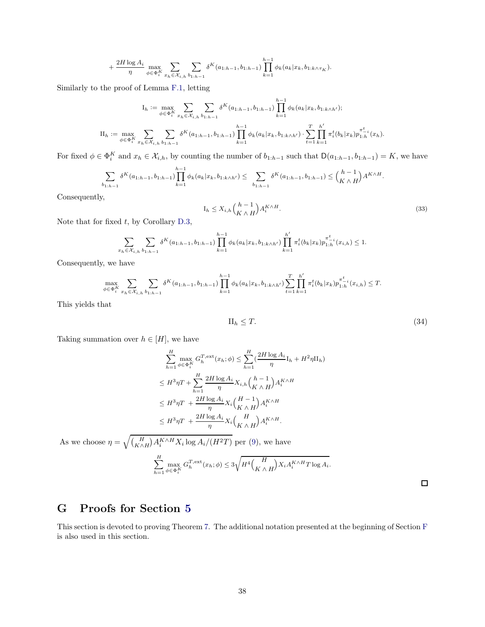$$
+\frac{2H\log A_i}{\eta}\max_{\phi\in\Phi_i^K}\sum_{x_h\in\mathcal{X}_{i,h}}\sum_{b_{1:h-1}}\delta^K(a_{1:h-1},b_{1:h-1})\prod_{k=1}^{h-1}\phi_k(a_k|x_k,b_{1:k\wedge\tau_K}).
$$

Similarly to the proof of Lemma [F.1,](#page-33-0) letting

$$
I_h := \max_{\phi \in \Phi_i^K} \sum_{x_h \in \mathcal{X}_{i,h}} \sum_{b_{1:h-1}} \delta^K(a_{1:h-1}, b_{1:h-1}) \prod_{k=1}^{h-1} \phi_k(a_k | x_k, b_{1:k \wedge h'});
$$
  
\n
$$
II_h := \max_{\phi \in \Phi_i^K} \sum_{x_h \in \mathcal{X}_{i,h}} \sum_{b_{1:h-1}} \delta^K(a_{1:h-1}, b_{1:h-1}) \prod_{k=1}^{h-1} \phi_k(a_k | x_k, b_{1:k \wedge h'}) \cdot \sum_{t=1}^T \prod_{k=1}^{h'} \pi_i^t(b_k | x_k) p_{1:h}^{\pi^t_{t,i}}(x_h).
$$

For fixed  $\phi \in \Phi_i^K$  and  $x_h \in \mathcal{X}_{i,h}$ , by counting the number of  $b_{1:h-1}$  such that  $\mathsf{D}(a_{1:h-1}, b_{1:h-1}) = K$ , we have

$$
\sum_{b_{1:h-1}} \delta^K(a_{1:h-1}, b_{1:h-1}) \prod_{k=1}^{h-1} \phi_k(a_k | x_k, b_{1:k \wedge h'}) \leq \sum_{b_{1:h-1}} \delta^K(a_{1:h-1}, b_{1:h-1}) \leq {h-1 \choose K \wedge H} A^{K \wedge H}.
$$

Consequently,

$$
I_h \le X_{i,h} \binom{h-1}{K \wedge H} A_i^{K \wedge H}.\tag{33}
$$

Note that for fixed  $t$ , by Corollary [D.3,](#page-28-0)

$$
\sum_{x_h \in \mathcal{X}_{i,h}} \sum_{b_{1:h-1}} \delta^K(a_{1:h-1}, b_{1:h-1}) \prod_{k=1}^{h-1} \phi_k(a_k | x_k, b_{1:k \wedge h'}) \prod_{k=1}^{h'} \pi_i^t(b_k | x_k) p_{1:h}^{\pi_{-i}^t}(x_{i,h}) \le 1.
$$

Consequently, we have

$$
\max_{\phi \in \Phi_i^K} \sum_{x_h \in \mathcal{X}_{i,h}} \sum_{b_1 h_1 = 1} \delta^K(a_{1:h-1}, b_{1:h-1}) \prod_{k=1}^{h-1} \phi_k(a_k | x_k, b_{1:k \wedge h'}) \sum_{t=1}^T \prod_{k=1}^{h'} \pi_i^t(b_k | x_k) p_{1:h}^{\pi_{-i}^t}(x_{i,h}) \le T.
$$

This yields that

$$
\Pi_h \le T. \tag{34}
$$

Taking summation over  $h \in [H]$ , we have

$$
\sum_{h=1}^{H} \max_{\phi \in \Phi_i^K} G_h^{\text{T,ext}}(x_h; \phi) \leq \sum_{h=1}^{H} \left(\frac{2H \log A_i}{\eta} \mathbf{I}_h + H^2 \eta \mathbf{II}_h\right)
$$
  
\n
$$
\leq H^3 \eta T + \sum_{h=1}^{H} \frac{2H \log A_i}{\eta} X_{i,h} {h-1 \choose K \wedge H} A_i^{K \wedge H}
$$
  
\n
$$
\leq H^3 \eta T + \frac{2H \log A_i}{\eta} X_i {H-1 \choose K \wedge H} A_i^{K \wedge H}
$$
  
\n
$$
\leq H^3 \eta T + \frac{2H \log A_i}{\eta} X_i {H \choose K \wedge H} A_i^{K \wedge H}.
$$
  
\nAs we choose  $\eta = \sqrt{\left(\frac{H}{K \wedge H}\right) A_i^{K \wedge H} X_i \log A_i / (H^2 T)}$  per (9), we have  
\n
$$
\sum_{h=1}^{H} \max_{\phi \in \Phi_i^K} G_h^{\text{T,ext}}(x_h; \phi) \leq 3\sqrt{H^4 \left(\frac{H}{K \wedge H}\right) X_i A_i^{K \wedge H} T \log A_i}.
$$

 $\Box$ 

## <span id="page-37-0"></span>G Proofs for Section [5](#page-8-0)

This section is devoted to proving Theorem [7.](#page-10-3) The additional notation presented at the beginning of Section [F](#page-33-3) is also used in this section.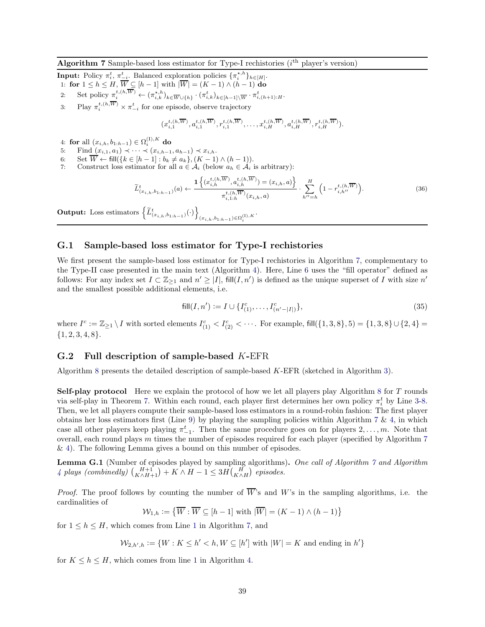- <span id="page-38-0"></span>**Input:** Policy  $\pi_i^t$ ,  $\pi_{-i}^t$ . Balanced exploration policies  $\{\pi_i^{*,h}\}_{h\in[H]}$ . 1: for  $1 \le h \le H$ ,  $W \subseteq [h-1]$  with  $|W| = (K-1) \wedge (h-1)$  do
- 
- 2: Set policy  $\pi_i^{t,(h,W)} \leftarrow (\pi_{i,k}^{\star,h})_{k \in \overline{W} \cup \{h\}} \cdot (\pi_{i,k}^t)_{k \in [h-1] \setminus \overline{W}} \cdot \pi_{i,(h+1):H}^t$ .
- 3: Play  $\pi_i^{t,(h,W)} \times \pi_{-i}^t$  for one episode, observe trajectory

<span id="page-38-6"></span><span id="page-38-3"></span>
$$
(x_{i,1}^{t,(h,\overline{W})},a_{i,1}^{t,(h,\overline{W})},r_{i,1}^{t,(h,\overline{W})},\ldots,x_{i,H}^{t,(h,\overline{W})},a_{i,H}^{t,(h,\overline{W})},r_{i,H}^{t,(h,\overline{W})}).
$$

- 4: for all  $(x_{i,h}, b_{1:h-1}) \in \Omega_i^{(1), K}$  do
- 5: Find  $(x_{i,1}, a_1) \prec \cdots \prec (x_{i,h-1}, a_{h-1}) \prec x_{i,h}$ .
- 6: Set  $\overline{W} \leftarrow \text{fill}(\{k \in [h-1] : b_k \neq a_k\}, (K-1) \wedge (h-1)).$
- 7: Construct loss estimator for all  $a \in \mathcal{A}_i$  (below  $a_h \in \mathcal{A}_i$  is arbitrary):

$$
\widetilde{L}_{(x_{i,h},b_{1:h-1})}^{t}(a) \leftarrow \frac{\mathbf{1}\left\{(x_{i,h}^{t,(h,\overline{W})}, a_{i,h}^{t,(h,\overline{W})}) = (x_{i,h},a)\right\}}{\pi_{i,1:h}^{t,(h,\overline{W})}(x_{i,h},a)} \cdot \sum_{h''=h}^{H} \left(1 - r_{i,h''}^{t,(h,\overline{W})}\right).
$$
\n(36)

Output: Loss estimators  $\left\{ \widetilde{L}^t_{(x_{i,h},b_{1:h-1})}(\cdot) \right\}$  $(x_{i,h},b_{1:h-1}){\in}\Omega^{({\rm I}),K}_{i}$  .

#### <span id="page-38-2"></span>G.1 Sample-based loss estimator for Type-I rechistories

We first present the sample-based loss estimator for Type-I rechistories in Algorithm [7,](#page-38-0) complementary to the Type-II case presented in the main text (Algorithm [4\)](#page-10-0). Here, Line [6](#page-38-6) uses the "fill operator" defined as follows: For any index set  $I \subset \mathbb{Z}_{\geq 1}$  and  $n' \geq |I|$ , fill $(I, n')$  is defined as the unique superset of I with size  $n'$ and the smallest possible additional elements, i.e.

<span id="page-38-1"></span>
$$
fill(I, n') := I \cup \{I_{(1)}^c, \dots, I_{(n'-|I|)}^c\},
$$
\n(35)

where  $I^c := \mathbb{Z}_{\geq 1} \setminus I$  with sorted elements  $I_{(1)}^c < I_{(2)}^c < \cdots$ . For example, fill $(\{1,3,8\},5) = \{1,3,8\} \cup \{2,4\} =$  ${1, 2, 3, 4, 8}.$ 

#### <span id="page-38-5"></span>G.2 Full description of sample-based K-EFR

Algorithm [8](#page-40-0) presents the detailed description of sample-based K-EFR (sketched in Algorithm [3\)](#page-9-0).

Self-play protocol Here we explain the protocol of how we let all players play Algorithm [8](#page-40-0) for T rounds via self-play in Theorem [7.](#page-10-3) Within each round, each player first determines her own policy  $\pi_i^t$  by Line [3](#page-40-3)[-8.](#page-40-4) Then, we let all players compute their sample-based loss estimators in a round-robin fashion: The first player obtains her loss estimators first (Line [9\)](#page-40-5) by playing the sampling policies within Algorithm [7](#page-38-0)  $\&$  [4,](#page-10-0) in which case all other players keep playing  $\pi_{-1}^t$ . Then the same procedure goes on for players  $2, \ldots, m$ . Note that overall, each round plays  $m$  times the number of episodes required for each player (specified by Algorithm  $7$ & [4\)](#page-10-0). The following Lemma gives a bound on this number of episodes.

<span id="page-38-4"></span>**Lemma G.1** (Number of episodes played by sampling algorithms). One call of Algorithm [7](#page-38-0) and Algorithm [4](#page-10-0) plays (combinedly)  $\binom{H+1}{K \wedge H+1} + K \wedge H-1 \leq 3H \binom{H}{K \wedge H}$  episodes.

*Proof.* The proof follows by counting the number of  $\overline{W}$ 's and W's in the sampling algorithms, i.e. the cardinalities of

$$
\mathcal{W}_{1,h} := \left\{ \overline{W} : \overline{W} \subseteq [h-1] \text{ with } |\overline{W}| = (K-1) \land (h-1) \right\}
$$

for  $1 \leq h \leq H$  $1 \leq h \leq H$ , which comes from Line 1 in Algorithm [7,](#page-38-0) and

 $\mathcal{W}_{2,h',h} := \{W : K \leq h' < h, W \subseteq [h'] \text{ with } |W| = K \text{ and ending in } h'\}$ 

for  $K \leq h \leq H$ , which comes from line [1](#page-10-5) in Algorithm [4.](#page-10-0)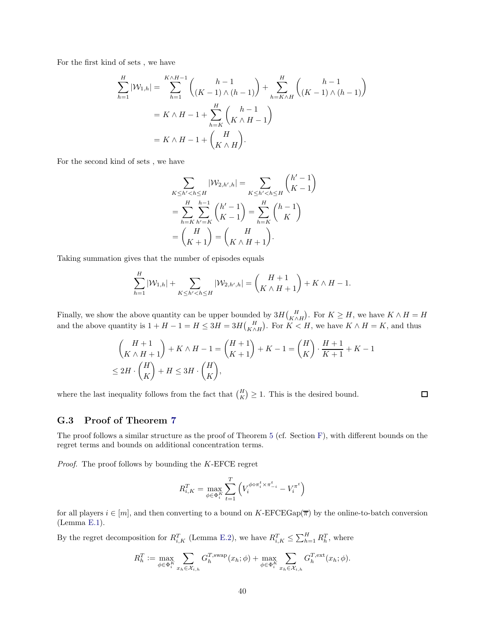For the first kind of sets , we have

$$
\sum_{h=1}^{H} |\mathcal{W}_{1,h}| = \sum_{h=1}^{K \wedge H - 1} {h - 1 \choose (K - 1) \wedge (h - 1)} + \sum_{h=K \wedge H}^{H} {h - 1 \choose (K - 1) \wedge (h - 1)}
$$
  
=  $K \wedge H - 1 + \sum_{h=K}^{H} {h - 1 \choose K \wedge H - 1}$   
=  $K \wedge H - 1 + {H \choose K \wedge H}.$ 

For the second kind of sets , we have

$$
\sum_{K \le h' < h \le H} |\mathcal{W}_{2,h',h}| = \sum_{K \le h' < h \le H} \binom{h'-1}{K-1}
$$
\n
$$
= \sum_{h=K}^{H} \sum_{h'=K}^{h-1} \binom{h'-1}{K-1} = \sum_{h=K}^{H} \binom{h-1}{K}
$$
\n
$$
= \binom{H}{K+1} = \binom{H}{K \wedge H+1}.
$$

Taking summation gives that the number of episodes equals

$$
\sum_{h=1}^{H} |\mathcal{W}_{1,h}| + \sum_{K \le h' < h \le H} |\mathcal{W}_{2,h',h}| = \binom{H+1}{K \wedge H+1} + K \wedge H-1.
$$

Finally, we show the above quantity can be upper bounded by  $3H\binom{H}{K\wedge H}$ . For  $K\geq H$ , we have  $K\wedge H=H$ and the above quantity is  $1 + H - 1 = H \leq 3H = 3H {H \choose K \wedge H}$ . For  $K < H$ , we have  $K \wedge H = K$ , and thus

$$
\begin{aligned} & \binom{H+1}{K \wedge H+1} + K \wedge H - 1 = \binom{H+1}{K+1} + K - 1 = \binom{H}{K} \cdot \frac{H+1}{K+1} + K - 1 \\ &\leq 2H \cdot \binom{H}{K} + H \leq 3H \cdot \binom{H}{K}, \end{aligned}
$$

where the last inequality follows from the fact that  $\binom{H}{K} \geq 1$ . This is the desired bound.

#### $\Box$

#### <span id="page-39-0"></span>G.3 Proof of Theorem [7](#page-10-3)

The proof follows a similar structure as the proof of Theorem [5](#page-7-6) (cf. Section [F\)](#page-33-3), with different bounds on the regret terms and bounds on additional concentration terms.

Proof. The proof follows by bounding the K-EFCE regret

$$
R_{i,K}^T = \max_{\phi \in \Phi_i^K} \sum_{t=1}^T \left( V_i^{\phi \diamond \pi_i^t \times \pi_{-i}^t} - V_i^{\pi^t} \right)
$$

for all players  $i \in [m]$ , and then converting to a bound on K-EFCEGap( $\overline{\pi}$ ) by the online-to-batch conversion (Lemma [E.1\)](#page-29-0).

By the regret decomposition for  $R_{i,K}^T$  (Lemma [E.2\)](#page-30-0), we have  $R_{i,K}^T \leq \sum_{h=1}^H R_h^T$ , where

$$
R_h^T := \max_{\phi \in \Phi_i^K} \sum_{x_h \in \mathcal{X}_{i,h}} G_h^{T, \text{swap}}(x_h; \phi) + \max_{\phi \in \Phi_i^K} \sum_{x_h \in \mathcal{X}_{i,h}} G_h^{T, \text{ext}}(x_h; \phi).
$$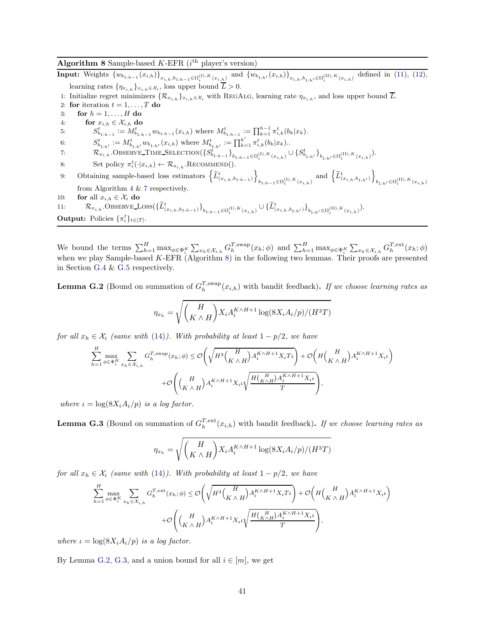#### <span id="page-40-0"></span>Algorithm 8 Sample-based  $K$ -EFR ( $i$ <sup>th</sup> player's version)

**Input:** Weights  ${w_{b_{1:h-1}}(x_{i,h})}_{x_{i,h},b_{1:h-1} \in \Omega_i^{(1),K}(x_{i,h})}$  and  ${w_{b_{1:h'}}(x_{i,h})}_{x_{i,h},b_{1:h'} \in \Omega_i^{(II),K}(x_{i,h})}$  defined in [\(11\)](#page-9-3), [\(12\)](#page-9-4), learning rates  $\{\eta_{x_{i,h}}\}_{x_{i,h}\in\mathcal{X}_i}$ , loss upper bound  $L>0$ .

1: Initialize regret minimizers  $\{R_{x_{i,h}}\}_{x_{i,h}\in\mathcal{X}_i}$  with REGALG, learning rate  $\eta_{x_{i,h}}$ , and loss upper bound  $\overline{L}$ .

- <span id="page-40-3"></span>2: for iteration  $t = 1, \ldots, T$  do
- 3: for  $h = 1, \ldots, H$  do
- 4: for  $x_{i,h} \in \mathcal{X}_{i,h}$  do

5:  $S_{b_{1:h-1}}^t := M_{b_{1:h-1}}^t w_{b_{1:h-1}}(x_{i,h})$  where  $M_{b_{1:h-1}}^t := \prod_{k=1}^{h-1} \pi_{i,k}^t (b_k | x_k)$ .

6:  $S_{b_{1:h'}}^t := M_{b_{1:h'}}^t w_{b_{1:h'}}(x_{i,h})$  where  $M_{b_{1:h'}}^t := \prod_{k=1}^{h'} \pi_{i,k}^t (b_k | x_k)$ .

7:  $\mathcal{R}_{x_{i,h}}$ . Observe Time Selection $(\{S_{b_{1:h-1}}^{t} \}_{b_{1:h-1} \in \Omega_i^{(I), K}(x_{i,h})} \cup \{S_{b_{1:h'}}^{t} \}_{b_{1:h'} \in \Omega_i^{(II), K}(x_{i,h})})$ .

- <span id="page-40-5"></span>8: Set policy  $\pi_i^t(\cdot|x_{i,h}) \leftarrow \mathcal{R}_{x_{i,h}}$ . RECOMMEND().
- 9: Obtaining sample-based loss estimators  $\left\{ \widetilde{L}_{(x_{i,h},b_{1:h-1})}^t\right\}$ o  $_{b_{1:h-1}\in\Omega_{i}^{(\text{I}),K}(x_{i,h})}$  and  $\Big\{\widetilde{L}_{(x_{i,h},b_{1:h'})}^{t}$ o  $b_{1:h'} \in \Omega_i^{(\text{II}),K}(x_{i,h})$ from Algorithm [4](#page-10-0) & [7](#page-38-0) respectively. 10: **for** all  $x_{i,h} \in \mathcal{X}_i$  do
- 11:  $\mathcal{R}_{x_{i,h}}.\text{OBSERVE}\_\text{LOS}(\{\tilde{L}^t_{(x_{i,h},b_{1:h-1})}\}_{b_{1:h-1}\in\Omega_i^{(1),K}(x_{i,h})}\cup\{\tilde{L}^t_{(x_{i,h},b_{1:h'})}\}_{b_{1:h'}\in\Omega_i^{(II),K}(x_{i,h})}).$ **Output:** Policies  $\{\pi_i^t\}_{t \in [T]}.$

We bound the terms  $\sum_{h=1}^H \max_{\phi \in \Phi_i^K} \sum_{x_h \in \mathcal{X}_{i,h}} G_h^{T, \text{swap}}(x_h; \phi)$  and  $\sum_{h=1}^H \max_{\phi \in \Phi_i^K} \sum_{x_h \in \mathcal{X}_{i,h}} G_h^{T, \text{ext}}(x_h; \phi)$ when we play Sample-based K-EFR (Algorithm [8\)](#page-40-0) in the following two lemmas. Their proofs are presented in Section [G.4](#page-41-0) & [G.5](#page-51-0) respectively.

<span id="page-40-1"></span>**Lemma G.2** (Bound on summation of  $G_h^{T,\text{swap}}(x_{i,h})$  with bandit feedback). If we choose learning rates as

<span id="page-40-4"></span>
$$
\eta_{x_h} = \sqrt{\binom{H}{K \wedge H}} X_i A_i^{K \wedge H+1} \log(8X_i A_i/p)/(H^3 T)
$$

for all  $x_h \in \mathcal{X}_i$  (same with [\(14\)](#page-9-5)). With probability at least  $1 - p/2$ , we have

$$
\begin{split} \sum_{h=1}^{H} \max_{\phi \in \Phi_{i}^{K}} \sum_{x_{h} \in \mathcal{X}_{i,h}} G_{h}^{T, \mathrm{swap}}(x_{h}; \phi) & \leq \mathcal{O}\Bigg(\sqrt{H^{3}\Big(\frac{H}{K \wedge H}\Big)A_{i}^{K \wedge H + 1}X_{i}T_{t}}\Bigg) + \mathcal{O}\Bigg(H\Big(\frac{H}{K \wedge H}\Big)A_{i}^{K \wedge H + 1}X_{i}t\Bigg)\\ & + \mathcal{O}\Bigg(\Big(\frac{H}{K \wedge H}\Big)A_{i}^{K \wedge H + 1}X_{i}t\sqrt{\frac{H\big(\frac{H}{K \wedge H}\big)A_{i}^{K \wedge H + 1}X_{i}t}{T}}\Bigg), \end{split}
$$

where  $\iota = \log(8X_i A_i/p)$  is a log factor.

<span id="page-40-2"></span>**Lemma G.3** (Bound on summation of  $G_h^{T,\text{ext}}(x_{i,h})$  with bandit feedback). If we choose learning rates as

$$
\eta_{x_h} = \sqrt{\binom{H}{K \wedge H}} X_i A_i^{K \wedge H+1} \log(8X_i A_i/p)/(H^3 T)
$$

for all  $x_h \in \mathcal{X}_i$  (same with [\(14\)](#page-9-5)). With probability at least  $1 - p/2$ , we have

$$
\begin{split} \sum_{h=1}^{H} \max_{\phi \in \Phi_{i}^{K}} \sum_{x_{h} \in \mathcal{X}_{i,h}} G_{h}^{T,\text{ext}}(x_{h};\phi) & \leq \mathcal{O}\Bigg(\sqrt{H^{3}\Big(\frac{H}{K \wedge H}\Big)A_{i}^{K \wedge H+1}X_{i}T\iota}\Bigg) + \mathcal{O}\Bigg(H\Big(\frac{H}{K \wedge H}\Big)A_{i}^{K \wedge H+1}X_{i}\iota\Bigg)\\ & + \mathcal{O}\Bigg(\Big(\frac{H}{K \wedge H}\Big)A_{i}^{K \wedge H+1}X_{i}\iota\sqrt{\frac{H\big(\frac{H}{K \wedge H}\big)A_{i}^{K \wedge H+1}X_{i}\iota}{T}}\Bigg), \end{split}
$$

where  $\iota = \log(8X_i A_i/p)$  is a log factor.

By Lemma [G.2,](#page-40-1) [G.3,](#page-40-2) and a union bound for all  $i \in [m]$ , we get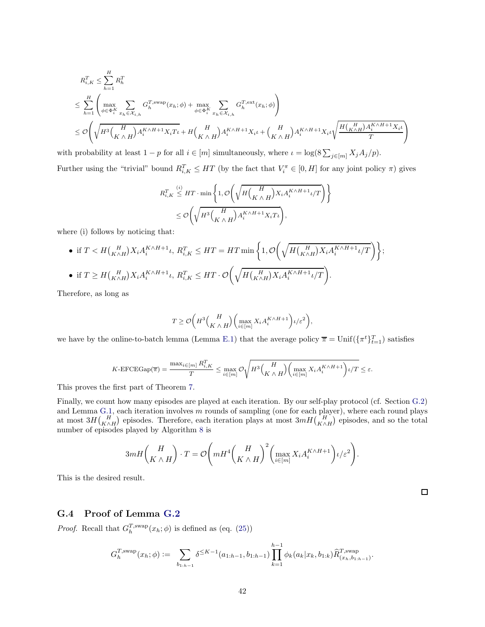$$
R_{i,K}^T \leq \sum_{h=1}^H R_h^T
$$
  
\n
$$
\leq \sum_{h=1}^H \left( \max_{\phi \in \Phi_i^K} \sum_{x_h \in \mathcal{X}_{i,h}} G_h^{T,\text{swap}}(x_h; \phi) + \max_{\phi \in \Phi_i^K} \sum_{x_h \in \mathcal{X}_{i,h}} G_h^{T,\text{ext}}(x_h; \phi) \right)
$$
  
\n
$$
\leq \mathcal{O}\left( \sqrt{H^3 \left( \frac{H}{K \wedge H} \right) A_i^{K \wedge H+1} X_i T_{\iota}} + H \left( \frac{H}{K \wedge H} \right) A_i^{K \wedge H+1} X_{i\iota} + \left( \frac{H}{K \wedge H} \right) A_i^{K \wedge H+1} X_{i\iota} \sqrt{\frac{H \left( \frac{H}{K \wedge H} \right) A_i^{K \wedge H+1} X_{i\iota}}{T}} \right)
$$

with probability at least  $1 - p$  for all  $i \in [m]$  simultaneously, where  $\iota = \log(8 \sum_{j \in [m]} X_j A_j / p)$ .

Further using the "trivial" bound  $R_{i,K}^T \le HT$  (by the fact that  $V_i^{\pi} \in [0, H]$  for any joint policy  $\pi$ ) gives

$$
\begin{aligned} R_{i,K}^T &\overset{(i)}{\leq} H T \cdot \min\left\{1, \mathcal{O}\bigg(\sqrt{H\binom{H}{K\wedge H}}X_i A_i^{K\wedge H+1} \iota / T\bigg)\right\} \\ &\leq \mathcal{O}\bigg(\sqrt{H^3\binom{H}{K\wedge H}}A_i^{K\wedge H+1} X_i T \iota\bigg), \end{aligned}
$$

where (i) follows by noticing that:

\n- \n
$$
\text{if } T < H\left(\frac{H}{K\wedge H}\right)X_i A_i^{K\wedge H+1} \iota, \ R_{i,K}^T \leq HT = HT \min\left\{1, \mathcal{O}\left(\sqrt{H\left(\frac{H}{K\wedge H}\right)X_i A_i^{K\wedge H+1} \iota/T}\right)\right\};
$$
\n
\n- \n
$$
\text{if } T \geq H\left(\frac{H}{K\wedge H}\right)X_i A_i^{K\wedge H+1} \iota, \ R_{i,K}^T \leq HT \cdot \mathcal{O}\left(\sqrt{H\left(\frac{H}{K\wedge H}\right)X_i A_i^{K\wedge H+1} \iota/T}\right).
$$
\n
\n

Therefore, as long as

$$
T \geq \mathcal{O}\bigg(H^3\binom{H}{K \wedge H}\bigg(\max_{i \in [m]} X_i A_i^{K \wedge H + 1}\bigg)\iota/\varepsilon^2\bigg),
$$

we have by the online-to-batch lemma (Lemma [E.1\)](#page-29-0) that the average policy  $\bar{\pi} = \text{Unif}(\{\pi^t\}_{t=1}^T)$  satisfies

$$
K\text{-EFCEGap}(\overline{\pi})=\frac{\max_{i\in[m]}R_{i,K}^T}{T}\leq \max_{i\in[m]}\mathcal{O}\sqrt{H^3\Big(\frac{H}{K\wedge H}\Big)\Big(\max_{i\in[m]}X_iA_i^{K\wedge H+1}\Big)\iota/T}\leq\varepsilon.
$$

This proves the first part of Theorem [7.](#page-10-3)

Finally, we count how many episodes are played at each iteration. By our self-play protocol (cf. Section [G.2\)](#page-38-5) and Lemma [G.1,](#page-38-4) each iteration involves m rounds of sampling (one for each player), where each round plays at most  $3H\left(\frac{H}{K\wedge H}\right)$  episodes. Therefore, each iteration plays at most  $3mH\left(\frac{H}{K\wedge H}\right)$  episodes, and so the total number of episodes played by Algorithm [8](#page-40-0) is

$$
3mH\binom{H}{K\wedge H}\cdot T=\mathcal{O}\Bigg(mH^4\binom{H}{K\wedge H}^2\binom{\max\limits_{i\in [m]}X_iA_i^{K\wedge H+1}}{\ell\in [m]}t/\varepsilon^2}\Bigg).
$$

This is the desired result.

#### <span id="page-41-0"></span>G.4 Proof of Lemma [G.2](#page-40-1)

*Proof.* Recall that  $G_h^{T,\text{swap}}(x_h; \phi)$  is defined as (eq. [\(25\)](#page-29-2))

$$
G_h^{T,\text{swap}}(x_h;\phi) := \sum_{b_{1:h-1}} \delta^{\leq K-1}(a_{1:h-1}, b_{1:h-1}) \prod_{k=1}^{h-1} \phi_k(a_k|x_k, b_{1:k}) \widehat{R}_{(x_h, b_{1:h-1})}^{T,\text{swap}}.
$$

42

 $\Box$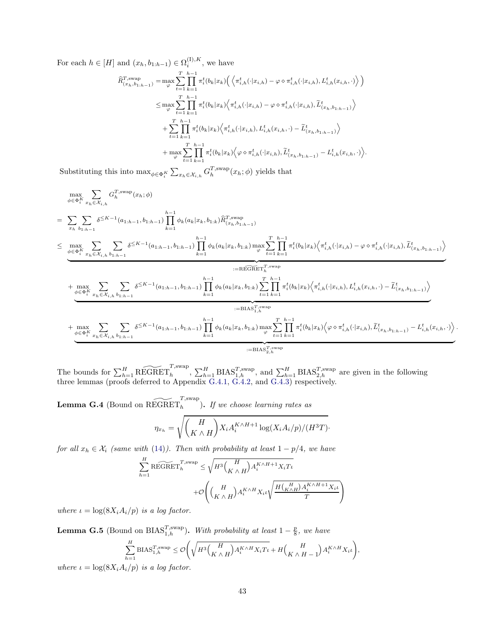For each  $h \in [H]$  and  $(x_h, b_{1:h-1}) \in \Omega_i^{(I), K}$ , we have

$$
\begin{split} \widehat{R}_{(x_h, b_{1:h-1})}^{T, \text{swap}} &= \max_{\varphi} \sum_{t=1}^{T} \prod_{k=1}^{h-1} \pi_i^t(b_k|x_k) \Big( \Big\langle \pi_{i,h}^t(\cdot|x_{i,h}) - \varphi \diamond \pi_{i,h}^t(\cdot|x_{i,h}), L_{i,h}^t(x_{i,h}, \cdot) \Big\rangle \Big) \\ &\leq \max_{\varphi} \sum_{t=1}^{T} \prod_{k=1}^{h-1} \pi_i^t(b_k|x_k) \Big\langle \pi_{i,h}^t(\cdot|x_{i,h}) - \varphi \diamond \pi_{i,h}^t(\cdot|x_{i,h}), \widetilde{L}_{(x_h, b_{1:h-1})}^t \Big\rangle \\ &\quad + \sum_{t=1}^{T} \prod_{k=1}^{h-1} \pi_i^t(b_k|x_k) \Big\langle \pi_{i,h}^t(\cdot|x_{i,h}), L_{i,h}^t(x_{i,h}, \cdot) - \widetilde{L}_{(x_h, b_{1:h-1})}^t \Big\rangle \\ &\quad + \max_{\varphi} \sum_{t=1}^{T} \prod_{k=1}^{h-1} \pi_i^t(b_k|x_k) \Big\langle \varphi \diamond \pi_{i,h}^t(\cdot|x_{i,h}), \widetilde{L}_{(x_h, b_{1:h-1})}^t - L_{i,h}^t(x_{i,h}, \cdot) \Big\rangle. \end{split}
$$

Substituting this into  $\max_{\phi \in \Phi_i^K} \sum_{x_h \in \mathcal{X}_{i,h}} G_h^{T,\text{swap}}(x_h; \phi)$  yields that

$$
\max_{\phi \in \Phi_{i}^{K}} \sum_{x_{h} \in \mathcal{X}_{i,h}} G_{h}^{T,\text{swap}}(x_{h};\phi)
$$
\n
$$
= \sum_{x_{h} \atop{b_{1:h-1}}} \sum_{y_{h-1} \in \mathcal{X}_{i,h}} \delta^{\leq K-1}(a_{1:h-1}, b_{1:h-1}) \prod_{k=1}^{h-1} \phi_{k}(a_{k}|x_{k}, b_{1:k}) \widehat{R}_{(x_{h}, b_{1:h-1})}^{T,\text{swap}}
$$
\n
$$
\leq \underbrace{\max_{\phi \in \Phi_{i}^{K}} \sum_{x_{h} \in \mathcal{X}_{i,h}} \sum_{b_{1:h-1}} \delta^{\leq K-1}(a_{1:h-1}, b_{1:h-1}) \prod_{k=1}^{h-1} \phi_{k}(a_{k}|x_{k}, b_{1:k}) \max_{\varphi} \sum_{t=1}^{T} \prod_{k=1}^{h-1} \pi_{i}^{t}(b_{k}|x_{k}) \Big\langle \pi_{i,h}^{t}(\cdot|x_{i,h}) - \varphi \circ \pi_{i,h}^{t}(\cdot|x_{i,h}), \widetilde{L}_{(x_{h}, b_{1:h-1})}^{t}(x_{h}, b_{1:h-1}) \Big\rangle}_{:=\text{REGREF}_{1}^{T,\text{swap}}} + \underbrace{\max_{\phi \in \Phi_{i}^{K}} \sum_{x_{h} \in \mathcal{X}_{i,h}} \sum_{b_{1:h-1}} \delta^{\leq K-1}(a_{1:h-1}, b_{1:h-1}) \prod_{k=1}^{h-1} \phi_{k}(a_{k}|x_{k}, b_{1:k}) \sum_{t=1}^{T} \prod_{k=1}^{h-1} \pi_{i}^{t}(b_{k}|x_{k}) \Big\langle \pi_{i,h}^{t}(\cdot|x_{i,h}), L_{i,h}^{t}(x_{i,h}, \cdot) - \widetilde{L}_{(x_{h}, b_{1:h-1})}^{t}(x_{h}, b_{1:h-1}) \Big\rangle}_{:=\text{BIAS}_{1,h}^{T,\text{swap}}} + \underbrace{\max_{\phi \in \Phi_{i}^{K}} \sum_{x_{h} \in \mathcal{X}_{i,h}} \sum_{b_{1:h-1}} \delta^{\leq K-1}(a_{1:h-1}, b_{1:h-1}) \prod_{k=1}^{h-1} \phi_{k}(a_{k}|x_{k
$$

.

The bounds for  $\sum_{h=1}^H \widetilde{\text{REGRET}}_h^{\text{T,swap}}$ ,  $\sum_{h=1}^H \text{BIAS}_{1,h}^{\text{T,swap}}$ , and  $\sum_{h=1}^H \text{BIAS}_{2,h}^{\text{T,swap}}$  are given in the following three lemmas (proofs deferred to Appendix [G.4.1,](#page-43-0) [G.4.2,](#page-46-0) and [G.4.3\)](#page-48-0) respectively.

<span id="page-42-0"></span>**Lemma G.4** (Bound on  $\widetilde{\mathrm{REGRET}}_h^{T, \mathrm{swap}}$ ). If we choose learning rates as

$$
\eta_{x_h} = \sqrt{\binom{H}{K \wedge H}} X_i A_i^{K \wedge H+1} \log(X_i A_i / p) / (H^3 T).
$$

for all  $x_h \in \mathcal{X}_i$  (same with [\(14\)](#page-9-5)). Then with probability at least  $1 - p/4$ , we have

$$
\sum_{h=1}^{H} \widetilde{\text{REGRET}}_h^{T, \text{swap}} \le \sqrt{H^3 \binom{H}{K \wedge H} A_i^{K \wedge H+1} X_i T_l}
$$

$$
+ \mathcal{O}\left(\binom{H}{K \wedge H} A_i^{K \wedge H} X_i \iota \sqrt{\frac{H \binom{H}{K \wedge H} A_i^{K \wedge H+1} X_i \iota}{T}}\right)
$$

where  $\iota = \log(8X_i A_i/p)$  is a log factor.

<span id="page-42-1"></span>**Lemma G.5** (Bound on BIAS<sup>T,swap</sup>). With probability at least  $1-\frac{p}{8}$ , we have  $\stackrel{H}{\nabla}$  $h=1$  $\text{BIAS}_{1,h}^{T,\text{swap}} \leq \mathcal{O}\left(\sqrt{H^3\Big(\frac{H}{K\ \wedge\ \mathcal{O}_H}\Big)^2}\right)$  $K \wedge H$  $\int A_i^{K\wedge H} X_i T_i + H \left( \frac{H}{K \wedge H} \right)$  $K \wedge H - 1$  $A_i^{K \wedge H} X_i \iota$ 

where  $\iota = \log(8X_i A_i/p)$  is a log factor.

! ,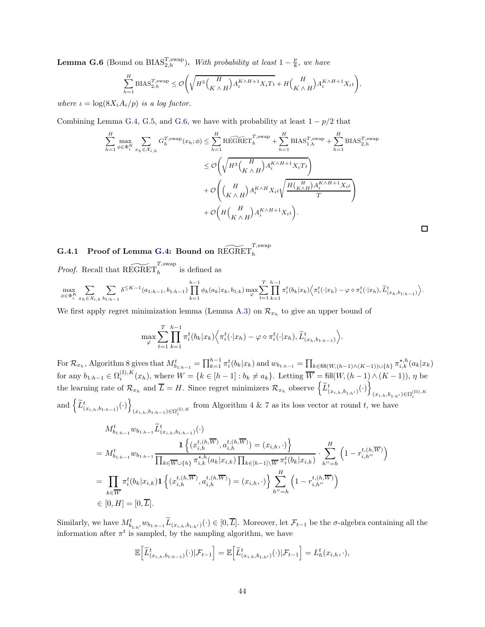<span id="page-43-1"></span>**Lemma G.6** (Bound on BIAS<sup>T,swap</sup>). With probability at least  $1-\frac{p}{8}$ , we have

$$
\sum_{h=1}^{H} \text{BIAS}_{2,h}^{T,\text{swap}} \leq \mathcal{O}\Bigg(\sqrt{H^3 \Big(\frac{H}{K \wedge H}\Big) A_i^{K \wedge H+1} X_i T_{\iota}} + H \Big(\frac{H}{K \wedge H}\Big) A_i^{K \wedge H+1} X_i \iota \Bigg),\Bigg|_{\mathcal{H}^1}.
$$

where  $\iota = \log(8X_i A_i/p)$  is a log factor.

Combining Lemma [G.4,](#page-42-0) [G.5,](#page-42-1) and [G.6,](#page-43-1) we have with probability at least  $1 - p/2$  that

$$
\sum_{h=1}^{H} \max_{\phi \in \Phi_i^K} \sum_{x_h \in \mathcal{X}_{i,h}} G_h^{T, \text{swap}}(x_h; \phi) \le \sum_{h=1}^{H} \widetilde{\text{REGRET}}_h^{T, \text{swap}} + \sum_{h=1}^{H} \text{BIAS}_{1,h}^{T, \text{swap}} + \sum_{h=1}^{H} \text{BIAS}_{2,h}^{T, \text{swap}}
$$

$$
\le O\left(\sqrt{H^3 \left(\frac{H}{K \wedge H}\right) A_i^{K \wedge H+1} X_i T_t}\right) + O\left(\frac{H}{K \wedge H}\right) A_i^{K \wedge H} X_i \iota \sqrt{\frac{H \left(\frac{H}{K \wedge H}\right) A_i^{K \wedge H+1} X_i \iota}{T}} + O\left(H \left(\frac{H}{K \wedge H}\right) A_i^{K \wedge H+1} X_i \iota\right).
$$

 $\Box$ 

<span id="page-43-0"></span> $\textbf{G.4.1} \quad \textbf{Proof of Lemma G.4: } \textbf{Bound on }\widetilde{\text{REGRET}}_{h}^{T, \text{swap}}$  $\textbf{G.4.1} \quad \textbf{Proof of Lemma G.4: } \textbf{Bound on }\widetilde{\text{REGRET}}_{h}^{T, \text{swap}}$  $\textbf{G.4.1} \quad \textbf{Proof of Lemma G.4: } \textbf{Bound on }\widetilde{\text{REGRET}}_{h}^{T, \text{swap}}$ 

*Proof.* Recall that  $\widetilde{\mathrm{REGRET}}_h^{T, \mathrm{swap}}$  is defined as

$$
\max_{\phi \in \Phi_i^K} \sum_{x_h \in \mathcal{X}_{i,h}} \sum_{b_{1:h-1}} \delta^{\leq K-1}(a_{1:h-1}, b_{1:h-1}) \prod_{k=1}^{h-1} \phi_k(a_k | x_k, b_{1:k}) \max_{\varphi} \sum_{t=1}^T \prod_{k=1}^{h-1} \pi_i^t(b_k | x_k) \Big\langle \pi_i^t(\cdot | x_h) - \varphi \diamond \pi_i^t(\cdot | x_h), \widetilde{L}_{(x_h, b_{1:h-1})}^t \Big\rangle.
$$

We first apply regret minimization lemma (Lemma [A.3\)](#page-17-0) on  $\mathcal{R}_{x_h}$  to give an upper bound of

$$
\max_{\varphi} \sum_{t=1}^T \prod_{k=1}^{h-1} \pi_i^t(b_k|x_k) \Big\langle \pi_i^t(\cdot|x_h) - \varphi \diamond \pi_i^t(\cdot|x_h), \widetilde{L}_{(x_h, b_{1:h-1})}^t \Big\rangle.
$$

For  $\mathcal{R}_{x_h}$ , Algorithm [8](#page-40-0) gives that  $M_{b_{1:h-1}}^t = \prod_{k=1}^{h-1} \pi_i^t(b_k|x_k)$  and  $w_{b_{1:h-1}} = \prod_{k \in \text{fill}(W,(h-1) \wedge (K-1)) \cup \{h\}} \pi_{i,k}^{*,h}(a_k|x_k)$ for any  $b_{1:h-1} \in \Omega_i^{(1), K}(x_h)$ , where  $W = \{k \in [h-1] : b_k \neq a_k\}$ . Letting  $\overline{W} = \text{fill}(W, (h-1) \wedge (K-1)), \eta$  be the learning rate of  $\mathcal{R}_{x_h}$  and  $\overline{L} = H$ . Since regret minimizers  $\mathcal{R}_{x_h}$  observe  $\left\{ \widetilde{L}_{(x_{i,h},b_{1:h'})}^t(\cdot) \right\}$  $(x_{i,h},b_{1:h'}) \in \Omega_i^{(\text{II}),K}$ and  $\left\{ \widetilde{L}_{(x_{i,h},b_{1:h-1})}^{t}(\cdot)\right\}$  $(x_{i,h}, b_{1:h-1}) \in \Omega_i^{(1), K}$  from Algorithm [4](#page-10-0) & [7](#page-38-0) as its loss vector at round t, we have

$$
M_{b_{1:h-1}}^{t} w_{b_{1:h-1}} \widetilde{L}_{(x_{i,h},b_{1:h-1})}^{t}(\cdot)
$$
\n
$$
= M_{b_{1:h-1}}^{t} w_{b_{1:h-1}} \frac{1\left\{ (x_{i,h}^{t,(h,\overline{W})}, a_{i,h}^{t,(h,\overline{W})}) = (x_{i,h}, \cdot) \right\}}{\prod_{k \in \overline{W} \cup \{h\}} \pi_{i,k}^{\star,h}(a_k | x_{i,k}) \prod_{k \in [h-1] \setminus \overline{W}} \pi_i^t(b_k | x_{i,k})} \cdot \sum_{h''=h}^H \left( 1 - r_{i,h''}^{t,(h,\overline{W})} \right)
$$
\n
$$
= \prod_{k \in \overline{W}} \pi_i^t(b_k | x_{i,k}) \mathbf{1} \left\{ (x_{i,h}^{t,(h,\overline{W})}, a_{i,h}^{t,(h,\overline{W})}) = (x_{i,h}, \cdot) \right\} \sum_{h''=h}^H \left( 1 - r_{i,h''}^{t,(h,\overline{W})} \right)
$$
\n
$$
\in [0, H] = [0, \overline{L}].
$$

Similarly, we have  $M_{b_{1:h'}}^t w_{b_{1:h-1}} \tilde{L}_{(x_{i,h},b_{1:h'})}(\cdot) \in [0,\overline{L}]$ . Moreover, let  $\mathcal{F}_{t-1}$  be the  $\sigma$ -algebra containing all the information after  $\pi^t$  is sampled, by the sampling algorithm, we have

$$
\mathbb{E}\Big[\widetilde{L}^t_{(x_{i,h},b_{1:h-1})}(\cdot)|\mathcal{F}_{t-1}\Big]=\mathbb{E}\Big[\widetilde{L}^t_{(x_{i,h},b_{1:h'})}(\cdot)|\mathcal{F}_{t-1}\Big]=L^t_h(x_{i,h},\cdot),
$$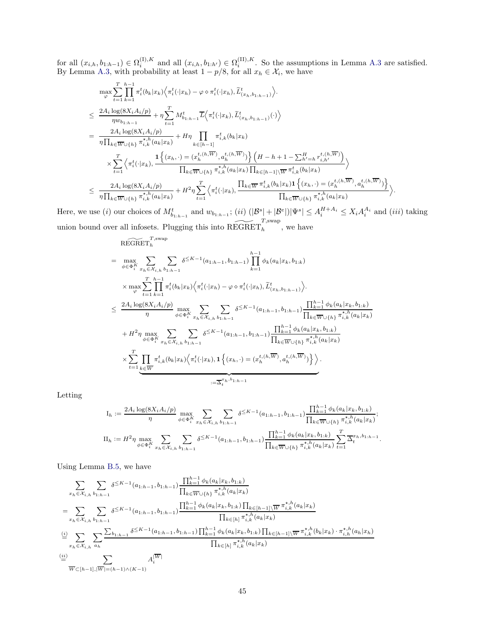for all  $(x_{i,h}, b_{1:h-1}) \in \Omega_i^{(1),K}$  and all  $(x_{i,h}, b_{1:h'}) \in \Omega_i^{(II),K}$ . So the assumptions in Lemma [A.3](#page-17-0) are satisfied. By Lemma [A.3,](#page-17-0) with probability at least  $1 - p/8$ , for all  $x_h \in \mathcal{X}_i$ , we have

$$
\max_{\varphi} \sum_{t=1}^{T} \prod_{k=1}^{h-1} \pi_{i}^{t}(b_{k}|x_{k}) \Big\langle \pi_{i}^{t}(\cdot|x_{h}) - \varphi \circ \pi_{i}^{t}(\cdot|x_{h}), \widetilde{L}_{(x_{h},b_{1:h-1})}^{t}\Big\rangle.
$$
\n
$$
\leq \frac{2A_{i} \log(8X_{i}A_{i}/p)}{\eta w_{b_{1:h-1}}} + \eta \sum_{t=1}^{T} M_{b_{1:h-1}}^{t} \overline{L} \Big\langle \pi_{i}^{t}(\cdot|x_{k}), \widetilde{L}_{(x_{h},b_{1:h-1})}^{t}(\cdot) \Big\rangle
$$
\n
$$
= \frac{2A_{i} \log(8X_{i}A_{i}/p)}{\eta \prod_{k \in \overline{W}\cup\{h\}} \pi_{i,k}^{\star,h}(a_{k}|x_{k})} + H\eta \prod_{k \in [h-1]} \pi_{i,k}^{t}(b_{k}|x_{k})
$$
\n
$$
\times \sum_{t=1}^{T} \Big\langle \pi_{i}^{t}(\cdot|x_{k}), \frac{1\Big\{(x_{h}, \cdot) = (x_{h}^{t,(h,\overline{W})}, a_{h}^{t,(h,\overline{W})}\Big\}}{\prod_{k \in \overline{W}\cup\{h\}} \pi_{i,k}^{\star,h}(a_{k}|x_{k}) \prod_{k \in [h-1]} \overline{W}^{\star,h}_{i,k}(b_{k}|x_{k})} \Big\rangle
$$
\n
$$
\leq \frac{2A_{i} \log(8X_{i}A_{i}/p)}{\eta \prod_{k \in \overline{W}\cup\{h\}} \pi_{i,k}^{\star,h}(a_{k}|x_{k})} + H^{2}\eta \sum_{t=1}^{T} \Big\langle \pi_{i}^{t}(\cdot|x_{k}), \frac{\prod_{k \in \overline{W}} \pi_{i,k}^{t}(b_{k}|x_{k}) \mathbf{1}\Big\{(x_{h}, \cdot) = (x_{h}^{t,(h,\overline{W})}, a_{h}^{t,(h,\overline{W})}\Big\}}{\prod_{k \in \overline{W}\cup\{h\}} \pi_{i,k}^{\star,h}(a_{k}|x_{k})} \Big\rangle.
$$

Here, we use (*i*) our choices of  $M_{b_{1:h-1}}^t$  and  $w_{b_{1:h-1}}$ ; (*ii*)  $(|\mathcal{B}^s| + |\mathcal{B}^e|)|\Psi^s| \leq A_i^{H+A_i} \leq X_i A_i^{A_i}$  and (*iii*) taking union bound over all infosets. Plugging this into  $\widetilde{\mathrm{REGRET}}_h^{T, \mathrm{swap}}$ , we have  $\widetilde{\text{PPCD}}$ <sub>reg</sub> $T$ ,swap

$$
\begin{split}\n\text{REGRE}^{\text{H}}(\mathbf{H}_{h}^{\text{H}}) &= \max_{\phi \in \Phi_{i}^{K}} \sum_{x_{h} \in \mathcal{X}_{i,h}} \sum_{b_{1:h-1}} \delta^{\leq K-1}(a_{1:h-1}, b_{1:h-1}) \prod_{k=1}^{h-1} \phi_{k}(a_{k} | x_{k}, b_{1:k}) \\
&\times \max_{\varphi} \sum_{t=1}^{T} \prod_{k=1}^{h-1} \pi_{i}^{t}(b_{k} | x_{k}) \Big\langle \pi_{i}^{t}(\cdot | x_{h}) - \varphi \diamond \pi_{i}^{t}(\cdot | x_{h}), \widetilde{L}_{(x_{h}, b_{1:h-1})}^{t} \Big\rangle. \\
&\leq \frac{2A_{i} \log(8X_{i} A_{i}/p)}{\eta} \max_{\phi \in \Phi_{i}^{K}} \sum_{x_{h} \in \mathcal{X}_{i,h}} \sum_{b_{1:h-1}} \delta^{\leq K-1}(a_{1:h-1}, b_{1:h-1}) \frac{\prod_{k=1}^{h-1} \phi_{k}(a_{k} | x_{k}, b_{1:k})}{\prod_{k \in W \cup \{h\}} \pi_{i,k}^{*,h}(a_{k} | x_{k})} \\
&+ H^{2} \eta \max_{\phi \in \Phi_{i}^{K}} \sum_{x_{h} \in \mathcal{X}_{i,h}} \sum_{b_{1:h-1}} \delta^{\leq K-1}(a_{1:h-1}, b_{1:h-1}) \frac{\prod_{k=1}^{h-1} \phi_{k}(a_{k} | x_{k}, b_{1:k})}{\prod_{k \in W \cup \{h\}} \pi_{i,k}^{*,h}(a_{k} | x_{k})} \\
&\times \sum_{t=1}^{T} \prod_{k \in \overline{W}} \pi_{i,k}^{t}(b_{k} | x_{k}) \Big\langle \pi_{i}^{t}(\cdot | x_{k}), 1 \Big\{(x_{h}, \cdot) = (x_{h}^{t, (h, \overline{W})}, a_{h}^{t, (h, \overline{W})}\Big\}\Big\rangle. \\
&\times \sum_{i=1}^{T} \prod_{b \in \overline{W}} \pi_{i,k}^{t}(b_{k} | x_{k}) \Big\langle \pi_{i}^{t}(\cdot | x_{k}), 1 \Big\{(x_{h}, \cdot) = (
$$

Letting

$$
I_h := \frac{2A_i \log(8X_i A_i/p)}{\eta} \max_{\phi \in \Phi_i^K} \sum_{x_h \in \mathcal{X}_{i,h}} \sum_{b_1: h-1} \delta^{\leq K-1}(a_{1:h-1}, b_{1:h-1}) \frac{\prod_{k=1}^{h-1} \phi_k(a_k | x_k, b_{1:k})}{\prod_{k \in \overline{W} \cup \{h\}} \pi_{i,k}^{\star, h}(a_k | x_k)},
$$
  
\n
$$
II_h := H^2 \eta \max_{\phi \in \Phi_i^K} \sum_{x_h \in \mathcal{X}_{i,h}} \sum_{b_1: h-1} \delta^{\leq K-1}(a_{1:h-1}, b_{1:h-1}) \frac{\prod_{k=1}^{h-1} \phi_k(a_k | x_k, b_{1:k})}{\prod_{k \in \overline{W} \cup \{h\}} \pi_{i,k}^{\star, h}(a_k | x_k)} \sum_{t=1}^T \overline{\Delta}_t^{x_h, b_{1:h-1}}.
$$

Using Lemma [B.5,](#page-22-1) we have

$$
\sum_{x_h \in \mathcal{X}_{i,h}} \sum_{b_{1:h-1}} \delta^{\leq K-1}(a_{1:h-1}, b_{1:h-1}) \frac{\prod_{k=1}^{h-1} \phi_k(a_k | x_k, b_{1:k})}{\prod_{k \in \overline{W} \cup \{h\}} \pi_{i,k}^{*,h}(a_k | x_k)}
$$
\n
$$
= \sum_{x_h \in \mathcal{X}_{i,h}} \sum_{b_{1:h-1}} \delta^{\leq K-1}(a_{1:h-1}, b_{1:h-1}) \frac{\prod_{k=1}^{h-1} \phi_k(a_k | x_k, b_{1:k}) \prod_{k \in [h-1] \setminus \overline{W}} \pi_{i,k}^{*,h}(a_k | x_k)}{\prod_{k \in [h]} \pi_{i,k}^{*,h}(a_k | x_k)}
$$
\n
$$
\stackrel{(i)}{=} \sum_{x_h \in \mathcal{X}_{i,h}} \sum_{a_h} \frac{\sum_{b_{1:h-1}} \delta^{\leq K-1}(a_{1:h-1}, b_{1:h-1}) \prod_{k=1}^{h-1} \phi_k(a_k | x_k, b_{1:k}) \prod_{k \in [h-1] \setminus \overline{W}} \pi_{i,k}^{*,h}(b_k | x_k) \cdot \pi_{i,h}^{*,h}(a_h | x_h)}{\prod_{k \in [h]} \pi_{i,k}^{*,h}(a_k | x_k)}
$$
\n
$$
\stackrel{(ii)}{=} \sum_{\overline{W} \subset [h-1], |\overline{W}| = (h-1) \land (K-1)} A_i^{|\overline{W}|}
$$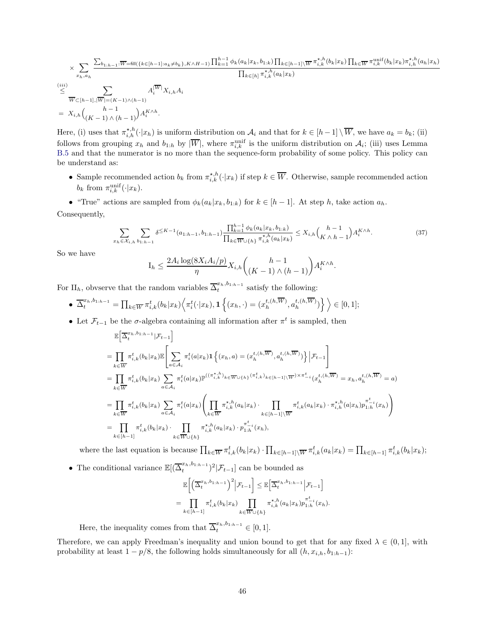$$
\times \sum_{x_h, a_h} \frac{\sum_{b_{1:h-1}:W=\text{fill}(\{k \in [h-1]:a_k \neq b_k\}, K \wedge H-1)} \prod_{k=1}^{h-1} \phi_k(a_k | x_k, b_{1:k}) \prod_{k \in [h-1] \setminus \overline{W}} \pi_{i,k}^{*,h}(b_k | x_k) \prod_{k \in \overline{W}} \pi_{i,k}^{\text{unif}}(b_k | x_k) \pi_{i,h}^{*,h}(a_h | x_h)}{\prod_{k \in [h]} \pi_{i,k}^{*,h}(a_k | x_k)} \frac{\prod_{k \in [h]} \pi_{i,k}^{*,h}(a_k | x_k)}{\overline{W}_{\sqsubset [h-1], |\overline{W}| = (K-1) \wedge (h-1)}} A_i^{|\overline{W}|} X_{i,h} A_i
$$
\n
$$
= X_{i,h} \binom{h-1}{(K-1) \wedge (h-1)} A_i^{K \wedge h}.
$$

Here, (i) uses that  $\pi^{*,h}_{i,h}(\cdot|x_h)$  is uniform distribution on  $\mathcal{A}_i$  and that for  $k \in [h-1] \setminus \overline{W}$ , we have  $a_k = b_k$ ; (ii) follows from grouping  $x_h$  and  $b_{1:h}$  by  $|\overline{W}|$ , where  $\pi_{i,k}^{\text{unif}}$  is the uniform distribution on  $\mathcal{A}_i$ ; (iii) uses Lemma [B.5](#page-22-1) and that the numerator is no more than the sequence-form probability of some policy. This policy can be understand as:

- Sample recommended action  $b_k$  from  $\pi_{i,k}^{\star,h}(\cdot|x_k)$  if step  $k \in \overline{W}$ . Otherwise, sample recommended action  $b_k$  from  $\pi_{i,k}^{\text{unif}}(\cdot|x_k)$ .
- "True" actions are sampled from  $\phi_k(a_k|x_k, b_{1:k})$  for  $k \in [h-1]$ . At step h, take action  $a_h$ .

Consequently,

<span id="page-45-0"></span>
$$
\sum_{x_h \in \mathcal{X}_{i,h}} \sum_{b_{1:h-1}} \delta^{\leq K-1}(a_{1:h-1}, b_{1:h-1}) \frac{\prod_{k=1}^{h-1} \phi_k(a_k | x_k, b_{1:k})}{\prod_{k \in \mathcal{W} \cup \{h\}} \pi_{i,k}^{\star, h}(a_k | x_k)} \leq X_{i,h} \binom{h-1}{K \wedge h-1} A_i^{K \wedge h}.
$$
\n(37)

So we have

$$
I_h \leq \frac{2A_i \log(8X_i A_i/p)}{\eta} X_{i,h} \binom{h-1}{(K-1) \wedge (h-1)} A_i^{K \wedge h}.
$$

For II<sub>h</sub>, obvserve that the random variables  $\overline{\Delta}_t^{x_h, b_{1:h-1}}$  $t^{n, \sigma_{1:n-1}}$  satisfy the following:

$$
\bullet \ \overline{\Delta}_t^{x_h, b_{1:h-1}} = \prod_{k \in \overline{W}} \pi_{i,k}^t(b_k|x_k) \Big\langle \pi_i^t(\cdot|x_k), \mathbf{1} \left\{ (x_h, \cdot) = (x_h^{t,(h,\overline{W})}, a_h^{t,(h,\overline{W})}) \right\} \Big\rangle \in [0,1];
$$

• Let  $\mathcal{F}_{t-1}$  be the  $\sigma$ -algebra containing all information after  $\pi^t$  is sampled, then

$$
\mathbb{E}\Big[\overline{\Delta}^{x_h,b_{1:h-1}}_t|\mathcal{F}_{t-1}\Big]
$$
\n
$$
= \prod_{k \in \overline{W}} \pi^t_{i,k}(b_k|x_k)\mathbb{E}\Bigg[\sum_{a \in \mathcal{A}_i} \pi^t_i(a|x_k)\mathbf{1}\left\{(x_h, a) = (x_h^{t,(h,\overline{W})}, a_h^{t,(h,\overline{W})})\right\} \Big|\mathcal{F}_{t-1}\Bigg]
$$
\n
$$
= \prod_{k \in \overline{W}} \pi^t_{i,k}(b_k|x_k)\sum_{a \in \mathcal{A}_i} \pi^t_i(a|x_k)\mathbb{P}^{((\pi^{\star,h}_{i,k})_{k \in \overline{W}\cup\{h\}}(\pi^t_{i,k})_{k \in [h-1]\setminus\overline{W}})\times \pi^t_{-i}}(x_h^{t,(h,\overline{W})} = x_h, a_h^{t,(h,\overline{W})} = a)
$$
\n
$$
= \prod_{k \in \overline{W}} \pi^t_{i,k}(b_k|x_k)\sum_{a \in \mathcal{A}_i} \pi^t_i(a|x_k)\Bigg(\prod_{k \in \overline{W}} \pi^{\star,h}_{i,k}(a_k|x_k)\cdot \prod_{k \in [h-1]\setminus\overline{W}} \pi^t_{i,k}(a_k|x_k)\cdot \pi^{\star,h}_{i,h}(a|x_h)p_{1:h}^{\pi^t_{-i}}(x_h)\Bigg)
$$
\n
$$
= \prod_{k \in [h-1]} \pi^t_{i,k}(b_k|x_k)\cdot \prod_{k \in \overline{W}\cup\{h\}} \pi^{\star,h}_{i,k}(a_k|x_k)\cdot p_{1:h}^{\pi^t_{-i}}(x_h),
$$

where the last equation is because  $\prod_{k\in\overline{W}} \pi_{i,k}^t(b_k|x_k) \cdot \prod_{k\in[h-1]\setminus\overline{W}} \pi_{i,k}^t(a_k|x_k) = \prod_{k\in[h-1]} \pi_{i,k}^t(b_k|x_k);$ 

• The conditional variance  $\mathbb{E}[(\overline{\Delta}_t^{x_h,b_{1:h-1}})]$  $(t^{x_h, 0_{1:h-1}}_t)^2|\mathcal{F}_{t-1}]$  can be bounded as

$$
\mathbb{E}\bigg[\Big(\overline{\Delta}_t^{x_h, b_{1:h-1}}\Big)^2\Big|\mathcal{F}_{t-1}\bigg] \leq \mathbb{E}\big[\overline{\Delta}_t^{x_h, b_{1:h-1}}\Big|\mathcal{F}_{t-1}\bigg]
$$
  
= 
$$
\prod_{k \in [h-1]} \pi_{i,k}^t(b_k|x_k) \prod_{k \in \overline{W} \cup \{h\}} \pi_{i,k}^{\star, h}(a_k|x_k) p_{1:h}^{\pi_{-i}^t}(x_h).
$$

Here, the inequality comes from that  $\overline{\Delta}_t^{x_h, b_{1:h-1}} \in [0, 1].$ 

Therefore, we can apply Freedman's inequality and union bound to get that for any fixed  $\lambda \in (0,1]$ , with probability at least  $1 - p/8$ , the following holds simultaneously for all  $(h, x_{i,h}, b_{1:h-1})$ :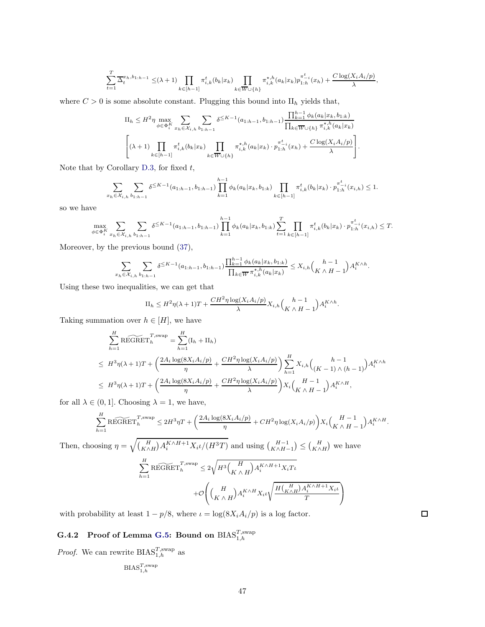$$
\sum_{t=1}^T\overline{\Delta}_t^{x_h,b_{1:h-1}}\leq (\lambda+1)\prod_{k\in [h-1]}\pi_{i,k}^t(b_k|x_k)\prod_{k\in \overline{W}\cup\{h\}}\pi_{i,k}^{\star,h}(a_k|x_k)p_{1:h}^{\pi_{-i}^t}(x_h)+\frac{C\log(X_iA_i/p)}{\lambda},
$$

where  $C > 0$  is some absolute constant. Plugging this bound into  $\text{II}_h$  yields that,

$$
\Pi_{h} \leq H^{2} \eta \max_{\phi \in \Phi_{i}^{K}} \sum_{x_{h} \in \mathcal{X}_{i,h}} \sum_{b_{1:h-1}} \delta^{\leq K-1}(a_{1:h-1}, b_{1:h-1}) \frac{\prod_{k=1}^{h-1} \phi_{k}(a_{k}|x_{k}, b_{1:k})}{\prod_{k \in \overline{W} \cup \{h\}} \pi_{i,k}^{\star, h}(a_{k}|x_{k})}
$$
\n
$$
\left[ (\lambda+1) \prod_{k \in [h-1]} \pi_{i,k}^{t}(b_{k}|x_{k}) \prod_{k \in \overline{W} \cup \{h\}} \pi_{i,k}^{\star, h}(a_{k}|x_{k}) \cdot p_{1:h}^{\pi^{t-i}}(x_{h}) + \frac{C \log(X_{i} A_{i}/p)}{\lambda} \right].
$$

Note that by Corollary [D.3,](#page-28-0) for fixed  $t$ ,

$$
\sum_{x_h \in \mathcal{X}_{i,h}} \sum_{b_1 h_1 h_2} \delta^{\leq K-1}(a_{1:h-1}, b_{1:h-1}) \prod_{k=1}^{h-1} \phi_k(a_k | x_k, b_{1:k}) \prod_{k \in [h-1]} \pi_{i,k}^t(b_k | x_k) \cdot p_{1:h}^{\pi_{i,k}^t}(x_{i,h}) \leq 1.
$$

so we have

$$
\max_{\phi \in \Phi_i^K} \sum_{x_h \in \mathcal{X}_{i,h}} \sum_{b_{1:h-1}} \delta^{\leq K-1}(a_{1:h-1}, b_{1:h-1}) \prod_{k=1}^{h-1} \phi_k(a_k | x_k, b_{1:k}) \sum_{t=1}^T \prod_{k \in [h-1]} \pi_{i,k}^t(b_k | x_k) \cdot p_{1:h}^{\pi_{-i}^t}(x_{i,h}) \leq T.
$$

Moreover, by the previous bound [\(37\)](#page-45-0),

$$
\sum_{x_h \in \mathcal{X}_{i,h}} \sum_{b_{1:h-1}} \delta^{\leq K-1}(a_{1:h-1}, b_{1:h-1}) \frac{\prod_{k=1}^{h-1} \phi_k(a_k | x_k, b_{1:k})}{\prod_{k \in \overline{W}} \pi_{i,k}^{\star, h}(a_k | x_k)} \leq X_{i,h} \binom{h-1}{K \wedge H-1} A_i^{K \wedge h}.
$$

Using these two inequalities, we can get that

$$
\Pi_h \leq H^2 \eta(\lambda + 1)T + \frac{CH^2 \eta \log(X_i A_i / p)}{\lambda} X_{i,h} {h-1 \choose K \wedge H-1} A_i^{K \wedge h}.
$$

Taking summation over  $h \in [H]$ , we have

$$
\sum_{h=1}^{H} \widetilde{\text{REGRET}}_h^{T,\text{swap}} = \sum_{h=1}^{H} (\mathbf{I}_h + \mathbf{II}_h)
$$
\n
$$
\leq H^3 \eta(\lambda + 1)T + \left(\frac{2A_i \log(8X_i A_i/p)}{\eta} + \frac{CH^2 \eta \log(X_i A_i/p)}{\lambda}\right) \sum_{h=1}^{H} X_{i,h} \binom{h-1}{(K-1) \wedge (h-1)} A_i^{K \wedge h}
$$
\n
$$
\leq H^3 \eta(\lambda + 1)T + \left(\frac{2A_i \log(8X_i A_i/p)}{\eta} + \frac{CH^2 \eta \log(X_i A_i/p)}{\lambda}\right) X_i \binom{H-1}{K \wedge H-1} A_i^{K \wedge H},
$$

for all  $\lambda \in (0, 1]$ . Choosing  $\lambda = 1$ , we have,

$$
\sum_{h=1}^{H} \widetilde{\text{REGRET}}_h^{T,\text{swap}} \leq 2H^3\eta T + \left(\frac{2A_i \log(8X_i A_i/p)}{\eta} + CH^2 \eta \log(X_i A_i/p)\right) X_i \binom{H-1}{K \wedge H-1} A_i^{K \wedge H}.
$$

Then, choosing  $\eta = \sqrt{\binom{H}{K \wedge H} A_i^{K \wedge H+1} X_i \iota/(H^3T)}$  and using  $\binom{H-1}{K \wedge H-1} \leq \binom{H}{K \wedge H}$  we have  $\stackrel{H}{\nabla}$  $h=1$  $\widetilde{\text{REGRET}}^{T,\text{swap}}_h \leq 2$  $\sqrt{H^3\left(\frac{H}{H}\right)}$  $K \wedge H$  $A_i^{K \wedge H+1} X_i T_k$  $+O$  $\sqrt{ }$  $\left(\begin{smallmatrix} H \\ K & A \end{smallmatrix}\right)$  $K \wedge H$  $A_i^{K \wedge H} X_i \iota$  $\sqrt{\frac{H\left(\frac{H}{K\wedge H}\right)A_i^{K\wedge H+1}X_i\iota}{H}}$ T  $\setminus$  $\overline{1}$ 

<span id="page-46-0"></span>with probability at least  $1 - p/8$ , where  $\iota = \log(8X_i A_i/p)$  is a log factor.

## $\rm{{\bf G}.4.2} \quad$  Proof of Lemma [G.5:](#page-42-1) Bound on  $\operatorname{BIAS}_{1,h}^{T, \operatorname{swap}}$

*Proof.* We can rewrite  $BIAS_{1,h}^{T,\text{swap}}$  as

$$
\mathrm{BIAS}_{1,h}^{T,\mathrm{swap}}
$$

 $\Box$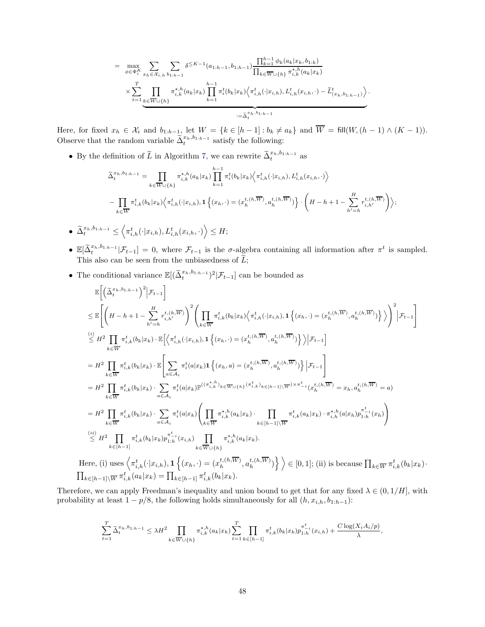$$
= \max_{\phi \in \Phi_i^K} \sum_{x_h \in \mathcal{X}_{i,h}} \sum_{b_{1:h-1}} \delta^{\leq K-1}(a_{1:h-1}, b_{1:h-1}) \frac{\prod_{k=1}^{h-1} \phi_k(a_k | x_k, b_{1:k})}{\prod_{k \in \overline{W} \cup \{h\}} \pi_{i,k}^{\star, h}(a_k | x_k)} \times \sum_{t=1}^T \prod_{\substack{k \in \overline{W} \cup \{h\}}}\pi_{i,k}^{\star, h}(a_k | x_k) \prod_{k=1}^{h-1} \pi_i^t(b_k | x_k) \left\langle \pi_{i,h}^t(\cdot | x_{i,h}), L_{i,h}^t(x_{i,h}, \cdot) - \tilde{L}_{(x_h, b_{1:h-1})}^t \right\rangle}{\prod_{i=1}^{h-1} \pi_{i,k}^t(b_k | x_k) \left\langle \pi_{i,h}^t(\cdot | x_{i,h}), L_{i,h}^t(x_{i,h}, \cdot) - \tilde{L}_{(x_h, b_{1:h-1})}^t \right\rangle}.
$$

Here, for fixed  $x_h \in \mathcal{X}_i$  and  $b_{1:h-1}$ , let  $W = \{k \in [h-1] : b_k \neq a_k\}$  and  $W = \text{fill}(W, (h-1) \wedge (K-1))$ . Observe that the random variable  $\tilde{\Delta}_t^{x_h, b_{1:h-1}}$  satisfy the following:

• By the definition of  $\widetilde{L}$  in Algorithm [7,](#page-38-0) we can rewrite  $\widetilde{\Delta}_t^{x_h, b_{1:h-1}}$  as

$$
\tilde{\Delta}_{t}^{x_h, b_{1:h-1}} = \prod_{k \in \overline{W} \cup \{h\}} \pi_{i,k}^{\star, h}(a_k | x_k) \prod_{k=1}^{h-1} \pi_i^t(b_k | x_k) \Big\langle \pi_{i,h}^t(\cdot | x_{i,h}), L_{i,h}^t(x_{i,h}, \cdot) \Big\rangle
$$

$$
- \prod_{k \in \overline{W}} \pi_{i,k}^t(b_k | x_k) \Big\langle \pi_{i,h}^t(\cdot | x_{i,h}), 1 \Big\{ (x_h, \cdot) = (x_h^{t,(h,\overline{W})}, a_h^{t,(h,\overline{W})}) \Big\} \cdot \left( H - h + 1 - \sum_{h'=h}^H r_{i,h'}^{t,(h,\overline{W})} \right) \Big\rangle;
$$

• 
$$
\widetilde{\Delta}^{x_h, b_{1:h-1}}_t \leq \left\langle \pi^t_{i,h}(\cdot|x_{i,h}), L^t_{i,h}(x_{i,h}, \cdot) \right\rangle \leq H;
$$

- $\mathbb{E}[\tilde{\Delta}_t^{x_h, b_{1:h-1}} | \mathcal{F}_{t-1}] = 0$ , where  $\mathcal{F}_{t-1}$  is the  $\sigma$ -algebra containing all information after  $\pi^t$  is sampled. This also can be seen from the unbiasedness of  $\tilde{L}$ ;
- The conditional variance  $\mathbb{E}[(\tilde{\Delta}_t^{x_h,b_{1:h-1}})^2 | \mathcal{F}_{t-1}]$  can be bounded as

$$
\begin{split} &\mathbb{E}\bigg[\Big(\widetilde{\Delta}^{x_h,b_{1:h-1}}_t\Big)^2\Big|\mathcal{F}_{t-1}\bigg]\\ &\leq \mathbb{E}\bigg[\bigg(H-h+1-\sum_{h'=h}^H r_{i,h'}^{t,(h,\overline{W})}\bigg)^2\bigg(\prod_{k\in\overline{W}}\pi_{i,k}^t(b_k|x_k)\Big\langle\pi_{i,h}^t(\cdot|x_{i,h}),\mathbf{1}\left\{(x_h,\cdot)=(x_h^{t,(h,\overline{W})},a_h^{t,(h,\overline{W})}\right\}\Big\rangle\bigg)^2\Big|\mathcal{F}_{t-1}\bigg]\\ &\stackrel{(i)}{\leq} H^2\prod_{k\in\overline{W}}\pi_{i,k}^t(b_k|x_k)\cdot\mathbb{E}\Big[\Big\langle\pi_{i,h}^t(\cdot|x_{i,h}),\mathbf{1}\left\{(x_h,\cdot)=(x_h^{t,(h,\overline{W})},a_h^{t,(h,\overline{W})}\right\}\Big\rangle\Big|\mathcal{F}_{t-1}\bigg]\\ &=H^2\prod_{k\in\overline{W}}\pi_{i,k}^t(b_k|x_k)\cdot\mathbb{E}\Bigg[\sum_{a\in\mathcal{A}_i}\pi_i^t(a|x_k)\mathbf{1}\left\{(x_h,a)=(x_h^{t,(h,\overline{W})},a_h^{t,(h,\overline{W})})\right\}\Big|\mathcal{F}_{t-1}\bigg]\\ &=H^2\prod_{k\in\overline{W}}\pi_{i,k}^t(b_k|x_k)\cdot\sum_{a\in\mathcal{A}_i}\pi_i^t(a|x_k)\mathbb{P}^{((\pi_{i,h}^{*h})_k\in\overline{W}\cup\{h\}}(\pi_{i,k}^t)_k)_k\in\{h-1\}\setminus\overline{W})^{\times\pi_{-i}^t}(x_h^{t,(h,\overline{W})}=x_h,a_h^{t,(h,\overline{W})}=a)\\ &=H^2\prod_{k\in\overline{W}}\pi_{i,k}^t(b_k|x_k)\cdot\sum_{a\in\mathcal{A}_i}\pi_i^t(a|x_k)\bigg(\prod_{k\in\overline{W}}\pi_{i,k}^{*,h}(a_k|x_k)\cdot\prod_{k\in[n-1]\setminus\overline{W}}\pi_{i,k}^t(a_k|x_k)\cdot\pi_{i,h}^{*,h}(a|x_h)p_{1:h}^{\pi_{-i}^t}(x_h)\big
$$

Therefore, we can apply Freedman's inequality and union bound to get that for any fixed  $\lambda \in (0, 1/H]$ , with probability at least  $1 - p/8$ , the following holds simultaneously for all  $(h, x_{i,h}, b_{1:h-1})$ :

$$
\sum_{t=1}^{T} \tilde{\Delta}_{t}^{x_h, b_{1:h-1}} \leq \lambda H^2 \prod_{k \in \overline{W} \cup \{h\}} \pi_{i,k}^{\star, h}(a_k | x_k) \sum_{t=1}^{T} \prod_{k \in [h-1]} \pi_{i,k}^t(b_k | x_k) p_{1:h}^{\pi_{-i}^t}(x_{i,h}) + \frac{C \log(X_i A_i/p)}{\lambda}
$$

,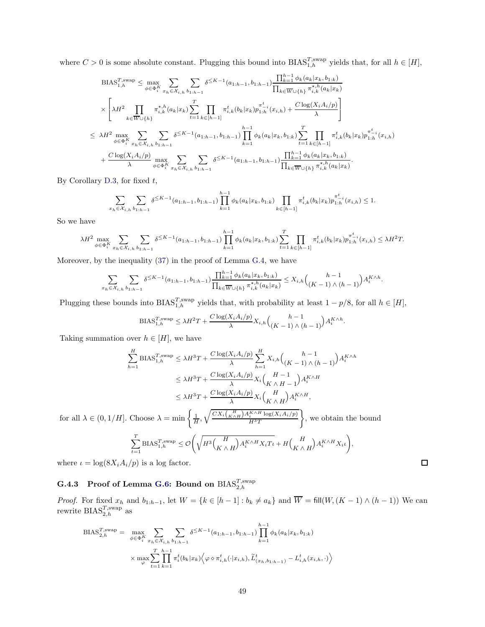where  $C > 0$  is some absolute constant. Plugging this bound into  $BIAS_{1,h}^{T,\text{swap}}$  yields that, for all  $h \in [H]$ ,

$$
\begin{split} \text{BIAS}_{1,h}^{T,\text{swap}} &\leq \max_{\phi \in \Phi_i^K} \sum_{x_h \in \mathcal{X}_{i,h}} \sum_{b_{1:h-1}} \delta^{\leq K-1}(a_{1:h-1}, b_{1:h-1}) \frac{\prod_{k=1}^{h-1} \phi_k(a_k | x_k, b_{1:k})}{\prod_{k \in \overline{W} \cup \{h\}} \pi_{i,k}^{*,h}(a_k | x_k)} \\ &\times \left[ \lambda H^2 \prod_{k \in \overline{W} \cup \{h\}} \pi_{i,k}^{*,h}(a_k | x_k) \sum_{t=1}^T \prod_{k \in [h-1]} \pi_{i,k}^t(b_k | x_k) p_{1:h}^{\pi_{-i}^t}(x_{i,h}) + \frac{C \log(X_i A_i / p)}{\lambda} \right] \\ &\leq \lambda H^2 \max_{\phi \in \Phi_i^K} \sum_{x_h \in \mathcal{X}_{i,h}} \sum_{b_{1:h-1}} \delta^{\leq K-1}(a_{1:h-1}, b_{1:h-1}) \prod_{k=1}^{h-1} \phi_k(a_k | x_k, b_{1:k}) \sum_{t=1}^T \prod_{k \in [h-1]} \pi_{i,k}^t(b_k | x_k) p_{1:h}^{\pi_{-i}^t}(x_{i,h}) \\ &+ \frac{C \log(X_i A_i / p)}{\lambda} \max_{\phi \in \Phi_i^K} \sum_{x_h \in \mathcal{X}_{i,h}} \sum_{b_{1:h-1}} \delta^{\leq K-1}(a_{1:h-1}, b_{1:h-1}) \frac{\prod_{k=1}^{h-1} \phi_k(a_k | x_k, b_{1:k})}{\prod_{k \in \overline{W} \cup \{h\}} \pi_{i,k}^{*,h}(a_k | x_k)} .\end{split}
$$

By Corollary  $D.3$ , for fixed  $t$ ,

$$
\sum_{x_h \in \mathcal{X}_{i,h}} \sum_{b_1 h_1 h_2} \delta^{\leq K-1}(a_{1:h-1}, b_{1:h-1}) \prod_{k=1}^{h-1} \phi_k(a_k | x_k, b_{1:k}) \prod_{k \in [h-1]} \pi_{i,k}^t(b_k | x_k) p_{1:h}^{\pi_{-i}^t}(x_{i,h}) \leq 1.
$$

So we have

$$
\lambda H^{2} \max_{\phi \in \Phi_{i}^{K}} \sum_{x_{h} \in \mathcal{X}_{i,h}} \sum_{b_{1:h-1}} \delta^{\leq K-1}(a_{1:h-1}, b_{1:h-1}) \prod_{k=1}^{h-1} \phi_{k}(a_{k}|x_{k}, b_{1:k}) \sum_{t=1}^{T} \prod_{k \in [h-1]} \pi_{i,k}^{t}(b_{k}|x_{k}) p_{1:h}^{\pi_{i}^{t}}(x_{i,h}) \leq \lambda H^{2} T.
$$

Moreover, by the inequality [\(37\)](#page-45-0) in the proof of Lemma [G.4,](#page-42-0) we have

$$
\sum_{x_h \in \mathcal{X}_{i,h}} \sum_{b_{1:h-1}} \delta^{\leq K-1}(a_{1:h-1}, b_{1:h-1}) \frac{\prod_{k=1}^{h-1} \phi_k(a_k | x_k, b_{1:k})}{\prod_{k \in \overline{W} \cup \{h\}} \pi_{i,k}^{\star, h}(a_k | x_k)} \leq X_{i,h} \binom{h-1}{(K-1) \wedge (h-1)} A_i^{K \wedge h}.
$$

Plugging these bounds into  $BIAS_{1,h}^{T,\text{swap}}$  yields that, with probability at least  $1 - p/8$ , for all  $h \in [H]$ ,

$$
\text{BIAS}_{1,h}^{T,\text{swap}} \leq \lambda H^2 T + \frac{C \log(X_i A_i / p)}{\lambda} X_{i,h} {h-1 \choose (K-1) \land (h-1)} A_i^{K \land h}.
$$

Taking summation over  $h \in [H]$ , we have

$$
\sum_{h=1}^{H} \text{BIAS}_{1,h}^{T,\text{swap}} \leq \lambda H^{3}T + \frac{C \log(X_{i}A_{i}/p)}{\lambda} \sum_{h=1}^{H} X_{i,h} {h-1 \choose (K-1) \land (h-1)} A_{i}^{K \land h}
$$
\n
$$
\leq \lambda H^{3}T + \frac{C \log(X_{i}A_{i}/p)}{\lambda} X_{i} {K \land H-1 \choose K \land H-1} A_{i}^{K \land H}
$$
\n
$$
\leq \lambda H^{3}T + \frac{C \log(X_{i}A_{i}/p)}{\lambda} X_{i} {K \land H \choose K \land H} A_{i}^{K \land H},
$$
\n1. Choose  $\lambda = \min_{h \in \mathbb{N}} \frac{\int_{0}^{H} \lambda \left( \frac{H}{K \land H} \right) A_{i}^{K \land H} \log(X_{i}A_{i}/p)}{\lambda} {K \land H} \log(X_{i}A_{i}/p)}$ , we obtain the basis

for all 
$$
\lambda \in (0, 1/H]
$$
. Choose  $\lambda = \min \left\{ \frac{1}{H}, \sqrt{\frac{CX_i {K \choose K \wedge H} A_i^{K \wedge H} \log(X_i A_i / p)}{H^3 T}} \right\}$ , we obtain the bound  

$$
\sum_{t=1}^T \text{BIAS}_{1,h}^{T, \text{swap}} \leq \mathcal{O}\left(\sqrt{H^3 {H \choose K \wedge H} A_i^{K \wedge H} X_i T_i} + H {H \choose K \wedge H} A_i^{K \wedge H} X_i \iota \right),
$$

<span id="page-48-0"></span>where  $\iota = \log(8X_i A_i/p)$  is a log factor.

## $\rm G.4.3 \quad Proof \ of \ Lemma \ G.6 \colon Bound \ on \ BIAS_{2,h}^{T, \rm swap}$

*Proof.* For fixed  $x_h$  and  $b_{1:h-1}$ , let  $W = \{k \in [h-1] : b_k \neq a_k\}$  and  $W = \text{fill}(W, (K-1) \wedge (h-1))$  We can rewrite  $\text{BIAS}_{2,h}^{T,\text{swap}}$  as

 $\Box$ 

$$
BIAS_{2,h}^{T,swap} = \max_{\phi \in \Phi_i^K} \sum_{x_h \in \mathcal{X}_{i,h}} \sum_{b_{1:h-1}} \delta^{\leq K-1}(a_{1:h-1}, b_{1:h-1}) \prod_{k=1}^{h-1} \phi_k(a_k | x_k, b_{1:k})
$$

$$
\times \max_{\varphi} \sum_{t=1}^T \prod_{k=1}^{h-1} \pi_i^t(b_k | x_k) \Big\langle \varphi \diamond \pi_{i,h}^t(\cdot | x_{i,h}), \widetilde{L}_{(x_h, b_{1:h-1})}^t - L_{i,h}^t(x_{i,h}, \cdot) \Big\rangle
$$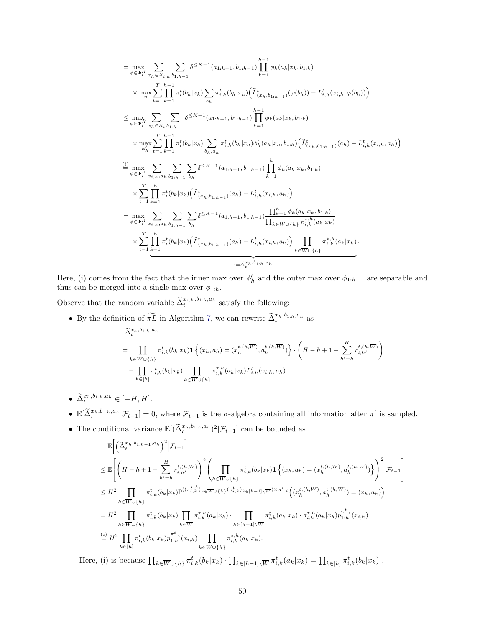$$
= \max_{\phi \in \Phi_{i}^{K}} \sum_{x_{h} \in \mathcal{X}_{i,h}} \sum_{b_{1:h-1}} \delta^{\leq K-1}(a_{1:h-1}, b_{1:h-1}) \prod_{k=1}^{h-1} \phi_{k}(a_{k}|x_{k}, b_{1:k})
$$
  
\n
$$
\times \max_{\varphi} \sum_{t=1}^{T} \prod_{k=1}^{h-1} \pi_{i}^{t}(b_{k}|x_{k}) \sum_{b_{h}} \pi_{i,h}^{t}(b_{h}|x_{h}) (\tilde{L}_{(x_{h}, b_{1:h-1})}^{t}( \varphi(b_{h})) - L_{i,h}^{t}(x_{i,h}, \varphi(b_{h})) )
$$
  
\n
$$
\leq \max_{\phi \in \Phi_{i}^{K}} \sum_{x_{h} \in \mathcal{X}_{i}} \sum_{b_{1:h-1}} \delta^{\leq K-1}(a_{1:h-1}, b_{1:h-1}) \prod_{k=1}^{h-1} \phi_{k}(a_{k}|x_{k}, b_{1:k})
$$
  
\n
$$
\times \max_{\phi_{h}^{t}} \sum_{t=1}^{T} \prod_{k=1}^{h-1} \pi_{i}^{t}(b_{k}|x_{k}) \sum_{b_{h}, a_{h}} \pi_{i,h}^{t}(b_{h}|x_{h}) \phi_{h}'(a_{h}|x_{h}, b_{1:h}) (\tilde{L}_{(x_{h}, b_{1:h-1})}^{t}(a_{h}) - L_{i,h}^{t}(x_{i,h}, a_{h}))
$$
  
\n
$$
\stackrel{(i)}{=} \max_{\phi \in \Phi_{i}^{K}} \sum_{x_{i,h}, a_{h}} \sum_{b_{1:h-1}} \sum_{b_{h}} \delta^{\leq K-1}(a_{1:h-1}, b_{1:h-1}) \prod_{k=1}^{h} \phi_{k}(a_{k}|x_{k}, b_{1:k})
$$
  
\n
$$
\times \sum_{t=1}^{T} \prod_{k=1}^{h} \pi_{i}^{t}(b_{k}|x_{k}) (\tilde{L}_{(x_{h}, b_{1:h-1})}^{t}(a_{h}) - L_{i,h}^{t}(x_{i,h}, a_{h}))
$$
  
\n
$$
= \max_{\phi \in \Phi_{i}^{K}} \sum_{x_{i,h}, a_{h}} \sum_{b_{1:h-1}} \delta^{\leq K
$$

Here, (i) comes from the fact that the inner max over  $\phi'_h$  and the outer max over  $\phi_{1:h-1}$  are separable and thus can be merged into a single max over  $\phi_{1:h}$ .

!

Observe that the random variable  $\tilde{\Delta}_t^{x_{i,h},b_{1:h},a_h}$  satisfy the following:

- By the definition of  $\widetilde{\pi L}$  in Algorithm [7,](#page-38-0) we can rewrite  $\widetilde{\Delta}_t^{x_h, b_{1:h}, a_h}$  as  $\tilde{\Delta}_t^{x_h,b_{1:h},a_h}$  $=$   $\Pi$  $k ∈ W ∪ \{h\}$  $\pi_{i,k}^{t}(b_k|x_k) \mathbf{1} \left\{ (x_h,a_h) = (x_h^{t,(h,\overline{W})},a_h^{t,(h,\overline{W})}) \right\}.$  $\sqrt{ }$  $H-h+1-\sum_{i=1}^{H}$  $h'=h$  $r_{i,h'}^{t,(h,W)}$ <sup>-</sup> Π  $k \in [h]$  $\pi_{i,k}^t(b_k|x_k)$   $\prod$  $k∈W∪{h}$  $\pi_{i,k}^{\star,h}(a_k|x_k)L_{i,h}^t(x_{i,h},a_h).$
- $\widetilde{\Delta}_t^{x_h, b_{1:h}, a_h} \in [-H, H].$
- $\mathbb{E}[\tilde{\Delta}_t^{x_h, b_{1:h}, a_h} | \mathcal{F}_{t-1}] = 0$ , where  $\mathcal{F}_{t-1}$  is the  $\sigma$ -algebra containing all information after  $\pi^t$  is sampled.
- The conditional variance  $\mathbb{E}[(\tilde{\Delta}_t^{x_h,b_{1:h},a_h})^2|\mathcal{F}_{t-1}]$  can be bounded as

$$
\mathbb{E}\Bigg[\Big(\widetilde{\Delta}_{t}^{x_{h},b_{1:h-1},a_{h}}\Big)^{2}\Big|\mathcal{F}_{t-1}\Bigg]
$$
\n
$$
\leq \mathbb{E}\Bigg[\Big(H-h+1-\sum_{h'=h}^{H}r_{i,h'}^{t,(h,\overline{W})}\Big)^{2}\Bigg(\prod_{k\in\overline{W}\cup\{h\}}\pi_{i,k}^{t}(b_{k}|x_{k})\mathbf{1}\Big\{(x_{h},a_{h})=(x_{h}^{t,(h,\overline{W})},a_{h}^{t,(h,\overline{W})})\Big\}\Bigg)^{2}\Big|\mathcal{F}_{t-1}\Bigg]
$$
\n
$$
\leq H^{2}\prod_{k\in\overline{W}\cup\{h\}}\pi_{i,k}^{t}(b_{k}|x_{k})\mathbb{P}^{((\pi_{i,k}^{*,h})_{k\in\overline{W}\cup\{h\}}(\pi_{i,k}^{t})_{k\in[-1]\setminus\overline{W}})\times\pi_{-i}^{t}\Big((x_{h}^{t,(h,\overline{W})},a_{h}^{t,(h,\overline{W})})=(x_{h},a_{h})\Big)
$$
\n
$$
=H^{2}\prod_{k\in\overline{W}\cup\{h\}}\pi_{i,k}^{t}(b_{k}|x_{k})\prod_{k\in\overline{W}}\pi_{i,k}^{*,h}(a_{k}|x_{k})\cdot\prod_{k\in[h-1]\setminus\overline{W}}\pi_{i,k}^{t}(a_{k}|x_{k})\cdot\pi_{i,h}^{*,h}(a_{h}|x_{h})p_{1:h}^{\pi_{-i}^{t}}(x_{i,h})
$$
\n
$$
\stackrel{(i)}{=}H^{2}\prod_{k\in[h]} \pi_{i,k}^{t}(b_{k}|x_{k})p_{1:h}^{\pi_{-i}^{t}}(x_{i,h})\prod_{k\in\overline{W}\cup\{h\}}\pi_{i,k}^{*,h}(a_{k}|x_{k}).
$$

Here, (i) is because  $\prod_{k\in \overline{W}\cup\{h\}} \pi_{i,k}^t(b_k|x_k) \cdot \prod_{k\in [h-1]\setminus \overline{W}} \pi_{i,k}^t(a_k|x_k) = \prod_{k\in [h]} \pi_{i,k}^t(b_k|x_k)$ .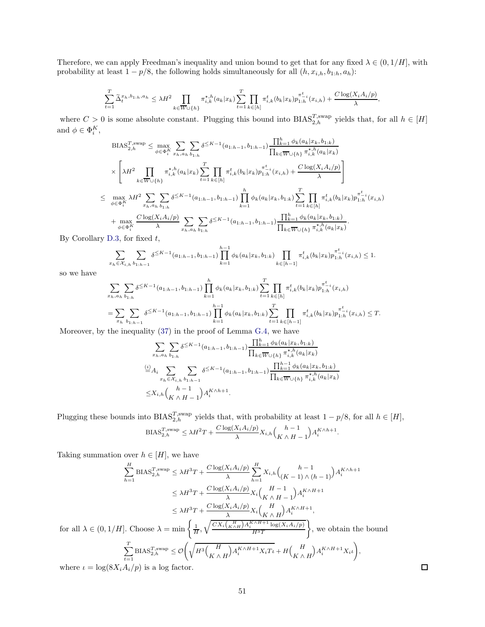Therefore, we can apply Freedman's inequality and union bound to get that for any fixed  $\lambda \in (0, 1/H]$ , with probability at least  $1 - p/8$ , the following holds simultaneously for all  $(h, x_{i,h}, b_{1:h}, a_h)$ :

$$
\sum_{t=1}^T \widetilde{\Delta}_t^{x_h, b_{1:h}, a_h} \leq \lambda H^2 \prod_{k \in \overline{W} \cup \{h\}} \pi_{i,k}^{\star, h}(a_k | x_k) \sum_{t=1}^T \prod_{k \in [h]} \pi_{i,k}^t(b_k | x_k) p_{1:h}^{\pi_{-i}^t}(x_{i,h}) + \frac{C \log(X_i A_i / p)}{\lambda},
$$

where  $C > 0$  is some absolute constant. Plugging this bound into  $BIAS_{2,h}^{T,\text{swap}}$  yields that, for all  $h \in [H]$ and  $\phi \in \Phi_i^K$ ,

$$
\begin{split} &\text{BIAS}_{2,h}^{T,\text{swap}} \leq \max_{\phi \in \Phi_i^K} \sum_{x_h, a_h} \sum_{b_{1:h}} \delta^{\leq K-1}(a_{1:h-1}, b_{1:h-1}) \frac{\prod_{k=1}^h \phi_k(a_k|x_k, b_{1:k})}{\prod_{k \in \overline{W} \cup \{h\}} \pi_{i,k}^{*,h}(a_k|x_k)} \\ & \times \left[ \lambda H^2 \prod_{k \in \overline{W} \cup \{h\}} \pi_{i,k}^{*,h}(a_k|x_k) \sum_{t=1}^T \prod_{k \in [h]} \pi_{i,k}^t(b_k|x_k) p_{1:h}^{\pi_{i,h}^t}(x_{i,h}) + \frac{C \log(X_i A_i/p)}{\lambda} \right] \\ & \leq \max_{\phi \in \Phi_i^K} \lambda H^2 \sum_{x_h, a_h} \sum_{b_{1:h}} \delta^{\leq K-1}(a_{1:h-1}, b_{1:h-1}) \prod_{k=1}^h \phi_k(a_k|x_k, b_{1:k}) \sum_{t=1}^T \prod_{k \in [h]} \pi_{i,k}^t(b_k|x_k) p_{1:h}^{\pi_{i,h}^t}(x_{i,h}) \\ & + \max_{\phi \in \Phi_i^K} \frac{C \log(X_i A_i/p)}{\lambda} \sum_{x_h, a_h} \sum_{b_{1:h}} \delta^{\leq K-1}(a_{1:h-1}, b_{1:h-1}) \frac{\prod_{k=1}^h \phi_k(a_k|x_k, b_{1:k})}{\prod_{k \in \overline{W} \cup \{h\}} \pi_{i,k}^{*,h}(a_k|x_k)} .\end{split}
$$

By Corollary [D.3,](#page-28-0) for fixed  $t$ ,

$$
\sum_{x_h \in \mathcal{X}_{i,h}} \sum_{b_1: h-1} \delta^{\leq K-1}(a_{1:h-1}, b_{1:h-1}) \prod_{k=1}^{h-1} \phi_k(a_k|x_k, b_{1:k}) \prod_{k \in [h-1]} \pi_{i,k}^t(b_k|x_k) p_{1:h}^{\pi_{-i}^t}(x_{i,h}) \leq 1.
$$

so we have

$$
\sum_{x_h, a_h} \sum_{b_{1:h}} \delta^{\leq K-1}(a_{1:h-1}, b_{1:h-1}) \prod_{k=1}^h \phi_k(a_k | x_k, b_{1:k}) \sum_{t=1}^T \prod_{k \in [h]} \pi_{i,k}^t(b_k | x_k) p_{1:h}^{\pi_{-i}^t}(x_{i,h})
$$
  
= 
$$
\sum_{x_h} \sum_{b_{1:h-1}} \delta^{\leq K-1}(a_{1:h-1}, b_{1:h-1}) \prod_{k=1}^h \phi_k(a_k | x_k, b_{1:k}) \sum_{t=1}^T \prod_{k \in [h-1]} \pi_{i,k}^t(b_k | x_k) p_{1:h}^{\pi_{-i}^t}(x_{i,h}) \leq T.
$$

Moreover, by the inequality [\(37\)](#page-45-0) in the proof of Lemma [G.4,](#page-42-0) we have

$$
\sum_{x_h, a_h} \sum_{b_{1:h}} \delta^{\leq K-1}(a_{1:h-1}, b_{1:h-1}) \frac{\prod_{k=1}^h \phi_k(a_k|x_k, b_{1:k})}{\prod_{k \in \overline{W} \cup \{h\}} \pi_{i,k}^{\star, h}(a_k|x_k)}
$$
  
\n
$$
\stackrel{(i)}{=} A_i \sum_{x_h \in \mathcal{X}_{i,h}} \sum_{b_{1:h-1}} \delta^{\leq K-1}(a_{1:h-1}, b_{1:h-1}) \frac{\prod_{k=1}^{h-1} \phi_k(a_k|x_k, b_{1:k})}{\prod_{k \in \overline{W} \cup \{h\}} \pi_{i,k}^{\star, h}(a_k|x_k)}
$$
  
\n
$$
\leq X_{i,h} {h-1 \choose K \wedge H-1} A_i^{K \wedge h+1}.
$$

Plugging these bounds into  $BIAS_{2,h}^{T,\text{swap}}$  yields that, with probability at least  $1 - p/8$ , for all  $h \in [H]$ ,  $\text{BIAS}_{2,h}^{T,\text{swap}} \leq \lambda H^2T + \frac{C \log(X_i A_i/p)}{\lambda}$  $\frac{X_i A_i/p)}{\lambda} X_{i,h} \binom{h-1}{K \wedge H-1}$  $A_i^{K \wedge h+1}$ .

Taking summation over  $h \in [H]$ , we have

$$
\sum_{h=1}^{H} \text{BIAS}_{2,h}^{T,\text{swap}} \le \lambda H^{3}T + \frac{C\log(X_{i}A_{i}/p)}{\lambda} \sum_{h=1}^{H} X_{i,h} {h-1 \choose (K-1) \land (h-1)} A_{i}^{K\land h+1}
$$

$$
\le \lambda H^{3}T + \frac{C\log(X_{i}A_{i}/p)}{\lambda} X_{i} {K \land H-1 \choose K \land H-1} A_{i}^{K\land H+1}
$$

$$
\le \lambda H^{3}T + \frac{C\log(X_{i}A_{i}/p)}{\lambda} X_{i} {K \land H} A_{i}^{K\land H+1},
$$
for all  $\lambda \in (0,1/H]$ . Choose  $\lambda = \min \left\{\frac{1}{H}, \sqrt{\frac{CX_{i} {K \land H} A_{i}^{K\land H+1} \log(X_{i}A_{i}/p)}{H^{3}T}}\right\}$ , we obtain the bound 
$$
\sum_{t=1}^{T} \text{BIAS}_{2,h}^{T,\text{swap}} \le \mathcal{O}\left(\sqrt{H^{3} {K \land H}}\right) A_{i}^{K\land H+1} X_{i} T_{t} + H {H \choose K \land H} A_{i}^{K\land H+1} X_{i} t \right),
$$
where  $t = \log(8X_{i}A_{i}/p)$  is a log factor.

where  $\iota = \log(8X_i A_i/p)$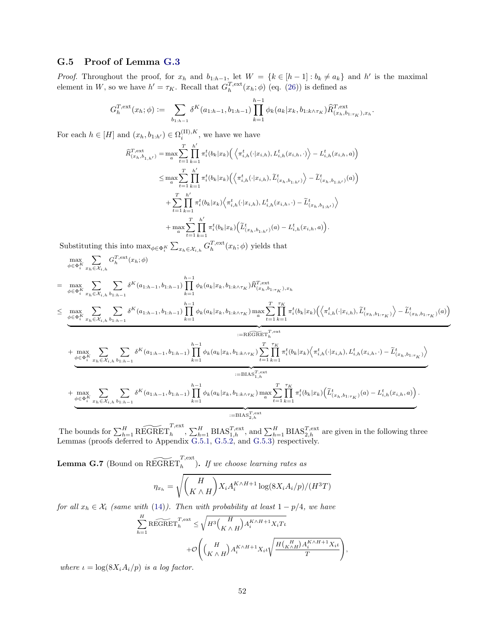#### <span id="page-51-0"></span>G.5 Proof of Lemma [G.3](#page-40-2)

*Proof.* Throughout the proof, for  $x_h$  and  $b_{1:h-1}$ , let  $W = \{k \in [h-1] : b_k \neq a_k\}$  and  $h'$  is the maximal element in W, so we have  $h' = \tau_K$ . Recall that  $G_h^{T,\text{ext}}(x_h; \phi)$  (eq. [\(26\)](#page-29-3)) is defined as

$$
G_h^{T,\text{ext}}(x_h;\phi) := \sum_{b_{1:h-1}} \delta^K(a_{1:h-1}, b_{1:h-1}) \prod_{k=1}^{h-1} \phi_k(a_k|x_k, b_{1:k \wedge \tau_K}) \widehat{R}_{(x_h, b_{1:\tau_K}), x_h}^{T,\text{ext}}.
$$

For each  $h \in [H]$  and  $(x_h, b_{1:h'}) \in \Omega_i^{(\text{II}), K}$  $i^{(11),\Lambda}$ , we have we have

$$
\begin{split} \widehat{R}^{T,\text{ext}}_{(x_h,b_{1,h'})} &= \max_a \sum_{t=1}^T \prod_{k=1}^{h'} \pi_i^t(b_k|x_k) \Big( \Big\langle \pi_{i,h}^t(\cdot|x_{i,h}), L_{i,h}^t(x_{i,h}, \cdot) \Big\rangle - L_{i,h}^t(x_{i,h}, a) \Big) \\ &\leq \max_a \sum_{t=1}^T \prod_{k=1}^{h'} \pi_i^t(b_k|x_k) \Big( \Big\langle \pi_{i,h}^t(\cdot|x_{i,h}), \widetilde{L}_{(x_h,b_{1:h'})}^t \Big\rangle - \widetilde{L}_{(x_h,b_{1:h'})}^t(a) \Big) \\ &\quad + \sum_{t=1}^T \prod_{k=1}^{h'} \pi_i^t(b_k|x_k) \Big\langle \pi_{i,h}^t(\cdot|x_{i,h}), L_{i,h}^t(x_{i,h}, \cdot) - \widetilde{L}_{(x_h,b_{1:h'})}^t \Big\rangle \\ &\quad + \max_a \sum_{t=1}^T \prod_{k=1}^{h'} \pi_i^t(b_k|x_k) \Big( \widetilde{L}_{(x_h,b_{1:h'})}^t(a) - L_{i,h}^t(x_{i,h}, a) \Big). \end{split}
$$

Substituting this into  $\max_{\phi \in \Phi_i^K} \sum_{x_h \in \mathcal{X}_{i,h}} G_h^{T,\text{ext}}(x_h; \phi)$  yields that

$$
\begin{split} & \max_{\phi \in \Phi_{i}^{K}} \sum_{x_{h} \in \mathcal{X}_{i,h}} G_{h}^{T,\text{ext}}(x_{h};\phi) \\ & = \max_{\phi \in \Phi_{i}^{K}} \sum_{x_{h} \in \mathcal{X}_{i,h}} \sum_{b_{1:h-1}} \delta^{K}(a_{1:h-1},b_{1:h-1}) \prod_{k=1}^{h-1} \phi_{k}(a_{k}|x_{k},b_{1:k \wedge \tau_{K}}) \widehat{R}_{(x_{h},b_{1:\tau_{K}}),x_{h}}^{T,\text{ext}} \\ & \leq \max_{\phi \in \Phi_{i}^{K}} \sum_{x_{h} \in \mathcal{X}_{i,h}} \sum_{b_{1:h-1}} \delta^{K}(a_{1:h-1},b_{1:h-1}) \prod_{k=1}^{h-1} \phi_{k}(a_{k}|x_{k},b_{1:k \wedge \tau_{K}}) \max_{a} \sum_{t=1}^{T} \prod_{k=1}^{\tau_{K}} \pi_{t}^{t}(b_{k}|x_{k}) \Big( \Big\langle \pi_{i,h}^{t}(\cdot|x_{i,h}), \widetilde{L}_{(x_{h},b_{1:\tau_{K}})}^{t} \Big\rangle - \widetilde{L}_{(x_{h},b_{1:\tau_{K}})}^{t}(a) \Big\rangle \\ & + \max_{\phi \in \Phi_{i}^{K}} \sum_{x_{h} \in \mathcal{X}_{i,h}} \sum_{b_{1:h-1}} \delta^{K}(a_{1:h-1},b_{1:h-1}) \prod_{k=1}^{h-1} \phi_{k}(a_{k}|x_{k},b_{1:k \wedge \tau_{K}}) \sum_{t=1}^{T} \prod_{k=1}^{\tau_{K}} \pi_{t}^{t}(b_{k}|x_{k}) \Big\langle \pi_{i,h}^{t}(\cdot|x_{i,h}), L_{i,h}^{t}(x_{i,h}, \cdot) - \widetilde{L}_{(x_{h},b_{1:\tau_{K}})}^{t}(a) \Big\rangle \\ & + \max_{\phi \in \Phi_{i}^{K}} \sum_{x_{h} \in \mathcal{X}_{i,h}} \sum_{b_{1:h-1}} \delta^{K}(a_{1:h-1},b_{1:h-1}) \prod_{k=1}^{h-1} \phi_{k}(a_{k}|x_{k},b_{1:k \wedge \tau_{K}}) \max_{a} \sum_{t=1}^{T} \prod_{k=1}^{\tau
$$

The bounds for  $\sum_{h=1}^H \widetilde{\text{REGRET}}_h^{\text{Text}}, \sum_{h=1}^H \text{BIAS}_{1,h}^{T,\text{ext}},$  and  $\sum_{h=1}^H \text{BIAS}_{2,h}^{T,\text{ext}}$  are given in the following three Lemmas (proofs deferred to Appendix [G.5.1,](#page-52-1) [G.5.2,](#page-55-0) and [G.5.3\)](#page-57-0) respectively.

<span id="page-51-1"></span>**Lemma G.7** (Bound on  $\widetilde{\mathrm{REGRET}}_h^{\mathcal{T},\mathrm{ext}}$ ). If we choose learning rates as

$$
\eta_{x_h} = \sqrt{\binom{H}{K \wedge H}} X_i A_i^{K \wedge H+1} \log(8X_i A_i/p)/(H^3 T)
$$

for all  $x_h \in \mathcal{X}_i$  (same with [\(14\)](#page-9-5)). Then with probability at least  $1 - p/4$ , we have

$$
\sum_{h=1}^{H} \widetilde{\text{REGRET}}_h^{T,\text{ext}} \le \sqrt{H^3 \binom{H}{K \wedge H} A_i^{K \wedge H+1} X_i T_l}
$$

$$
+ \mathcal{O}\left(\binom{H}{K \wedge H} A_i^{K \wedge H+1} X_i \iota \sqrt{\frac{H \binom{H}{K \wedge H} A_i^{K \wedge H+1} X_i \iota}{T}}\right),
$$

where  $\iota = \log(8X_i A_i/p)$  is a log factor.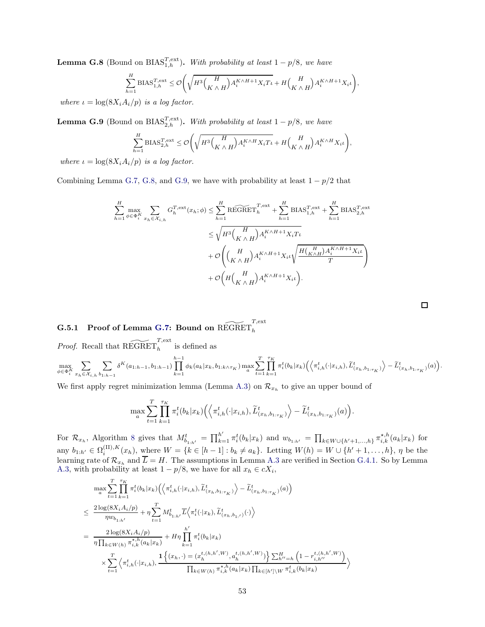<span id="page-52-2"></span>**Lemma G.8** (Bound on  $BIAS_{1,h}^{T,\text{ext}})$ . With probability at least  $1 - p/8$ , we have

$$
\sum_{h=1}^{H} \text{BIAS}_{1,h}^{T,\text{ext}} \leq \mathcal{O}\Bigg(\sqrt{H^3 \binom{H}{K \wedge H} A_i^{K \wedge H+1} X_i T\iota} + H\binom{H}{K \wedge H} A_i^{K \wedge H+1} X_i \iota \Bigg),
$$

where  $\iota = \log(8X_i A_i/p)$  is a log factor.

<span id="page-52-0"></span>**Lemma G.9** (Bound on BIAS<sup>T,ext</sup>). With probability at least  $1 - p/8$ , we have

$$
\sum_{h=1}^{H} \text{BIAS}_{2,h}^{T,\text{ext}} \leq \mathcal{O}\bigg(\sqrt{H^3 \binom{H}{K \wedge H} A_i^{K \wedge H} X_i T_l} + H \binom{H}{K \wedge H} A_i^{K \wedge H} X_i \iota \bigg),
$$
  
\n $\langle n \rangle$  is a log factor

where  $\iota = \log(8X_i A_i/p)$  is a log factor.

Combining Lemma [G.7,](#page-51-1) [G.8,](#page-52-2) and [G.9,](#page-52-0) we have with probability at least  $1 - p/2$  that

$$
\sum_{h=1}^{H} \max_{\phi \in \Phi_i^K} \sum_{x_h \in \mathcal{X}_{i,h}} G_h^{T,\text{ext}}(x_h; \phi) \le \sum_{h=1}^{H} \widetilde{\text{REGRET}}_h^{T,\text{ext}} + \sum_{h=1}^{H} \text{BIAS}_{1,h}^{T,\text{ext}} + \sum_{h=1}^{H} \text{BIAS}_{2,h}^{T,\text{ext}}
$$

$$
\le \sqrt{H^3 \binom{H}{K \wedge H} A_i^{K \wedge H+1} X_i T_\iota}
$$

$$
+ \mathcal{O}\left(\binom{H}{K \wedge H} A_i^{K \wedge H+1} X_i \iota \sqrt{\frac{H\binom{H}{K \wedge H} A_i^{K \wedge H+1} X_i \iota}{T}}\right)
$$

$$
+ \mathcal{O}\left(H\binom{H}{K \wedge H} A_i^{K \wedge H+1} X_i \iota\right).
$$

## <span id="page-52-1"></span> $\begin{array}{ll} \textbf{G.5.1} & \textbf{Proof of Lemma G.7: } \textbf{Bound on REGRET}_h^{T,\mathrm{ext}} \end{array}$  $\begin{array}{ll} \textbf{G.5.1} & \textbf{Proof of Lemma G.7: } \textbf{Bound on REGRET}_h^{T,\mathrm{ext}} \end{array}$  $\begin{array}{ll} \textbf{G.5.1} & \textbf{Proof of Lemma G.7: } \textbf{Bound on REGRET}_h^{T,\mathrm{ext}} \end{array}$

*Proof.* Recall that  $\widetilde{\mathrm{REGRET}}_h^{T,\mathrm{ext}}$  is defined as

$$
\max_{\phi \in \Phi_i^K} \sum_{x_h \in \mathcal{X}_{i,h}} \sum_{b_{1:h-1}} \delta^K(a_{1:h-1}, b_{1:h-1}) \prod_{k=1}^{h-1} \phi_k(a_k | x_k, b_{1:k \wedge \tau_K}) \max_a \sum_{t=1}^T \prod_{k=1}^{\tau_K} \pi_i^t(b_k | x_k) \Big( \Big\langle \pi_{i,h}^t(\cdot | x_{i,h}), \widetilde{L}_{(x_h, b_{1:\tau_K})}^t \Big\rangle - \widetilde{L}_{(x_h, b_{1:\tau_K})}^t(a) \Big).
$$

We first apply regret minimization lemma (Lemma [A.3\)](#page-17-0) on  $\mathcal{R}_{x_h}$  to give an upper bound of

$$
\max_{a} \sum_{t=1}^{T} \prod_{k=1}^{\tau_K} \pi_i^t(b_k|x_k) \Big( \Big\langle \pi_{i,h}^t(\cdot|x_{i,h}), \widetilde{L}_{(x_h,b_{1:\tau_K})}^t \Big\rangle - \widetilde{L}_{(x_h,b_{1:\tau_K})}^t(a) \Big).
$$

For  $\mathcal{R}_{x_h}$ , Algorithm [8](#page-40-0) gives that  $M_{b_{1:h'}}^t = \prod_{k=1}^{h'} \pi_i^t(b_k|x_k)$  and  $w_{b_{1:h'}} = \prod_{k \in W \cup \{h'+1,\dots,h\}} \pi_{i,k}^{\star,h}(a_k|x_k)$  for any  $b_{1:h'} \in \Omega_i^{\text{(II)},K}$  $\sum_{i=1}^{(n)} p_i(x_{i})$ , where  $W = \{k \in [h-1]: b_k \neq a_k\}$ . Letting  $W(h) = W \cup \{h'+1,\ldots,h\}$ ,  $\eta$  be the learning rate of  $\mathcal{R}_{x_h}$  and  $L = H$ . The assumptions in Lemma [A.3](#page-17-0) are verified in Section [G.4.1.](#page-43-0) So by Lemma [A.3,](#page-17-0) with probability at least  $1 - p/8$ , we have for all  $x_h \in cX_i$ ,

$$
\max_{a} \sum_{t=1}^{T} \prod_{k=1}^{\tau_{K}} \pi_{i}^{t}(b_{k}|x_{k}) \Big( \Big\langle \pi_{i,h}^{t}(\cdot|x_{i,h}), \widetilde{L}_{(x_{h},b_{1:\tau_{K}})}^{t} \Big\rangle - \widetilde{L}_{(x_{h},b_{1:\tau_{K}})}^{t}(a) \Big) \n\leq \frac{2 \log(8X_{i}A_{i}/p)}{\eta w_{b_{1:h'}}} + \eta \sum_{t=1}^{T} M_{b_{1:h'}}^{t} \overline{L} \Big\langle \pi_{i}^{t}(\cdot|x_{k}), \widetilde{L}_{(x_{h},b_{1,f'})}^{t}(\cdot) \Big\rangle \n= \frac{2 \log(8X_{i}A_{i}/p)}{\eta \prod_{k \in W(h)} \pi_{i,k}^{\star,h}(a_{k}|x_{k})} + H\eta \prod_{k=1}^{h'} \pi_{i}^{t}(b_{k}|x_{k}) \n\times \sum_{t=1}^{T} \Big\langle \pi_{i,h}^{t}(\cdot|x_{i,h}), \frac{1 \Big\{ (x_{h}, \cdot) = (x_{h}^{t,(h,h',W)}, a_{h}^{t,(h,h',W)}) \Big\} \sum_{h'=h}^{H} \sum_{t=1}^{h'} \Big\langle \pi_{i,h'}^{t}(\cdot|x_{i,h}), \frac{1 \Big\{ (x_{h}, \cdot) = (x_{h}^{t,(h,h',W)}, a_{h}^{t,(h,h',W)}) \Big\} \sum_{h'=h}^{H} \Big\langle 1 - r_{i,h'}^{t,(h,h',W)} \Big\rangle }{\prod_{k \in W(h)} \pi_{i,k}^{\star,h}(a_{k}|x_{k}) \prod_{k \in [h'] \setminus W} \pi_{i,k}^{t}(b_{k}|x_{k})} \Big\rangle
$$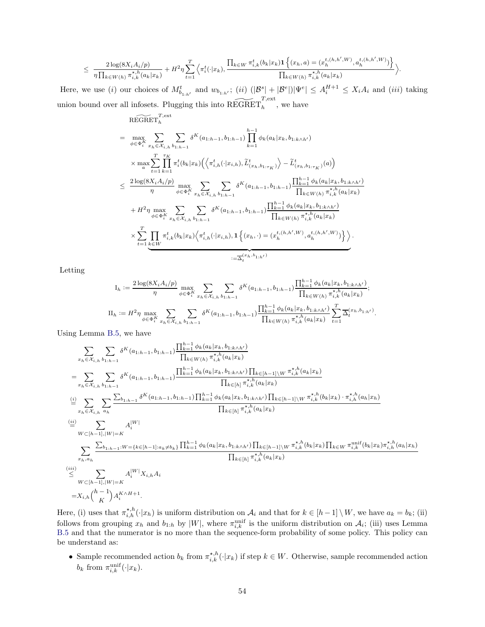$$
\leq \frac{2\log(8X_iA_i/p)}{\eta\prod_{k\in W(h)}\pi_{i,k}^{\star,h}(a_k|x_k)}+H^2\eta\sum_{t=1}^T\left\langle\pi_i^t(\cdot|x_k),\frac{\prod_{k\in W}\pi_{i,k}^t(b_k|x_k)\mathbf{1}\left\{(x_h,a)=(x_h^{t,(h,h',W)},a_h^{t,(h,h',W)})\right\}}{\prod_{k\in W(h)}\pi_{i,k}^{\star,h}(a_k|x_k)}\right\rangle.
$$

Here, we use (i) our choices of  $M_{b_{1:h'}}^t$  and  $w_{b_{1:h'}}$ ; (ii)  $(|\mathcal{B}^s| + |\mathcal{B}^e|)|\Psi^e| \leq A_i^{H+1} \leq X_iA_i$  and (iii) taking union bound over all infosets. Plugging this into  $\widetilde{\text{REGRET}}^{T,\text{ext}}_h$ , we have

$$
\begin{split}\n&\text{REGRET}_{h}^{T,\text{ext}} \\
&= \max_{\phi \in \Phi_{i}^{K}} \sum_{x_{h} \in \mathcal{X}_{i,h}} \sum_{b_{1:h-1}} \delta^{K}(a_{1:h-1}, b_{1:h-1}) \prod_{k=1}^{h-1} \phi_{k}(a_{k}|x_{k}, b_{1:k \wedge h'}) \\
&\times \max_{a} \sum_{t=1}^{T} \prod_{k=1}^{\tau_{K}} \pi_{i}^{t}(b_{k}|x_{k}) \Big( \Big\langle \pi_{i,h}^{t}(\cdot|x_{i,h}), \widetilde{L}_{(x_{h}, b_{1:\tau_{K}})}^{t} \Big\rangle - \widetilde{L}_{(x_{h}, b_{1:\tau_{K}})}^{t}(a) \Big) \\
&\leq \frac{2 \log(8X_{i}A_{i}/p)}{\eta} \max_{\phi \in \Phi_{i}^{K}} \sum_{x_{h} \in \mathcal{X}_{i,h}} \sum_{b_{1:h-1}} \delta^{K}(a_{1:h-1}, b_{1:h-1}) \frac{\prod_{k=1}^{h-1} \phi_{k}(a_{k}|x_{k}, b_{1:k \wedge h'})}{\prod_{k \in W(h)} \pi_{i,k}^{\star,h}(a_{k}|x_{k})} \\
&\quad + H^{2} \eta \max_{\phi \in \Phi_{i}^{K}} \sum_{x_{h} \in \mathcal{X}_{i,h}} \sum_{b_{1:h-1}} \delta^{K}(a_{1:h-1}, b_{1:h-1}) \frac{\prod_{k=1}^{h-1} \phi_{k}(a_{k}|x_{k}, b_{1:k \wedge h'})}{\prod_{k \in W(h)} \pi_{i,k}^{\star,h}(a_{k}|x_{k})} \\
&\times \sum_{t=1}^{T} \prod_{k \in W} \pi_{i,k}^{t}(b_{k}|x_{k}) \Big\langle \pi_{i,h}^{t}(\cdot|x_{i,h}), \mathbf{1} \Big\{ (x_{h}, \cdot) = (x_{h}^{t,(h,h',W)}, a_{h}^{t,(h,h',W)}) \Big\} \Big\rangle. \\
&\xrightarrow{\sum_{t=1}^{L} \sum_{k \in W} \pi_{i,k}^{t}(b_{k}|x_{k}|x_{k}| \Big\langle \pi_{i,h}^{t}(x_{i,h}), \mathbf{1} \Big\{ (x_{h}, \cdot) = (x_{h}^{t,(h,h',W)}, a_{h}^{t,(h,h',
$$

Letting

$$
I_h := \frac{2\log(8X_iA_i/p)}{\eta} \max_{\phi \in \Phi_i^K} \sum_{x_h \in \mathcal{X}_{i,h}} \sum_{b_{1:h-1}} \delta^K(a_{1:h-1}, b_{1:h-1}) \frac{\prod_{k=1}^{h-1} \phi_k(a_k|x_k, b_{1:k \wedge h'})}{\prod_{k \in W(h)} \pi_{i,k}^{*,h}(a_k|x_k)};
$$
  
\n
$$
II_h := H^2 \eta \max_{\phi \in \Phi_i^K} \sum_{x_h \in \mathcal{X}_{i,h}} \sum_{b_{1:h-1}} \delta^K(a_{1:h-1}, b_{1:h-1}) \frac{\prod_{k=1}^{h-1} \phi_k(a_k|x_k, b_{1:k \wedge h'})}{\prod_{k \in W(h)} \pi_{i,k}^{*,h}(a_k|x_k)} \sum_{t=1}^T \Delta_t^{(x_h, b_{1:h'})}.
$$

Using Lemma [B.5,](#page-22-1) we have

$$
\sum_{x_h \in \mathcal{X}_{i,h}} \sum_{b_{1:h-1}} \delta^{K}(a_{1:h-1}, b_{1:h-1}) \frac{\prod_{k=1}^{h-1} \phi_{k}(a_{k}|x_{k}, b_{1:k\wedge h'})}{\prod_{k \in W(h)} \pi_{i,k}^{*,h}(a_{k}|x_{k})}
$$
\n
$$
= \sum_{x_h \in \mathcal{X}_{i,h}} \sum_{b_{1:h-1}} \delta^{K}(a_{1:h-1}, b_{1:h-1}) \frac{\prod_{k=1}^{h-1} \phi_{k}(a_{k}|x_{k}, b_{1:k\wedge h'})}{\prod_{k \in [h]} \pi_{i,k}^{*,h}(a_{k}|x_{k})}
$$
\n
$$
\stackrel{(i)}{=} \sum_{x_h \in \mathcal{X}_{i,h}} \sum_{b_{1:h-1}} \frac{\sum_{b_{1:h-1}} \delta^{K}(a_{1:h-1}, b_{1:h-1}) \prod_{k=1}^{h-1} \phi_{k}(a_{k}|x_{k}, b_{1:k\wedge h'}) \prod_{k \in [h-1] \setminus W} \pi_{i,k}^{*,h}(a_{k}|x_{k})}{\prod_{k \in [h]} \pi_{i,k}^{*,h}(a_{k}|x_{k})}
$$
\n
$$
\stackrel{(ii)}{=} \sum_{W \subset [h-1], |W| = K} A_{i}^{|W|}
$$
\n
$$
\sum_{x_h, a_h} \frac{\sum_{b_{1:h-1}: W = \{k \in [h-1]: a_k \neq b_k\}} \prod_{k=1}^{h-1} \phi_{k}(a_{k}|x_{k}, b_{1:k\wedge h'}) \prod_{k \in [h-1] \setminus W} \pi_{i,k}^{*,h}(b_{k}|x_{k}) \prod_{k \in W} \pi_{i,k}^{*,h}(a_{k}|x_{k})}{\prod_{k \in [h]} \pi_{i,k}^{*,h}(a_{k}|x_{k})}
$$
\n
$$
\stackrel{(iii)}{\leq} \sum_{x_h, a_h} \sum_{W \subset [h-1], |W| = K} A_{i}^{|W|} X_{i,h} A_{i}
$$
\n
$$
= X_{i,h} \binom{h-1}{K} A_{i}^{KNH+1}.
$$

Here, (i) uses that  $\pi^{*,h}_{i,h}(\cdot|x_h)$  is uniform distribution on  $\mathcal{A}_i$  and that for  $k \in [h-1] \setminus W$ , we have  $a_k = b_k$ ; (ii) follows from grouping  $x_h$  and  $b_{1:h}$  by  $|W|$ , where  $\pi_{i,k}^{\text{unif}}$  is the uniform distribution on  $\mathcal{A}_i$ ; (iii) uses Lemma [B.5](#page-22-1) and that the numerator is no more than the sequence-form probability of some policy. This policy can be understand as:

• Sample recommended action  $b_k$  from  $\pi_{i,k}^{\star,h}(\cdot|x_k)$  if step  $k \in W$ . Otherwise, sample recommended action  $b_k$  from  $\pi_{i,k}^{\text{unif}}(\cdot|x_k)$ .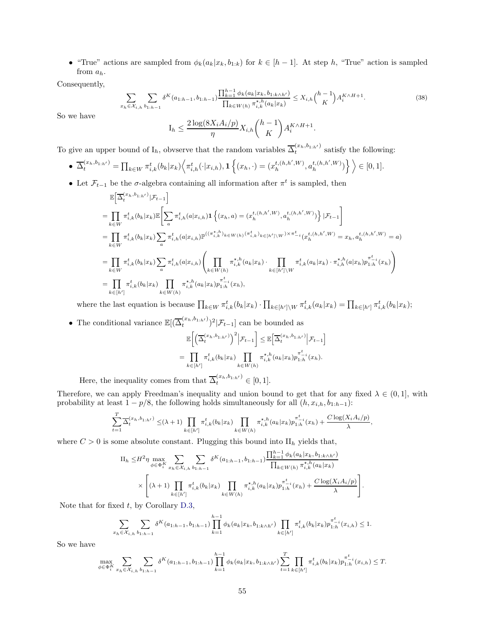• "True" actions are sampled from  $\phi_k(a_k|x_k, b_{1:k})$  for  $k \in [h-1]$ . At step h, "True" action is sampled from  $a_h$ .

Consequently,

<span id="page-54-0"></span>
$$
\sum_{x_h \in \mathcal{X}_{i,h}} \sum_{b_1 h_1 = 1} \delta^K(a_{1:h-1}, b_{1:h-1}) \frac{\prod_{k=1}^{h-1} \phi_k(a_k | x_k, b_{1:k \wedge h'})}{\prod_{k \in W(h)} \pi_{i,k}^{\star, h}(a_k | x_k)} \le X_{i,h} {h-1 \choose K} A_i^{K \wedge H+1}.
$$
\n(38)

So we have

$$
I_h \leq \frac{2\log(8X_iA_i/p)}{\eta} X_{i,h} \binom{h-1}{K} A_i^{K \wedge H+1}.
$$

To give an upper bound of  $I_h$ , obvserve that the random variables  $\overline{\Delta}_t^{(x_h,b_{1:h'})}$  satisfy the following:

• 
$$
\overline{\Delta}_{t}^{(x_h, b_{1:h'})} = \prod_{k \in W} \pi_{i,k}^{t}(b_k|x_k) \Big\langle \pi_{i,h}^{t}(\cdot|x_{i,h}), \mathbf{1} \Big\{ (x_h, \cdot) = (x_h^{t,(h,h',W)}, a_h^{t,(h,h',W)}) \Big\} \Big\rangle \in [0,1].
$$

• Let  $\mathcal{F}_{t-1}$  be the  $\sigma$ -algebra containing all information after  $\pi^t$  is sampled, then

$$
\mathbb{E}\Big[\overline{\Delta}_{t}^{(x_{h},b_{1:h'})}|\mathcal{F}_{t-1}\Big]
$$
\n
$$
=\prod_{k\in W} \pi_{i,k}^{t}(b_{k}|x_{k})\mathbb{E}\Big[\sum_{a} \pi_{i,h}^{t}(a|x_{i,h})\mathbf{1}\left\{(x_{h},a)=(x_{h}^{t,(h,h',W)},a_{h}^{t,(h,h',W)})\right\}|\mathcal{F}_{t-1}\Big]
$$
\n
$$
=\prod_{k\in W} \pi_{i,k}^{t}(b_{k}|x_{k})\sum_{a} \pi_{i,h}^{t}(a|x_{i,h})\mathbb{P}^{((\pi_{i,k}^{*,h})_{k\in W(h)}(\pi_{i,k}^{t})_{k\in [h']\setminus W})\times\pi_{-i}^{t}(x_{h}^{t,(h,h',W)}=x_{h},a_{h}^{t,(h,h',W)}=a)
$$
\n
$$
=\prod_{k\in W} \pi_{i,k}^{t}(b_{k}|x_{k})\sum_{a} \pi_{i,h}^{t}(a|x_{i,h})\Big(\prod_{k\in W(h)} \pi_{i,k}^{*,h}(a_{k}|x_{k})\cdot\prod_{k\in [h']\setminus W} \pi_{i,k}^{t}(a_{k}|x_{k})\cdot\pi_{i,h}^{*,h}(a|x_{h})p_{1:h}^{\pi_{-i}^{t}(x_{h})}\Big)
$$
\n
$$
=\prod_{k\in [h']} \pi_{i,k}^{t}(b_{k}|x_{k})\prod_{k\in W(h)} \pi_{i,k}^{*,h}(a_{k}|x_{k})p_{1:h}^{\pi_{-i}^{t}(x_{h})},
$$

where the last equation is because  $\prod_{k \in W} \pi_{i,k}^t(b_k|x_k) \cdot \prod_{k \in [h'] \setminus W} \pi_{i,k}^t(a_k|x_k) = \prod_{k \in [h']} \pi_{i,k}^t(b_k|x_k);$ 

• The conditional variance  $\mathbb{E}[(\overline{\Delta}_t^{(x_h, b_{1:h'})})^2 | \mathcal{F}_{t-1}]$  can be bounded as

$$
\mathbb{E}\bigg[\Big(\overline{\Delta}_t^{(x_h, b_{1:h'})}\Big)^2\Big|\mathcal{F}_{t-1}\bigg] \leq \mathbb{E}\big[\overline{\Delta}_t^{(x_h, b_{1:h'})}\Big|\mathcal{F}_{t-1}\bigg]
$$

$$
= \prod_{k \in [h']} \pi_{i,k}^t(b_k|x_k) \prod_{k \in W(h)} \pi_{i,k}^{\star, h}(a_k|x_k) p_{1:h}^{\pi_{-i}^t}(x_h).
$$

Here, the inequality comes from that  $\overline{\Delta}_t^{(x_h,b_{1:h'})} \in [0,1].$ 

Therefore, we can apply Freedman's inequality and union bound to get that for any fixed  $\lambda \in (0,1]$ , with probability at least  $1 - p/8$ , the following holds simultaneously for all  $(h, x_{i,h}, b_{1:h-1})$ :

$$
\sum_{t=1}^T \overline{\Delta}_t^{(x_h, b_{1:h'})} \leq (\lambda + 1) \prod_{k \in [h']} \pi_{i,k}^t(b_k|x_k) \prod_{k \in W(h)} \pi_{i,k}^{\star, h}(a_k|x_k) p_{1:h}^{\pi_{-i}^t}(x_h) + \frac{C \log(X_i A_i/p)}{\lambda},
$$

where  $C > 0$  is some absolute constant. Plugging this bound into  $II<sub>h</sub>$  yields that,

$$
\Pi_{h} \leq H^{2} \eta \max_{\phi \in \Phi_{i}^{K}} \sum_{x_{h} \in \mathcal{X}_{i,h}} \sum_{b_{1:h-1}} \delta^{K}(a_{1:h-1}, b_{1:h-1}) \frac{\prod_{k=1}^{h-1} \phi_{k}(a_{k}|x_{k}, b_{1:k \wedge h'})}{\prod_{k \in W(h)} \pi_{i,k}^{\star, h}(a_{k}|x_{k})} \times \left[ (\lambda+1) \prod_{k \in [h']} \pi_{i,k}^{\star}(b_{k}|x_{k}) \prod_{k \in W(h)} \pi_{i,k}^{\star, h}(a_{k}|x_{k}) p_{1:h}^{\pi_{i}^{L}}(x_{h}) + \frac{C \log(X_{i} A_{i}/p)}{\lambda} \right].
$$

Note that for fixed  $t$ , by Corollary [D.3,](#page-28-0)

$$
\sum_{x_h \in \mathcal{X}_{i,h}} \sum_{b_1, h_1 = 1} \delta^K(a_{1:h-1}, b_{1:h-1}) \prod_{k=1}^{h-1} \phi_k(a_k | x_k, b_{1:k \wedge h'}) \prod_{k \in [h']} \pi_{i,k}^t(b_k | x_k) p_{1:h}^{\pi_{-i}^t}(x_{i,h}) \le 1.
$$

So we have

$$
\max_{\phi \in \Phi_i^K} \sum_{x_h \in \mathcal{X}_{i,h}} \sum_{b_{1:h-1}} \delta^K(a_{1:h-1}, b_{1:h-1}) \prod_{k=1}^{h-1} \phi_k(a_k | x_k, b_{1:k \wedge h'}) \sum_{t=1}^T \prod_{k \in [h']} \pi_{i,k}^t(b_k | x_k) p_{1:h}^{\pi_{-i}^t}(x_{i,h}) \le T.
$$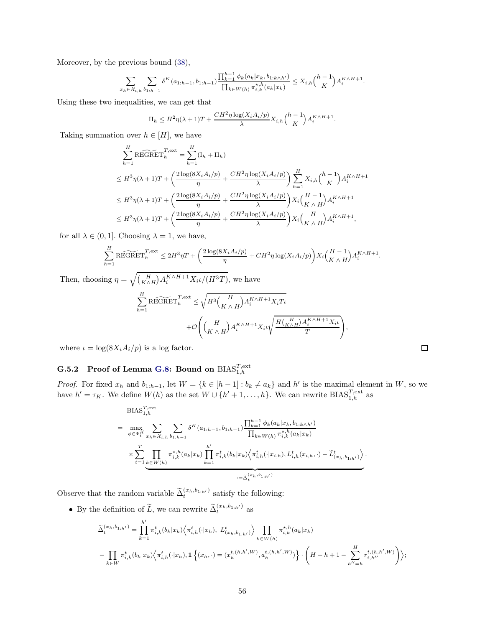Moreover, by the previous bound [\(38\)](#page-54-0),

$$
\sum_{x_h \in \mathcal{X}_{i,h}} \sum_{b_1 h_1 h_2} \delta^K(a_{1:h-1}, b_{1:h-1}) \frac{\prod_{k=1}^{h-1} \phi_k(a_k | x_k, b_{1:k \wedge h'})}{\prod_{k \in W(h)} \pi_{i,k}^{\star, h}(a_k | x_k)} \leq X_{i,h} {h-1 \choose K} A_i^{K \wedge H+1}.
$$

Using these two inequalities, we can get that

$$
\Pi_h \leq H^2 \eta(\lambda+1)T + \frac{CH^2 \eta \log(X_i A_i/p)}{\lambda} X_{i,h} {h-1 \choose K} A_i^{K \wedge H+1}.
$$

Taking summation over  $h \in [H]$ , we have

$$
\sum_{h=1}^{H} \widetilde{\text{REGRET}}_h^{T,\text{ext}} = \sum_{h=1}^{H} (\mathbf{I}_h + \mathbf{II}_h)
$$
\n
$$
\leq H^3 \eta(\lambda + 1)T + \left(\frac{2\log(8X_i A_i/p)}{\eta} + \frac{CH^2 \eta \log(X_i A_i/p)}{\lambda}\right) \sum_{h=1}^{H} X_{i,h} {h-1 \choose K} A_i^{K \wedge H+1}
$$
\n
$$
\leq H^3 \eta(\lambda + 1)T + \left(\frac{2\log(8X_i A_i/p)}{\eta} + \frac{CH^2 \eta \log(X_i A_i/p)}{\lambda}\right) X_i \left(\frac{H-1}{K \wedge H}\right) A_i^{K \wedge H+1}
$$
\n
$$
\leq H^3 \eta(\lambda + 1)T + \left(\frac{2\log(8X_i A_i/p)}{\eta} + \frac{CH^2 \eta \log(X_i A_i/p)}{\lambda}\right) X_i \left(\frac{H}{K \wedge H}\right) A_i^{K \wedge H+1},
$$

for all  $\lambda \in (0, 1]$ . Choosing  $\lambda = 1$ , we have,

$$
\sum_{h=1}^{H} \widetilde{\text{REGRET}}_h^{T,\text{ext}} \leq 2H^3\eta T + \left(\frac{2\log(8X_i A_i/p)}{\eta} + CH^2 \eta \log(X_i A_i/p)\right) X_i\binom{H-1}{K \wedge H} A_i^{K \wedge H+1}.
$$

Then, choosing  $\eta = \sqrt{\binom{H}{K \wedge H} A_i^{K \wedge H+1} X_i \iota/(H^3T)}$ , we have  $\stackrel{H}{\nabla}$  $h=1$  $\widetilde{\text{REGRET}}^{T,\text{ext}}_h \leq$  $\sqrt{H^3\left(\frac{H}{H}\right)}$  $K \wedge H$  $A_i^{K\wedge H+1}X_iT_i$  $+O$  $\sqrt{ }$  $\left(\begin{smallmatrix} H \\ K & A \end{smallmatrix}\right)$  $K \wedge H$  $A_i^{K\wedge H+1}X_i\iota$  $\sqrt{\frac{H\left(\frac{H}{K\wedge H}\right)A_i^{K\wedge H+1}X_i\iota}{H}}}$ T  $\setminus$  $\vert$ ,

<span id="page-55-0"></span>where  $\iota = \log(8X_i A_i/p)$  is a log factor.

## $\rm G.5.2 \quad Proof \ of \ Lemma \ G.8: \ Bound \ on \ BIAS_{1,h}^{T,\rm ext}$  $\rm G.5.2 \quad Proof \ of \ Lemma \ G.8: \ Bound \ on \ BIAS_{1,h}^{T,\rm ext}$  $\rm G.5.2 \quad Proof \ of \ Lemma \ G.8: \ Bound \ on \ BIAS_{1,h}^{T,\rm ext}$

*Proof.* For fixed  $x_h$  and  $b_{1:h-1}$ , let  $W = \{k \in [h-1] : b_k \neq a_k\}$  and  $h'$  is the maximal element in W, so we have  $h' = \tau_K$ . We define  $W(h)$  as the set  $W \cup \{h'+1,\ldots,h\}$ . We can rewrite  $BIAS_{1,h}^{T,\text{ext}}$  as

$$
BIAS_{1,h}^{T,\text{ext}}
$$
\n
$$
= \max_{\phi \in \Phi_{i}^{K}} \sum_{x_{h} \in \mathcal{X}_{i,h}} \sum_{b_{1:h-1}} \delta^{K}(a_{1:h-1}, b_{1:h-1}) \frac{\prod_{k=1}^{h-1} \phi_{k}(a_{k}|x_{k}, b_{1:k \wedge h'})}{\prod_{k \in W(h)} \pi_{i,k}^{*,h}(a_{k}|x_{k})}
$$
\n
$$
\times \sum_{t=1}^{T} \prod_{k \in W(h)} \pi_{i,k}^{*,h}(a_{k}|x_{k}) \prod_{k=1}^{h'} \pi_{i,k}^{t}(b_{k}|x_{k}) \Big\langle \pi_{i,h}^{t}(\cdot|x_{i,h}), L_{i,h}^{t}(x_{i,h}, \cdot) - \tilde{L}_{(x_{h}, b_{1:h'})}^{t} \Big\rangle
$$
\n
$$
:= \tilde{\Delta}_{t}^{(x_{h}, b_{1:h'})}
$$

Observe that the random variable  $\tilde{\Delta}_{t}^{(x_h, b_{1:h'})}$  satisfy the following:

• By the definition of  $\widetilde{L}$ , we can rewrite  $\widetilde{\Delta}_{t}^{(x_h,b_{1:h'})}$  as

$$
\tilde{\Delta}_{t}^{(x_h, b_{1:h'})} = \prod_{k=1}^{h'} \pi_{i,k}^{t}(b_k|x_k) \left\langle \pi_{i,h}^{t}(\cdot|x_h), L_{(x_h, b_{1:h'})}^{t} \right\rangle \prod_{k \in W(h)} \pi_{i,k}^{\star, h}(a_k|x_k)
$$
\n
$$
- \prod_{k \in W} \pi_{i,k}^{t}(b_k|x_k) \left\langle \pi_{i,h}^{t}(\cdot|x_h), 1 \left\{ (x_h, \cdot) = (x_h^{t,(h,h',W)}, a_h^{t,(h,h',W)}) \right\} \cdot \left( H - h + 1 - \sum_{h''=h}^{H} r_{i,h''}^{t,(h,h',W)} \right) \right\rangle;
$$

.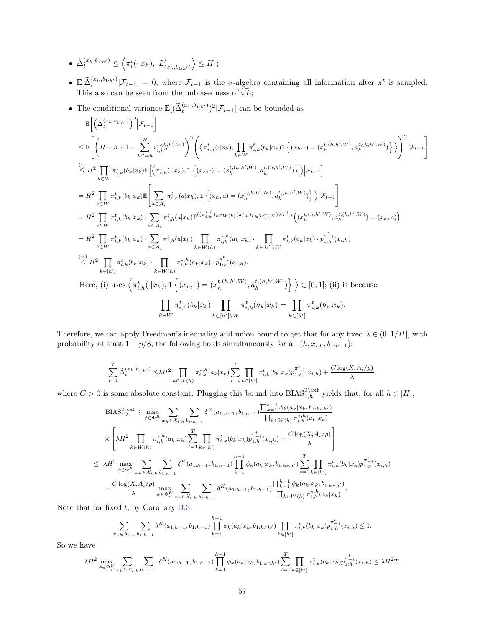- $\widetilde{\Delta}_{t}^{(x_h, b_{1:h'})} \leq$  $\left\langle \pi_i^t(\cdot|x_h),\ L_{(x_h,b_{1:h'})}^t\right\rangle$  $\Big\rangle \leq H$ ;
- $\mathbb{E}[\tilde{\Delta}_t^{(x_h, b_{1:h'})} | \mathcal{F}_{t-1}] = 0$ , where  $\mathcal{F}_{t-1}$  is the  $\sigma$ -algebra containing all information after  $\pi^t$  is sampled. This also can be seen from the unbiasedness of  $\widetilde{\pi L}$ ;
- The conditional variance  $\mathbb{E}[(\widetilde{\Delta}_{t}^{(x_h,b_{1:h'})})^2 | \mathcal{F}_{t-1}]$  can be bounded as

$$
\begin{split} &\mathbb{E}\bigg[\Big(\widetilde{\Delta}^{(x_h,b_{1;h'})}_t\Big)^2\Big|\mathcal{F}_{t-1}\bigg]\\ &\leq \mathbb{E}\Bigg[\bigg(H-h+1-\sum_{h''=h}^{H}r_{i,h'}^{t,(h,h',W)}\bigg)^2\bigg(\Big\langle\pi_{i,h}^t(\cdot|x_h),\prod_{k\in W}\pi_{i,k}^t(b_k|x_k)\mathbf{1}\left\{(x_h,\cdot)=(x_h^{t,(h,h',W)},a_h^{t,(h,h',W)})\right\}\Big\rangle\bigg)^2\Big|\mathcal{F}_{t-1}\bigg]\\ &\stackrel{(i)}{\leq}H^2\prod_{k\in W}\pi_{i,k}^t(b_k|x_k)\mathbb{E}\Big[\Big\langle\pi_{i,h}^t(\cdot|x_h),\mathbf{1}\left\{(x_h,\cdot)=(x_h^{t,(h,h',W)},a_h^{t,(h,h',W)})\right\}\Big\rangle\Big|\mathcal{F}_{t-1}\bigg]\\ &=H^2\prod_{k\in W}\pi_{i,k}^t(b_k|x_k)\mathbb{E}\Bigg[\sum_{a\in\mathcal{A}_i}\pi_{i,h}^t(a|x_h),\mathbf{1}\left\{(x_h,a)=(x_h^{t,(h,h',W)},a_h^{t,(h,h',W)})\right\}\Big|\mathcal{F}_{t-1}\Bigg]\\ &=H^2\prod_{k\in W}\pi_{i,k}^t(b_k|x_k)\cdot\sum_{a\in\mathcal{A}_i}\pi_{i,h}^t(a|x_h)\mathbb{P}^{((\pi_{i,h}^{*,h})_{k\in W(h)}(\pi_{i,k}^t)_{k\in[h']\setminus W})\times\pi_{-i}^t\Big((x_h^{t,(h,h',W)},a_h^{t,(h,h',W)})=(x_h,a)\Big)\\ &=H^2\prod_{k\in W}\pi_{i,k}^t(b_k|x_k)\cdot\sum_{a\in\mathcal{A}_i}\pi_{i,h}^t(a|x_h)\prod_{k\in W(h)}\pi_{i,k}^{*,h}(a_k|x_k)\cdot\prod_{k\in[h']\setminus W}\pi_{i,k}^t(a_k|x_k)\cdot p_{1:h}^{\pi_{-i}^t}(x_{i,h})\\ &\stackrel{(ii)}{\leq}H^2\prod_{k\in W}\pi_{i,k}^t(b_k|x_k)\cdot\prod_{k\in W(h)}\pi_{i,k}^t(a_k|x_k)\cdot p_{1:h}^{\pi_{-i}^t}(x_{i,h}). \end{split
$$

Therefore, we can apply Freedman's inequality and union bound to get that for any fixed  $\lambda \in (0, 1/H]$ , with probability at least  $1 - p/8$ , the following holds simultaneously for all  $(h, x_{i,h}, b_{1:h-1})$ :

$$
\sum_{t=1}^T \tilde{\Delta}_t^{(x_h, b_{1:h'})} \leq \lambda H^2 \prod_{k \in W(h)} \pi_{i,k}^{\star, h}(a_k|x_k) \sum_{t=1}^T \prod_{k \in [h']} \pi_{i,k}^t(b_k|x_k) p_{1:h}^{\pi_{-i}^t}(x_{i,h}) + \frac{C \log(X_i A_i/p)}{\lambda},
$$

where  $C > 0$  is some absolute constant. Plugging this bound into  $BIAS_{1,h}^{T,\text{ext}}$  yields that, for all  $h \in [H]$ ,

$$
\begin{split} \text{BIAS}_{1,h}^{T,\text{ext}} &\leq \max_{\phi\in\Phi_{i}^{K}} \sum_{x_{h}\in\mathcal{X}_{i,h}} \sum_{b_{1:h-1}} \delta^{K}(a_{1:h-1}, b_{1:h-1}) \frac{\prod_{k=1}^{h-1} \phi_{k}(a_{k}|x_{k}, b_{1:k\wedge h'})}{\prod_{k\in W(h)} \pi_{i,k}^{\star,h}(a_{k}|x_{k})} \\ &\times \left[\lambda H^{2} \prod_{k\in W(h)} \pi_{i,k}^{\star,h}(a_{k}|x_{k}) \sum_{t=1}^{T} \prod_{k\in[h']} \pi_{i,k}^{t}(b_{k}|x_{k}) p_{1:h}^{\pi_{i,i}}(x_{i,h}) + \frac{C\log(X_{i}A_{i}/p)}{\lambda} \right] \\ &\leq \lambda H^{2} \max_{\phi\in\Phi_{i}^{K}} \sum_{x_{h}\in\mathcal{X}_{i,h}} \sum_{b_{1:h-1}} \delta^{K}(a_{1:h-1}, b_{1:h-1}) \prod_{k=1}^{h-1} \phi_{k}(a_{k}|x_{k}, b_{1:k\wedge h'}) \sum_{t=1}^{T} \prod_{k\in[h']} \pi_{i,k}^{t}(b_{k}|x_{k}) p_{1:h}^{\pi_{i,i}^{t}}(x_{i,h}) \\ &+ \frac{C\log(X_{i}A_{i}/p)}{\lambda} \max_{\phi\in\Phi_{i}^{K}} \sum_{x_{h}\in\mathcal{X}_{i,h}} \sum_{b_{1:h-1}} \delta^{K}(a_{1:h-1}, b_{1:h-1}) \frac{\prod_{k=1}^{h-1} \phi_{k}(a_{k}|x_{k}, b_{1:k\wedge h'})}{\prod_{k\in W(h)} \pi_{i,k}^{\star,h}(a_{k}|x_{k})} .\end{split}
$$

Note that for fixed  $t$ , by Corollary [D.3,](#page-28-0)

$$
\sum_{x_h \in \mathcal{X}_{i,h}} \sum_{b_1 h_1 = 1} \delta^K(a_{1:h-1}, b_{1:h-1}) \prod_{k=1}^{h-1} \phi_k(a_k | x_k, b_{1:k \wedge h'}) \prod_{k \in [h']} \pi^t_{i,k} (b_k | x_k) p_{1:h}^{\pi^t_{-i}}(x_{i,h}) \le 1.
$$

So we have

$$
\lambda H^{2} \max_{\phi \in \Phi_{i}^{K}} \sum_{x_{h} \in \mathcal{X}_{i,h}} \sum_{b_{1:h-1}} \delta^{K}(a_{1:h-1}, b_{1:h-1}) \prod_{k=1}^{h-1} \phi_{k}(a_{k} | x_{k}, b_{1:k \wedge h'}) \sum_{t=1}^{T} \prod_{k \in [h']} \pi_{i,k}^{t}(b_{k} | x_{k}) p_{1:h}^{\pi_{i}^{t}}(x_{i,h}) \leq \lambda H^{2} T.
$$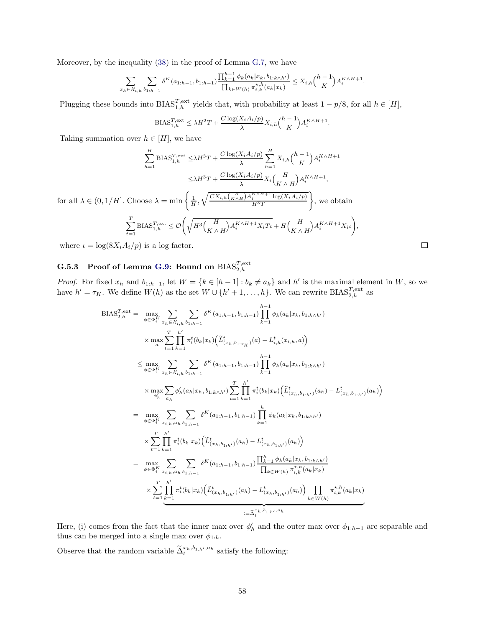Moreover, by the inequality [\(38\)](#page-54-0) in the proof of Lemma [G.7,](#page-51-1) we have

$$
\sum_{x_h \in \mathcal{X}_{i,h}} \sum_{b_1, h_{-1}} \delta^K(a_{1:h-1}, b_{1:h-1}) \frac{\prod_{k=1}^{h-1} \phi_k(a_k | x_k, b_{1:k \wedge h'})}{\prod_{k \in W(h)} \pi_{i,k}^{\star, h}(a_k | x_k)} \leq X_{i,h} {h-1 \choose K} A_i^{K \wedge H+1}.
$$

Plugging these bounds into  $BIAS_{1,h}^{T,\text{ext}}$  yields that, with probability at least  $1 - p/8$ , for all  $h \in [H]$ ,

$$
\text{BIAS}_{1,h}^{T,\text{ext}} \leq \lambda H^2 T + \frac{C \log(X_i A_i / p)}{\lambda} X_{i,h} {h-1 \choose K} A_i^{K \wedge H+1}
$$

.

,

Taking summation over  $h \in [H]$ , we have

$$
\sum_{h=1}^{H} \text{BIAS}_{1,h}^{T,\text{ext}} \leq \lambda H^{3}T + \frac{C \log(X_{i}A_{i}/p)}{\lambda} \sum_{h=1}^{H} X_{i,h} {h-1 \choose K} A_{i}^{K \wedge H+1}
$$

$$
\leq \lambda H^{3}T + \frac{C \log(X_{i}A_{i}/p)}{\lambda} X_{i} {H \choose K \wedge H} A_{i}^{K \wedge H+1},
$$

for all  $\lambda \in (0, 1/H]$ . Choose  $\lambda = \min \left\{ \frac{1}{H}, \sqrt{\frac{CX_{i,h}\left(\frac{H}{K \wedge H}\right)A_i^{K \wedge H+1} \log(X_i A_i/p)}{H^3 T}} \right\}$  $_{H^3T}$  $\mathcal{L}$ , we obtain

$$
\sum_{t=1}^T \text{BIAS}_{1,h}^{T,\text{ext}} \leq \mathcal{O}\Bigg(\sqrt{H^3\Big(\frac{H}{K \wedge H}\Big)A_i^{K \wedge H + 1}X_iT\iota} + H\Big(\frac{H}{K \wedge H}\Big)A_i^{K \wedge H + 1}X_i\iota\Bigg)
$$

<span id="page-57-0"></span>where  $\iota = \log(8X_i A_i/p)$  is a log factor.

## $\rm G.5.3 \quad Proof \ of \ Lemma \ G.9: \ Bound \ on \ BIAS_{2,h}^{T,\rm ext}$  $\rm G.5.3 \quad Proof \ of \ Lemma \ G.9: \ Bound \ on \ BIAS_{2,h}^{T,\rm ext}$  $\rm G.5.3 \quad Proof \ of \ Lemma \ G.9: \ Bound \ on \ BIAS_{2,h}^{T,\rm ext}$

*Proof.* For fixed  $x_h$  and  $b_{1:h-1}$ , let  $W = \{k \in [h-1] : b_k \neq a_k\}$  and  $h'$  is the maximal element in W, so we have  $h' = \tau_K$ . We define  $W(h)$  as the set  $W \cup \{h'+1,\ldots,h\}$ . We can rewrite  $BIAS_{2,h}^{T,\text{ext}}$  as

$$
BIAS_{2,h}^{T,ext} = \max_{\phi \in \Phi_{i}^{K}} \sum_{x_{h} \in \mathcal{X}_{i,h}} \sum_{b_{1:h-1}} \delta^{K}(a_{1:h-1}, b_{1:h-1}) \prod_{k=1}^{h-1} \phi_{k}(a_{k}|x_{k}, b_{1:k \wedge h'})
$$
\n
$$
\times \max_{a} \sum_{t=1}^{T} \sum_{k=1}^{h'} \pi_{i}^{t}(b_{k}|x_{k}) (\tilde{L}_{(x_{h}, b_{1:\tau_{K}})}^{t}(a) - L_{i,h}^{t}(x_{i,h}, a))
$$
\n
$$
\leq \max_{\phi \in \Phi_{i}^{K}} \sum_{x_{h} \in \mathcal{X}_{i,h}} \delta^{K}(a_{1:h-1}, b_{1:h-1}) \prod_{k=1}^{h-1} \phi_{k}(a_{k}|x_{k}, b_{1:k \wedge h'})
$$
\n
$$
\times \max_{\phi_{h}^{'} \in \Phi_{i}^{K}} \sum_{x_{h} \in \mathcal{X}_{i,h}} \phi_{h}^{'}(a_{h}|x_{h}, b_{1:k \wedge h'}) \sum_{t=1}^{T} \prod_{k=1}^{h'} \pi_{i}^{t}(b_{k}|x_{k}) (\tilde{L}_{(x_{h}, b_{1:h'})}^{t}(a_{h}) - L_{(x_{h}, b_{1:h'})}^{t}(a_{h}))
$$
\n
$$
= \max_{\phi \in \Phi_{i}^{K}} \sum_{x_{i,h}, a_{h}} \sum_{b_{1:h-1}} \delta^{K}(a_{1:h-1}, b_{1:h-1}) \prod_{k=1}^{h} \phi_{k}(a_{k}|x_{k}, b_{1:k \wedge h'})
$$
\n
$$
\times \sum_{t=1}^{T} \prod_{k=1}^{h'} \pi_{i}^{t}(b_{k}|x_{k}) (\tilde{L}_{(x_{h}, b_{1:h'})}^{t}(a_{h}) - L_{(x_{h}, b_{1:h'})}^{t}(a_{h}))
$$
\n
$$
= \max_{\phi \in \Phi_{i}^{K}} \sum_{x_{i,h}, a_{h}} \sum_{b_{1:h-1}} \delta^{K}(a_{1:h-1}, b_{1:h-1}) \frac{\prod_{k=1}^{h} \phi_{k}(a_{k}|x_{k}, b_{1:k \wedge h'})}{\prod_{k \in W(h)} \pi_{
$$

Here, (i) comes from the fact that the inner max over  $\phi'_h$  and the outer max over  $\phi_{1:h-1}$  are separable and thus can be merged into a single max over  $\phi_{1:h}$ .

Observe that the random variable  $\tilde{\Delta}_t^{x_h, b_{1:h'}, a_h}$  satisfy the following: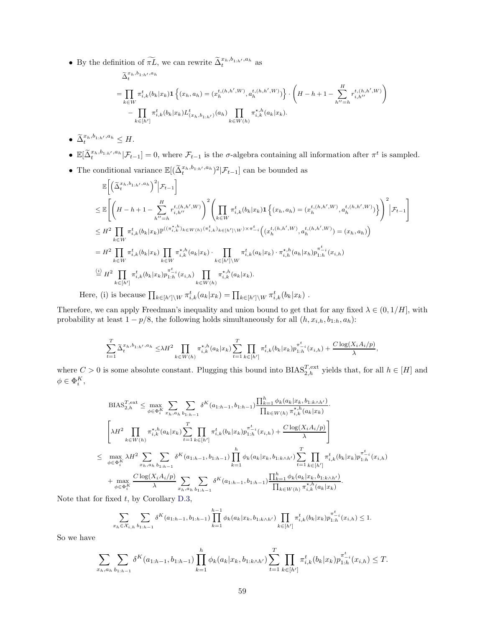• By the definition of  $\widetilde{\pi L}$ , we can rewrite  $\widetilde{\Delta}_t^{x_h, b_{1:h'}, a_h}$  as

$$
\tilde{\Delta}_{t}^{x_h, b_{1:h'}, a_h}
$$
\n
$$
= \prod_{k \in W} \pi_{i,k}^{t}(b_k|x_k) \mathbf{1} \left\{ (x_h, a_h) = (x_h^{t,(h,h',W)}, a_h^{t,(h,h',W)}) \right\} \cdot \left( H - h + 1 - \sum_{h''=h}^H r_{i,h''}^{t,(h,h',W)} \right)
$$
\n
$$
- \prod_{k \in [h']}\pi_{i,k}^{t}(b_k|x_k) L_{(x_h, b_{1:h'})}^{t}(a_h) \prod_{k \in W(h)} \pi_{i,k}^{\star,h}(a_k|x_k).
$$

- $\widetilde{\Delta}_t^{x_h, b_{1:h'}, a_h} \leq H.$
- $\mathbb{E}[\tilde{\Delta}_t^{x_h, b_{1:h'}, a_h} | \mathcal{F}_{t-1}] = 0$ , where  $\mathcal{F}_{t-1}$  is the  $\sigma$ -algebra containing all information after  $\pi^t$  is sampled.
- The conditional variance  $\mathbb{E}[(\tilde{\Delta}_t^{x_h, b_{1:h'}, a_h})^2 | \mathcal{F}_{t-1}]$  can be bounded as

$$
\mathbb{E}\left[\left(\tilde{\Delta}_{t}^{x_{h},b_{1:h'},a_{h}}\right)^{2}\Big|\mathcal{F}_{t-1}\right]
$$
\n
$$
\leq \mathbb{E}\left[\left(H-h+1-\sum_{h''=h}^{H}r_{i,h''}^{t,(h,h',W)}\right)^{2}\left(\prod_{k\in W}\pi_{i,k}^{t}(b_{k}|x_{k})\mathbf{1}\left\{(x_{h},a_{h})=(x_{h}^{t,(h,h',W)},a_{h}^{t,(h,h',W)})\right\}\right)^{2}\Big|\mathcal{F}_{t-1}\right]
$$
\n
$$
\leq H^{2}\prod_{k\in W}\pi_{i,k}^{t}(b_{k}|x_{k})\mathbb{P}^{((\pi_{i,k}^{*,h})_{k\in W(h)}(\pi_{i,k}^{t})_{k\in[h']\setminus W})\times\pi_{-i}^{t}}\left((x_{h}^{t,(h,h',W)},a_{h}^{t,(h,h',W)})=(x_{h},a_{h})\right)
$$
\n
$$
=H^{2}\prod_{k\in W}\pi_{i,k}^{t}(b_{k}|x_{k})\prod_{k\in W}\pi_{i,k}^{\star,h}(a_{k}|x_{k})\cdot\prod_{k\in[h']\setminus W}\pi_{i,k}^{t}(a_{k}|x_{k})\cdot\pi_{i,h}^{\star,h}(a_{h}|x_{h})p_{1:h}^{\pi_{-i}^{t}}(x_{i,h})
$$
\n
$$
\stackrel{\text{(i)}{=}H^{2}\prod_{k\in[h']}\pi_{i,k}^{t}(b_{k}|x_{k})p_{1:h}^{\pi_{-i}^{t}}(x_{i,h})\prod_{k\in W(h)}\pi_{i,k}^{\star,h}(a_{k}|x_{k}).
$$
\nHere, (i) is because  $\prod_{k\in[h']\setminus W}\pi_{i,k}^{t}(a_{k}|x_{k})=\prod_{k\in[h']\setminus W}\pi_{i,k}^{t}(b_{k}|x_{k})$ .

Therefore, we can apply Freedman's inequality and union bound to get that for any fixed  $\lambda \in (0, 1/H]$ , with probability at least  $1 - p/8$ , the following holds simultaneously for all  $(h, x_{i,h}, b_{1:h}, a_h)$ :

$$
\sum_{t=1}^T \widetilde{\Delta}_t^{x_h, b_{1:h'}, a_h} \leq \lambda H^2 \prod_{k \in W(h)} \pi_{i,k}^{\star, h}(a_k | x_k) \sum_{t=1}^T \prod_{k \in [h']} \pi_{i,k}^t(b_k | x_k) p_{1:h}^{\pi_{i,k}^t}(x_{i,h}) + \frac{C \log(X_i A_i / p)}{\lambda},
$$

where  $C > 0$  is some absolute constant. Plugging this bound into  $BIAS_{2,h}^{T,\text{ext}}$  yields that, for all  $h \in [H]$  and  $\phi \in \Phi_i^K$ ,

$$
\begin{split} &\text{BIAS}_{2,h}^{T,\text{ext}} \leq \max_{\phi \in \Phi_{i}^{K}} \sum_{x_{h}, a_{h}} \sum_{b_{1:h-1}} \delta^{K}(a_{1:h-1}, b_{1:h-1}) \frac{\prod_{k=1}^{h} \phi_{k}(a_{k}|x_{k}, b_{1:k \wedge h'})}{\prod_{k \in W(h)} \pi_{i,k}^{\star, h}(a_{k}|x_{k})} \\ &\left[\lambda H^{2} \prod_{k \in W(h)} \pi_{i,k}^{\star, h}(a_{k}|x_{k}) \sum_{t=1}^{T} \prod_{k \in [h']} \pi_{i,k}^{t}(b_{k}|x_{k}) p_{1:h}^{\pi_{i,i}}(x_{i,h}) + \frac{C \log(X_{i} A_{i}/p)}{\lambda} \right] \\ &\leq \max_{\phi \in \Phi_{i}^{K}} \lambda H^{2} \sum_{x_{h}, a_{h}} \sum_{b_{1:h-1}} \delta^{K}(a_{1:h-1}, b_{1:h-1}) \prod_{k=1}^{h} \phi_{k}(a_{k}|x_{k}, b_{1:k \wedge h'}) \sum_{t=1}^{T} \prod_{k \in [h']} \pi_{i,k}^{t}(b_{k}|x_{k}) p_{1:h}^{\pi_{i,i}}(x_{i,h}) \\ &+ \max_{\phi \in \Phi_{i}^{K}} \frac{C \log(X_{i} A_{i}/p)}{\lambda} \sum_{x_{h}, a_{h}} \sum_{b_{1:h-1}} \delta^{K}(a_{1:h-1}, b_{1:h-1}) \frac{\prod_{k=1}^{h} \phi_{k}(a_{k}|x_{k}, b_{1:k \wedge h'})}{\prod_{k \in W(h)} \pi_{i,k}^{\star, h}(a_{k}|x_{k})} .\end{split}
$$

Note that for fixed  $t$ , by Corollary [D.3,](#page-28-0)

$$
\sum_{x_h \in \mathcal{X}_{i,h}} \sum_{b_1: h-1} \delta^K(a_{1:h-1}, b_{1:h-1}) \prod_{k=1}^{h-1} \phi_k(a_k | x_k, b_{1:k \wedge h'}) \prod_{k \in [h']} \pi_{i,k}^t(b_k | x_k) p_{1:h}^{\pi_{-i}^t}(x_{i,h}) \le 1.
$$

So we have

$$
\sum_{x_h, a_h} \sum_{b_1, b_1, b_1} \delta^K(a_{1:h-1}, b_{1:h-1}) \prod_{k=1}^h \phi_k(a_k | x_k, b_{1:k \wedge h'}) \sum_{t=1}^T \prod_{k \in [h']} \pi_{i,k}^t(b_k | x_k) p_{1:h}^{\pi_{-i}^t}(x_{i,h}) \leq T.
$$